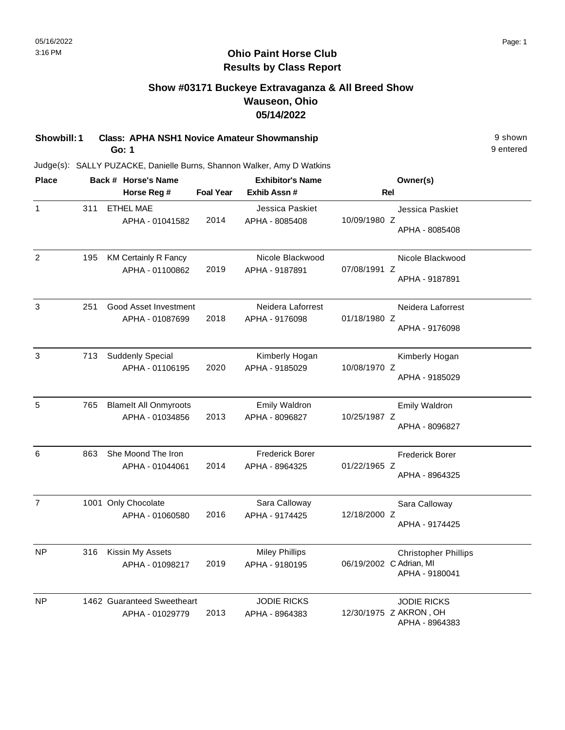# **Show #03171 Buckeye Extravaganza & All Breed Show Wauseon, Ohio 05/14/2022**

**Showbill: 1 Class: APHA NSH1 Novice Amateur Showmanship** 9 shown **Go: 1**

Judge(s): SALLY PUZACKE, Danielle Burns, Shannon Walker, Amy D Watkins

| <b>Place</b>   |     | Back # Horse's Name                             | <b>Exhibitor's Name</b> |                                          |                         | Owner(s)                                                       |
|----------------|-----|-------------------------------------------------|-------------------------|------------------------------------------|-------------------------|----------------------------------------------------------------|
|                |     | Horse Reg #                                     | <b>Foal Year</b>        | Exhib Assn #                             | Rel                     |                                                                |
| $\mathbf{1}$   | 311 | <b>ETHEL MAE</b><br>APHA - 01041582             | 2014                    | Jessica Paskiet<br>APHA - 8085408        | 10/09/1980 Z            | Jessica Paskiet<br>APHA - 8085408                              |
| $\overline{2}$ | 195 | <b>KM Certainly R Fancy</b><br>APHA - 01100862  | 2019                    | Nicole Blackwood<br>APHA - 9187891       | 07/08/1991 Z            | Nicole Blackwood<br>APHA - 9187891                             |
| 3              | 251 | Good Asset Investment<br>APHA - 01087699        | 2018                    | Neidera Laforrest<br>APHA - 9176098      | 01/18/1980 Z            | Neidera Laforrest<br>APHA - 9176098                            |
| $\mathbf{3}$   | 713 | <b>Suddenly Special</b><br>APHA - 01106195      | 2020                    | Kimberly Hogan<br>APHA - 9185029         | 10/08/1970 Z            | Kimberly Hogan<br>APHA - 9185029                               |
| 5              | 765 | <b>Blamelt All Onmyroots</b><br>APHA - 01034856 | 2013                    | <b>Emily Waldron</b><br>APHA - 8096827   | 10/25/1987 Z            | <b>Emily Waldron</b><br>APHA - 8096827                         |
| 6              | 863 | She Moond The Iron<br>APHA - 01044061           | 2014                    | <b>Frederick Borer</b><br>APHA - 8964325 | 01/22/1965 Z            | <b>Frederick Borer</b><br>APHA - 8964325                       |
| $\overline{7}$ |     | 1001 Only Chocolate<br>APHA - 01060580          | 2016                    | Sara Calloway<br>APHA - 9174425          | 12/18/2000 Z            | Sara Calloway<br>APHA - 9174425                                |
| NP             | 316 | Kissin My Assets<br>APHA - 01098217             | 2019                    | <b>Miley Phillips</b><br>APHA - 9180195  | 06/19/2002 C Adrian, MI | <b>Christopher Phillips</b><br>APHA - 9180041                  |
| <b>NP</b>      |     | 1462 Guaranteed Sweetheart<br>APHA - 01029779   | 2013                    | <b>JODIE RICKS</b><br>APHA - 8964383     |                         | <b>JODIE RICKS</b><br>12/30/1975 Z AKRON, OH<br>APHA - 8964383 |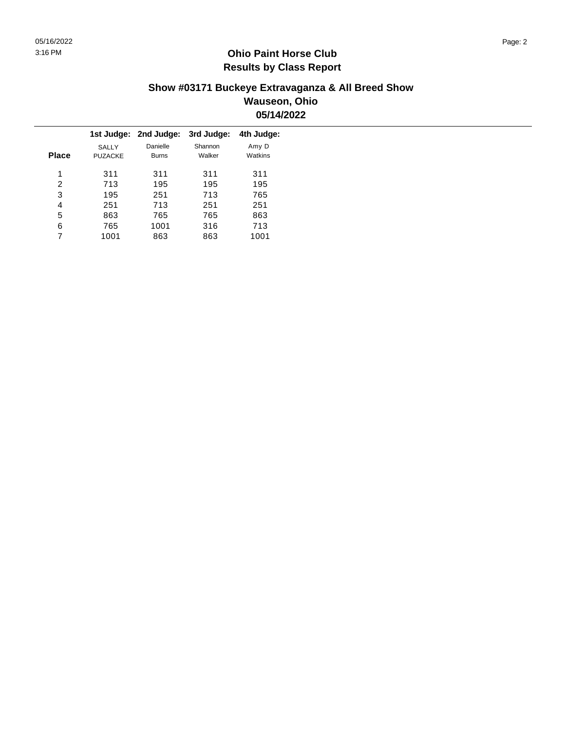### **Show #03171 Buckeye Extravaganza & All Breed Show Wauseon, Ohio 05/14/2022**

|              |                                | 1st Judge: 2nd Judge:    | 3rd Judge:        | 4th Judge:       |
|--------------|--------------------------------|--------------------------|-------------------|------------------|
| <b>Place</b> | <b>SALLY</b><br><b>PUZACKE</b> | Danielle<br><b>Burns</b> | Shannon<br>Walker | Amy D<br>Watkins |
| 1            | 311                            | 311                      | 311               | 311              |
| 2            | 713                            | 195                      | 195               | 195              |
| 3            | 195                            | 251                      | 713               | 765              |
| 4            | 251                            | 713                      | 251               | 251              |
| 5            | 863                            | 765                      | 765               | 863              |
| 6            | 765                            | 1001                     | 316               | 713              |
|              | 1001                           | 863                      | 863               | 1001             |
|              |                                |                          |                   |                  |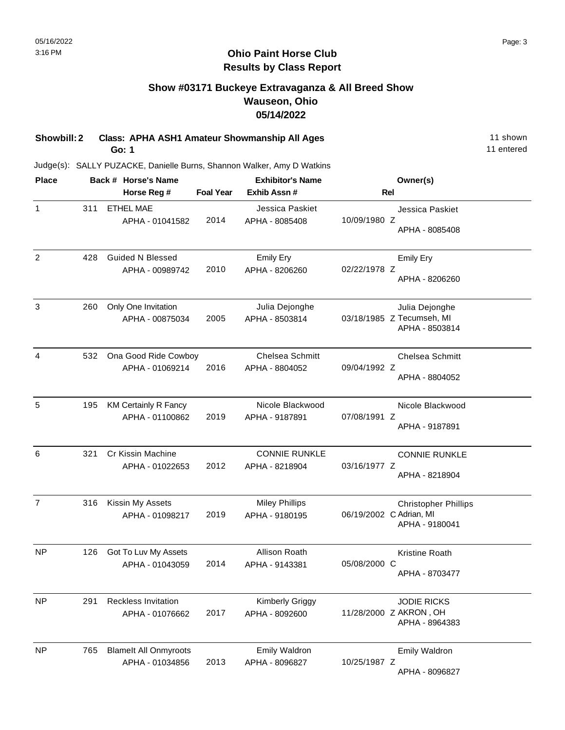# **Show #03171 Buckeye Extravaganza & All Breed Show Wauseon, Ohio 05/14/2022**

**Showbill: 2 Class: APHA ASH1 Amateur Showmanship All Ages** 11 shown **Go: 1**

Judge(s): SALLY PUZACKE, Danielle Burns, Shannon Walker, Amy D Watkins

| <b>Place</b>   |     | Back # Horse's Name          |                  | <b>Exhibitor's Name</b> |                         | Owner(s)                    |
|----------------|-----|------------------------------|------------------|-------------------------|-------------------------|-----------------------------|
|                |     | Horse Reg #                  | <b>Foal Year</b> | Exhib Assn #            | <b>Rel</b>              |                             |
| $\mathbf{1}$   | 311 | <b>ETHEL MAE</b>             |                  | Jessica Paskiet         |                         | Jessica Paskiet             |
|                |     | APHA - 01041582              | 2014             | APHA - 8085408          | 10/09/1980 Z            | APHA - 8085408              |
|                |     |                              |                  |                         |                         |                             |
| 2              | 428 | <b>Guided N Blessed</b>      |                  | <b>Emily Ery</b>        |                         | <b>Emily Ery</b>            |
|                |     | APHA - 00989742              | 2010             | APHA - 8206260          | 02/22/1978 Z            | APHA - 8206260              |
|                |     |                              |                  |                         |                         |                             |
| 3              | 260 | Only One Invitation          |                  | Julia Dejonghe          |                         | Julia Dejonghe              |
|                |     | APHA - 00875034              | 2005             | APHA - 8503814          |                         | 03/18/1985 Z Tecumseh, MI   |
|                |     |                              |                  |                         |                         | APHA - 8503814              |
| 4              | 532 | Ona Good Ride Cowboy         |                  | Chelsea Schmitt         |                         | <b>Chelsea Schmitt</b>      |
|                |     | APHA - 01069214              | 2016             | APHA - 8804052          | 09/04/1992 Z            |                             |
|                |     |                              |                  |                         |                         | APHA - 8804052              |
| 5              | 195 | <b>KM Certainly R Fancy</b>  |                  | Nicole Blackwood        |                         | Nicole Blackwood            |
|                |     | APHA - 01100862              | 2019             | APHA - 9187891          | 07/08/1991 Z            |                             |
|                |     |                              |                  |                         |                         | APHA - 9187891              |
| 6              | 321 | Cr Kissin Machine            |                  | <b>CONNIE RUNKLE</b>    |                         | <b>CONNIE RUNKLE</b>        |
|                |     | APHA - 01022653              | 2012             | APHA - 8218904          | 03/16/1977 Z            |                             |
|                |     |                              |                  |                         |                         | APHA - 8218904              |
| $\overline{7}$ | 316 | Kissin My Assets             |                  | <b>Miley Phillips</b>   |                         | <b>Christopher Phillips</b> |
|                |     | APHA - 01098217              | 2019             | APHA - 9180195          | 06/19/2002 C Adrian, MI |                             |
|                |     |                              |                  |                         |                         | APHA - 9180041              |
| NP             | 126 | Got To Luv My Assets         |                  | Allison Roath           |                         | Kristine Roath              |
|                |     | APHA - 01043059              | 2014             | APHA - 9143381          | 05/08/2000 C            |                             |
|                |     |                              |                  |                         |                         | APHA - 8703477              |
| <b>NP</b>      | 291 | Reckless Invitation          |                  | <b>Kimberly Griggy</b>  |                         | <b>JODIE RICKS</b>          |
|                |     | APHA - 01076662              | 2017             | APHA - 8092600          |                         | 11/28/2000 Z AKRON, OH      |
|                |     |                              |                  |                         |                         | APHA - 8964383              |
| <b>NP</b>      | 765 | <b>Blamelt All Onmyroots</b> |                  | <b>Emily Waldron</b>    |                         | <b>Emily Waldron</b>        |
|                |     | APHA - 01034856              | 2013             | APHA - 8096827          | 10/25/1987 Z            | APHA - 8096827              |
|                |     |                              |                  |                         |                         |                             |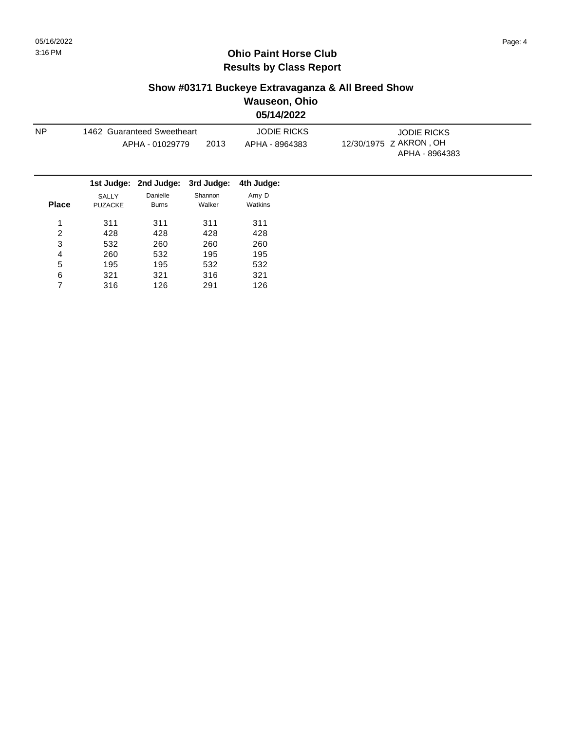# **Show #03171 Buckeye Extravaganza & All Breed Show**

**Wauseon, Ohio 05/14/2022**

| <b>NP</b> | 1462 Guaranteed Sweetheart | APHA - 01029779 | 2013                                        | <b>JODIE RICKS</b><br>APHA - 8964383 | <b>JODIE RICKS</b><br>12/30/1975 Z AKRON, OH<br>APHA - 8964383 |
|-----------|----------------------------|-----------------|---------------------------------------------|--------------------------------------|----------------------------------------------------------------|
|           |                            |                 | 1st Judge: 2nd Judge: 3rd Judge: 4th Judge: |                                      |                                                                |
|           | SALLY                      | Danielle        | Shannon                                     | Amy D                                |                                                                |

| <b>Place</b> | ◡◠∟∟<br><b>PUZACKE</b> | טווטום<br><b>Burns</b> | <b>UIMINVII</b><br>Walker | – ۔ ۔ ۔ ۔ ۔<br>Watkins |
|--------------|------------------------|------------------------|---------------------------|------------------------|
| 1            | 311                    | 311                    | 311                       | 311                    |
| 2            | 428                    | 428                    | 428                       | 428                    |
| 3            | 532                    | 260                    | 260                       | 260                    |
| 4            | 260                    | 532                    | 195                       | 195                    |
| 5            | 195                    | 195                    | 532                       | 532                    |
| 6            | 321                    | 321                    | 316                       | 321                    |
|              | 316                    | 126                    | 291                       | 126                    |
|              |                        |                        |                           |                        |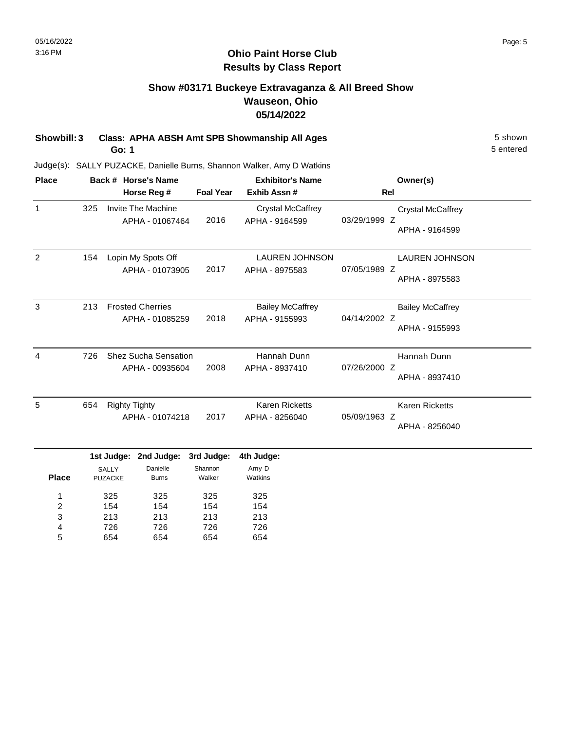# **Show #03171 Buckeye Extravaganza & All Breed Show Wauseon, Ohio 05/14/2022**

**Showbill: 3 Class: APHA ABSH Amt SPB Showmanship All Ages** 5 Shown

**Go: 1**

Judge(s): SALLY PUZACKE, Danielle Burns, Shannon Walker, Amy D Watkins

| <b>Place</b>   |     |                                       | Back # Horse's Name                            |                                 | <b>Exhibitor's Name</b>                    |              | Owner(s)                                   |
|----------------|-----|---------------------------------------|------------------------------------------------|---------------------------------|--------------------------------------------|--------------|--------------------------------------------|
|                |     |                                       | Horse Reg #                                    | <b>Foal Year</b>                | Exhib Assn#                                | Rel          |                                            |
| $\mathbf{1}$   | 325 |                                       | <b>Invite The Machine</b><br>APHA - 01067464   | 2016                            | <b>Crystal McCaffrey</b><br>APHA - 9164599 | 03/29/1999 Z | <b>Crystal McCaffrey</b><br>APHA - 9164599 |
| 2              | 154 |                                       | Lopin My Spots Off<br>APHA - 01073905          | 2017                            | <b>LAUREN JOHNSON</b><br>APHA - 8975583    | 07/05/1989 Z | <b>LAUREN JOHNSON</b><br>APHA - 8975583    |
| 3              | 213 |                                       | <b>Frosted Cherries</b><br>APHA - 01085259     | 2018                            | <b>Bailey McCaffrey</b><br>APHA - 9155993  | 04/14/2002 Z | <b>Bailey McCaffrey</b><br>APHA - 9155993  |
| $\overline{4}$ | 726 |                                       | <b>Shez Sucha Sensation</b><br>APHA - 00935604 | 2008                            | Hannah Dunn<br>APHA - 8937410              | 07/26/2000 Z | Hannah Dunn<br>APHA - 8937410              |
| 5              | 654 | <b>Righty Tighty</b>                  | APHA - 01074218                                | 2017                            | <b>Karen Ricketts</b><br>APHA - 8256040    | 05/09/1963 Z | <b>Karen Ricketts</b><br>APHA - 8256040    |
| <b>Place</b>   |     | 1st Judge:<br>SALLY<br><b>PUZACKE</b> | 2nd Judge:<br>Danielle<br><b>Burns</b>         | 3rd Judge:<br>Shannon<br>Walker | 4th Judge:<br>Amy D<br>Watkins             |              |                                            |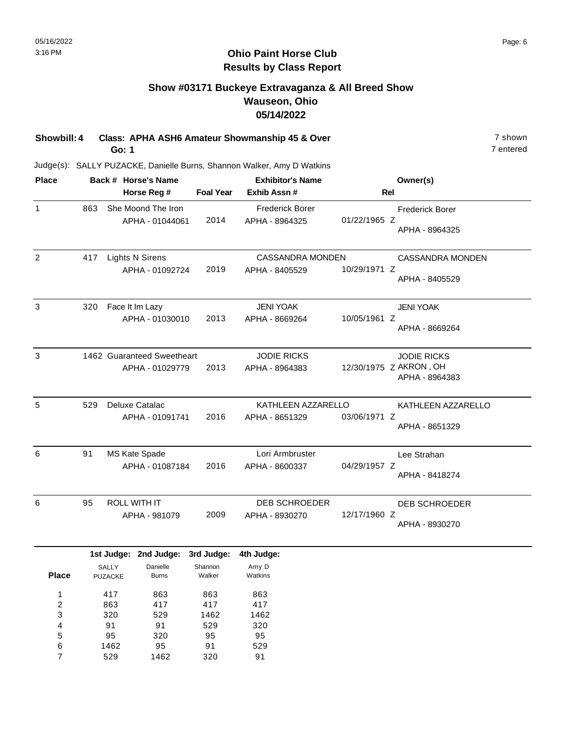# **Show #03171 Buckeye Extravaganza & All Breed Show Wauseon, Ohio 05/14/2022**

**Showbill: 4 Class: APHA ASH6 Amateur Showmanship 45 & Over** 7 shown 7 shown **Go: 1**

Judge(s): SALLY PUZACKE, Danielle Burns, Shannon Walker, Amy D Watkins

95 1462 529

5 6 7

320 95 1462

95 91 320

95 529 91

| <b>Place</b>            |     |                | Back # Horse's Name        |                  | <b>Exhibitor's Name</b> |              | Owner(s)               |
|-------------------------|-----|----------------|----------------------------|------------------|-------------------------|--------------|------------------------|
|                         |     |                | Horse Reg #                | <b>Foal Year</b> | Exhib Assn#             | Rel          |                        |
| $\mathbf{1}$            | 863 |                | She Moond The Iron         |                  | <b>Frederick Borer</b>  |              | <b>Frederick Borer</b> |
|                         |     |                | APHA - 01044061            | 2014             | APHA - 8964325          | 01/22/1965 Z |                        |
|                         |     |                |                            |                  |                         |              | APHA - 8964325         |
| 2                       | 417 |                | <b>Lights N Sirens</b>     |                  | <b>CASSANDRA MONDEN</b> |              | CASSANDRA MONDEN       |
|                         |     |                | APHA - 01092724            | 2019             | APHA - 8405529          | 10/29/1971 Z |                        |
|                         |     |                |                            |                  |                         |              | APHA - 8405529         |
| $\mathbf{3}$            | 320 |                | Face It Im Lazy            |                  | <b>JENI YOAK</b>        |              | <b>JENI YOAK</b>       |
|                         |     |                | APHA - 01030010            | 2013             | APHA - 8669264          | 10/05/1961 Z |                        |
|                         |     |                |                            |                  |                         |              | APHA - 8669264         |
| $\mathbf{3}$            |     |                | 1462 Guaranteed Sweetheart |                  | <b>JODIE RICKS</b>      |              | <b>JODIE RICKS</b>     |
|                         |     |                | APHA - 01029779            | 2013             | APHA - 8964383          |              | 12/30/1975 Z AKRON, OH |
|                         |     |                |                            |                  |                         |              | APHA - 8964383         |
| 5                       | 529 |                | Deluxe Catalac             |                  | KATHLEEN AZZARELLO      |              | KATHLEEN AZZARELLO     |
|                         |     |                | APHA - 01091741            | 2016             | APHA - 8651329          | 03/06/1971 Z |                        |
|                         |     |                |                            |                  |                         |              | APHA - 8651329         |
| 6                       | 91  |                | MS Kate Spade              |                  | Lori Armbruster         |              | Lee Strahan            |
|                         |     |                | APHA - 01087184            | 2016             | APHA - 8600337          | 04/29/1957 Z | APHA - 8418274         |
|                         |     |                |                            |                  |                         |              |                        |
| 6                       | 95  |                | <b>ROLL WITH IT</b>        |                  | <b>DEB SCHROEDER</b>    |              | <b>DEB SCHROEDER</b>   |
|                         |     |                | APHA - 981079              | 2009             | APHA - 8930270          | 12/17/1960 Z | APHA - 8930270         |
|                         |     |                |                            |                  |                         |              |                        |
|                         |     |                | 1st Judge: 2nd Judge:      | 3rd Judge:       | 4th Judge:              |              |                        |
|                         |     | SALLY          | Danielle                   | Shannon          | Amy D                   |              |                        |
| <b>Place</b>            |     | <b>PUZACKE</b> | <b>Burns</b>               | Walker           | Watkins                 |              |                        |
| 1                       |     | 417            | 863                        | 863              | 863                     |              |                        |
| $\overline{\mathbf{c}}$ |     | 863            | 417                        | 417              | 417                     |              |                        |
| 3<br>4                  |     | 320<br>91      | 529<br>91                  | 1462<br>529      | 1462<br>320             |              |                        |
|                         |     |                |                            |                  |                         |              |                        |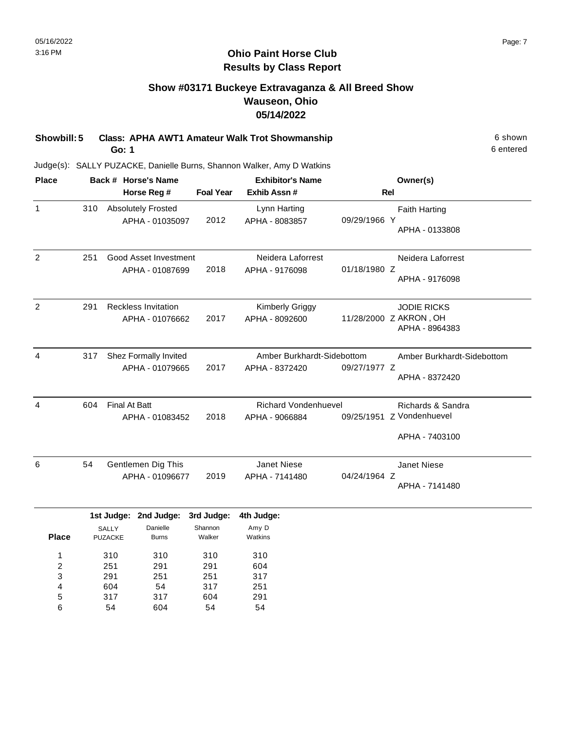# **Show #03171 Buckeye Extravaganza & All Breed Show Wauseon, Ohio 05/14/2022**

**Showbill: 5 Class: APHA AWT1 Amateur Walk Trot Showmanship** 6 Shown 6 shown **Go: 1**

Judge(s): SALLY PUZACKE, Danielle Burns, Shannon Walker, Amy D Watkins

| <b>Place</b> |     |                           | Back # Horse's Name        |                   | <b>Exhibitor's Name</b>     |              | Owner(s)                                 |
|--------------|-----|---------------------------|----------------------------|-------------------|-----------------------------|--------------|------------------------------------------|
|              |     |                           | Horse Reg #                | <b>Foal Year</b>  | Exhib Assn#                 | <b>Rel</b>   |                                          |
| $\mathbf{1}$ | 310 |                           | <b>Absolutely Frosted</b>  |                   | Lynn Harting                |              | <b>Faith Harting</b>                     |
|              |     |                           | APHA - 01035097            | 2012              | APHA - 8083857              | 09/29/1966 Y | APHA - 0133808                           |
| 2            | 251 |                           | Good Asset Investment      |                   | Neidera Laforrest           |              | Neidera Laforrest                        |
|              |     |                           | APHA - 01087699            | 2018              | APHA - 9176098              | 01/18/1980 Z | APHA - 9176098                           |
| 2            | 291 |                           | <b>Reckless Invitation</b> |                   | Kimberly Griggy             |              | <b>JODIE RICKS</b>                       |
|              |     |                           | APHA - 01076662            | 2017              | APHA - 8092600              |              | 11/28/2000 Z AKRON, OH<br>APHA - 8964383 |
| 4            | 317 | Shez Formally Invited     |                            |                   | Amber Burkhardt-Sidebottom  |              | Amber Burkhardt-Sidebottom               |
|              |     |                           | APHA - 01079665            | 2017              | APHA - 8372420              | 09/27/1977 Z | APHA - 8372420                           |
| 4            | 604 | <b>Final At Batt</b>      |                            |                   | <b>Richard Vondenhuevel</b> |              | Richards & Sandra                        |
|              |     |                           | APHA - 01083452            | 2018              | APHA - 9066884              |              | 09/25/1951 Z Vondenhuevel                |
|              |     |                           |                            |                   |                             |              | APHA - 7403100                           |
| 6            | 54  |                           | Gentlemen Dig This         |                   | <b>Janet Niese</b>          |              | <b>Janet Niese</b>                       |
|              |     |                           | APHA - 01096677            | 2019              | APHA - 7141480              | 04/24/1964 Z | APHA - 7141480                           |
|              |     |                           | 1st Judge: 2nd Judge:      | 3rd Judge:        | 4th Judge:                  |              |                                          |
| <b>Place</b> |     | <b>SALLY</b><br>PI IZACKE | Danielle<br><b>Burns</b>   | Shannon<br>Walker | Amy D<br>Watkins            |              |                                          |

| <b>Place</b> | <b>PUZACKE</b> | <b>Burns</b> | Walker | Watkins |
|--------------|----------------|--------------|--------|---------|
| 1            | 310            | 310          | 310    | 310     |
| 2            | 251            | 291          | 291    | 604     |
| 3            | 291            | 251          | 251    | 317     |
| 4            | 604            | 54           | 317    | 251     |
| 5            | 317            | 317          | 604    | 291     |
| 6            | 54             | 604          | 54     | 54      |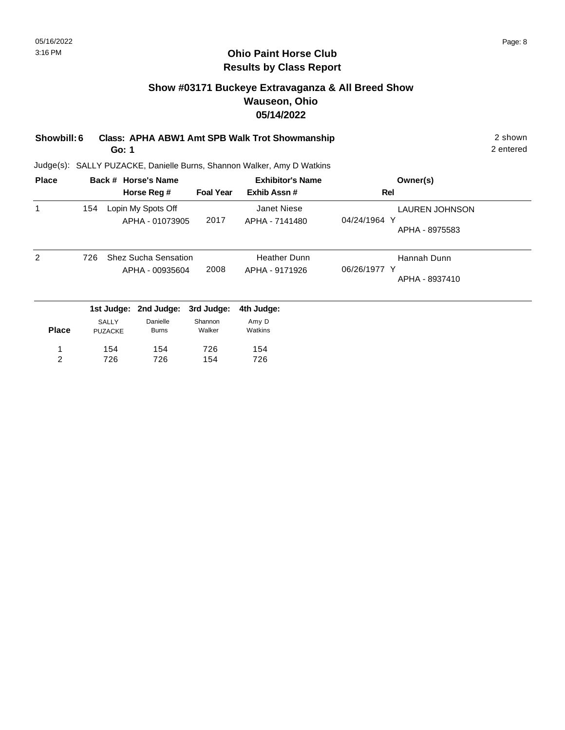# **Show #03171 Buckeye Extravaganza & All Breed Show Wauseon, Ohio 05/14/2022**

**Showbill: 6 Class: APHA ABW1 Amt SPB Walk Trot Showmanship** 2 shown 2 shown **Go: 1**

Judge(s): SALLY PUZACKE, Danielle Burns, Shannon Walker, Amy D Watkins

| <b>Place</b> |                                | Back # Horse's Name                            |                   | <b>Exhibitor's Name</b>               | Owner(s)                                                |
|--------------|--------------------------------|------------------------------------------------|-------------------|---------------------------------------|---------------------------------------------------------|
|              |                                | Horse Reg #                                    | <b>Foal Year</b>  | Exhib Assn#                           | Rel                                                     |
| 1            | 154                            | Lopin My Spots Off<br>APHA - 01073905          | 2017              | Janet Niese<br>APHA - 7141480         | <b>LAUREN JOHNSON</b><br>04/24/1964 Y<br>APHA - 8975583 |
| 2            | 726                            | <b>Shez Sucha Sensation</b><br>APHA - 00935604 | 2008              | <b>Heather Dunn</b><br>APHA - 9171926 | Hannah Dunn<br>06/26/1977 Y<br>APHA - 8937410           |
|              | 1st Judge:                     | 2nd Judge:                                     | 3rd Judge:        | 4th Judge:                            |                                                         |
| <b>Place</b> | <b>SALLY</b><br><b>PUZACKE</b> | Danielle<br><b>Burns</b>                       | Shannon<br>Walker | Amy D<br>Watkins                      |                                                         |
| 1            | 154                            | 154                                            | 726               | 154                                   |                                                         |
| 2            | 726                            | 726                                            | 154               | 726                                   |                                                         |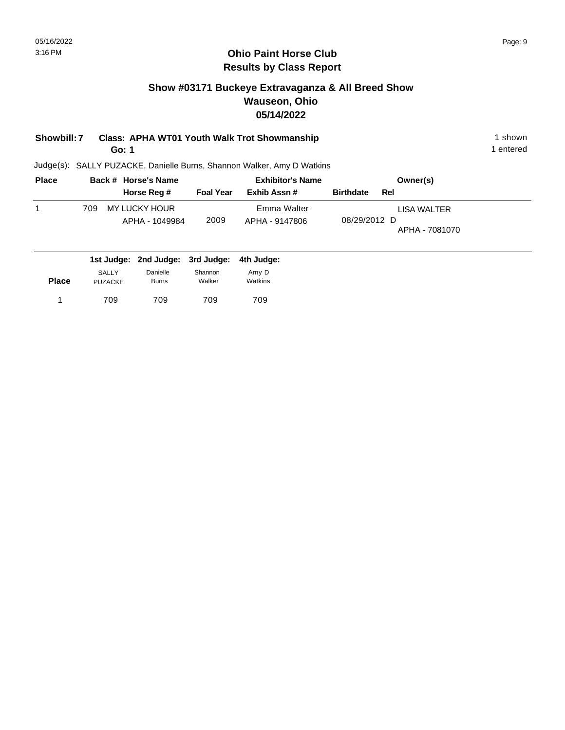# **Show #03171 Buckeye Extravaganza & All Breed Show Wauseon, Ohio 05/14/2022**

# **Showbill: 7 Class: APHA WT01 Youth Walk Trot Showmanship** 1 shown 1 shown

**Go: 1**

Judge(s): SALLY PUZACKE, Danielle Burns, Shannon Walker, Amy D Watkins

| <b>Place</b> | Back # Horse's Name              |                  | <b>Exhibitor's Name</b> | Owner(s)                       |
|--------------|----------------------------------|------------------|-------------------------|--------------------------------|
|              | Horse Reg #                      | <b>Foal Year</b> | Exhib Assn#             | <b>Birthdate</b><br>Rel        |
|              | MY LUCKY HOUR<br>709             |                  | Emma Walter             | LISA WALTER                    |
|              | APHA - 1049984                   | 2009             | APHA - 9147806          | 08/29/2012 D<br>APHA - 7081070 |
|              | 1st Judge: 2nd Judge: 3rd Judge: |                  | 4th Judge:              |                                |

| <b>Place</b> | SALLY          | Danielle     | Shannon | Amy D   |
|--------------|----------------|--------------|---------|---------|
|              | <b>PUZACKE</b> | <b>Burns</b> | Walker  | Watkins |
|              | 709            | 709          | 709     | 709     |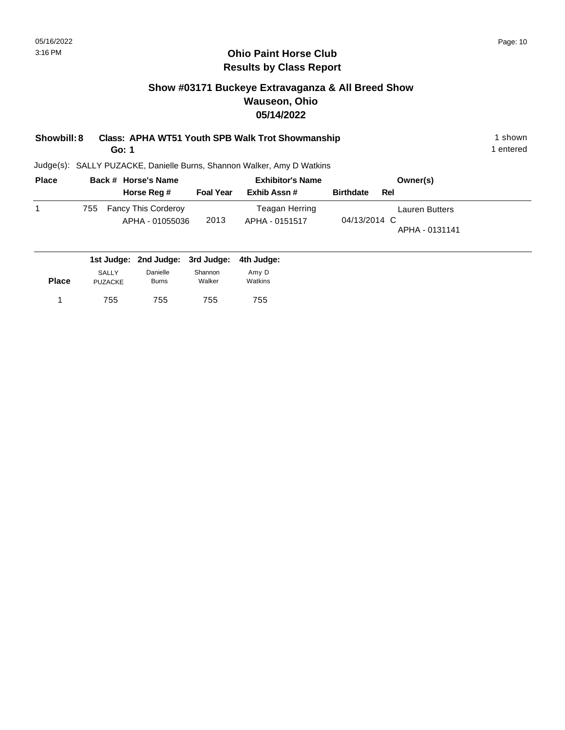# **Show #03171 Buckeye Extravaganza & All Breed Show Wauseon, Ohio 05/14/2022**

| Showbill: 8 | Class: APHA WT51 Youth SPB Walk Trot Showmanship | ∣shown    |
|-------------|--------------------------------------------------|-----------|
|             | Go: 1                                            | l entered |

| <b>Place</b> |     | Back # Horse's Name                           |                  | <b>Exhibitor's Name</b>          | Owner(s)                                                |
|--------------|-----|-----------------------------------------------|------------------|----------------------------------|---------------------------------------------------------|
|              |     | Horse Reg #                                   | <b>Foal Year</b> | Exhib Assn#                      | <b>Birthdate</b><br>Rel                                 |
|              | 755 | <b>Fancy This Corderoy</b><br>APHA - 01055036 | 2013             | Teagan Herring<br>APHA - 0151517 | <b>Lauren Butters</b><br>04/13/2014 C<br>APHA - 0131141 |

|              |                         | 1st Judge: 2nd Judge: 3rd Judge: 4th Judge: |                   |                  |
|--------------|-------------------------|---------------------------------------------|-------------------|------------------|
| <b>Place</b> | SALLY<br><b>PUZACKE</b> | Danielle<br><b>Burns</b>                    | Shannon<br>Walker | Amy D<br>Watkins |
|              | 755                     | 755                                         | 755               | 755              |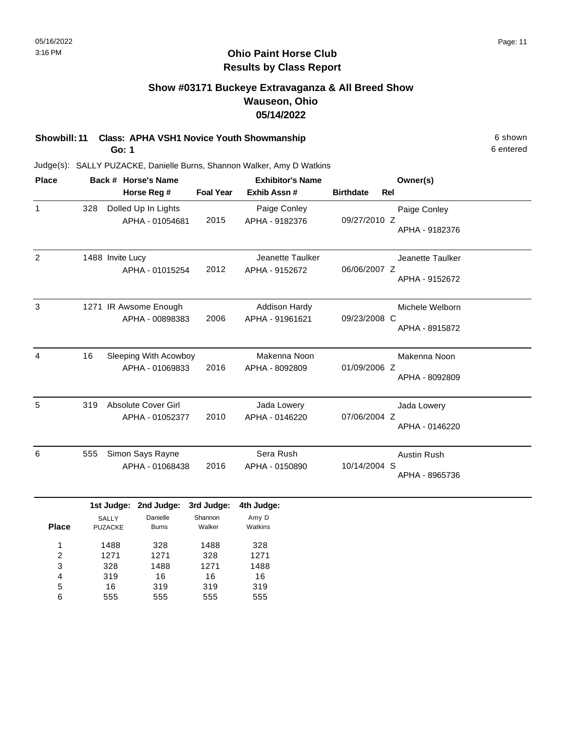# **Show #03171 Buckeye Extravaganza & All Breed Show Wauseon, Ohio 05/14/2022**

# **Showbill: 11 Class: APHA VSH1 Novice Youth Showmanship** 6 Shown 6 shown

**Go: 1**

Judge(s): SALLY PUZACKE, Danielle Burns, Shannon Walker, Amy D Watkins

| <b>Place</b>   |     | Back # Horse's Name                           |                  | <b>Exhibitor's Name</b>                 | Owner(s)         |                                      |  |
|----------------|-----|-----------------------------------------------|------------------|-----------------------------------------|------------------|--------------------------------------|--|
|                |     | Horse Reg #                                   | <b>Foal Year</b> | Exhib Assn#                             | <b>Birthdate</b> | <b>Rel</b>                           |  |
| $\mathbf{1}$   | 328 | Dolled Up In Lights<br>APHA - 01054681        | 2015             | Paige Conley<br>APHA - 9182376          | 09/27/2010 Z     | Paige Conley<br>APHA - 9182376       |  |
| $\overline{2}$ |     | 1488 Invite Lucy<br>APHA - 01015254           | 2012             | Jeanette Taulker<br>APHA - 9152672      | 06/06/2007 Z     | Jeanette Taulker<br>APHA - 9152672   |  |
| 3              |     | 1271 IR Awsome Enough<br>APHA - 00898383      | 2006             | <b>Addison Hardy</b><br>APHA - 91961621 | 09/23/2008 C     | Michele Welborn<br>APHA - 8915872    |  |
| $\overline{4}$ | 16  | Sleeping With Acowboy<br>APHA - 01069833      | 2016             | Makenna Noon<br>APHA - 8092809          | 01/09/2006 Z     | Makenna Noon<br>APHA - 8092809       |  |
| 5              | 319 | <b>Absolute Cover Girl</b><br>APHA - 01052377 | 2010             | Jada Lowery<br>APHA - 0146220           | 07/06/2004 Z     | Jada Lowery<br>APHA - 0146220        |  |
| 6              | 555 | Simon Says Rayne<br>APHA - 01068438           | 2016             | Sera Rush<br>APHA - 0150890             | 10/14/2004 S     | <b>Austin Rush</b><br>APHA - 8965736 |  |
|                |     | 1st Judge: 2nd Judge:                         | 3rd Judge:       | 4th Judge:                              |                  |                                      |  |

|              | -              | -            | . .     |         |
|--------------|----------------|--------------|---------|---------|
|              | <b>SALLY</b>   | Danielle     | Shannon | Amy D   |
| <b>Place</b> | <b>PUZACKE</b> | <b>Burns</b> | Walker  | Watkins |
|              |                |              |         |         |
| 1            | 1488           | 328          | 1488    | 328     |
| 2            | 1271           | 1271         | 328     | 1271    |
| 3            | 328            | 1488         | 1271    | 1488    |
| 4            | 319            | 16           | 16      | 16      |
| 5            | 16             | 319          | 319     | 319     |
| 6            | 555            | 555          | 555     | 555     |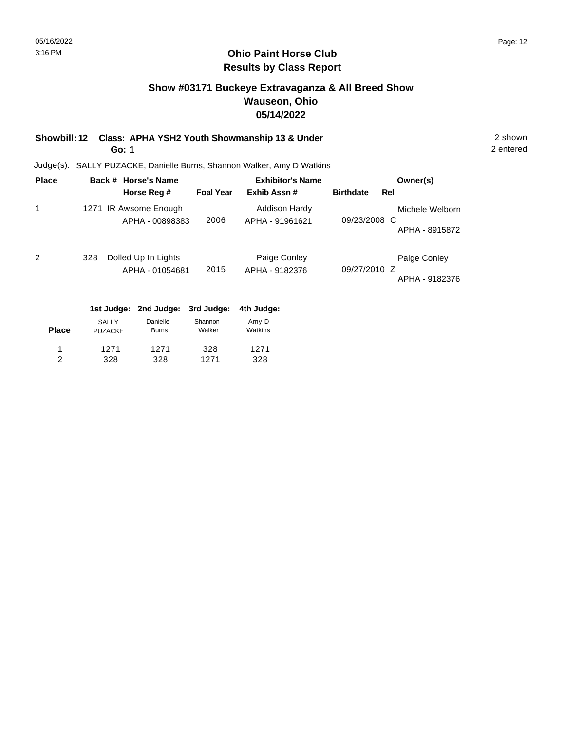# **Show #03171 Buckeye Extravaganza & All Breed Show Wauseon, Ohio 05/14/2022**

**Showbill: 12 Class: APHA YSH2 Youth Showmanship 13 & Under** 2 shown **Go: 1**

2 entered

| <b>Place</b>   |                | Back # Horse's Name |                  | <b>Exhibitor's Name</b> |                  |     | Owner(s)        |
|----------------|----------------|---------------------|------------------|-------------------------|------------------|-----|-----------------|
|                |                | Horse Reg #         | <b>Foal Year</b> | Exhib Assn#             | <b>Birthdate</b> | Rel |                 |
| 1              | 1271           | IR Awsome Enough    |                  | <b>Addison Hardy</b>    |                  |     | Michele Welborn |
|                |                | APHA - 00898383     | 2006             | APHA - 91961621         | 09/23/2008 C     |     |                 |
|                |                |                     |                  |                         |                  |     | APHA - 8915872  |
| 2              | 328            | Dolled Up In Lights |                  | Paige Conley            |                  |     | Paige Conley    |
|                |                | APHA - 01054681     | 2015             | APHA - 9182376          | 09/27/2010 Z     |     |                 |
|                |                |                     |                  |                         |                  |     | APHA - 9182376  |
|                | 1st Judge:     | 2nd Judge:          | 3rd Judge:       | 4th Judge:              |                  |     |                 |
|                | <b>SALLY</b>   | Danielle            | Shannon          | Amy D                   |                  |     |                 |
| <b>Place</b>   | <b>PUZACKE</b> | <b>Burns</b>        | Walker           | Watkins                 |                  |     |                 |
| 1              | 1271           | 1271                | 328              | 1271                    |                  |     |                 |
| $\overline{c}$ | 328            | 328                 | 1271             | 328                     |                  |     |                 |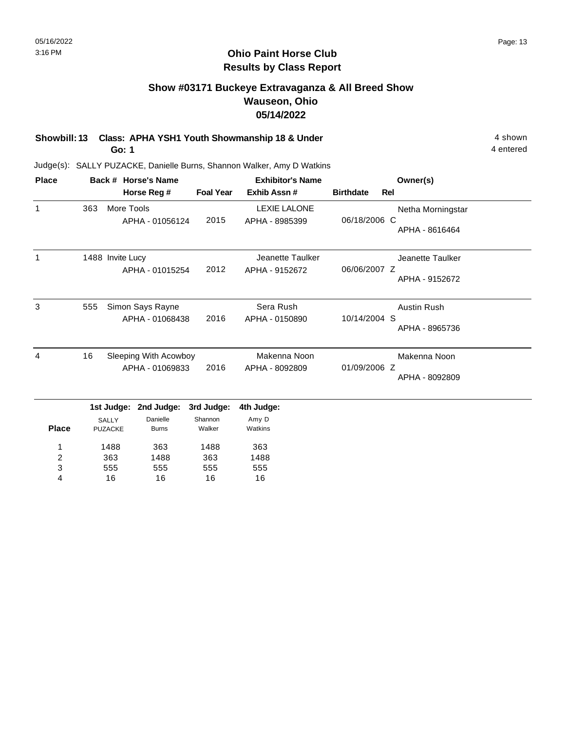# **Show #03171 Buckeye Extravaganza & All Breed Show Wauseon, Ohio 05/14/2022**

**Showbill: 13 Class: APHA YSH1 Youth Showmanship 18 & Under** 4 shown **Go: 1**

16

4

16

16

16

4 entered

| <b>Place</b>   |     |                                | Back # Horse's Name                      |                   | <b>Exhibitor's Name</b>               |                  |     | Owner(s)                             |
|----------------|-----|--------------------------------|------------------------------------------|-------------------|---------------------------------------|------------------|-----|--------------------------------------|
|                |     |                                | Horse Reg #                              | <b>Foal Year</b>  | Exhib Assn#                           | <b>Birthdate</b> | Rel |                                      |
| 1              | 363 | More Tools                     | APHA - 01056124                          | 2015              | <b>LEXIE LALONE</b><br>APHA - 8985399 | 06/18/2006 C     |     | Netha Morningstar<br>APHA - 8616464  |
|                |     | 1488 Invite Lucy               | APHA - 01015254                          | 2012              | Jeanette Taulker<br>APHA - 9152672    | 06/06/2007 Z     |     | Jeanette Taulker<br>APHA - 9152672   |
| 3              | 555 |                                | Simon Says Rayne<br>APHA - 01068438      | 2016              | Sera Rush<br>APHA - 0150890           | 10/14/2004 S     |     | <b>Austin Rush</b><br>APHA - 8965736 |
| 4              | 16  |                                | Sleeping With Acowboy<br>APHA - 01069833 | 2016              | Makenna Noon<br>APHA - 8092809        | 01/09/2006 Z     |     | Makenna Noon<br>APHA - 8092809       |
|                |     | 1st Judge:                     | 2nd Judge:                               | 3rd Judge:        | 4th Judge:                            |                  |     |                                      |
| <b>Place</b>   |     | <b>SALLY</b><br><b>PUZACKE</b> | Danielle<br><b>Burns</b>                 | Shannon<br>Walker | Amy D<br>Watkins                      |                  |     |                                      |
| 1              |     | 1488                           | 363                                      | 1488              | 363                                   |                  |     |                                      |
| $\overline{c}$ |     | 363                            | 1488                                     | 363               | 1488                                  |                  |     |                                      |
| 3              |     | 555                            | 555                                      | 555               | 555                                   |                  |     |                                      |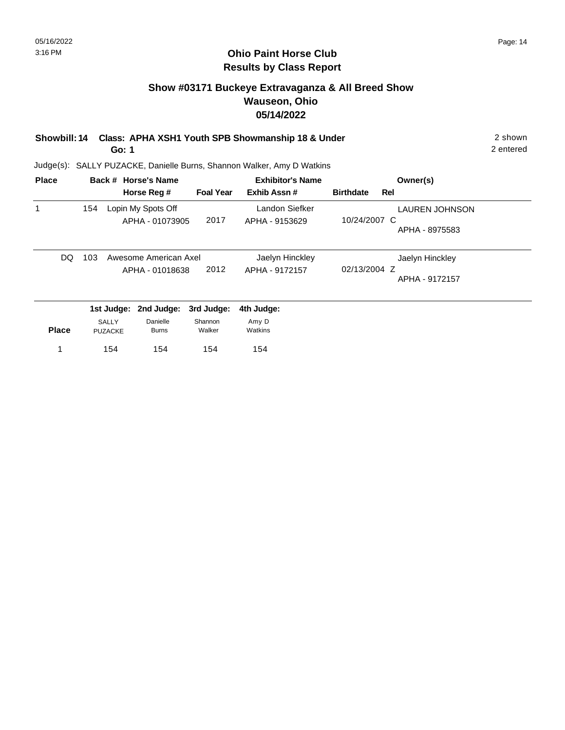#### **Ohio Paint Horse Club Results by Class Report**

# **Show #03171 Buckeye Extravaganza & All Breed Show Wauseon, Ohio 05/14/2022**

**Showbill: 14 Class: APHA XSH1 Youth SPB Showmanship 18 & Under** 2 shown

**Go: 1**

| <b>Place</b> |     |                         | Back # Horse's Name                      |                   | <b>Exhibitor's Name</b>           |                  | Owner(s)                                |
|--------------|-----|-------------------------|------------------------------------------|-------------------|-----------------------------------|------------------|-----------------------------------------|
|              |     |                         | Horse Reg #                              | <b>Foal Year</b>  | Exhib Assn#                       | <b>Birthdate</b> | Rel                                     |
| 1            | 154 |                         | Lopin My Spots Off<br>APHA - 01073905    | 2017              | Landon Siefker<br>APHA - 9153629  | 10/24/2007 C     | <b>LAUREN JOHNSON</b><br>APHA - 8975583 |
| DQ.          | 103 |                         | Awesome American Axel<br>APHA - 01018638 | 2012              | Jaelyn Hinckley<br>APHA - 9172157 | 02/13/2004 Z     | Jaelyn Hinckley<br>APHA - 9172157       |
|              |     | 1st Judge:              | 2nd Judge:                               | 3rd Judge:        | 4th Judge:                        |                  |                                         |
| <b>Place</b> |     | SALLY<br><b>PUZACKE</b> | Danielle<br><b>Burns</b>                 | Shannon<br>Walker | Amy D<br>Watkins                  |                  |                                         |
|              |     | 154                     | 154                                      | 154               | 154                               |                  |                                         |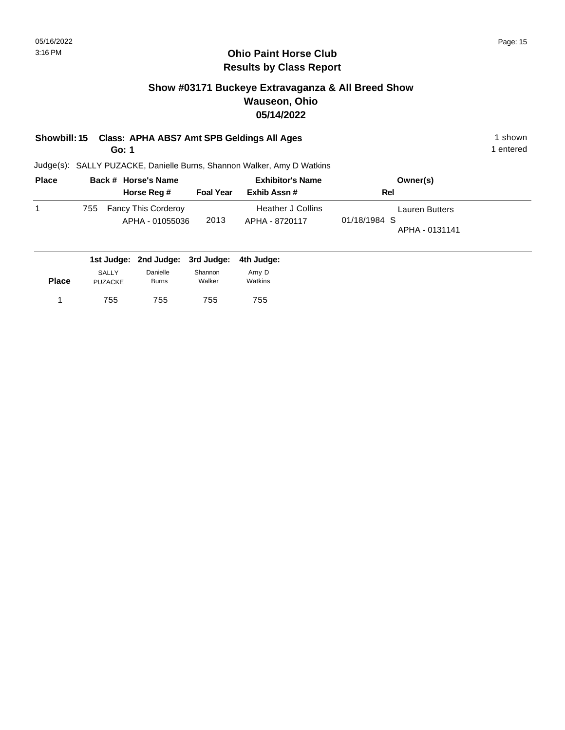#### **Ohio Paint Horse Club Results by Class Report**

# **Show #03171 Buckeye Extravaganza & All Breed Show Wauseon, Ohio 05/14/2022**

# **Showbill: 15 Class: APHA ABS7 Amt SPB Geldings All Ages** 1 shown

**Go: 1**

| <b>Place</b> | Back # Horse's Name |                                               |                  | <b>Exhibitor's Name</b>             | Owner(s)                                                |  |
|--------------|---------------------|-----------------------------------------------|------------------|-------------------------------------|---------------------------------------------------------|--|
|              |                     | Horse Reg #                                   | <b>Foal Year</b> | Exhib Assn#                         | Rel                                                     |  |
|              | 755                 | <b>Fancy This Corderoy</b><br>APHA - 01055036 | 2013             | Heather J Collins<br>APHA - 8720117 | <b>Lauren Butters</b><br>01/18/1984 S<br>APHA - 0131141 |  |

|              |                                |                          | 1st Judge: 2nd Judge: 3rd Judge: 4th Judge: |                  |
|--------------|--------------------------------|--------------------------|---------------------------------------------|------------------|
| <b>Place</b> | <b>SALLY</b><br><b>PUZACKE</b> | Danielle<br><b>Burns</b> | Shannon<br>Walker                           | Amv D<br>Watkins |
|              | 755                            | 755                      | 755                                         | 755              |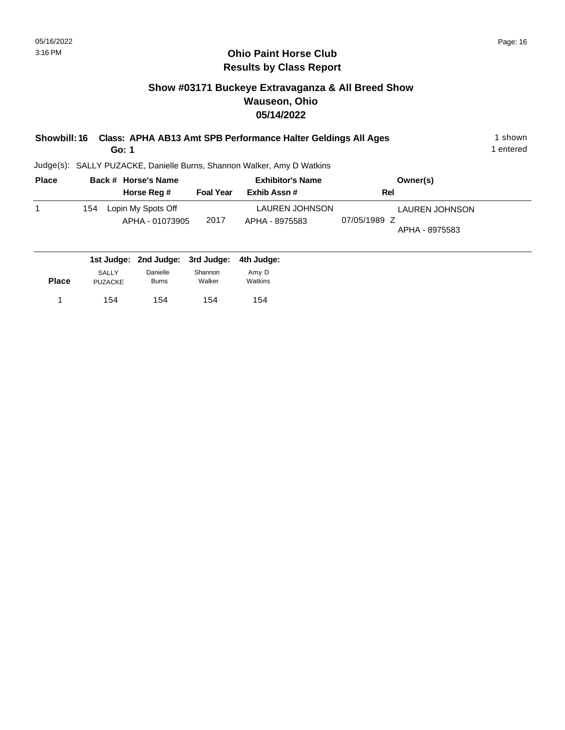# **Show #03171 Buckeye Extravaganza & All Breed Show Wauseon, Ohio 05/14/2022**

| <b>Showbill: 16</b> |     |                                       | Go: 1 |                                        |                                 | Class: APHA AB13 Amt SPB Performance Halter Geldings All Ages          |                                                         | 1 shown<br>1 entered |
|---------------------|-----|---------------------------------------|-------|----------------------------------------|---------------------------------|------------------------------------------------------------------------|---------------------------------------------------------|----------------------|
|                     |     |                                       |       |                                        |                                 | Judge(s): SALLY PUZACKE, Danielle Burns, Shannon Walker, Amy D Watkins |                                                         |                      |
| <b>Place</b>        |     |                                       |       | Back # Horse's Name<br>Horse Reg #     | <b>Foal Year</b>                | <b>Exhibitor's Name</b><br>Exhib Assn#                                 | Owner(s)<br>Rel                                         |                      |
| 1                   | 154 |                                       |       | Lopin My Spots Off<br>APHA - 01073905  | 2017                            | <b>LAUREN JOHNSON</b><br>APHA - 8975583                                | <b>LAUREN JOHNSON</b><br>07/05/1989 Z<br>APHA - 8975583 |                      |
| <b>Place</b>        |     | 1st Judge:<br>SALLY<br><b>PUZACKE</b> |       | 2nd Judge:<br>Danielle<br><b>Burns</b> | 3rd Judge:<br>Shannon<br>Walker | 4th Judge:<br>Amy D<br>Watkins                                         |                                                         |                      |

154 154

1 154 154 154 154

154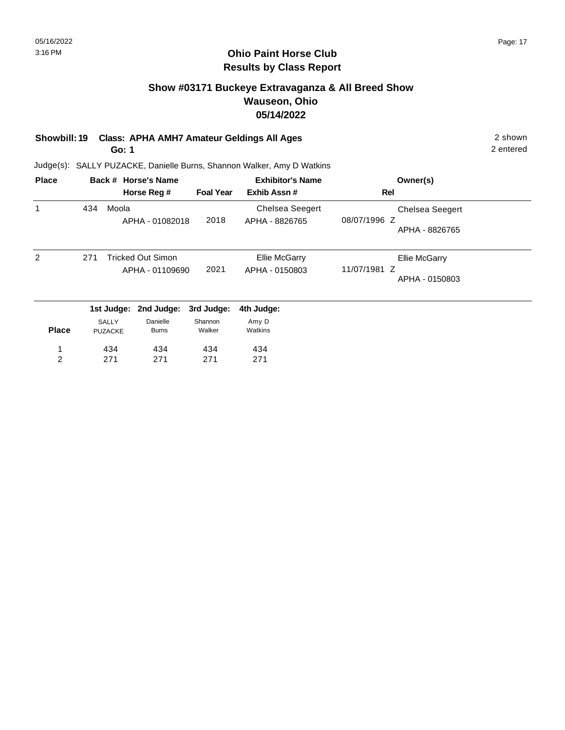### **Ohio Paint Horse Club Results by Class Report**

# **Show #03171 Buckeye Extravaganza & All Breed Show Wauseon, Ohio 05/14/2022**

# **Showbill: 19 Class: APHA AMH7 Amateur Geldings All Ages** 2 shown

**Go: 1**

| <b>Place</b> |     |                                | Back # Horse's Name                         |                   | <b>Exhibitor's Name</b>                  | Owner(s)                                                 |
|--------------|-----|--------------------------------|---------------------------------------------|-------------------|------------------------------------------|----------------------------------------------------------|
|              |     |                                | Horse Reg #                                 | <b>Foal Year</b>  | Exhib Assn#                              | Rel                                                      |
| 1            | 434 | Moola                          | APHA - 01082018                             | 2018              | <b>Chelsea Seegert</b><br>APHA - 8826765 | <b>Chelsea Seegert</b><br>08/07/1996 Z<br>APHA - 8826765 |
| 2            | 271 |                                | <b>Tricked Out Simon</b><br>APHA - 01109690 | 2021              | <b>Ellie McGarry</b><br>APHA - 0150803   | Ellie McGarry<br>11/07/1981 Z<br>APHA - 0150803          |
|              |     | 1st Judge:                     | 2nd Judge:                                  | 3rd Judge:        | 4th Judge:                               |                                                          |
| <b>Place</b> |     | <b>SALLY</b><br><b>PUZACKE</b> | Danielle<br><b>Burns</b>                    | Shannon<br>Walker | Amy D<br>Watkins                         |                                                          |
| 1            |     | 434                            | 434                                         | 434               | 434                                      |                                                          |
| 2            |     | 271                            | 271                                         | 271               | 271                                      |                                                          |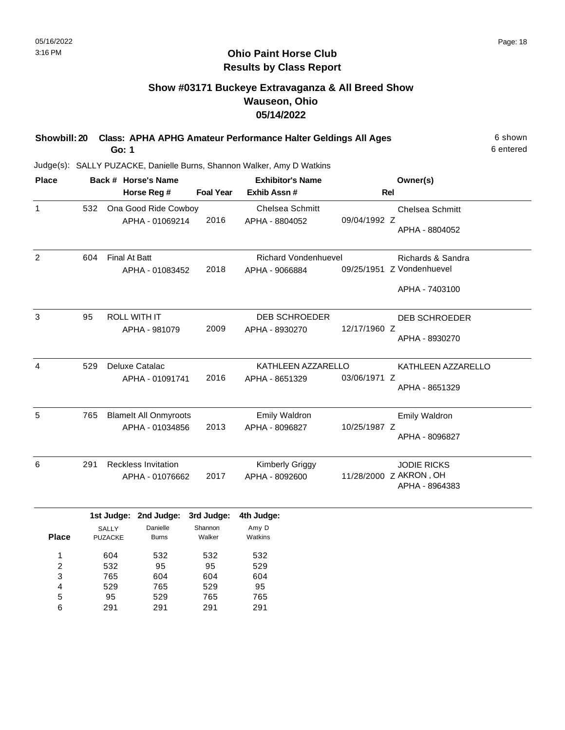### **Ohio Paint Horse Club Results by Class Report**

# **Show #03171 Buckeye Extravaganza & All Breed Show Wauseon, Ohio 05/14/2022**

| Showbill: 20 Class: APHA APHG Amateur Performance Halter Geldings All Ages | 6 shown   |
|----------------------------------------------------------------------------|-----------|
| Go: 1                                                                      | 6 entered |

| <b>Place</b>   |     | Back # Horse's Name                          |                                                 |                                 | <b>Exhibitor's Name</b>                       |              | Owner(s)                                                         |
|----------------|-----|----------------------------------------------|-------------------------------------------------|---------------------------------|-----------------------------------------------|--------------|------------------------------------------------------------------|
|                |     |                                              | Horse Reg #                                     | <b>Foal Year</b>                | Exhib Assn #                                  |              | <b>Rel</b>                                                       |
| $\mathbf{1}$   | 532 |                                              | Ona Good Ride Cowboy<br>APHA - 01069214         | 2016                            | <b>Chelsea Schmitt</b><br>APHA - 8804052      | 09/04/1992 Z | <b>Chelsea Schmitt</b><br>APHA - 8804052                         |
| $\overline{2}$ | 604 | <b>Final At Batt</b>                         | APHA - 01083452                                 | 2018                            | <b>Richard Vondenhuevel</b><br>APHA - 9066884 |              | Richards & Sandra<br>09/25/1951 Z Vondenhuevel<br>APHA - 7403100 |
| 3              | 95  |                                              | <b>ROLL WITH IT</b><br>APHA - 981079            | 2009                            | <b>DEB SCHROEDER</b><br>APHA - 8930270        | 12/17/1960 Z | DEB SCHROEDER<br>APHA - 8930270                                  |
| 4              | 529 |                                              | Deluxe Catalac<br>APHA - 01091741               | 2016                            | KATHLEEN AZZARELLO<br>APHA - 8651329          | 03/06/1971 Z | KATHLEEN AZZARELLO<br>APHA - 8651329                             |
| 5              | 765 |                                              | <b>Blamelt All Onmyroots</b><br>APHA - 01034856 | 2013                            | Emily Waldron<br>APHA - 8096827               | 10/25/1987 Z | <b>Emily Waldron</b><br>APHA - 8096827                           |
| 6              | 291 |                                              | <b>Reckless Invitation</b><br>APHA - 01076662   | 2017                            | <b>Kimberly Griggy</b><br>APHA - 8092600      |              | <b>JODIE RICKS</b><br>11/28/2000 Z AKRON, OH<br>APHA - 8964383   |
| <b>Place</b>   |     | 1st Judge:<br><b>SALLY</b><br><b>PUZACKE</b> | 2nd Judge:<br>Danielle<br><b>Burns</b>          | 3rd Judge:<br>Shannon<br>Walker | 4th Judge:<br>Amy D<br>Watkins                |              |                                                                  |

| 1 | 604 | 532 | 532 | 532 |
|---|-----|-----|-----|-----|
| 2 | 532 | 95  | 95  | 529 |
| 3 | 765 | 604 | 604 | 604 |
| 4 | 529 | 765 | 529 | 95  |
| 5 | 95  | 529 | 765 | 765 |
| 6 | 291 | 291 | 291 | 291 |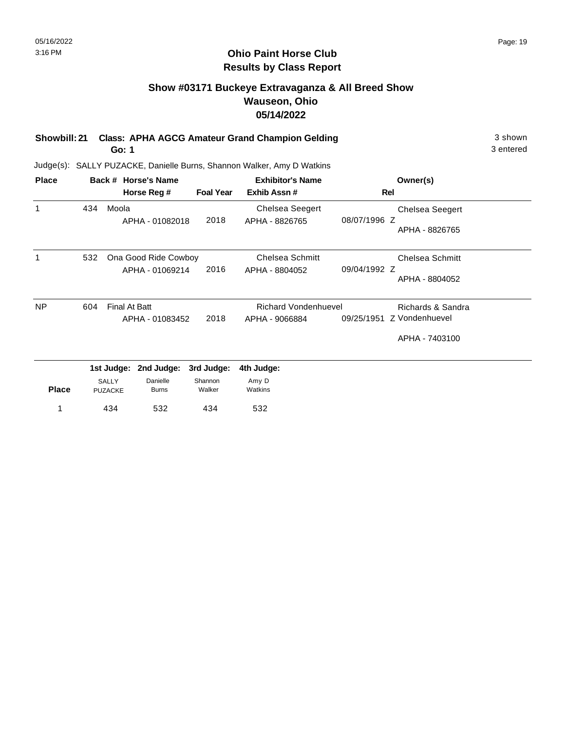### **Ohio Paint Horse Club Results by Class Report**

# **Show #03171 Buckeye Extravaganza & All Breed Show Wauseon, Ohio 05/14/2022**

**Showbill: 21 Class: APHA AGCG Amateur Grand Champion Gelding** 3 shown 3 shown **Go: 1**

| <b>Place</b> |                 |                                | Back # Horse's Name      |                   | <b>Exhibitor's Name</b>     |              | Owner(s)               |
|--------------|-----------------|--------------------------------|--------------------------|-------------------|-----------------------------|--------------|------------------------|
|              |                 |                                | Horse Reg #              | <b>Foal Year</b>  | Exhib Assn#                 |              | Rel                    |
| 1            | 434             | Moola                          |                          |                   | <b>Chelsea Seegert</b>      |              | Chelsea Seegert        |
|              |                 |                                | APHA - 01082018          | 2018              | APHA - 8826765              | 08/07/1996 Z | APHA - 8826765         |
|              | 532             |                                | Ona Good Ride Cowboy     |                   | Chelsea Schmitt             |              | <b>Chelsea Schmitt</b> |
|              |                 |                                | APHA - 01069214          | 2016              | APHA - 8804052              | 09/04/1992 Z | APHA - 8804052         |
| <b>NP</b>    | 604             | <b>Final At Batt</b>           |                          |                   | <b>Richard Vondenhuevel</b> |              | Richards & Sandra      |
|              | APHA - 01083452 |                                |                          | 2018              | APHA - 9066884              | 09/25/1951   | Z Vondenhuevel         |
|              |                 |                                |                          |                   |                             |              | APHA - 7403100         |
|              |                 | 1st Judge:                     | 2nd Judge:               | 3rd Judge:        | 4th Judge:                  |              |                        |
| <b>Place</b> |                 | <b>SALLY</b><br><b>PUZACKE</b> | Danielle<br><b>Burns</b> | Shannon<br>Walker | Amy D<br>Watkins            |              |                        |
|              |                 | 434                            | 532                      | 434               | 532                         |              |                        |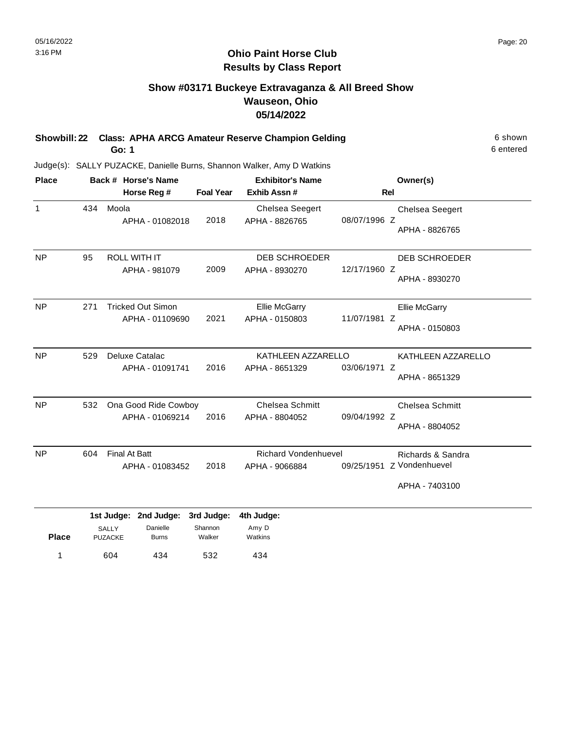### **Ohio Paint Horse Club Results by Class Report**

# **Show #03171 Buckeye Extravaganza & All Breed Show Wauseon, Ohio 05/14/2022**

**Showbill: 22 Class: APHA ARCG Amateur Reserve Champion Gelding** 6 Shown 6 shown **Go: 1**

|     | Back # Horse's Name                         | <b>Exhibitor's Name</b> |                                          | Owner(s)     |                                                                  |
|-----|---------------------------------------------|-------------------------|------------------------------------------|--------------|------------------------------------------------------------------|
|     | Horse Reg #                                 | <b>Foal Year</b>        | Exhib Assn#                              |              | Rel                                                              |
| 434 | Moola<br>APHA - 01082018                    | 2018                    | <b>Chelsea Seegert</b><br>APHA - 8826765 | 08/07/1996 Z | <b>Chelsea Seegert</b><br>APHA - 8826765                         |
| 95  | <b>ROLL WITH IT</b><br>APHA - 981079        | 2009                    | <b>DEB SCHROEDER</b><br>APHA - 8930270   | 12/17/1960 Z | DEB SCHROEDER<br>APHA - 8930270                                  |
| 271 | <b>Tricked Out Simon</b><br>APHA - 01109690 | 2021                    | <b>Ellie McGarry</b><br>APHA - 0150803   | 11/07/1981 Z | <b>Ellie McGarry</b><br>APHA - 0150803                           |
| 529 | Deluxe Catalac<br>APHA - 01091741           | 2016                    | APHA - 8651329                           | 03/06/1971 Z | KATHLEEN AZZARELLO<br>APHA - 8651329                             |
| 532 | APHA - 01069214                             | 2016                    | <b>Chelsea Schmitt</b><br>APHA - 8804052 | 09/04/1992 Z | <b>Chelsea Schmitt</b><br>APHA - 8804052                         |
| 604 | <b>Final At Batt</b><br>APHA - 01083452     | 2018                    | APHA - 9066884                           |              | Richards & Sandra<br>09/25/1951 Z Vondenhuevel<br>APHA - 7403100 |
|     |                                             |                         | Ona Good Ride Cowboy                     |              | KATHLEEN AZZARELLO<br><b>Richard Vondenhuevel</b>                |

| <b>Place</b> | <b>SALLY</b><br><b>PUZACKE</b> | Danielle<br><b>Burns</b> | Shannon<br>Walker | Amy D<br>Watkins |  |
|--------------|--------------------------------|--------------------------|-------------------|------------------|--|
| и            | 604                            | 434                      | 532               | 434              |  |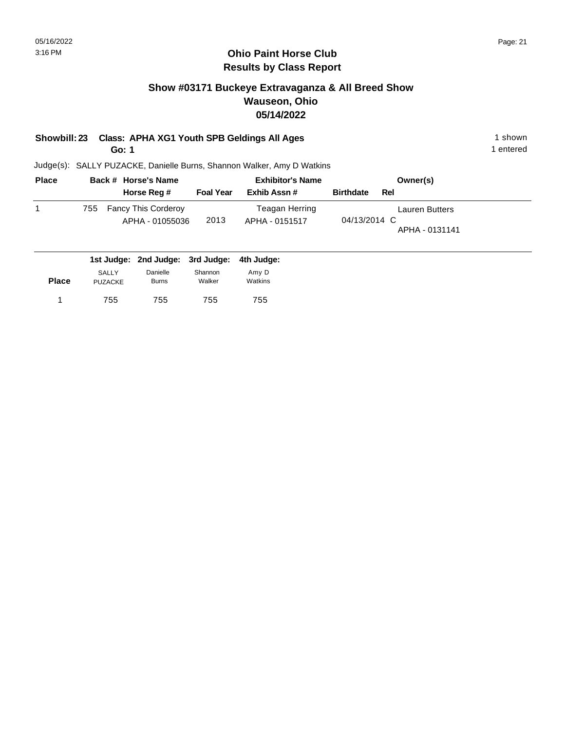# **Show #03171 Buckeye Extravaganza & All Breed Show Wauseon, Ohio 05/14/2022**

# **Showbill: 23 Class: APHA XG1 Youth SPB Geldings All Ages** 1 shown

**Go: 1**

Judge(s): SALLY PUZACKE, Danielle Burns, Shannon Walker, Amy D Watkins

| <b>Place</b> |     | Back # Horse's Name                           |                  | <b>Exhibitor's Name</b>          | Owner(s)                                                |
|--------------|-----|-----------------------------------------------|------------------|----------------------------------|---------------------------------------------------------|
|              |     | Horse Reg #                                   | <b>Foal Year</b> | Exhib Assn#                      | <b>Birthdate</b><br>Rel                                 |
|              | 755 | <b>Fancy This Corderoy</b><br>APHA - 01055036 | 2013             | Teagan Herring<br>APHA - 0151517 | <b>Lauren Butters</b><br>04/13/2014 C<br>APHA - 0131141 |

|              |                         | 1st Judge: 2nd Judge: 3rd Judge: 4th Judge: |                   |                  |
|--------------|-------------------------|---------------------------------------------|-------------------|------------------|
| <b>Place</b> | SALLY<br><b>PUZACKE</b> | Danielle<br><b>Burns</b>                    | Shannon<br>Walker | Amy D<br>Watkins |
|              | 755                     | 755                                         | 755               | 755              |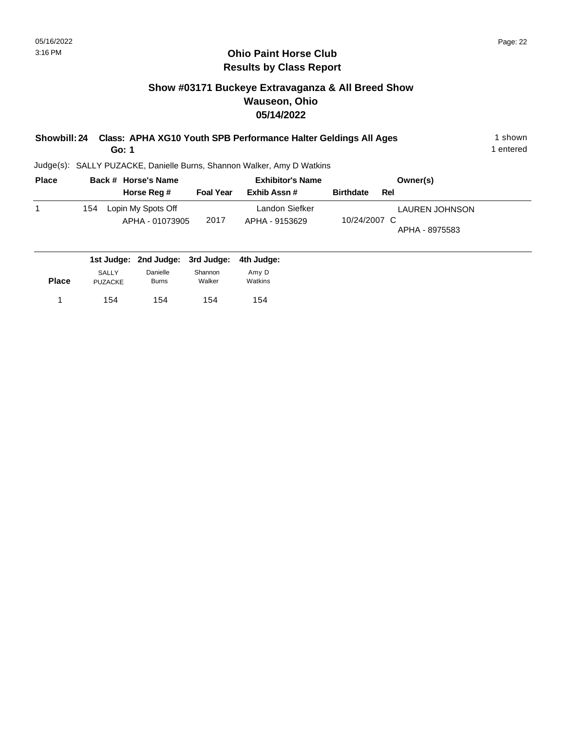**Place**

#### **Ohio Paint Horse Club Results by Class Report**

# **Show #03171 Buckeye Extravaganza & All Breed Show Wauseon, Ohio 05/14/2022**

| Showbill: 24 Class: APHA XG10 Youth SPB Performance Halter Geldings All Ages | shown     |
|------------------------------------------------------------------------------|-----------|
| Go: 1                                                                        | 1 entered |

Judge(s): SALLY PUZACKE, Danielle Burns, Shannon Walker, Amy D Watkins

154

Walker

154 154

PUZACKE

1 154 154 154 154

Burns

| <b>Place</b> | Back # Horse's Name              |                  | <b>Exhibitor's Name</b> | Owner(s)                |
|--------------|----------------------------------|------------------|-------------------------|-------------------------|
|              | Horse Reg #                      | <b>Foal Year</b> | Exhib Assn#             | <b>Birthdate</b><br>Rel |
|              | Lopin My Spots Off<br>154        |                  | Landon Siefker          | LAUREN JOHNSON          |
|              | APHA - 01073905                  | 2017             | APHA - 9153629          | 10/24/2007 C            |
|              |                                  |                  |                         | APHA - 8975583          |
|              | 1st Judge: 2nd Judge: 3rd Judge: |                  |                         |                         |
|              |                                  |                  | 4th Judge:              |                         |
|              | Danielle<br><b>SALLY</b>         | Shannon          | Amy D                   |                         |

Watkins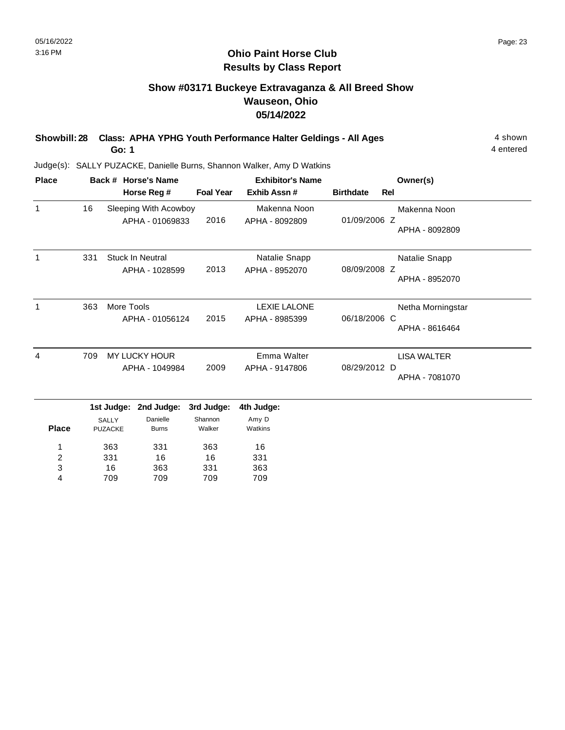### **Ohio Paint Horse Club Results by Class Report**

# **Show #03171 Buckeye Extravaganza & All Breed Show Wauseon, Ohio 05/14/2022**

| Showbill: 28 Class: APHA YPHG Youth Performance Halter Geldings - All Ages | 4 shown   |
|----------------------------------------------------------------------------|-----------|
| Go: 1                                                                      | 4 entered |

| <b>Place</b>     |     |                                | Back # Horse's Name                       |                         | <b>Exhibitor's Name</b>               |                  |     | Owner(s)                            |
|------------------|-----|--------------------------------|-------------------------------------------|-------------------------|---------------------------------------|------------------|-----|-------------------------------------|
|                  |     |                                | Horse Reg #                               | <b>Foal Year</b>        | Exhib Assn#                           | <b>Birthdate</b> | Rel |                                     |
| $\mathbf{1}$     | 16  |                                | Sleeping With Acowboy<br>APHA - 01069833  | 2016                    | Makenna Noon<br>APHA - 8092809        | 01/09/2006 Z     |     | Makenna Noon<br>APHA - 8092809      |
| $\mathbf{1}$     | 331 |                                | <b>Stuck In Neutral</b><br>APHA - 1028599 | 2013                    | Natalie Snapp<br>APHA - 8952070       | 08/09/2008 Z     |     | Natalie Snapp<br>APHA - 8952070     |
| $\mathbf{1}$     | 363 | More Tools                     | APHA - 01056124                           | 2015                    | <b>LEXIE LALONE</b><br>APHA - 8985399 | 06/18/2006 C     |     | Netha Morningstar<br>APHA - 8616464 |
| 4                | 709 |                                | <b>MY LUCKY HOUR</b><br>APHA - 1049984    | 2009                    | Emma Walter<br>APHA - 9147806         | 08/29/2012 D     |     | LISA WALTER<br>APHA - 7081070       |
|                  |     | 1st Judge:                     | 2nd Judge:                                | 3rd Judge:              | 4th Judge:                            |                  |     |                                     |
| <b>Place</b>     |     | <b>SALLY</b><br><b>PUZACKE</b> | Danielle<br><b>Burns</b>                  | Shannon<br>Walker       | Amy D<br>Watkins                      |                  |     |                                     |
| 1<br>2<br>3<br>4 |     | 363<br>331<br>16<br>709        | 331<br>16<br>363<br>709                   | 363<br>16<br>331<br>709 | 16<br>331<br>363<br>709               |                  |     |                                     |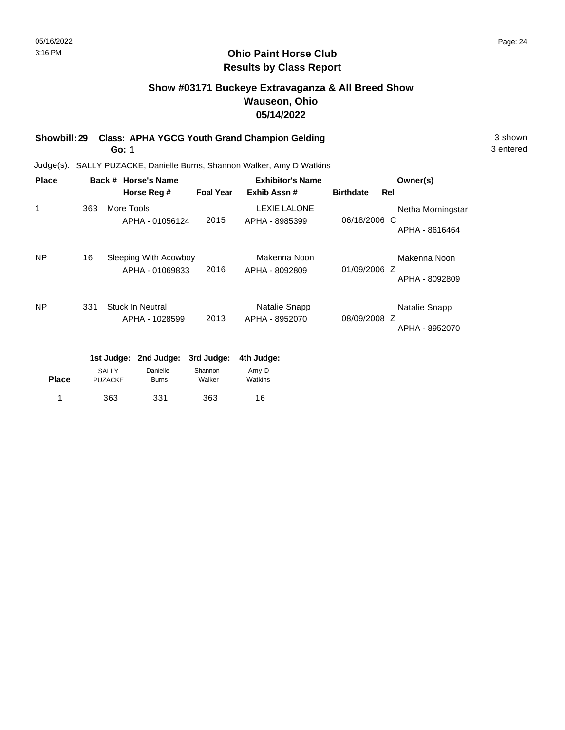# **Show #03171 Buckeye Extravaganza & All Breed Show Wauseon, Ohio 05/14/2022**

**Showbill: 29 Class: APHA YGCG Youth Grand Champion Gelding 3 shown 3 shown** 

**Go: 1**

3 entered

| <b>Place</b> |     |                                | Back # Horse's Name                               |                                 | <b>Exhibitor's Name</b>               | Owner(s)         |     |                                                  |
|--------------|-----|--------------------------------|---------------------------------------------------|---------------------------------|---------------------------------------|------------------|-----|--------------------------------------------------|
|              |     |                                | Horse Reg #                                       | <b>Foal Year</b>                | Exhib Assn#                           | <b>Birthdate</b> | Rel |                                                  |
| 1            | 363 | More Tools                     | APHA - 01056124                                   | 2015                            | <b>LEXIE LALONE</b><br>APHA - 8985399 | 06/18/2006 C     |     | Netha Morningstar                                |
| <b>NP</b>    | 16  |                                | Sleeping With Acowboy<br>APHA - 01069833          | 2016                            | Makenna Noon<br>APHA - 8092809        | 01/09/2006 Z     |     | APHA - 8616464<br>Makenna Noon<br>APHA - 8092809 |
| <b>NP</b>    | 331 |                                | <b>Stuck In Neutral</b><br>APHA - 1028599         | 2013                            | Natalie Snapp<br>APHA - 8952070       | 08/09/2008 Z     |     | Natalie Snapp<br>APHA - 8952070                  |
| <b>Place</b> |     | <b>SALLY</b><br><b>PUZACKE</b> | 1st Judge: 2nd Judge:<br>Danielle<br><b>Burns</b> | 3rd Judge:<br>Shannon<br>Walker | 4th Judge:<br>Amy D<br>Watkins        |                  |     |                                                  |
|              |     | 363                            | 331                                               | 363                             | 16                                    |                  |     |                                                  |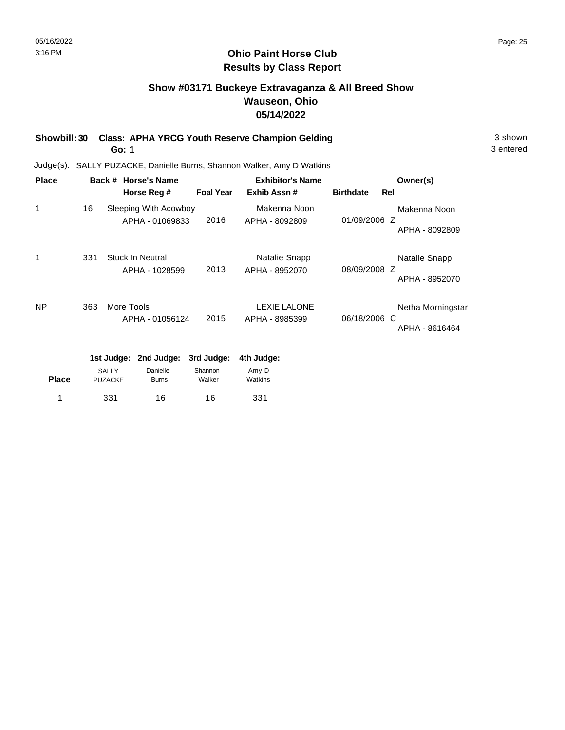#### **Ohio Paint Horse Club Results by Class Report**

# **Show #03171 Buckeye Extravaganza & All Breed Show Wauseon, Ohio 05/14/2022**

**Showbill: 30 Class: APHA YRCG Youth Reserve Champion Gelding 3 Shown 3 shown Go: 1**

| <b>Place</b> |     |                         | Back # Horse's Name                      |                   | <b>Exhibitor's Name</b>        |                  |     | Owner(s)          |
|--------------|-----|-------------------------|------------------------------------------|-------------------|--------------------------------|------------------|-----|-------------------|
|              |     |                         | Horse Reg #                              | <b>Foal Year</b>  | Exhib Assn#                    | <b>Birthdate</b> | Rel |                   |
| 1            | 16  |                         | Sleeping With Acowboy<br>APHA - 01069833 | 2016              | Makenna Noon<br>APHA - 8092809 | 01/09/2006 Z     |     | Makenna Noon      |
|              |     |                         |                                          |                   |                                |                  |     | APHA - 8092809    |
| 1            | 331 |                         | Stuck In Neutral                         |                   | Natalie Snapp                  |                  |     | Natalie Snapp     |
|              |     |                         | APHA - 1028599                           | 2013              | APHA - 8952070                 | 08/09/2008 Z     |     | APHA - 8952070    |
| <b>NP</b>    | 363 | More Tools              |                                          |                   | <b>LEXIE LALONE</b>            |                  |     | Netha Morningstar |
|              |     |                         | APHA - 01056124                          | 2015              | APHA - 8985399                 | 06/18/2006 C     |     | APHA - 8616464    |
|              |     |                         | 1st Judge: 2nd Judge:                    | 3rd Judge:        | 4th Judge:                     |                  |     |                   |
| <b>Place</b> |     | SALLY<br><b>PUZACKE</b> | Danielle<br><b>Burns</b>                 | Shannon<br>Walker | Amy D<br>Watkins               |                  |     |                   |
|              |     | 331                     | 16                                       | 16                | 331                            |                  |     |                   |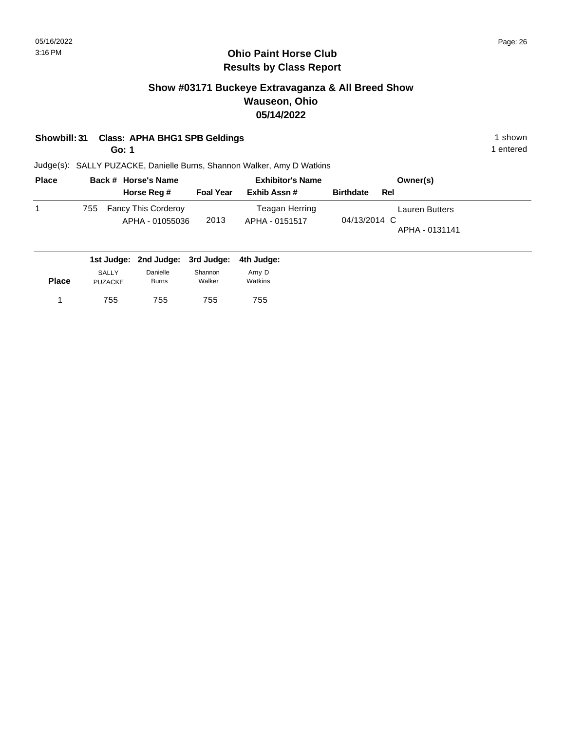# **Show #03171 Buckeye Extravaganza & All Breed Show Wauseon, Ohio 05/14/2022**

## **Showbill: 31 Class: APHA BHG1 SPB Geldings** 1 shown

**Go: 1**

1 entered

| <b>Place</b> |     | Back # Horse's Name                           |                  | <b>Exhibitor's Name</b>          | Owner(s)                                         |
|--------------|-----|-----------------------------------------------|------------------|----------------------------------|--------------------------------------------------|
|              |     | Horse Reg #                                   | <b>Foal Year</b> | Exhib Assn #                     | <b>Birthdate</b><br>Rel                          |
|              | 755 | <b>Fancy This Corderoy</b><br>APHA - 01055036 | 2013             | Teagan Herring<br>APHA - 0151517 | Lauren Butters<br>04/13/2014 C<br>APHA - 0131141 |

|              |                                | 1st Judge: 2nd Judge: 3rd Judge: 4th Judge: |                   |                  |
|--------------|--------------------------------|---------------------------------------------|-------------------|------------------|
| <b>Place</b> | <b>SALLY</b><br><b>PUZACKE</b> | Danielle<br><b>Burns</b>                    | Shannon<br>Walker | Amv D<br>Watkins |
|              | 755                            | 755                                         | 755               | 755              |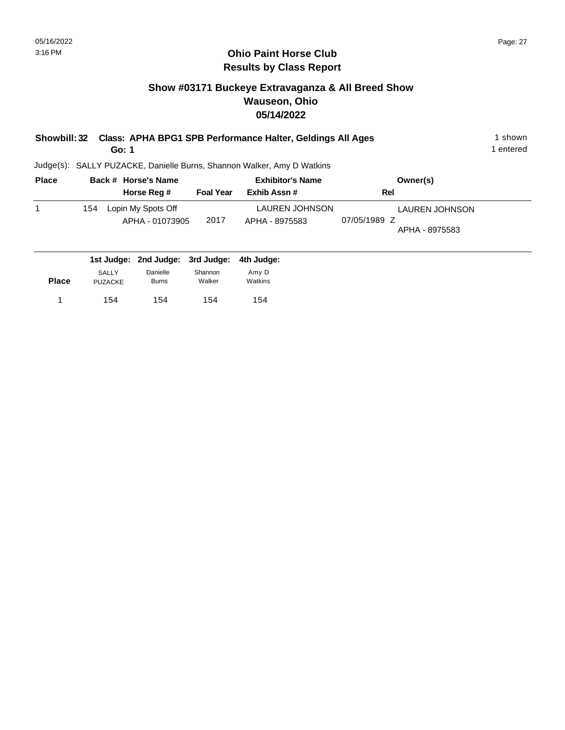# **Show #03171 Buckeye Extravaganza & All Breed Show Wauseon, Ohio 05/14/2022**

| Showbill: 32 |                     |                  | Class: APHA BPG1 SPB Performance Halter, Geldings All Ages             |          | 1 shown   |
|--------------|---------------------|------------------|------------------------------------------------------------------------|----------|-----------|
|              | Go: 1               |                  |                                                                        |          | 1 entered |
|              |                     |                  | Judge(s): SALLY PUZACKE, Danielle Burns, Shannon Walker, Amy D Watkins |          |           |
| Place        | Back # Horse's Name |                  | <b>Exhibitor's Name</b>                                                | Owner(s) |           |
|              | Horse Reg #         | <b>Foal Year</b> | Exhib Assn#                                                            | Rel      |           |

|              |                                | Horse Reg #                           | <b>Foal Year</b>  | Exhib Assn#                             | Rel                                                     |  |
|--------------|--------------------------------|---------------------------------------|-------------------|-----------------------------------------|---------------------------------------------------------|--|
|              | 154                            | Lopin My Spots Off<br>APHA - 01073905 | 2017              | <b>LAUREN JOHNSON</b><br>APHA - 8975583 | <b>LAUREN JOHNSON</b><br>07/05/1989 Z<br>APHA - 8975583 |  |
|              |                                | 1st Judge: 2nd Judge: 3rd Judge:      |                   | 4th Judge:                              |                                                         |  |
| <b>Place</b> | <b>SALLY</b><br><b>PUZACKE</b> | Danielle<br><b>Burns</b>              | Shannon<br>Walker | Amy D<br>Watkins                        |                                                         |  |

154 154 1 154

154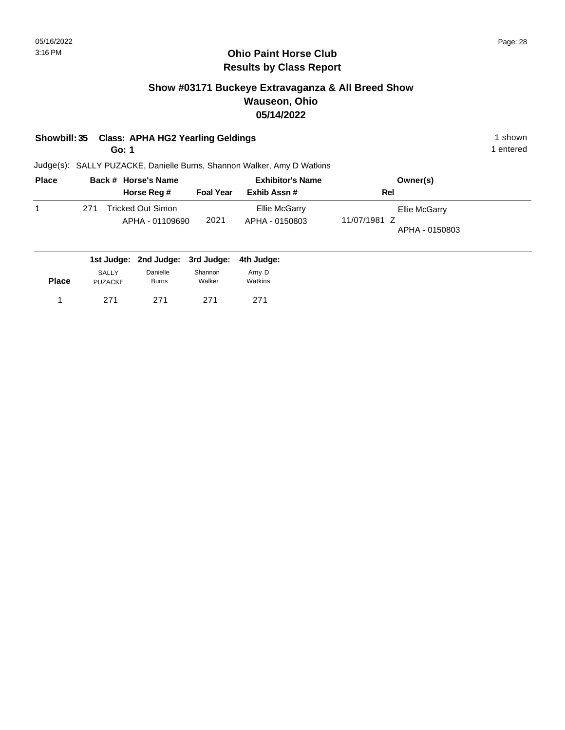# **Show #03171 Buckeye Extravaganza & All Breed Show Wauseon, Ohio 05/14/2022**

# **Showbill: 35 Class: APHA HG2 Yearling Geldings 1 shown 1 shown 1 shown**

**Go: 1**

1 entered

| <b>Place</b> |     | Back # Horse's Name                   | <b>Exhibitor's Name</b> |                                 | Owner(s)                                        |
|--------------|-----|---------------------------------------|-------------------------|---------------------------------|-------------------------------------------------|
|              |     | Horse Reg #                           | <b>Foal Year</b>        | Exhib Assn #                    | Rel                                             |
|              | 271 | Tricked Out Simon_<br>APHA - 01109690 | 2021                    | Ellie McGarry<br>APHA - 0150803 | Ellie McGarry<br>11/07/1981 Z<br>APHA - 0150803 |

|              |                                |                          | 1st Judge: 2nd Judge: 3rd Judge: 4th Judge: |                  |
|--------------|--------------------------------|--------------------------|---------------------------------------------|------------------|
| <b>Place</b> | <b>SALLY</b><br><b>PUZACKE</b> | Danielle<br><b>Burns</b> | Shannon<br>Walker                           | Amv D<br>Watkins |
|              | 271                            | 271                      | 271                                         | 271              |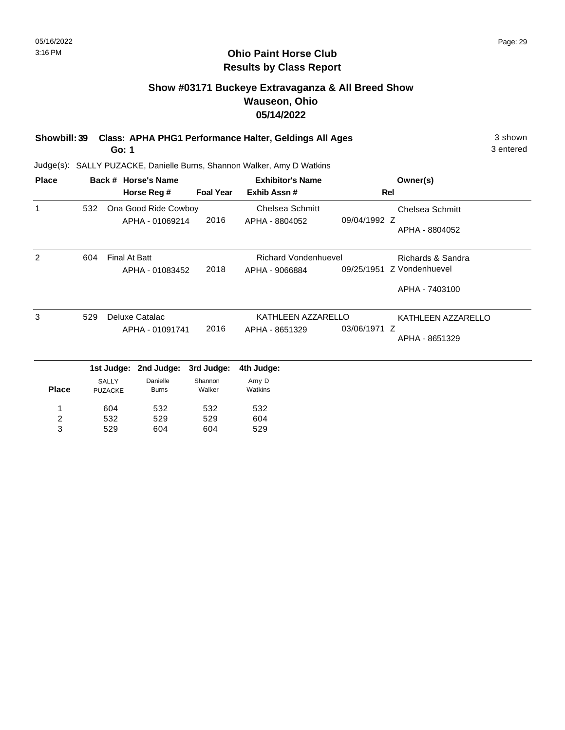#### **Ohio Paint Horse Club Results by Class Report**

# **Show #03171 Buckeye Extravaganza & All Breed Show Wauseon, Ohio 05/14/2022**

**Showbill: 39 Class: APHA PHG1 Performance Halter, Geldings All Ages** 3 shown **Go: 1**

| <b>Place</b>   |     |                         | Back # Horse's Name   |                  | <b>Exhibitor's Name</b>     |                    | Owner(s)                  |
|----------------|-----|-------------------------|-----------------------|------------------|-----------------------------|--------------------|---------------------------|
|                |     |                         | Horse Reg #           | <b>Foal Year</b> | Exhib Assn#                 |                    | Rel                       |
| 1              | 532 |                         | Ona Good Ride Cowboy  |                  | <b>Chelsea Schmitt</b>      |                    | <b>Chelsea Schmitt</b>    |
|                |     |                         | APHA - 01069214       | 2016             | APHA - 8804052              | 09/04/1992 Z       |                           |
|                |     |                         |                       |                  |                             |                    | APHA - 8804052            |
| 2              | 604 | Final At Batt           |                       |                  | <b>Richard Vondenhuevel</b> |                    | Richards & Sandra         |
|                |     | 2018<br>APHA - 01083452 |                       |                  | APHA - 9066884              |                    | 09/25/1951 Z Vondenhuevel |
|                |     |                         |                       |                  |                             |                    | APHA - 7403100            |
| 3              | 529 | Deluxe Catalac          |                       |                  | KATHLEEN AZZARELLO          | KATHLEEN AZZARELLO |                           |
|                |     |                         | APHA - 01091741       | 2016             | APHA - 8651329              | 03/06/1971 Z       |                           |
|                |     |                         |                       |                  |                             |                    | APHA - 8651329            |
|                |     |                         | 1st Judge: 2nd Judge: | 3rd Judge:       | 4th Judge:                  |                    |                           |
|                |     | <b>SALLY</b>            | Danielle              | Shannon          | Amy D                       |                    |                           |
| <b>Place</b>   |     | <b>PUZACKE</b>          | <b>Burns</b>          | Walker           | Watkins                     |                    |                           |
|                |     | 604                     | 532                   | 532              | 532                         |                    |                           |
| $\overline{c}$ |     | 532                     | 529                   | 529              | 604                         |                    |                           |
| 3              |     | 529                     | 604                   | 604              | 529                         |                    |                           |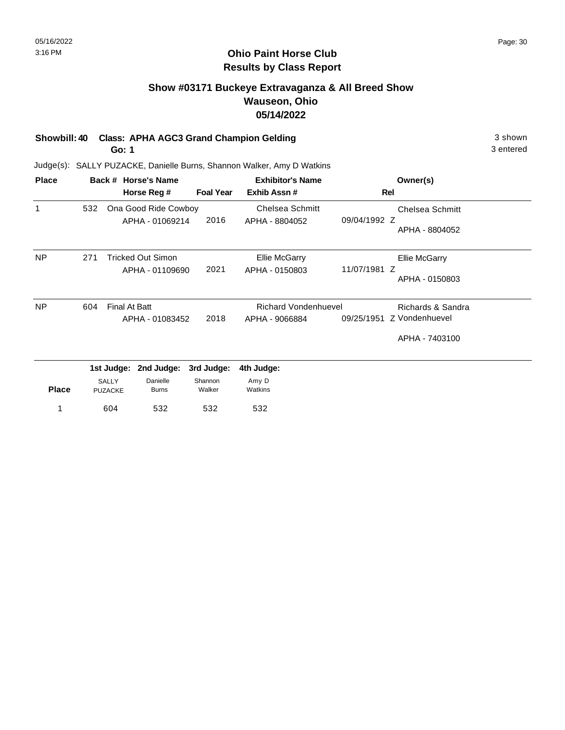### **Ohio Paint Horse Club Results by Class Report**

# **Show #03171 Buckeye Extravaganza & All Breed Show Wauseon, Ohio 05/14/2022**

# **Showbill: 40 Class: APHA AGC3 Grand Champion Gelding 3 shown 3 shown**

**Go: 1**

| <b>Place</b> |     |                                | Back # Horse's Name      |                   | <b>Exhibitor's Name</b>     |              | Owner(s)             |
|--------------|-----|--------------------------------|--------------------------|-------------------|-----------------------------|--------------|----------------------|
|              |     |                                | Horse Reg #              | <b>Foal Year</b>  | Exhib Assn#                 |              | Rel                  |
| $\mathbf{1}$ | 532 |                                | Ona Good Ride Cowboy     |                   | Chelsea Schmitt             |              | Chelsea Schmitt      |
|              |     |                                | APHA - 01069214          | 2016              | APHA - 8804052              | 09/04/1992 Z | APHA - 8804052       |
| <b>NP</b>    | 271 |                                | Tricked Out Simon        |                   | <b>Ellie McGarry</b>        |              | <b>Ellie McGarry</b> |
|              |     |                                | APHA - 01109690          | 2021              | APHA - 0150803              | 11/07/1981 Z |                      |
|              |     |                                |                          |                   |                             |              | APHA - 0150803       |
| <b>NP</b>    | 604 | Final At Batt                  |                          |                   | <b>Richard Vondenhuevel</b> |              | Richards & Sandra    |
|              |     |                                | APHA - 01083452          | 2018              | APHA - 9066884              | 09/25/1951   | Z Vondenhuevel       |
|              |     |                                |                          |                   |                             |              | APHA - 7403100       |
|              |     | 1st Judge:                     | 2nd Judge:               | 3rd Judge:        | 4th Judge:                  |              |                      |
| <b>Place</b> |     | <b>SALLY</b><br><b>PUZACKE</b> | Danielle<br><b>Burns</b> | Shannon<br>Walker | Amy D<br>Watkins            |              |                      |
| 1            |     | 604                            | 532                      | 532               | 532                         |              |                      |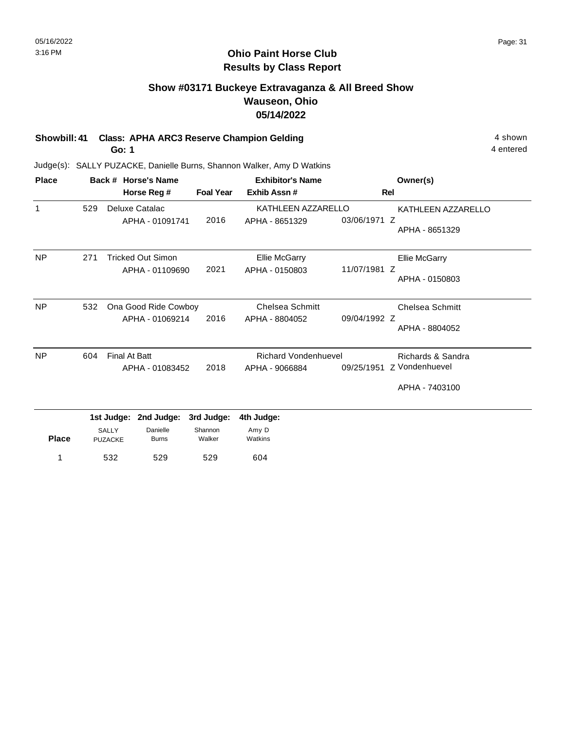#### **Ohio Paint Horse Club Results by Class Report**

# **Show #03171 Buckeye Extravaganza & All Breed Show Wauseon, Ohio 05/14/2022**

# **Showbill: 41 Class: APHA ARC3 Reserve Champion Gelding 4 shown 4 shown**

**Go: 1**

| <b>Place</b> |     | Back # Horse's Name      |                  | <b>Exhibitor's Name</b>     |              | Owner(s)                  |
|--------------|-----|--------------------------|------------------|-----------------------------|--------------|---------------------------|
|              |     | Horse Reg #              | <b>Foal Year</b> | Exhib Assn#                 |              | Rel                       |
| $\mathbf{1}$ | 529 | Deluxe Catalac           |                  | KATHLEEN AZZARELLO          |              | KATHLEEN AZZARELLO        |
|              |     | APHA - 01091741          | 2016             | APHA - 8651329              | 03/06/1971 Z | APHA - 8651329            |
| <b>NP</b>    | 271 | <b>Tricked Out Simon</b> |                  | Ellie McGarry               |              | <b>Ellie McGarry</b>      |
|              |     | APHA - 01109690          | 2021             | APHA - 0150803              | 11/07/1981 Z | APHA - 0150803            |
| <b>NP</b>    | 532 | Ona Good Ride Cowboy     |                  | <b>Chelsea Schmitt</b>      |              | Chelsea Schmitt           |
|              |     | APHA - 01069214          | 2016             | APHA - 8804052              | 09/04/1992 Z | APHA - 8804052            |
| <b>NP</b>    | 604 | <b>Final At Batt</b>     |                  | <b>Richard Vondenhuevel</b> |              | Richards & Sandra         |
|              |     | APHA - 01083452          | 2018             | APHA - 9066884              |              | 09/25/1951 Z Vondenhuevel |
|              |     |                          |                  |                             |              | APHA - 7403100            |

|              |                         |                          |                   | .                |
|--------------|-------------------------|--------------------------|-------------------|------------------|
| <b>Place</b> | SALLY<br><b>PUZACKE</b> | Danielle<br><b>Burns</b> | Shannon<br>Walker | Amy D<br>Watkins |
| 1            | 532                     | 529                      | 529               | 604              |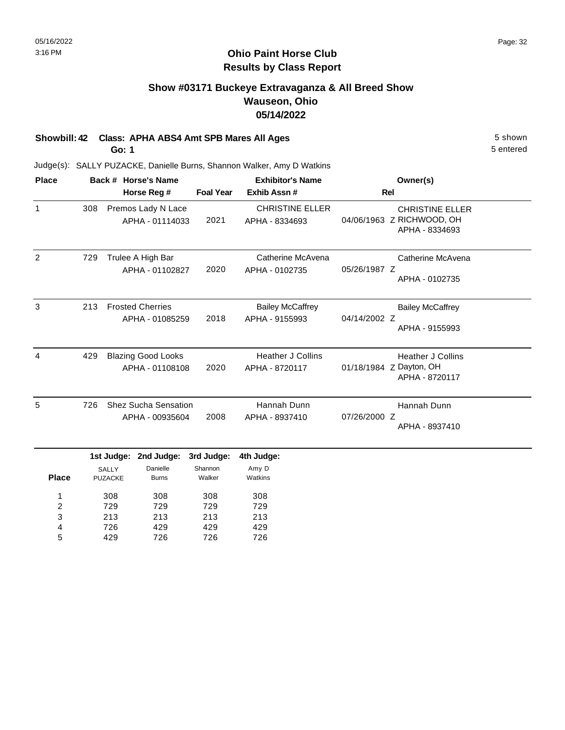# **Show #03171 Buckeye Extravaganza & All Breed Show Wauseon, Ohio 05/14/2022**

# **Showbill: 42 Class: APHA ABS4 Amt SPB Mares All Ages** 5 Shown

**Go: 1**

5 entered

| <b>Place</b> |     |                                                                                     | Back # Horse's Name                            |                                 | <b>Exhibitor's Name</b>                    | Owner(s)     |                                                                       |  |
|--------------|-----|-------------------------------------------------------------------------------------|------------------------------------------------|---------------------------------|--------------------------------------------|--------------|-----------------------------------------------------------------------|--|
|              |     | Horse Reg #                                                                         |                                                |                                 | Exhib Assn#                                | Rel          |                                                                       |  |
| $\mathbf{1}$ | 308 |                                                                                     | Premos Lady N Lace<br>APHA - 01114033          | 2021                            | <b>CHRISTINE ELLER</b><br>APHA - 8334693   |              | <b>CHRISTINE ELLER</b><br>04/06/1963 Z RICHWOOD, OH<br>APHA - 8334693 |  |
| 2            | 729 |                                                                                     | Trulee A High Bar<br>APHA - 01102827           | 2020                            | Catherine McAvena<br>APHA - 0102735        | 05/26/1987 Z | Catherine McAvena<br>APHA - 0102735                                   |  |
| 3            | 213 |                                                                                     | <b>Frosted Cherries</b><br>APHA - 01085259     | 2018                            | <b>Bailey McCaffrey</b><br>APHA - 9155993  | 04/14/2002 Z | <b>Bailey McCaffrey</b><br>APHA - 9155993                             |  |
| 4            | 429 | <b>Blazing Good Looks</b><br>APHA - 01108108                                        |                                                | 2020                            | <b>Heather J Collins</b><br>APHA - 8720117 |              | <b>Heather J Collins</b><br>01/18/1984 Z Dayton, OH<br>APHA - 8720117 |  |
| 5            | 726 |                                                                                     | <b>Shez Sucha Sensation</b><br>APHA - 00935604 | 2008                            | Hannah Dunn<br>APHA - 8937410              | 07/26/2000 Z | Hannah Dunn<br>APHA - 8937410                                         |  |
| <b>Place</b> |     | 1st Judge: 2nd Judge:<br>Danielle<br><b>SALLY</b><br><b>PUZACKE</b><br><b>Burns</b> |                                                | 3rd Judge:<br>Shannon<br>Walker | 4th Judge:<br>Amy D<br>Watkins             |              |                                                                       |  |
| 1            |     | 308                                                                                 | 308                                            | 308                             | 308                                        |              |                                                                       |  |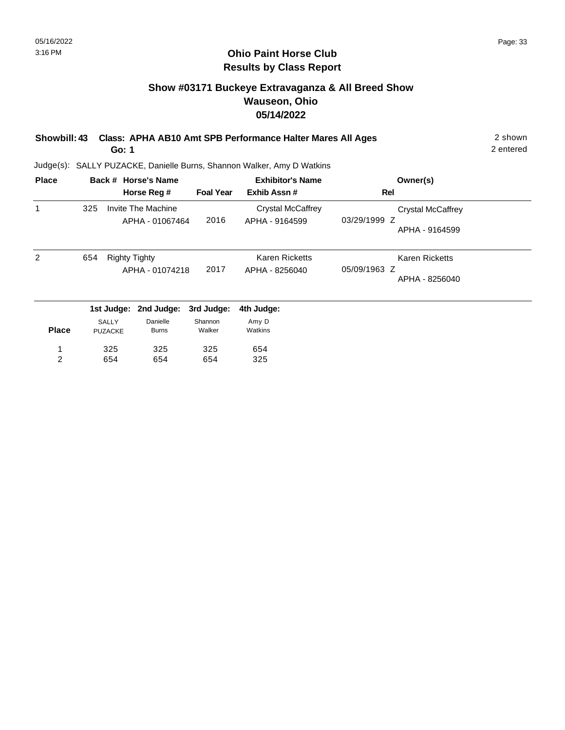# **Show #03171 Buckeye Extravaganza & All Breed Show Wauseon, Ohio 05/14/2022**

| Showbill: 43 Class: APHA AB10 Amt SPB Performance Halter Mares All Ages | 2 shown   |
|-------------------------------------------------------------------------|-----------|
| Go: 1                                                                   | 2 entered |

2 entered

| <b>Place</b>   |              |                      | Back # Horse's Name                   |                  | <b>Exhibitor's Name</b>                    | Owner(s)                          |
|----------------|--------------|----------------------|---------------------------------------|------------------|--------------------------------------------|-----------------------------------|
|                |              |                      | Horse Reg #                           | <b>Foal Year</b> | Exhib Assn#                                | <b>Rel</b>                        |
| 1              | 325          |                      | Invite The Machine<br>APHA - 01067464 | 2016             | <b>Crystal McCaffrey</b><br>APHA - 9164599 | Crystal McCaffrey<br>03/29/1999 Z |
|                |              |                      |                                       |                  |                                            | APHA - 9164599                    |
| 2              | 654          | <b>Righty Tighty</b> |                                       |                  | <b>Karen Ricketts</b>                      | <b>Karen Ricketts</b>             |
|                |              |                      | APHA - 01074218                       | 2017             | APHA - 8256040                             | 05/09/1963 Z                      |
|                |              |                      |                                       |                  |                                            | APHA - 8256040                    |
|                |              | 1st Judge:           | 2nd Judge:                            | 3rd Judge:       | 4th Judge:                                 |                                   |
|                | <b>SALLY</b> |                      | Danielle                              | Shannon          | Amy D                                      |                                   |
| <b>Place</b>   |              | <b>PUZACKE</b>       | <b>Burns</b>                          | Walker           | Watkins                                    |                                   |
| 1              |              | 325                  | 325                                   | 325              | 654                                        |                                   |
| $\overline{c}$ |              | 654                  | 654                                   | 654              | 325                                        |                                   |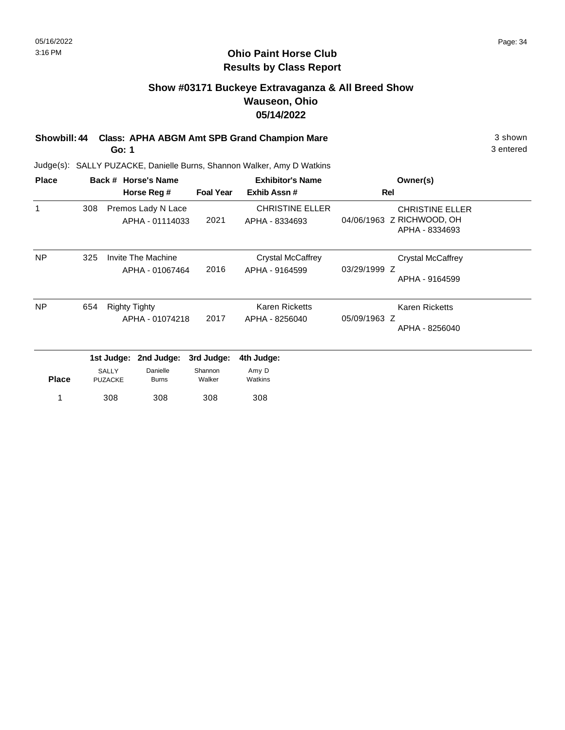#### **Ohio Paint Horse Club Results by Class Report**

# **Show #03171 Buckeye Extravaganza & All Breed Show Wauseon, Ohio 05/14/2022**

**Showbill: 44 Class: APHA ABGM Amt SPB Grand Champion Mare** 3 shown **Go: 1**

| Back # Horse's Name            |  |                        |                                                                         | <b>Exhibitor's Name</b>                                                     | Owner(s)                                                              |  |
|--------------------------------|--|------------------------|-------------------------------------------------------------------------|-----------------------------------------------------------------------------|-----------------------------------------------------------------------|--|
|                                |  |                        | <b>Foal Year</b>                                                        | Exhib Assn#                                                                 | Rel                                                                   |  |
| 308                            |  |                        | 2021                                                                    | <b>CHRISTINE ELLER</b><br>APHA - 8334693                                    | <b>CHRISTINE ELLER</b><br>04/06/1963 Z RICHWOOD, OH<br>APHA - 8334693 |  |
| 325                            |  |                        | 2016                                                                    | <b>Crystal McCaffrey</b><br>APHA - 9164599                                  | Crystal McCaffrey<br>03/29/1999 Z<br>APHA - 9164599                   |  |
| 654                            |  |                        | 2017                                                                    | <b>Karen Ricketts</b><br>APHA - 8256040                                     | <b>Karen Ricketts</b><br>05/09/1963 Z<br>APHA - 8256040               |  |
|                                |  | 2nd Judge:<br>Danielle | 3rd Judge:<br>Shannon                                                   | 4th Judge:<br>Amy D                                                         |                                                                       |  |
| <b>Place</b><br><b>PUZACKE</b> |  | <b>Burns</b><br>308    | Walker<br>308                                                           | Watkins<br>308                                                              |                                                                       |  |
|                                |  | <b>SALLY</b><br>308    | Horse Reg #<br>Invite The Machine<br><b>Righty Tighty</b><br>1st Judge: | Premos Lady N Lace<br>APHA - 01114033<br>APHA - 01067464<br>APHA - 01074218 |                                                                       |  |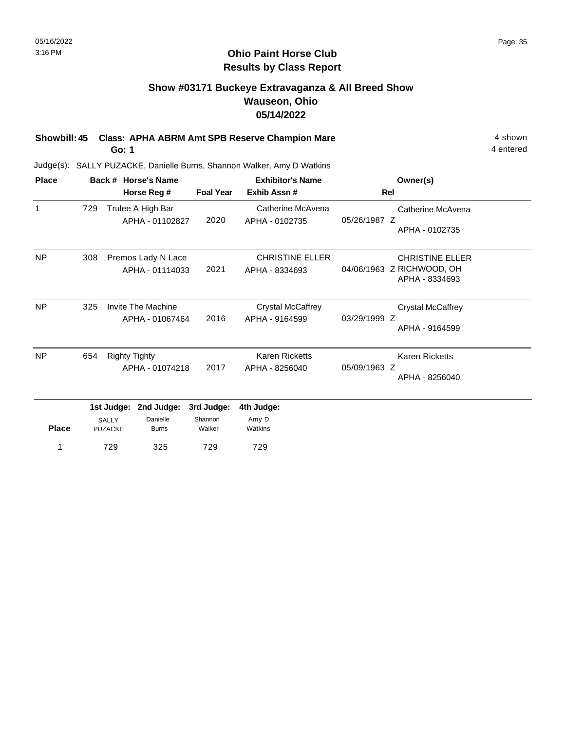# **Show #03171 Buckeye Extravaganza & All Breed Show Wauseon, Ohio 05/14/2022**

**Showbill: 45 Class: APHA ABRM Amt SPB Reserve Champion Mare** 4 Shown 4 shown **Go: 1**

Judge(s): SALLY PUZACKE, Danielle Burns, Shannon Walker, Amy D Watkins

1 729

| <b>Place</b> |     |                                                                                        | Back # Horse's Name |                                 | <b>Exhibitor's Name</b><br>Exhib Assn#     |              | Owner(s)                                                              |
|--------------|-----|----------------------------------------------------------------------------------------|---------------------|---------------------------------|--------------------------------------------|--------------|-----------------------------------------------------------------------|
|              |     |                                                                                        | Horse Reg #         | <b>Foal Year</b>                |                                            | Rel          |                                                                       |
| 1            | 729 | Trulee A High Bar<br>APHA - 01102827                                                   |                     | 2020                            | Catherine McAvena<br>APHA - 0102735        | 05/26/1987 Z | Catherine McAvena<br>APHA - 0102735                                   |
| <b>NP</b>    | 308 | Premos Lady N Lace<br>APHA - 01114033                                                  |                     | 2021                            | <b>CHRISTINE ELLER</b><br>APHA - 8334693   |              | <b>CHRISTINE ELLER</b><br>04/06/1963 Z RICHWOOD, OH<br>APHA - 8334693 |
| <b>NP</b>    | 325 | Invite The Machine<br>APHA - 01067464                                                  |                     | 2016                            | <b>Crystal McCaffrey</b><br>APHA - 9164599 | 03/29/1999 Z | <b>Crystal McCaffrey</b><br>APHA - 9164599                            |
| <b>NP</b>    | 654 | <b>Righty Tighty</b>                                                                   | APHA - 01074218     | 2017                            | <b>Karen Ricketts</b><br>APHA - 8256040    | 05/09/1963 Z | Karen Ricketts<br>APHA - 8256040                                      |
| <b>Place</b> |     | 1st Judge:<br>2nd Judge:<br>Danielle<br><b>SALLY</b><br><b>PUZACKE</b><br><b>Burns</b> |                     | 3rd Judge:<br>Shannon<br>Walker | 4th Judge:<br>Amy D<br>Watkins             |              |                                                                       |
| 1            | 729 |                                                                                        | 325                 | 729                             | 729                                        |              |                                                                       |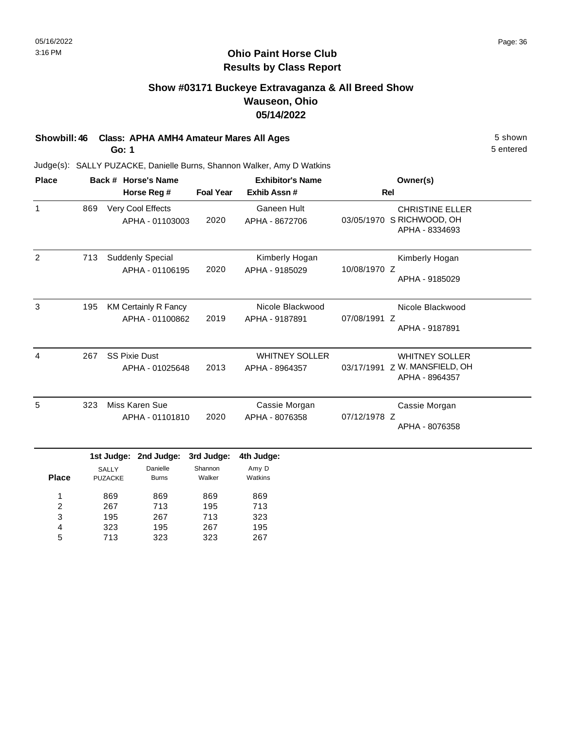# **Show #03171 Buckeye Extravaganza & All Breed Show Wauseon, Ohio 05/14/2022**

# **Showbill: 46 Class: APHA AMH4 Amateur Mares All Ages** 5 Shown

**Go: 1**

323 713

4 5

195 323 267 323 195 267 5 entered

| <b>Place</b>                      |                   |                                              | Back # Horse's Name                            |                                 | <b>Exhibitor's Name</b>                 | Owner(s)<br><b>Rel</b> |                                                                       |  |
|-----------------------------------|-------------------|----------------------------------------------|------------------------------------------------|---------------------------------|-----------------------------------------|------------------------|-----------------------------------------------------------------------|--|
|                                   |                   |                                              | Horse Reg #                                    | <b>Foal Year</b>                | Exhib Assn #                            |                        |                                                                       |  |
| $\mathbf{1}$                      | 869               |                                              | Very Cool Effects<br>APHA - 01103003           | 2020                            | <b>Ganeen Hult</b><br>APHA - 8672706    |                        | <b>CHRISTINE ELLER</b><br>03/05/1970 S RICHWOOD, OH<br>APHA - 8334693 |  |
| 2                                 | 713               |                                              | Suddenly Special<br>APHA - 01106195            | 2020                            | Kimberly Hogan<br>APHA - 9185029        | 10/08/1970 Z           | Kimberly Hogan<br>APHA - 9185029                                      |  |
| 3                                 | 195               |                                              | <b>KM Certainly R Fancy</b><br>APHA - 01100862 | 2019                            | Nicole Blackwood<br>APHA - 9187891      | 07/08/1991 Z           | Nicole Blackwood<br>APHA - 9187891                                    |  |
| 4                                 | 267               |                                              | <b>SS Pixie Dust</b><br>APHA - 01025648        | 2013                            | <b>WHITNEY SOLLER</b><br>APHA - 8964357 | 03/17/1991             | <b>WHITNEY SOLLER</b><br>Z W. MANSFIELD, OH<br>APHA - 8964357         |  |
| 5                                 | 323               |                                              | Miss Karen Sue<br>APHA - 01101810              | 2020                            | Cassie Morgan<br>APHA - 8076358         | 07/12/1978 Z           | Cassie Morgan<br>APHA - 8076358                                       |  |
| <b>Place</b>                      |                   | 1st Judge:<br><b>SALLY</b><br><b>PUZACKE</b> | 2nd Judge:<br>Danielle<br><b>Burns</b>         | 3rd Judge:<br>Shannon<br>Walker | 4th Judge:<br>Amy D<br>Watkins          |                        |                                                                       |  |
| 1<br>$\overline{\mathbf{c}}$<br>3 | 869<br>267<br>195 |                                              | 869<br>713<br>267                              | 869<br>195<br>713               | 869<br>713<br>323                       |                        |                                                                       |  |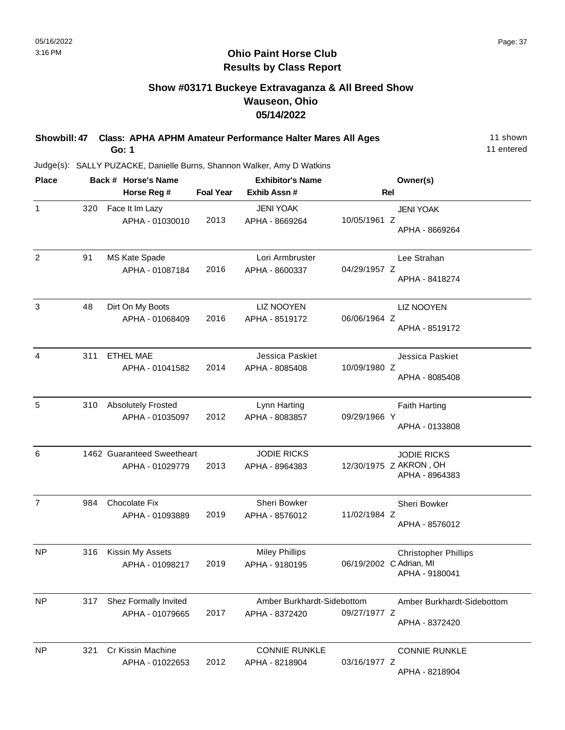## **Show #03171 Buckeye Extravaganza & All Breed Show Wauseon, Ohio 05/14/2022**

| Showbill: 47 Class: APHA APHM Amateur Performance Halter Mares All Ages | 11 shown   |
|-------------------------------------------------------------------------|------------|
| Go: 1                                                                   | 11 entered |

| <b>Place</b>   |     | Back # Horse's Name                           |                  | <b>Exhibitor's Name</b>                      |                         | Owner(s)                                                       |
|----------------|-----|-----------------------------------------------|------------------|----------------------------------------------|-------------------------|----------------------------------------------------------------|
|                |     | Horse Reg #                                   | <b>Foal Year</b> | Exhib Assn#                                  | Rel                     |                                                                |
| $\mathbf{1}$   | 320 | Face It Im Lazy<br>APHA - 01030010            | 2013             | <b>JENI YOAK</b><br>APHA - 8669264           | 10/05/1961 Z            | <b>JENI YOAK</b><br>APHA - 8669264                             |
| $\overline{2}$ | 91  | MS Kate Spade<br>APHA - 01087184              | 2016             | Lori Armbruster<br>APHA - 8600337            | 04/29/1957 Z            | Lee Strahan<br>APHA - 8418274                                  |
| 3              | 48  | Dirt On My Boots<br>APHA - 01068409           | 2016             | <b>LIZ NOOYEN</b><br>APHA - 8519172          | 06/06/1964 Z            | <b>LIZ NOOYEN</b><br>APHA - 8519172                            |
| $\overline{4}$ | 311 | <b>ETHEL MAE</b><br>APHA - 01041582           | 2014             | Jessica Paskiet<br>APHA - 8085408            | 10/09/1980 Z            | Jessica Paskiet<br>APHA - 8085408                              |
| 5              | 310 | <b>Absolutely Frosted</b><br>APHA - 01035097  | 2012             | Lynn Harting<br>APHA - 8083857               | 09/29/1966 Y            | <b>Faith Harting</b><br>APHA - 0133808                         |
| 6              |     | 1462 Guaranteed Sweetheart<br>APHA - 01029779 | 2013             | <b>JODIE RICKS</b><br>APHA - 8964383         |                         | <b>JODIE RICKS</b><br>12/30/1975 Z AKRON, OH<br>APHA - 8964383 |
| $\overline{7}$ | 984 | Chocolate Fix<br>APHA - 01093889              | 2019             | Sheri Bowker<br>APHA - 8576012               | 11/02/1984 Z            | Sheri Bowker<br>APHA - 8576012                                 |
| <b>NP</b>      | 316 | Kissin My Assets<br>APHA - 01098217           | 2019             | <b>Miley Phillips</b><br>APHA - 9180195      | 06/19/2002 C Adrian, MI | <b>Christopher Phillips</b><br>APHA - 9180041                  |
| <b>NP</b>      | 317 | Shez Formally Invited<br>APHA - 01079665      | 2017             | Amber Burkhardt-Sidebottom<br>APHA - 8372420 | 09/27/1977 Z            | Amber Burkhardt-Sidebottom<br>APHA - 8372420                   |
| NP             | 321 | <b>Cr Kissin Machine</b><br>APHA - 01022653   | 2012             | <b>CONNIE RUNKLE</b><br>APHA - 8218904       | 03/16/1977 Z            | <b>CONNIE RUNKLE</b><br>APHA - 8218904                         |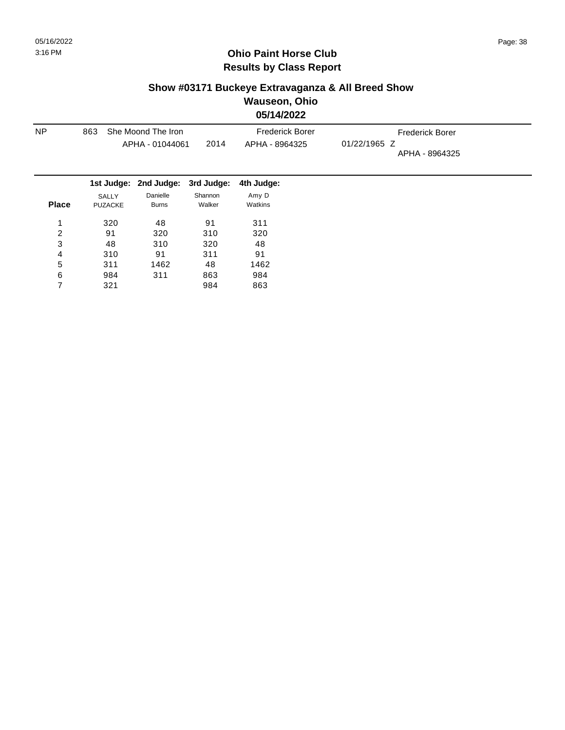## **Show #03171 Buckeye Extravaganza & All Breed Show Wauseon, Ohio**

**05/14/2022**

| <b>NP</b>    | 863                     | She Moond The Iron               |                   | <b>Frederick Borer</b> | <b>Frederick Borer</b>         |  |  |
|--------------|-------------------------|----------------------------------|-------------------|------------------------|--------------------------------|--|--|
|              |                         | APHA - 01044061                  | 2014              | APHA - 8964325         | 01/22/1965 Z<br>APHA - 8964325 |  |  |
|              |                         | 1st Judge: 2nd Judge: 3rd Judge: |                   | 4th Judge:             |                                |  |  |
| <b>Place</b> | SALLY<br><b>PUZACKE</b> | Danielle<br><b>Burns</b>         | Shannon<br>Walker | Amy D<br>Watkins       |                                |  |  |
| 1            | 320                     | 48                               | 91                | 311                    |                                |  |  |
| 2            | 91                      | 320                              | 310               | 320                    |                                |  |  |
| 3            | 48                      | 310                              | 320               | 48                     |                                |  |  |
| 4            | 310                     | 91                               | 311               | 91                     |                                |  |  |
| 5            | 311                     | 1462                             | 48                | 1462                   |                                |  |  |
| 6            | 984                     | 311                              | 863               | 984                    |                                |  |  |
|              | 321                     |                                  | 984               | 863                    |                                |  |  |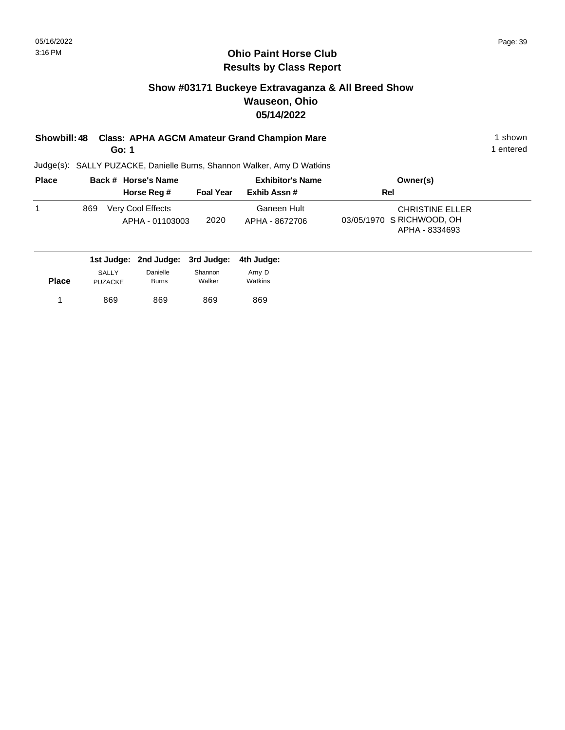## **Show #03171 Buckeye Extravaganza & All Breed Show Wauseon, Ohio 05/14/2022**

**Showbill: 48 Class: APHA AGCM Amateur Grand Champion Mare** 1 shown 1 shown **Go: 1**

1 entered

| <b>Place</b> |     | Back # Horse's Name                  |                  | <b>Exhibitor's Name</b>       | Owner(s)                                                              |
|--------------|-----|--------------------------------------|------------------|-------------------------------|-----------------------------------------------------------------------|
|              |     | Horse Reg #                          | <b>Foal Year</b> | Exhib Assn#                   | Rel                                                                   |
|              | 869 | Very Cool Effects<br>APHA - 01103003 | 2020             | Ganeen Hult<br>APHA - 8672706 | <b>CHRISTINE ELLER</b><br>03/05/1970 S RICHWOOD, OH<br>APHA - 8334693 |

|              |                |              | 1st Judge: 2nd Judge: 3rd Judge: 4th Judge: |         |
|--------------|----------------|--------------|---------------------------------------------|---------|
|              | <b>SALLY</b>   | Danielle     | Shannon                                     | Amy D   |
| <b>Place</b> | <b>PUZACKE</b> | <b>Burns</b> | Walker                                      | Watkins |
|              | 869            | 869          | 869                                         | 869     |
|              |                |              |                                             |         |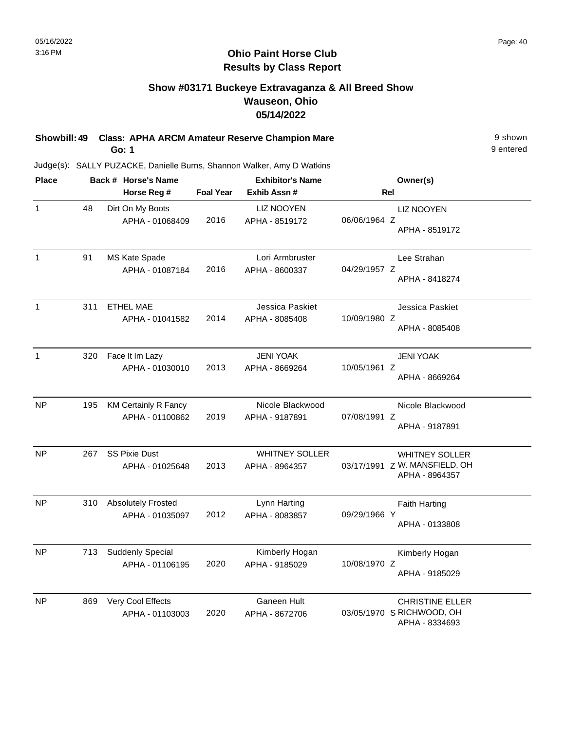## **Show #03171 Buckeye Extravaganza & All Breed Show Wauseon, Ohio 05/14/2022**

**Showbill: 49 Class: APHA ARCM Amateur Reserve Champion Mare Property Account 19 shown** 9 shown **Go: 1**

9 entered

| <b>Place</b> | Back # Horse's Name |                             |                  | <b>Exhibitor's Name</b> | Owner(s)                                        |  |  |
|--------------|---------------------|-----------------------------|------------------|-------------------------|-------------------------------------------------|--|--|
|              |                     | Horse Reg #                 | <b>Foal Year</b> | Exhib Assn#             | Rel                                             |  |  |
| $\mathbf{1}$ | 48                  | Dirt On My Boots            |                  | <b>LIZ NOOYEN</b>       | <b>LIZ NOOYEN</b>                               |  |  |
|              |                     | APHA - 01068409             | 2016             | APHA - 8519172          | 06/06/1964 Z<br>APHA - 8519172                  |  |  |
| $\mathbf{1}$ | 91                  | MS Kate Spade               |                  | Lori Armbruster         | Lee Strahan                                     |  |  |
|              |                     | APHA - 01087184             | 2016             | APHA - 8600337          | 04/29/1957 Z<br>APHA - 8418274                  |  |  |
| $\mathbf{1}$ | 311                 | <b>ETHEL MAE</b>            |                  | Jessica Paskiet         | Jessica Paskiet                                 |  |  |
|              |                     | APHA - 01041582             | 2014             | APHA - 8085408          | 10/09/1980 Z<br>APHA - 8085408                  |  |  |
| $\mathbf{1}$ | 320                 | Face It Im Lazy             |                  | <b>JENI YOAK</b>        | <b>JENI YOAK</b>                                |  |  |
|              |                     | APHA - 01030010             | 2013             | APHA - 8669264          | 10/05/1961 Z<br>APHA - 8669264                  |  |  |
| <b>NP</b>    | 195                 | <b>KM Certainly R Fancy</b> |                  | Nicole Blackwood        | Nicole Blackwood                                |  |  |
|              |                     | APHA - 01100862             | 2019             | APHA - 9187891          | 07/08/1991 Z<br>APHA - 9187891                  |  |  |
| <b>NP</b>    | 267                 | <b>SS Pixie Dust</b>        |                  | <b>WHITNEY SOLLER</b>   | <b>WHITNEY SOLLER</b>                           |  |  |
|              |                     | APHA - 01025648             | 2013             | APHA - 8964357          | 03/17/1991 Z W. MANSFIELD, OH<br>APHA - 8964357 |  |  |
| <b>NP</b>    | 310                 | <b>Absolutely Frosted</b>   |                  | Lynn Harting            | <b>Faith Harting</b>                            |  |  |
|              |                     | APHA - 01035097             | 2012             | APHA - 8083857          | 09/29/1966 Y<br>APHA - 0133808                  |  |  |
|              |                     |                             |                  |                         |                                                 |  |  |
| <b>NP</b>    | 713                 | Suddenly Special            |                  | Kimberly Hogan          | Kimberly Hogan                                  |  |  |
|              |                     | APHA - 01106195             | 2020             | APHA - 9185029          | 10/08/1970 Z<br>APHA - 9185029                  |  |  |
| <b>NP</b>    | 869                 | Very Cool Effects           |                  | Ganeen Hult             | <b>CHRISTINE ELLER</b>                          |  |  |
|              |                     | APHA - 01103003             | 2020             | APHA - 8672706          | 03/05/1970 S RICHWOOD, OH<br>APHA - 8334693     |  |  |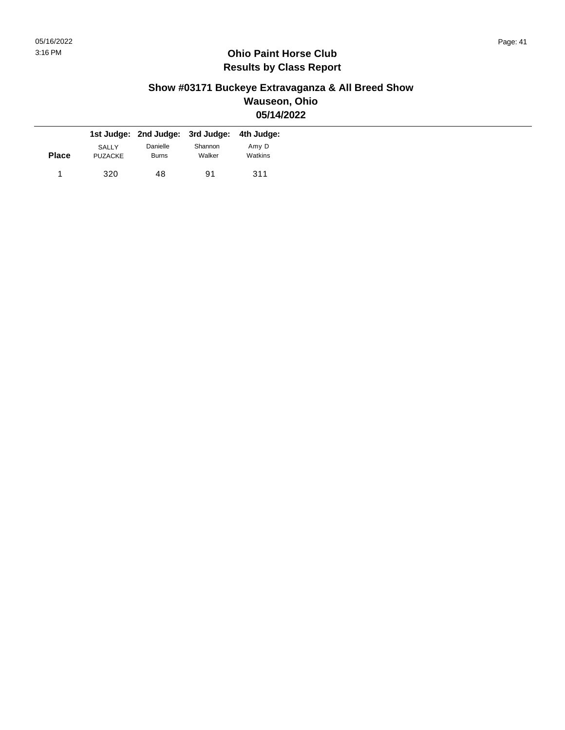### **Show #03171 Buckeye Extravaganza & All Breed Show Wauseon, Ohio 05/14/2022**

|              |                         | 1st Judge: 2nd Judge: 3rd Judge: 4th Judge: |                   |                  |
|--------------|-------------------------|---------------------------------------------|-------------------|------------------|
| <b>Place</b> | SALLY<br><b>PUZACKE</b> | Danielle<br><b>Burns</b>                    | Shannon<br>Walker | Amy D<br>Watkins |
|              | 320                     | 48                                          | 91                | 311              |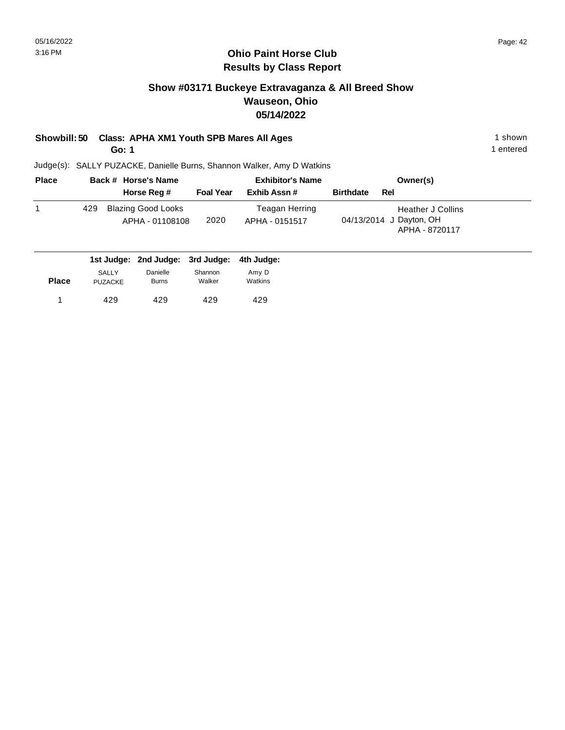#### **Ohio Paint Horse Club Results by Class Report**

## **Show #03171 Buckeye Extravaganza & All Breed Show Wauseon, Ohio 05/14/2022**

## **Showbill: 50 Class: APHA XM1 Youth SPB Mares All Ages** 1 Shown 1 shown

**Go: 1**

| <b>Place</b> | Back # Horse's Name |                                       |                  | <b>Exhibitor's Name</b>          | Owner(s)                                                              |
|--------------|---------------------|---------------------------------------|------------------|----------------------------------|-----------------------------------------------------------------------|
|              |                     | Horse Reg #                           | <b>Foal Year</b> | Exhib Assn#                      | <b>Birthdate</b><br>Rel                                               |
|              | 429                 | Blazing Good Looks<br>APHA - 01108108 | 2020             | Teagan Herring<br>APHA - 0151517 | <b>Heather J Collins</b><br>04/13/2014 J Dayton, OH<br>APHA - 8720117 |

|              |                                | 1st Judge: 2nd Judge: 3rd Judge: 4th Judge: |                   |                  |
|--------------|--------------------------------|---------------------------------------------|-------------------|------------------|
| <b>Place</b> | <b>SALLY</b><br><b>PUZACKE</b> | Danielle<br><b>Burns</b>                    | Shannon<br>Walker | Amy D<br>Watkins |
|              | 429                            | 429                                         | 429               | 429              |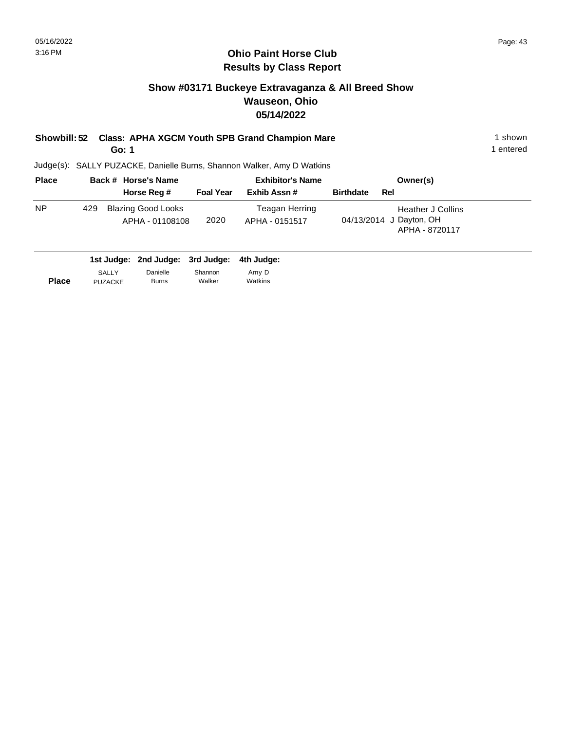## **Show #03171 Buckeye Extravaganza & All Breed Show Wauseon, Ohio 05/14/2022**

**Showbill: 52 Class: APHA XGCM Youth SPB Grand Champion Mare** 1 **Shown** 1 shown

**Go: 1**

1 entered

| <b>Place</b> |     | Back # Horse's Name                          |                  | <b>Exhibitor's Name</b>          | Owner(s)                                                              |
|--------------|-----|----------------------------------------------|------------------|----------------------------------|-----------------------------------------------------------------------|
|              |     | Horse Reg #                                  | <b>Foal Year</b> | Exhib Assn #                     | <b>Birthdate</b><br>Rel                                               |
| <b>NP</b>    | 429 | <b>Blazing Good Looks</b><br>APHA - 01108108 | 2020             | Teagan Herring<br>APHA - 0151517 | <b>Heather J Collins</b><br>04/13/2014 J Dayton, OH<br>APHA - 8720117 |

|              |                | 1st Judge: 2nd Judge: 3rd Judge: 4th Judge: |         |         |
|--------------|----------------|---------------------------------------------|---------|---------|
|              | SALLY          | Danielle                                    | Shannon | Amy D   |
| <b>Place</b> | <b>PUZACKE</b> | <b>Burns</b>                                | Walker  | Watkins |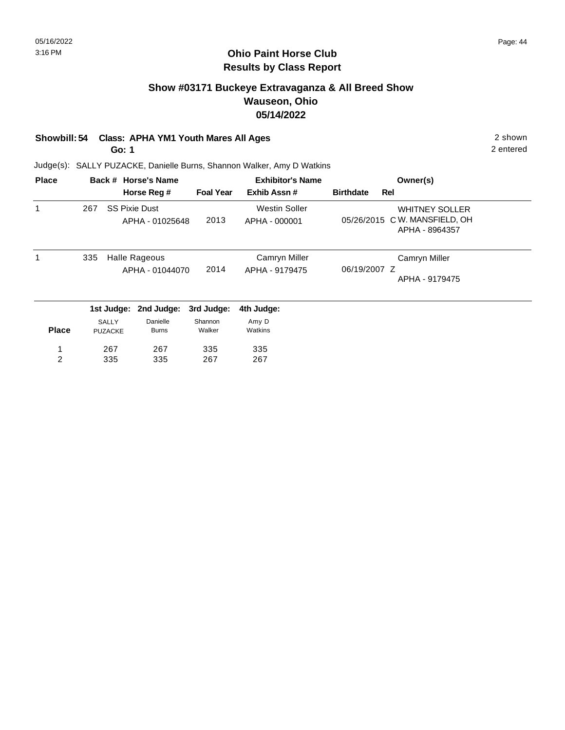## **Show #03171 Buckeye Extravaganza & All Breed Show Wauseon, Ohio 05/14/2022**

## **Showbill: 54 Class: APHA YM1 Youth Mares All Ages** 2 shown

**Go: 1**

2 entered

| <b>Place</b> |     |                | Back # Horse's Name  |                  | <b>Exhibitor's Name</b> |                  |     | Owner(s)                                        |
|--------------|-----|----------------|----------------------|------------------|-------------------------|------------------|-----|-------------------------------------------------|
|              |     |                | Horse Reg #          | <b>Foal Year</b> | Exhib Assn#             | <b>Birthdate</b> | Rel |                                                 |
| 1            | 267 |                | <b>SS Pixie Dust</b> |                  | <b>Westin Soller</b>    |                  |     | <b>WHITNEY SOLLER</b>                           |
|              |     |                | APHA - 01025648      | 2013             | APHA - 000001           |                  |     | 05/26/2015 C W. MANSFIELD, OH<br>APHA - 8964357 |
| 1            | 335 |                | Halle Rageous        |                  | Camryn Miller           |                  |     | Camryn Miller                                   |
|              |     |                | APHA - 01044070      | 2014             | APHA - 9179475          | 06/19/2007 Z     |     | APHA - 9179475                                  |
|              |     |                |                      |                  |                         |                  |     |                                                 |
|              |     | 1st Judge:     | 2nd Judge:           | 3rd Judge:       | 4th Judge:              |                  |     |                                                 |
|              |     | <b>SALLY</b>   | Danielle             | Shannon          | Amy D                   |                  |     |                                                 |
| <b>Place</b> |     | <b>PUZACKE</b> | <b>Burns</b>         | Walker           | Watkins                 |                  |     |                                                 |
| 1            |     | 267            | 267                  | 335              | 335                     |                  |     |                                                 |
| 2            |     | 335            | 335                  | 267              | 267                     |                  |     |                                                 |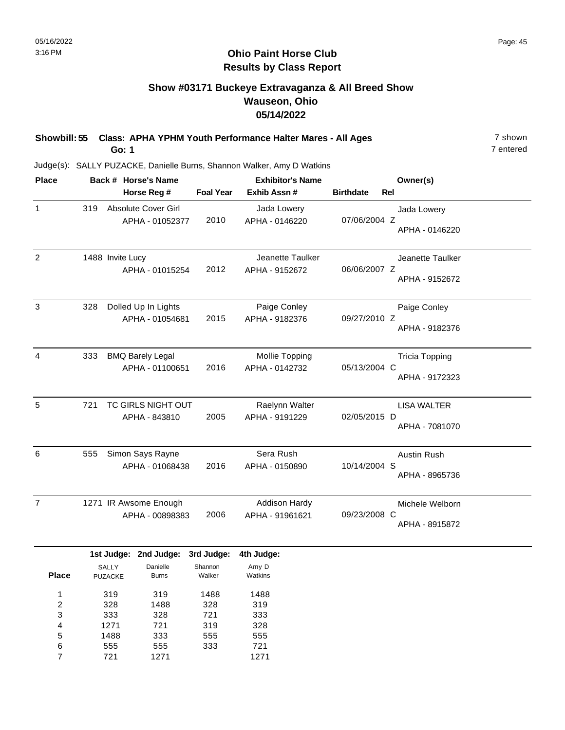## **Show #03171 Buckeye Extravaganza & All Breed Show Wauseon, Ohio 05/14/2022**

**Showbill: 55 Class: APHA YPHM Youth Performance Halter Mares - All Ages** 7 shown **Go: 1**

7 entered

Judge(s): SALLY PUZACKE, Danielle Burns, Shannon Walker, Amy D Watkins

721

7

1271

| <b>Place</b>            |                  | Back # Horse's Name |                         |                  | <b>Exhibitor's Name</b> | Owner(s)                       |                       |  |
|-------------------------|------------------|---------------------|-------------------------|------------------|-------------------------|--------------------------------|-----------------------|--|
|                         |                  |                     | Horse Reg #             | <b>Foal Year</b> | Exhib Assn #            | <b>Birthdate</b><br><b>Rel</b> |                       |  |
| $\mathbf{1}$            | 319              |                     | Absolute Cover Girl     |                  | Jada Lowery             |                                | Jada Lowery           |  |
|                         |                  |                     | APHA - 01052377         | 2010             | APHA - 0146220          | 07/06/2004 Z                   |                       |  |
|                         |                  |                     |                         |                  |                         |                                | APHA - 0146220        |  |
| $\overline{2}$          | 1488 Invite Lucy |                     |                         |                  | Jeanette Taulker        |                                | Jeanette Taulker      |  |
|                         |                  |                     | APHA - 01015254         | 2012             | APHA - 9152672          | 06/06/2007 Z                   |                       |  |
|                         |                  |                     |                         |                  |                         |                                | APHA - 9152672        |  |
| $\mathsf 3$             | 328              |                     | Dolled Up In Lights     |                  | Paige Conley            |                                | Paige Conley          |  |
|                         |                  |                     | APHA - 01054681         | 2015             | APHA - 9182376          | 09/27/2010 Z                   |                       |  |
|                         |                  |                     |                         |                  |                         |                                | APHA - 9182376        |  |
| $\overline{4}$          | 333              |                     | <b>BMQ Barely Legal</b> |                  | Mollie Topping          |                                | <b>Tricia Topping</b> |  |
|                         |                  |                     | APHA - 01100651         | 2016             | APHA - 0142732          | 05/13/2004 C                   |                       |  |
|                         |                  |                     |                         |                  |                         |                                | APHA - 9172323        |  |
| 5                       | 721              |                     | TC GIRLS NIGHT OUT      |                  | Raelynn Walter          |                                | <b>LISA WALTER</b>    |  |
|                         |                  |                     | APHA - 843810           | 2005             | APHA - 9191229          | 02/05/2015 D                   |                       |  |
|                         |                  |                     |                         |                  |                         |                                | APHA - 7081070        |  |
| 6                       | 555              |                     | Simon Says Rayne        |                  | Sera Rush               |                                | <b>Austin Rush</b>    |  |
|                         |                  |                     | APHA - 01068438         | 2016             | APHA - 0150890          | 10/14/2004 S                   |                       |  |
|                         |                  |                     |                         |                  |                         |                                | APHA - 8965736        |  |
| $\overline{7}$          |                  |                     | 1271 IR Awsome Enough   |                  | <b>Addison Hardy</b>    |                                | Michele Welborn       |  |
|                         |                  |                     | APHA - 00898383         | 2006             | APHA - 91961621         | 09/23/2008 C                   |                       |  |
|                         |                  |                     |                         |                  |                         |                                | APHA - 8915872        |  |
|                         |                  |                     | 1st Judge: 2nd Judge:   | 3rd Judge:       | 4th Judge:              |                                |                       |  |
|                         | <b>SALLY</b>     |                     | Danielle                | Shannon          | Amy D                   |                                |                       |  |
| <b>Place</b>            | <b>PUZACKE</b>   |                     | <b>Burns</b>            | Walker           | Watkins                 |                                |                       |  |
| 1                       |                  | 319                 | 319                     | 1488             | 1488                    |                                |                       |  |
| $\overline{\mathbf{c}}$ |                  | 328                 | 1488                    | 328              | 319                     |                                |                       |  |
| 3<br>4                  |                  | 333<br>1271         | 328<br>721              | 721<br>319       | 333<br>328              |                                |                       |  |
| 5                       |                  | 1488                | 333                     | 555              | 555                     |                                |                       |  |
| 6                       |                  | 555                 | 555                     | 333              | 721                     |                                |                       |  |

1271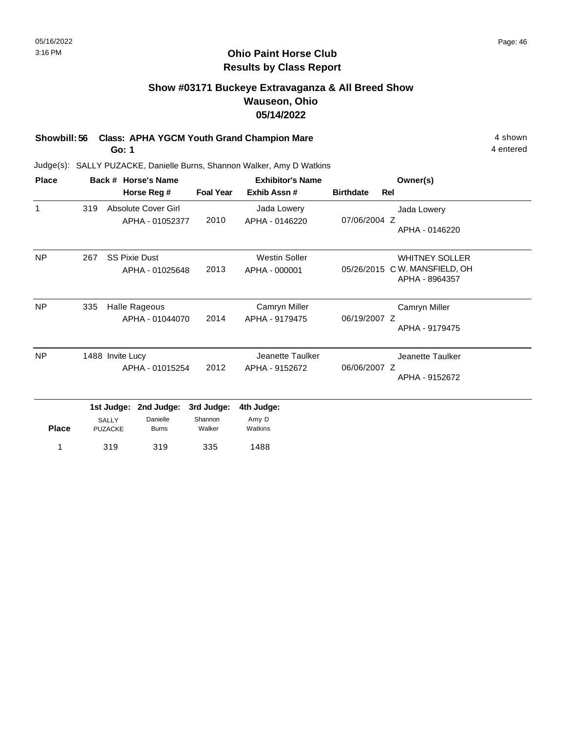## **Show #03171 Buckeye Extravaganza & All Breed Show Wauseon, Ohio 05/14/2022**

**Showbill: 56 Class: APHA YGCM Youth Grand Champion Mare** 4 shown

**Go: 1**

4 entered

| <b>Place</b> |                  |                                | Back # Horse's Name                     | <b>Exhibitor's Name</b> |                                       |                  |     | Owner(s)                                                      |  |
|--------------|------------------|--------------------------------|-----------------------------------------|-------------------------|---------------------------------------|------------------|-----|---------------------------------------------------------------|--|
|              |                  |                                | Horse Reg #                             | <b>Foal Year</b>        | Exhib Assn #                          | <b>Birthdate</b> | Rel |                                                               |  |
| $\mathbf{1}$ | 319              |                                | Absolute Cover Girl<br>APHA - 01052377  | 2010                    | Jada Lowery<br>APHA - 0146220         | 07/06/2004 Z     |     | Jada Lowery<br>APHA - 0146220                                 |  |
| <b>NP</b>    | 267              |                                | <b>SS Pixie Dust</b><br>APHA - 01025648 | 2013                    | <b>Westin Soller</b><br>APHA - 000001 | 05/26/2015       |     | <b>WHITNEY SOLLER</b><br>C W. MANSFIELD, OH<br>APHA - 8964357 |  |
| <b>NP</b>    | 335              |                                | Halle Rageous<br>APHA - 01044070        | 2014                    | Camryn Miller<br>APHA - 9179475       | 06/19/2007 Z     |     | Camryn Miller<br>APHA - 9179475                               |  |
| <b>NP</b>    | 1488 Invite Lucy |                                | APHA - 01015254                         | 2012                    | Jeanette Taulker<br>APHA - 9152672    | 06/06/2007 Z     |     | Jeanette Taulker<br>APHA - 9152672                            |  |
|              |                  | 1st Judge:                     | 2nd Judge:                              | 3rd Judge:              | 4th Judge:                            |                  |     |                                                               |  |
| <b>Place</b> |                  | <b>SALLY</b><br><b>PUZACKE</b> | Danielle<br><b>Burns</b>                | Shannon<br>Walker       | Amy D<br>Watkins                      |                  |     |                                                               |  |
| 1            |                  | 319<br>319                     |                                         | 335                     | 1488                                  |                  |     |                                                               |  |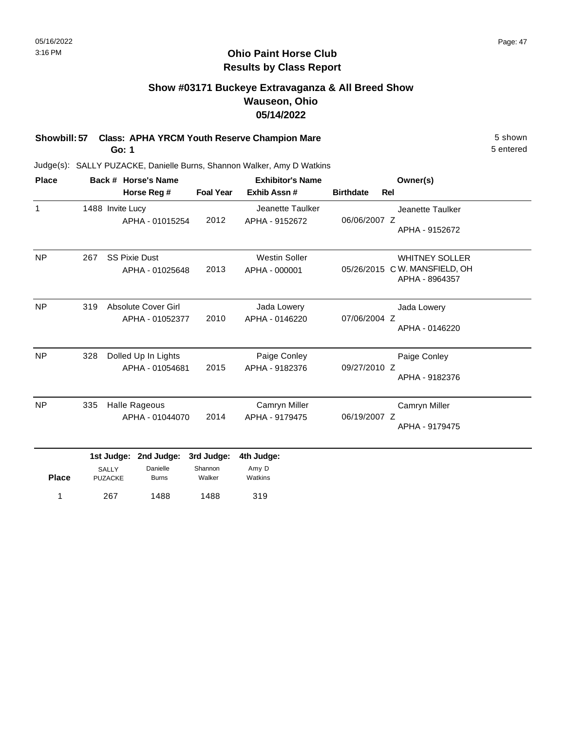#### **Ohio Paint Horse Club Results by Class Report**

## **Show #03171 Buckeye Extravaganza & All Breed Show Wauseon, Ohio 05/14/2022**

**Showbill: 57 Class: APHA YRCM Youth Reserve Champion Mare** 5 Shown 5 shown

**Go: 1**

Judge(s): SALLY PUZACKE, Danielle Burns, Shannon Walker, Amy D Watkins

| <b>Place</b> |     |                                              | Back # Horse's Name                     | <b>Exhibitor's Name</b>         |                                       |                  | Owner(s)                                                                |
|--------------|-----|----------------------------------------------|-----------------------------------------|---------------------------------|---------------------------------------|------------------|-------------------------------------------------------------------------|
|              |     |                                              | Horse Reg #                             | <b>Foal Year</b>                | Exhib Assn #                          | <b>Birthdate</b> | Rel                                                                     |
| $\mathbf{1}$ |     | 1488 Invite Lucy                             | APHA - 01015254                         | 2012                            | Jeanette Taulker<br>APHA - 9152672    | 06/06/2007 Z     | Jeanette Taulker<br>APHA - 9152672                                      |
| <b>NP</b>    | 267 |                                              | <b>SS Pixie Dust</b><br>APHA - 01025648 | 2013                            | <b>Westin Soller</b><br>APHA - 000001 |                  | <b>WHITNEY SOLLER</b><br>05/26/2015 CW. MANSFIELD, OH<br>APHA - 8964357 |
| <b>NP</b>    | 319 |                                              | Absolute Cover Girl<br>APHA - 01052377  | 2010                            | Jada Lowery<br>APHA - 0146220         | 07/06/2004 Z     | Jada Lowery<br>APHA - 0146220                                           |
| <b>NP</b>    | 328 |                                              | Dolled Up In Lights<br>APHA - 01054681  | 2015                            | Paige Conley<br>APHA - 9182376        | 09/27/2010 Z     | Paige Conley<br>APHA - 9182376                                          |
| <b>NP</b>    | 335 |                                              | Halle Rageous<br>APHA - 01044070        | 2014                            | Camryn Miller<br>APHA - 9179475       | 06/19/2007 Z     | Camryn Miller<br>APHA - 9179475                                         |
| <b>Place</b> |     | 1st Judge:<br><b>SALLY</b><br><b>PUZACKE</b> | 2nd Judge:<br>Danielle<br><b>Burns</b>  | 3rd Judge:<br>Shannon<br>Walker | 4th Judge:<br>Amy D<br>Watkins        |                  |                                                                         |

267 1488 1 319 1488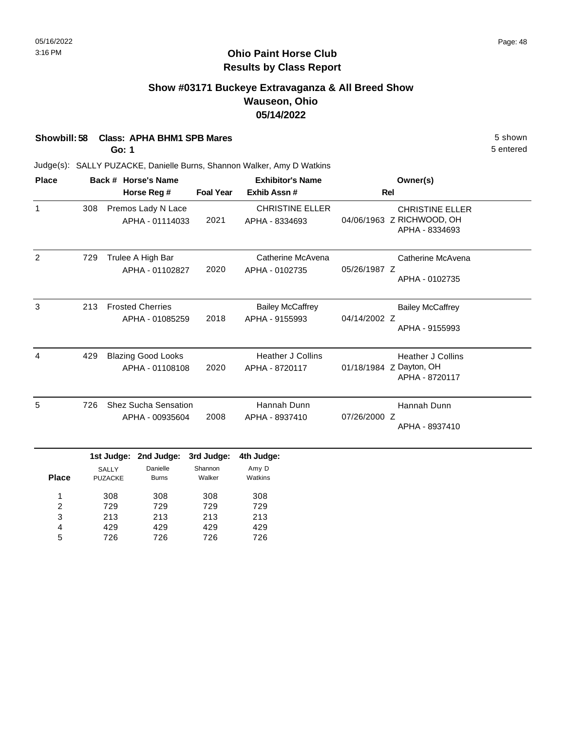## **Show #03171 Buckeye Extravaganza & All Breed Show Wauseon, Ohio 05/14/2022**

| Showbill: 58 Class: APHA BHM1 SPB Mares | 5 shown   |
|-----------------------------------------|-----------|
| Go: 1                                   | 5 entered |

213 429 726

3 4 5 213 429 726

213 429 726

213 429 726

| <b>Place</b>        |                                              |                         | Back # Horse's Name                            |                                          | <b>Exhibitor's Name</b>                    | Owner(s)                                                              |                                                                       |  |
|---------------------|----------------------------------------------|-------------------------|------------------------------------------------|------------------------------------------|--------------------------------------------|-----------------------------------------------------------------------|-----------------------------------------------------------------------|--|
|                     |                                              | Horse Reg #             |                                                |                                          | Exhib Assn#<br><b>Foal Year</b>            | Rel                                                                   |                                                                       |  |
| 1                   | 308<br>Premos Lady N Lace<br>APHA - 01114033 |                         | 2021                                           | <b>CHRISTINE ELLER</b><br>APHA - 8334693 |                                            | <b>CHRISTINE ELLER</b><br>04/06/1963 Z RICHWOOD, OH<br>APHA - 8334693 |                                                                       |  |
| 2                   | 729                                          |                         | Trulee A High Bar<br>APHA - 01102827           | 2020                                     | Catherine McAvena<br>APHA - 0102735        | 05/26/1987 Z                                                          | Catherine McAvena<br>APHA - 0102735                                   |  |
| 3                   | 213                                          |                         | <b>Frosted Cherries</b><br>APHA - 01085259     | 2018                                     | <b>Bailey McCaffrey</b><br>APHA - 9155993  | 04/14/2002 Z                                                          | <b>Bailey McCaffrey</b><br>APHA - 9155993                             |  |
| 4                   | 429                                          |                         | <b>Blazing Good Looks</b><br>APHA - 01108108   | 2020                                     | <b>Heather J Collins</b><br>APHA - 8720117 |                                                                       | <b>Heather J Collins</b><br>01/18/1984 Z Dayton, OH<br>APHA - 8720117 |  |
| 5                   | 726                                          |                         | <b>Shez Sucha Sensation</b><br>APHA - 00935604 | 2008                                     | Hannah Dunn<br>APHA - 8937410              | 07/26/2000 Z                                                          | Hannah Dunn<br>APHA - 8937410                                         |  |
|                     |                                              |                         | 1st Judge: 2nd Judge:                          | 3rd Judge:                               | 4th Judge:                                 |                                                                       |                                                                       |  |
| <b>Place</b>        |                                              | SALLY<br><b>PUZACKE</b> | Danielle<br><b>Burns</b>                       | Shannon<br>Walker                        | Amy D<br>Watkins                           |                                                                       |                                                                       |  |
| 1<br>$\overline{c}$ | 308<br>729                                   |                         | 308<br>729                                     | 308<br>729                               | 308<br>729                                 |                                                                       |                                                                       |  |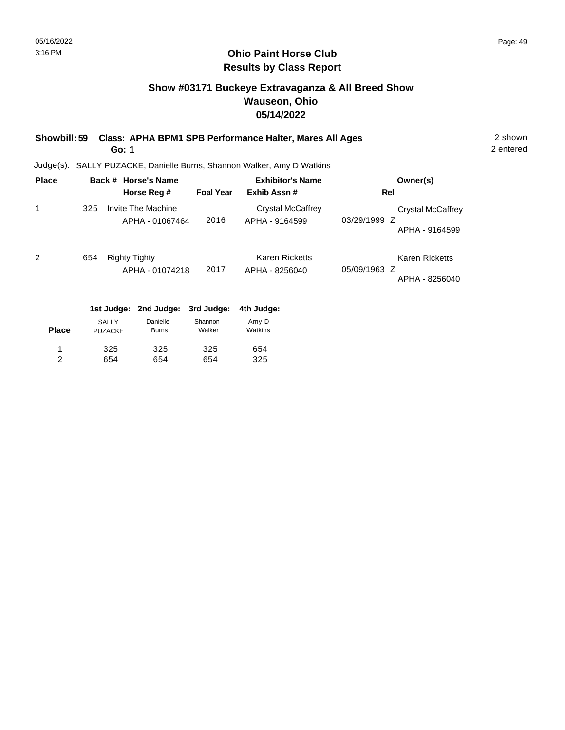## **Show #03171 Buckeye Extravaganza & All Breed Show Wauseon, Ohio 05/14/2022**

| Showbill: 59 Class: APHA BPM1 SPB Performance Halter, Mares All Ages | 2 shown |
|----------------------------------------------------------------------|---------|
|                                                                      |         |

**Go: 1**

2 entered

| <b>Place</b> |     |                      | Back # Horse's Name |                  | <b>Exhibitor's Name</b> | Owner(s)                 |  |
|--------------|-----|----------------------|---------------------|------------------|-------------------------|--------------------------|--|
|              |     |                      | Horse Reg #         | <b>Foal Year</b> | Exhib Assn#             | Rel                      |  |
| 1            | 325 |                      | Invite The Machine  |                  | Crystal McCaffrey       | <b>Crystal McCaffrey</b> |  |
|              |     |                      | APHA - 01067464     | 2016             | APHA - 9164599          | 03/29/1999 Z             |  |
|              |     |                      |                     |                  |                         | APHA - 9164599           |  |
| 2            | 654 | <b>Righty Tighty</b> |                     |                  | <b>Karen Ricketts</b>   | <b>Karen Ricketts</b>    |  |
|              |     |                      | APHA - 01074218     | 2017             | APHA - 8256040          | 05/09/1963 Z             |  |
|              |     |                      |                     |                  |                         | APHA - 8256040           |  |
|              |     | 1st Judge:           | 2nd Judge:          | 3rd Judge:       | 4th Judge:              |                          |  |
|              |     | <b>SALLY</b>         | Danielle            | Shannon          | Amy D                   |                          |  |
| <b>Place</b> |     | <b>PUZACKE</b>       | <b>Burns</b>        | Walker           | Watkins                 |                          |  |
| 1            |     | 325                  | 325                 | 325              | 654                     |                          |  |
| 2            |     | 654                  | 654                 | 654              | 325                     |                          |  |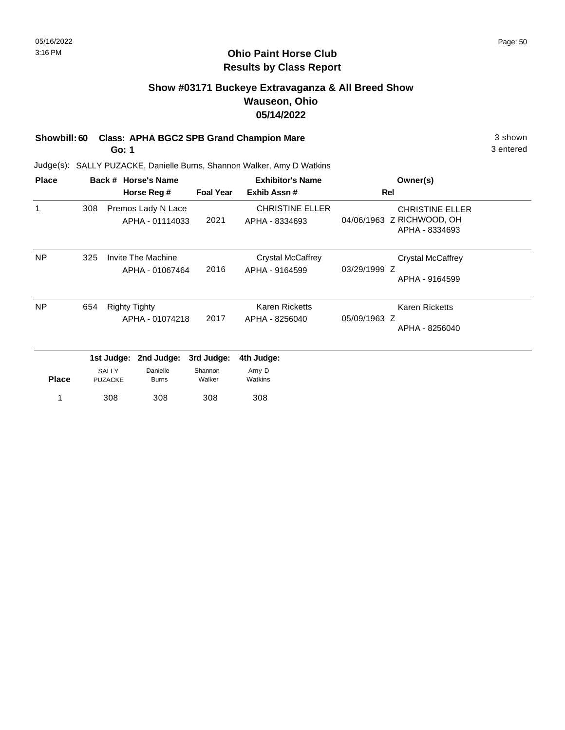#### **Ohio Paint Horse Club Results by Class Report**

## **Show #03171 Buckeye Extravaganza & All Breed Show Wauseon, Ohio 05/14/2022**

# **Showbill: 60 Class: APHA BGC2 SPB Grand Champion Mare** 3 shown

**Go: 1**

| <b>Place</b> |                                                |                         | Back # Horse's Name                   | <b>Exhibitor's Name</b>                 |                                                  | Owner(s)                                                              |
|--------------|------------------------------------------------|-------------------------|---------------------------------------|-----------------------------------------|--------------------------------------------------|-----------------------------------------------------------------------|
|              |                                                |                         | Horse Reg #                           | <b>Foal Year</b>                        | Exhib Assn#                                      | Rel                                                                   |
| 1            | 308                                            |                         | Premos Lady N Lace<br>APHA - 01114033 | 2021                                    | <b>CHRISTINE ELLER</b><br>APHA - 8334693         | <b>CHRISTINE ELLER</b><br>04/06/1963 Z RICHWOOD, OH<br>APHA - 8334693 |
| <b>NP</b>    | 325                                            |                         | Invite The Machine<br>APHA - 01067464 | 2016                                    | <b>Crystal McCaffrey</b><br>APHA - 9164599       | <b>Crystal McCaffrey</b><br>03/29/1999 Z<br>APHA - 9164599            |
| <b>NP</b>    | 654<br><b>Righty Tighty</b><br>APHA - 01074218 |                         | 2017                                  | <b>Karen Ricketts</b><br>APHA - 8256040 | Karen Ricketts<br>05/09/1963 Z<br>APHA - 8256040 |                                                                       |
|              |                                                | 1st Judge:              | 2nd Judge:                            | 3rd Judge:                              | 4th Judge:                                       |                                                                       |
| <b>Place</b> |                                                | SALLY<br><b>PUZACKE</b> | Danielle<br><b>Burns</b>              | Shannon<br>Walker                       | Amy D<br>Watkins                                 |                                                                       |
|              |                                                | 308                     | 308                                   | 308                                     | 308                                              |                                                                       |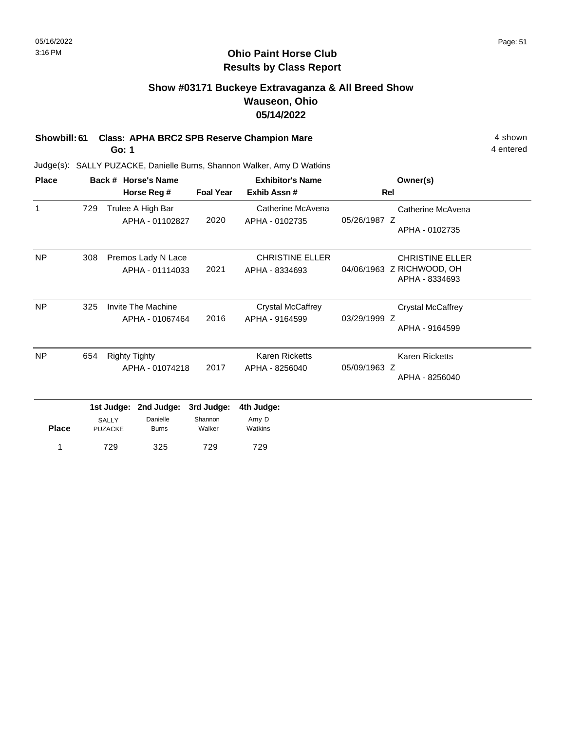#### **Ohio Paint Horse Club Results by Class Report**

## **Show #03171 Buckeye Extravaganza & All Breed Show Wauseon, Ohio 05/14/2022**

**Showbill: 61 Class: APHA BRC2 SPB Reserve Champion Mare** 4 shown

1 729

**Go: 1**

| <b>Place</b> |     |                                              | Back # Horse's Name                    |                                 | <b>Exhibitor's Name</b>                    |              | Owner(s)                                                              |
|--------------|-----|----------------------------------------------|----------------------------------------|---------------------------------|--------------------------------------------|--------------|-----------------------------------------------------------------------|
|              |     |                                              | Horse Reg #                            | <b>Foal Year</b>                | Exhib Assn #                               |              | Rel                                                                   |
| 1            | 729 |                                              | Trulee A High Bar<br>APHA - 01102827   | 2020                            | Catherine McAvena<br>APHA - 0102735        | 05/26/1987 Z | Catherine McAvena<br>APHA - 0102735                                   |
| <b>NP</b>    | 308 |                                              | Premos Lady N Lace<br>APHA - 01114033  | 2021                            | <b>CHRISTINE ELLER</b><br>APHA - 8334693   |              | <b>CHRISTINE ELLER</b><br>04/06/1963 Z RICHWOOD, OH<br>APHA - 8334693 |
| <b>NP</b>    | 325 |                                              | Invite The Machine<br>APHA - 01067464  | 2016                            | <b>Crystal McCaffrey</b><br>APHA - 9164599 | 03/29/1999 Z | <b>Crystal McCaffrey</b><br>APHA - 9164599                            |
| NP           | 654 | <b>Righty Tighty</b>                         | APHA - 01074218                        | 2017                            | <b>Karen Ricketts</b><br>APHA - 8256040    | 05/09/1963 Z | Karen Ricketts<br>APHA - 8256040                                      |
| <b>Place</b> |     | 1st Judge:<br><b>SALLY</b><br><b>PUZACKE</b> | 2nd Judge:<br>Danielle<br><b>Burns</b> | 3rd Judge:<br>Shannon<br>Walker | 4th Judge:<br>Amy D<br>Watkins             |              |                                                                       |
| 1            |     | 325<br>729                                   |                                        | 729                             | 729                                        |              |                                                                       |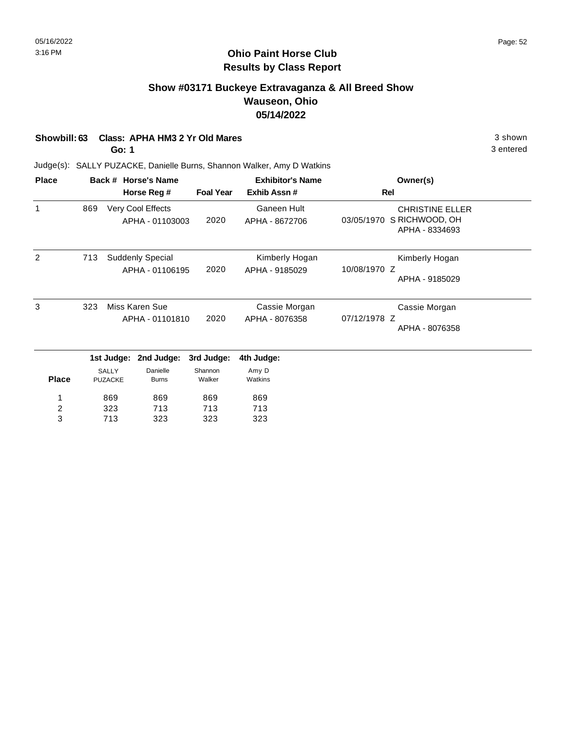## **Show #03171 Buckeye Extravaganza & All Breed Show Wauseon, Ohio 05/14/2022**

| 3 shown |
|---------|
|         |

**Go: 1**

3 entered

| <b>Place</b>            |     |                                | Back # Horse's Name                  |                   | <b>Exhibitor's Name</b>          | Owner(s)                                                                 |
|-------------------------|-----|--------------------------------|--------------------------------------|-------------------|----------------------------------|--------------------------------------------------------------------------|
|                         |     |                                | Horse Reg #                          | <b>Foal Year</b>  | Exhib Assn #                     | Rel                                                                      |
| 1                       | 869 |                                | Very Cool Effects<br>APHA - 01103003 | 2020              | Ganeen Hult<br>APHA - 8672706    | <b>CHRISTINE ELLER</b><br>S RICHWOOD, OH<br>03/05/1970<br>APHA - 8334693 |
| 2                       | 713 |                                | Suddenly Special<br>APHA - 01106195  | 2020              | Kimberly Hogan<br>APHA - 9185029 | Kimberly Hogan<br>10/08/1970 Z                                           |
|                         |     |                                |                                      |                   |                                  | APHA - 9185029                                                           |
| 3                       | 323 |                                | Miss Karen Sue                       |                   | Cassie Morgan                    | Cassie Morgan                                                            |
|                         |     | APHA - 01101810                |                                      | 2020              | APHA - 8076358                   | 07/12/1978 Z<br>APHA - 8076358                                           |
|                         |     | 1st Judge:                     | 2nd Judge:                           | 3rd Judge:        | 4th Judge:                       |                                                                          |
| <b>Place</b>            |     | <b>SALLY</b><br><b>PUZACKE</b> | Danielle<br><b>Burns</b>             | Shannon<br>Walker | Amy D<br>Watkins                 |                                                                          |
| 1                       |     | 869                            | 869                                  | 869               | 869                              |                                                                          |
| $\overline{\mathbf{c}}$ |     | 323                            | 713                                  | 713               | 713                              |                                                                          |
| 3                       |     | 713                            | 323                                  | 323               | 323                              |                                                                          |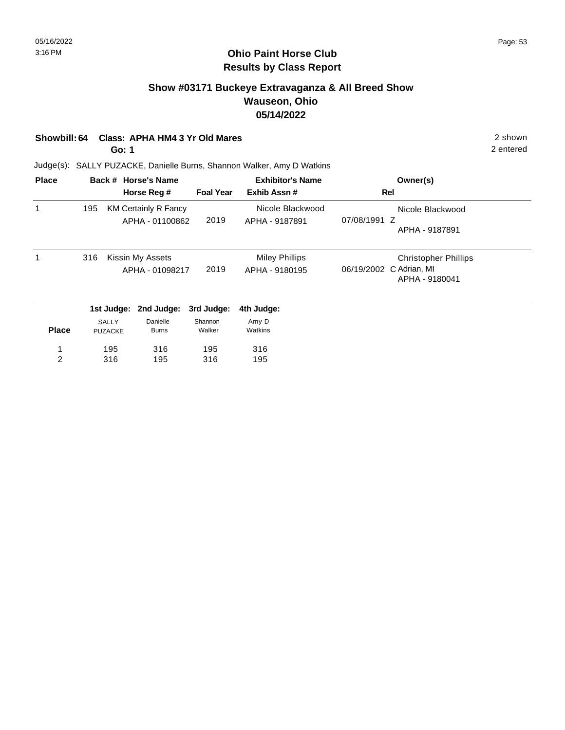## **Show #03171 Buckeye Extravaganza & All Breed Show Wauseon, Ohio 05/14/2022**

| Showbill: 64 Class: APHA HM4 3 Yr Old Mares | 2 shown |
|---------------------------------------------|---------|
|                                             |         |

**Go: 1**

2 entered

| <b>Place</b> |     |                         | Back # Horse's Name                            |                   | <b>Exhibitor's Name</b>            | Owner(s)                                     |
|--------------|-----|-------------------------|------------------------------------------------|-------------------|------------------------------------|----------------------------------------------|
|              |     |                         | Horse Reg #                                    | <b>Foal Year</b>  | Exhib Assn#                        | Rel                                          |
|              | 195 |                         | <b>KM Certainly R Fancy</b><br>APHA - 01100862 | 2019              | Nicole Blackwood<br>APHA - 9187891 | Nicole Blackwood<br>07/08/1991 Z             |
|              |     |                         |                                                |                   |                                    | APHA - 9187891                               |
|              | 316 |                         | Kissin My Assets                               |                   | <b>Miley Phillips</b>              | <b>Christopher Phillips</b>                  |
|              |     |                         | APHA - 01098217                                | 2019              | APHA - 9180195                     | C Adrian, MI<br>06/19/2002<br>APHA - 9180041 |
|              |     | 1st Judge:              | 2nd Judge:                                     | 3rd Judge:        | 4th Judge:                         |                                              |
| <b>Place</b> |     | SALLY<br><b>PUZACKE</b> | Danielle<br><b>Burns</b>                       | Shannon<br>Walker | Amy D<br>Watkins                   |                                              |
| 1            |     | 195                     | 316                                            | 195               | 316                                |                                              |
| 2            |     | 316                     | 195                                            | 316               | 195                                |                                              |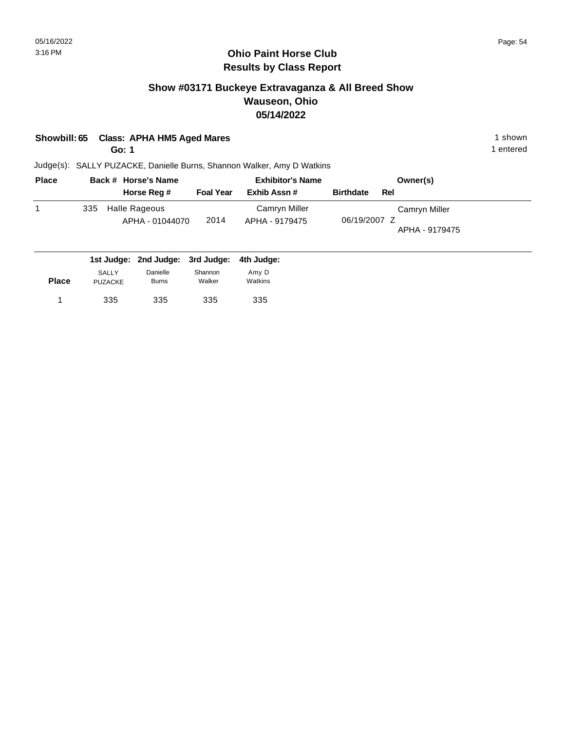## **Show #03171 Buckeye Extravaganza & All Breed Show Wauseon, Ohio 05/14/2022**

| Showbill: 65 Class: APHA HM5 Aged Mares | 1 shown |
|-----------------------------------------|---------|
|                                         |         |

**Go: 1**

1 entered

| <b>Place</b> |     | Back # Horse's Name              |                  | <b>Exhibitor's Name</b>         |                  | Owner(s) |                                 |
|--------------|-----|----------------------------------|------------------|---------------------------------|------------------|----------|---------------------------------|
|              |     | Horse Reg #                      | <b>Foal Year</b> | Exhib Assn#                     | <b>Birthdate</b> | Rel      |                                 |
|              | 335 | Halle Rageous<br>APHA - 01044070 | 2014             | Camryn Miller<br>APHA - 9179475 | 06/19/2007 Z     |          | Camryn Miller<br>APHA - 9179475 |
|              |     |                                  |                  |                                 |                  |          |                                 |

|              |                                |                          | 1st Judge: 2nd Judge: 3rd Judge: 4th Judge: |                  |
|--------------|--------------------------------|--------------------------|---------------------------------------------|------------------|
| <b>Place</b> | <b>SALLY</b><br><b>PUZACKE</b> | Danielle<br><b>Burns</b> | Shannon<br>Walker                           | Amv D<br>Watkins |
|              | 335                            | 335                      | 335                                         | 335              |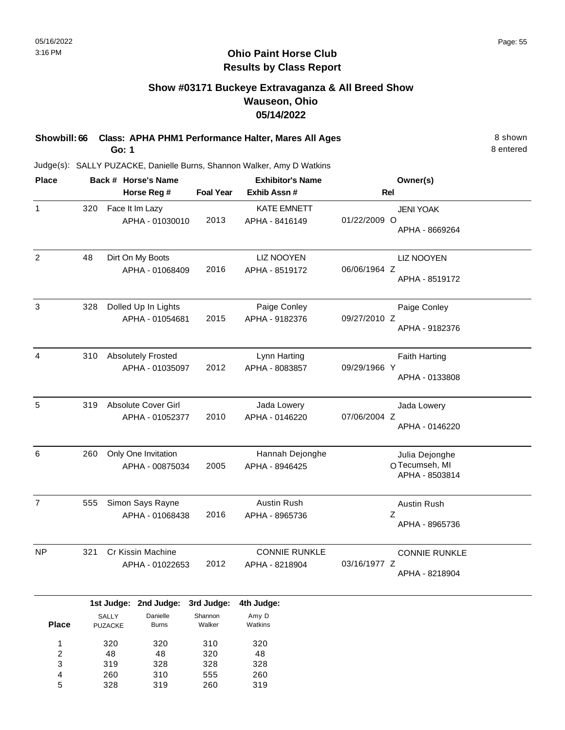## **Show #03171 Buckeye Extravaganza & All Breed Show Wauseon, Ohio 05/14/2022**

**Showbill: 66 Class: APHA PHM1 Performance Halter, Mares All Ages** 8 Shown 8 shown **Go: 1**

8 entered

Judge(s): SALLY PUZACKE, Danielle Burns, Shannon Walker, Amy D Watkins

260 328

4 5 310 319 555 260 260 319

| <b>Place</b>                 |     |                | Back # Horse's Name       |                   | <b>Exhibitor's Name</b> | Owner(s)                        |  |  |
|------------------------------|-----|----------------|---------------------------|-------------------|-------------------------|---------------------------------|--|--|
|                              |     |                | Horse Reg #               | <b>Foal Year</b>  | Exhib Assn #            | Rel                             |  |  |
| $\mathbf{1}$                 | 320 |                | Face It Im Lazy           |                   | <b>KATE EMNETT</b>      | <b>JENI YOAK</b>                |  |  |
|                              |     |                | APHA - 01030010           | 2013              | APHA - 8416149          | 01/22/2009 O                    |  |  |
|                              |     |                |                           |                   |                         | APHA - 8669264                  |  |  |
| $\overline{c}$               | 48  |                | Dirt On My Boots          |                   | <b>LIZ NOOYEN</b>       | <b>LIZ NOOYEN</b>               |  |  |
|                              |     |                | APHA - 01068409           | 2016              | APHA - 8519172          | 06/06/1964 Z<br>APHA - 8519172  |  |  |
| 3                            | 328 |                | Dolled Up In Lights       |                   | Paige Conley            | Paige Conley                    |  |  |
|                              |     |                | APHA - 01054681           | 2015              | APHA - 9182376          | 09/27/2010 Z                    |  |  |
|                              |     |                |                           |                   |                         | APHA - 9182376                  |  |  |
| 4                            | 310 |                | <b>Absolutely Frosted</b> |                   | Lynn Harting            | <b>Faith Harting</b>            |  |  |
|                              |     |                | APHA - 01035097           | 2012              | APHA - 8083857          | 09/29/1966 Y<br>APHA - 0133808  |  |  |
|                              |     |                |                           |                   |                         |                                 |  |  |
| 5                            | 319 |                | Absolute Cover Girl       |                   | Jada Lowery             | Jada Lowery                     |  |  |
|                              |     |                | APHA - 01052377           | 2010              | APHA - 0146220          | 07/06/2004 Z                    |  |  |
|                              |     |                |                           |                   |                         | APHA - 0146220                  |  |  |
| 6                            | 260 |                | Only One Invitation       |                   | Hannah Dejonghe         | Julia Dejonghe                  |  |  |
|                              |     |                | APHA - 00875034           | 2005              | APHA - 8946425          | OTecumseh, MI<br>APHA - 8503814 |  |  |
|                              |     |                |                           |                   |                         |                                 |  |  |
| $\overline{7}$               | 555 |                | Simon Says Rayne          |                   | Austin Rush             | <b>Austin Rush</b>              |  |  |
|                              |     |                | APHA - 01068438           | 2016              | APHA - 8965736          | Z<br>APHA - 8965736             |  |  |
|                              |     |                |                           |                   |                         |                                 |  |  |
| NP                           | 321 |                | Cr Kissin Machine         |                   | <b>CONNIE RUNKLE</b>    | <b>CONNIE RUNKLE</b>            |  |  |
|                              |     |                | APHA - 01022653           | 2012              | APHA - 8218904          | 03/16/1977 Z<br>APHA - 8218904  |  |  |
|                              |     |                |                           |                   |                         |                                 |  |  |
|                              |     |                | 1st Judge: 2nd Judge:     | 3rd Judge:        | 4th Judge:              |                                 |  |  |
| <b>Place</b>                 |     | SALLY          | Danielle                  | Shannon<br>Walker | Amy D<br>Watkins        |                                 |  |  |
|                              |     | <b>PUZACKE</b> | <b>Burns</b>              |                   |                         |                                 |  |  |
| 1                            |     | 320            | 320                       | 310               | 320                     |                                 |  |  |
| $\overline{\mathbf{c}}$<br>3 |     | 48<br>319      | 48<br>328                 | 320<br>328        | 48<br>328               |                                 |  |  |
|                              |     |                |                           |                   |                         |                                 |  |  |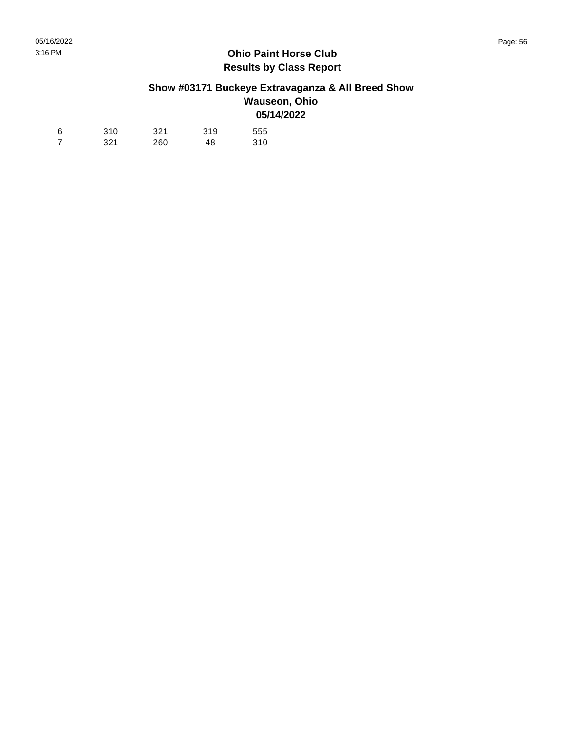### **Show #03171 Buckeye Extravaganza & All Breed Show Wauseon, Ohio 05/14/2022**

| 6 | 310 | 321 | 319 | 555 |
|---|-----|-----|-----|-----|
|   | 321 | 260 | 48  | 310 |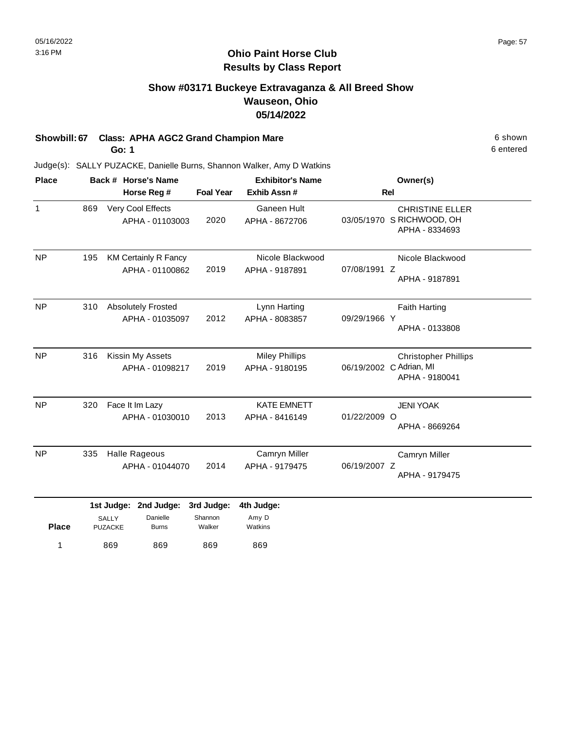## **Show #03171 Buckeye Extravaganza & All Breed Show Wauseon, Ohio 05/14/2022**

## **Showbill: 67 Class: APHA AGC2 Grand Champion Mare 6 Shown** 6 shown

**Go: 1**

869 869

1 869 869 869 869

869

6 entered

| <b>Place</b> | Back # Horse's Name<br>Horse Reg # |                                       |                                                |                                 | <b>Exhibitor's Name</b>                 | Owner(s)<br><b>Rel</b> |                                                                          |  |
|--------------|------------------------------------|---------------------------------------|------------------------------------------------|---------------------------------|-----------------------------------------|------------------------|--------------------------------------------------------------------------|--|
|              |                                    |                                       |                                                | <b>Foal Year</b>                | Exhib Assn #                            |                        |                                                                          |  |
| $\mathbf{1}$ | 869                                |                                       | Very Cool Effects<br>APHA - 01103003           | 2020                            | Ganeen Hult<br>APHA - 8672706           |                        | <b>CHRISTINE ELLER</b><br>03/05/1970 S RICHWOOD, OH<br>APHA - 8334693    |  |
| <b>NP</b>    | 195                                |                                       | <b>KM Certainly R Fancy</b><br>APHA - 01100862 | 2019                            | Nicole Blackwood<br>APHA - 9187891      | 07/08/1991 Z           | Nicole Blackwood<br>APHA - 9187891                                       |  |
| <b>NP</b>    | 310                                |                                       | <b>Absolutely Frosted</b><br>APHA - 01035097   | 2012                            | Lynn Harting<br>APHA - 8083857          | 09/29/1966 Y           | <b>Faith Harting</b><br>APHA - 0133808                                   |  |
| <b>NP</b>    | 316                                |                                       | Kissin My Assets<br>APHA - 01098217            | 2019                            | <b>Miley Phillips</b><br>APHA - 9180195 |                        | <b>Christopher Phillips</b><br>06/19/2002 C Adrian, MI<br>APHA - 9180041 |  |
| <b>NP</b>    | 320                                |                                       | Face It Im Lazy<br>APHA - 01030010             | 2013                            | <b>KATE EMNETT</b><br>APHA - 8416149    | 01/22/2009 O           | <b>JENI YOAK</b><br>APHA - 8669264                                       |  |
| <b>NP</b>    | 335                                |                                       | <b>Halle Rageous</b><br>APHA - 01044070        | 2014                            | Camryn Miller<br>APHA - 9179475         | 06/19/2007 Z           | Camryn Miller<br>APHA - 9179475                                          |  |
| <b>Place</b> |                                    | 1st Judge:<br>SALLY<br><b>PUZACKE</b> | 2nd Judge:<br>Danielle<br><b>Burns</b>         | 3rd Judge:<br>Shannon<br>Walker | 4th Judge:<br>Amy D<br>Watkins          |                        |                                                                          |  |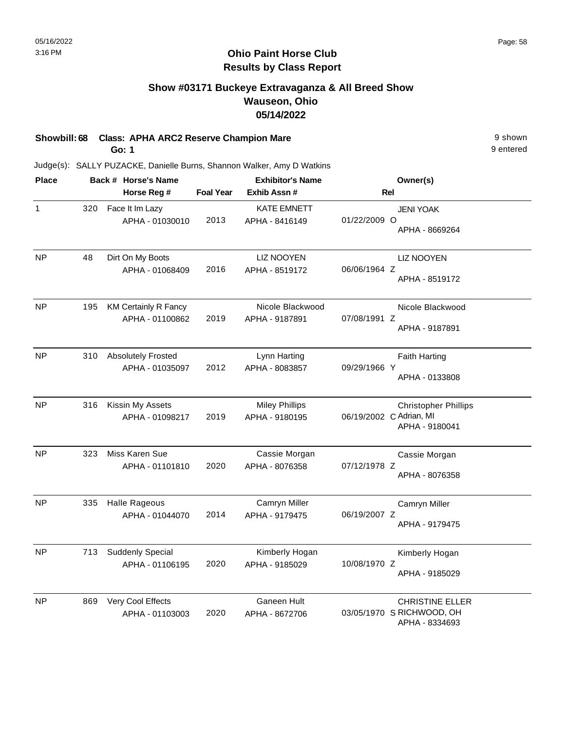## **Show #03171 Buckeye Extravaganza & All Breed Show Wauseon, Ohio 05/14/2022**

|  | Showbill: 68 Class: APHA ARC2 Reserve Champion Mare | 9 shown |
|--|-----------------------------------------------------|---------|
|--|-----------------------------------------------------|---------|

**Go: 1**

9 entered

| <b>Place</b> |     | Back # Horse's Name                            |                  | <b>Exhibitor's Name</b>                 | Owner(s)                                                                 |  |  |
|--------------|-----|------------------------------------------------|------------------|-----------------------------------------|--------------------------------------------------------------------------|--|--|
|              |     | Horse Reg #                                    | <b>Foal Year</b> | Exhib Assn #                            | <b>Rel</b>                                                               |  |  |
| 1            | 320 | Face It Im Lazy<br>APHA - 01030010             | 2013             | <b>KATE EMNETT</b><br>APHA - 8416149    | <b>JENI YOAK</b><br>01/22/2009 O<br>APHA - 8669264                       |  |  |
| <b>NP</b>    | 48  | Dirt On My Boots<br>APHA - 01068409            | 2016             | <b>LIZ NOOYEN</b><br>APHA - 8519172     | <b>LIZ NOOYEN</b><br>06/06/1964 Z<br>APHA - 8519172                      |  |  |
| <b>NP</b>    | 195 | <b>KM Certainly R Fancy</b><br>APHA - 01100862 | 2019             | Nicole Blackwood<br>APHA - 9187891      | Nicole Blackwood<br>07/08/1991 Z<br>APHA - 9187891                       |  |  |
| <b>NP</b>    | 310 | <b>Absolutely Frosted</b><br>APHA - 01035097   | 2012             | Lynn Harting<br>APHA - 8083857          | <b>Faith Harting</b><br>09/29/1966 Y<br>APHA - 0133808                   |  |  |
| <b>NP</b>    | 316 | Kissin My Assets<br>APHA - 01098217            | 2019             | <b>Miley Phillips</b><br>APHA - 9180195 | <b>Christopher Phillips</b><br>06/19/2002 C Adrian, MI<br>APHA - 9180041 |  |  |
| <b>NP</b>    | 323 | Miss Karen Sue<br>APHA - 01101810              | 2020             | Cassie Morgan<br>APHA - 8076358         | Cassie Morgan<br>07/12/1978 Z<br>APHA - 8076358                          |  |  |
| <b>NP</b>    | 335 | <b>Halle Rageous</b><br>APHA - 01044070        | 2014             | Camryn Miller<br>APHA - 9179475         | Camryn Miller<br>06/19/2007 Z<br>APHA - 9179475                          |  |  |
| <b>NP</b>    | 713 | <b>Suddenly Special</b><br>APHA - 01106195     | 2020             | Kimberly Hogan<br>APHA - 9185029        | Kimberly Hogan<br>10/08/1970 Z<br>APHA - 9185029                         |  |  |
| NP           | 869 | Very Cool Effects<br>APHA - 01103003           | 2020             | Ganeen Hult<br>APHA - 8672706           | <b>CHRISTINE ELLER</b><br>03/05/1970 S RICHWOOD, OH<br>APHA - 8334693    |  |  |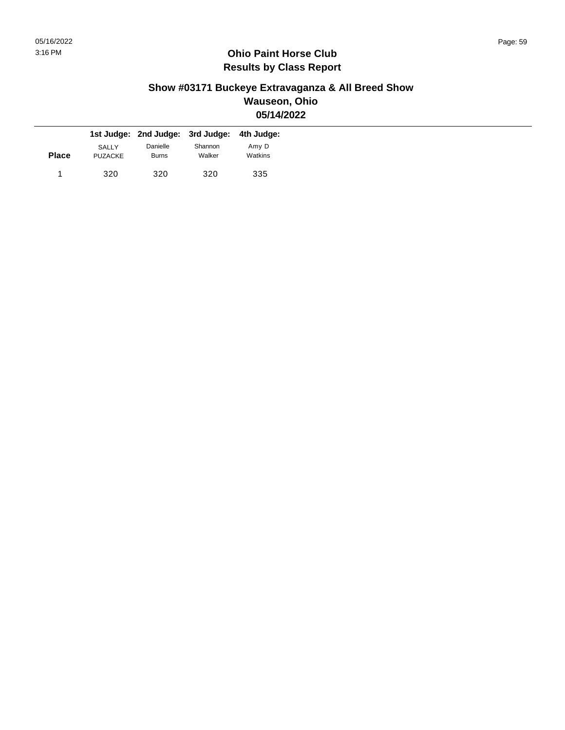### **Show #03171 Buckeye Extravaganza & All Breed Show Wauseon, Ohio 05/14/2022**

|              |                                | 1st Judge: 2nd Judge: 3rd Judge: 4th Judge: |                   |                  |
|--------------|--------------------------------|---------------------------------------------|-------------------|------------------|
| <b>Place</b> | <b>SALLY</b><br><b>PUZACKE</b> | Danielle<br><b>Burns</b>                    | Shannon<br>Walker | Amy D<br>Watkins |
|              | 320                            | 320                                         | 320               | 335              |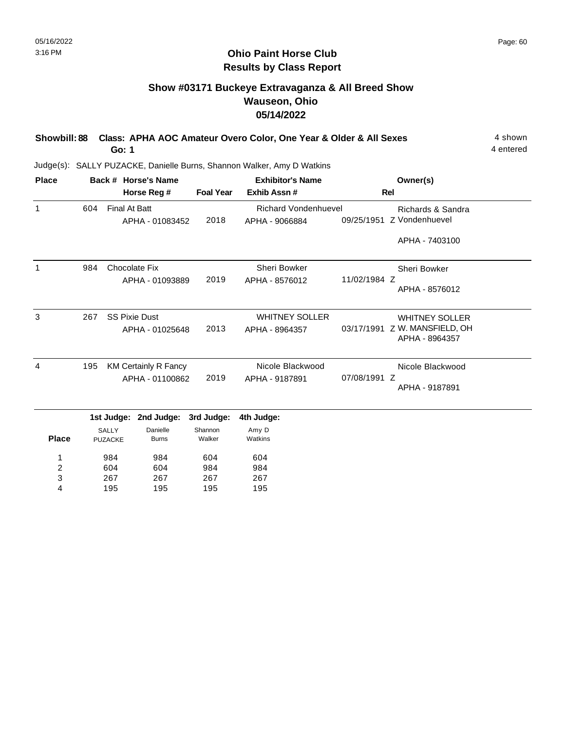## **Show #03171 Buckeye Extravaganza & All Breed Show Wauseon, Ohio 05/14/2022**

| Showbill: 88 Class: APHA AOC Amateur Overo Color, One Year & Older & All Sexes | 4 shown   |
|--------------------------------------------------------------------------------|-----------|
| Go: 1                                                                          | 4 entered |

Judge(s): SALLY PUZACKE, Danielle Burns, Shannon Walker, Amy D Watkins

604 267 195

2 3 4 604 267 195 984 267 195

984 267 195

| <b>Place</b>   | Back # Horse's Name |                                              |                                                |                                 | <b>Exhibitor's Name</b>                       | Owner(s)     |                                                               |
|----------------|---------------------|----------------------------------------------|------------------------------------------------|---------------------------------|-----------------------------------------------|--------------|---------------------------------------------------------------|
|                |                     |                                              | Horse Reg #                                    | <b>Foal Year</b>                | Exhib Assn#                                   |              | <b>Rel</b>                                                    |
| $\mathbf{1}$   | 604                 | <b>Final At Batt</b>                         | APHA - 01083452                                | 2018                            | <b>Richard Vondenhuevel</b><br>APHA - 9066884 | 09/25/1951   | Richards & Sandra<br>Z Vondenhuevel                           |
|                |                     |                                              |                                                |                                 |                                               |              | APHA - 7403100                                                |
| 1              | 984                 |                                              | Chocolate Fix<br>APHA - 01093889               | 2019                            | <b>Sheri Bowker</b><br>APHA - 8576012         | 11/02/1984 Z | Sheri Bowker<br>APHA - 8576012                                |
| 3              | 267                 |                                              | <b>SS Pixie Dust</b><br>APHA - 01025648        | 2013                            | <b>WHITNEY SOLLER</b><br>APHA - 8964357       | 03/17/1991   | <b>WHITNEY SOLLER</b><br>Z W. MANSFIELD, OH<br>APHA - 8964357 |
| $\overline{4}$ | 195                 |                                              | <b>KM Certainly R Fancy</b><br>APHA - 01100862 | 2019                            | Nicole Blackwood<br>APHA - 9187891            | 07/08/1991 Z | Nicole Blackwood<br>APHA - 9187891                            |
| <b>Place</b>   |                     | 1st Judge:<br><b>SALLY</b><br><b>PUZACKE</b> | 2nd Judge:<br>Danielle<br><b>Burns</b>         | 3rd Judge:<br>Shannon<br>Walker | 4th Judge:<br>Amy D<br>Watkins                |              |                                                               |
| 1              |                     | 984                                          | 984                                            | 604                             | 604                                           |              |                                                               |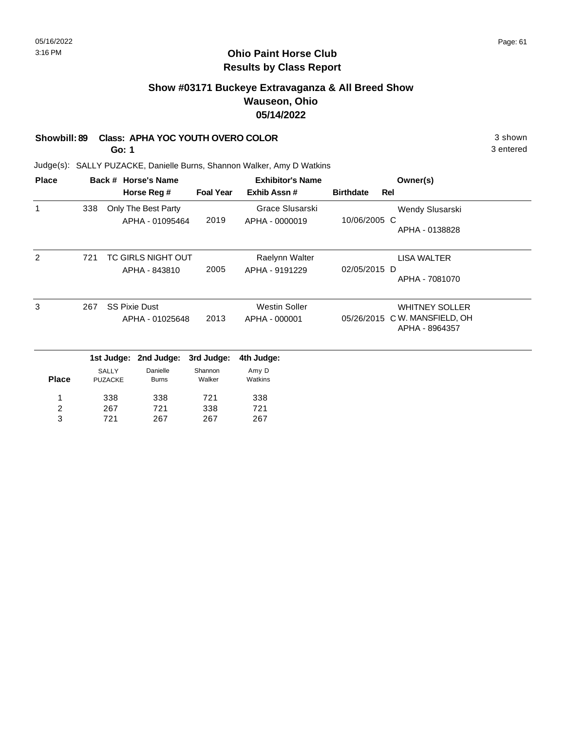#### **Ohio Paint Horse Club Results by Class Report**

## **Show #03171 Buckeye Extravaganza & All Breed Show Wauseon, Ohio 05/14/2022**

#### **Showbill: 89 Class: APHA YOC YOUTH OVERO COLOR** 3 shown

**Go: 1**

| <b>Place</b>   |     |                                | Back # Horse's Name      |                   | <b>Exhibitor's Name</b> | Owner(s)         |                                      |
|----------------|-----|--------------------------------|--------------------------|-------------------|-------------------------|------------------|--------------------------------------|
|                |     |                                | Horse Reg #              | <b>Foal Year</b>  | Exhib Assn #            | <b>Birthdate</b> | Rel                                  |
| 1              | 338 |                                | Only The Best Party      |                   | Grace Slusarski         |                  | Wendy Slusarski                      |
|                |     |                                | APHA - 01095464          | 2019              | APHA - 0000019          | 10/06/2005 C     | APHA - 0138828                       |
| 2              | 721 |                                | TC GIRLS NIGHT OUT       |                   | Raelynn Walter          |                  | LISA WALTER                          |
|                |     |                                | APHA - 843810            | 2005              | APHA - 9191229          | 02/05/2015 D     | APHA - 7081070                       |
| 3              | 267 |                                | <b>SS Pixie Dust</b>     |                   | <b>Westin Soller</b>    |                  | <b>WHITNEY SOLLER</b>                |
|                |     |                                | APHA - 01025648          | 2013              | APHA - 000001           | 05/26/2015       | C W. MANSFIELD, OH<br>APHA - 8964357 |
|                |     | 1st Judge:                     | 2nd Judge:               | 3rd Judge:        | 4th Judge:              |                  |                                      |
| <b>Place</b>   |     | <b>SALLY</b><br><b>PUZACKE</b> | Danielle<br><b>Burns</b> | Shannon<br>Walker | Amy D<br>Watkins        |                  |                                      |
| 1              |     | 338                            | 338                      | 721               | 338                     |                  |                                      |
| $\overline{c}$ |     | 267                            | 721                      | 338               | 721                     |                  |                                      |
| 3              |     | 721                            | 267                      | 267               | 267                     |                  |                                      |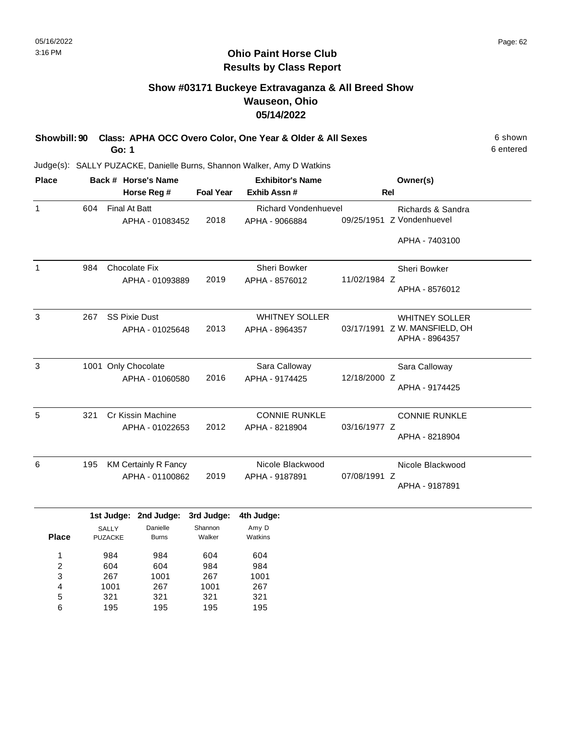## **Show #03171 Buckeye Extravaganza & All Breed Show Wauseon, Ohio 05/14/2022**

| Showbill: 90 Class: APHA OCC Overo Color, One Year & Older & All Sexes | 6 shown   |
|------------------------------------------------------------------------|-----------|
| Go: 1                                                                  | 6 entered |

| <b>Place</b> |     | Back # Horse's Name                            |                  | <b>Exhibitor's Name</b>                 | Owner(s)                                                                 |
|--------------|-----|------------------------------------------------|------------------|-----------------------------------------|--------------------------------------------------------------------------|
|              |     | Horse Reg #                                    | <b>Foal Year</b> | Exhib Assn#                             | Rel                                                                      |
| 1            | 604 | <b>Final At Batt</b>                           | 2018             | <b>Richard Vondenhuevel</b>             | Richards & Sandra<br>Z Vondenhuevel<br>09/25/1951                        |
|              |     | APHA - 01083452                                |                  | APHA - 9066884                          | APHA - 7403100                                                           |
| 1            | 984 | <b>Chocolate Fix</b><br>APHA - 01093889        | 2019             | Sheri Bowker<br>APHA - 8576012          | Sheri Bowker<br>11/02/1984 Z<br>APHA - 8576012                           |
| 3            | 267 | <b>SS Pixie Dust</b><br>APHA - 01025648        | 2013             | <b>WHITNEY SOLLER</b><br>APHA - 8964357 | <b>WHITNEY SOLLER</b><br>03/17/1991 Z W. MANSFIELD, OH<br>APHA - 8964357 |
| 3            |     | 1001 Only Chocolate<br>APHA - 01060580         | 2016             | Sara Calloway<br>APHA - 9174425         | Sara Calloway<br>12/18/2000 Z<br>APHA - 9174425                          |
| 5            | 321 | Cr Kissin Machine<br>APHA - 01022653           | 2012             | <b>CONNIE RUNKLE</b><br>APHA - 8218904  | <b>CONNIE RUNKLE</b><br>03/16/1977 Z<br>APHA - 8218904                   |
| 6            | 195 | <b>KM Certainly R Fancy</b><br>APHA - 01100862 | 2019             | Nicole Blackwood<br>APHA - 9187891      | Nicole Blackwood<br>07/08/1991 Z<br>APHA - 9187891                       |

|       |                | 1st Judge: 2nd Judge: | 3rd Judge: | 4th Judge: |
|-------|----------------|-----------------------|------------|------------|
|       | <b>SALLY</b>   | Danielle              | Shannon    | Amy D      |
| Place | <b>PUZACKE</b> | <b>Burns</b>          | Walker     | Watkins    |
|       |                |                       |            |            |
| 1     | 984            | 984                   | 604        | 604        |
| 2     | 604            | 604                   | 984        | 984        |
| 3     | 267            | 1001                  | 267        | 1001       |
| 4     | 1001           | 267                   | 1001       | 267        |
| 5     | 321            | 321                   | 321        | 321        |
| 6     | 195            | 195                   | 195        | 195        |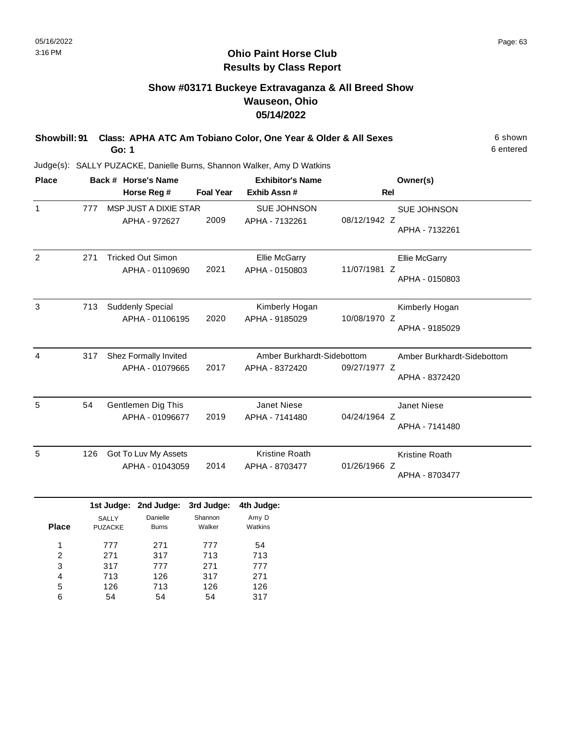## **Show #03171 Buckeye Extravaganza & All Breed Show Wauseon, Ohio 05/14/2022**

| Showbill: 91 Class: APHA ATC Am Tobiano Color, One Year & Older & All Sexes | 6 shown   |
|-----------------------------------------------------------------------------|-----------|
| Go: 1                                                                       | 6 entered |

Judge(s): SALLY PUZACKE, Danielle Burns, Shannon Walker, Amy D Watkins

| <b>Place</b>   |                 | Back # Horse's Name |                          |                  | <b>Exhibitor's Name</b>    |                | Owner(s)                   |  |
|----------------|-----------------|---------------------|--------------------------|------------------|----------------------------|----------------|----------------------------|--|
|                |                 |                     | Horse Reg #              | <b>Foal Year</b> | Exhib Assn #               | <b>Rel</b>     |                            |  |
| $\mathbf{1}$   | 777             |                     | MSP JUST A DIXIE STAR    |                  | <b>SUE JOHNSON</b>         |                | SUE JOHNSON                |  |
|                |                 |                     | APHA - 972627            | 2009             | APHA - 7132261             | 08/12/1942 Z   |                            |  |
|                |                 |                     |                          |                  |                            |                | APHA - 7132261             |  |
| 2              | 271             |                     | <b>Tricked Out Simon</b> |                  | <b>Ellie McGarry</b>       |                | Ellie McGarry              |  |
|                |                 |                     | APHA - 01109690          | 2021             | APHA - 0150803             | 11/07/1981 Z   |                            |  |
|                |                 |                     |                          |                  |                            |                | APHA - 0150803             |  |
| 3              | 713             |                     | <b>Suddenly Special</b>  |                  | Kimberly Hogan             |                | Kimberly Hogan             |  |
|                |                 |                     | APHA - 01106195          | 2020             | APHA - 9185029             | 10/08/1970 Z   |                            |  |
|                |                 |                     |                          |                  |                            |                | APHA - 9185029             |  |
| 4              | 317             |                     | Shez Formally Invited    |                  | Amber Burkhardt-Sidebottom |                | Amber Burkhardt-Sidebottom |  |
|                |                 |                     | APHA - 01079665          | 2017             | APHA - 8372420             | 09/27/1977 Z   |                            |  |
|                |                 |                     |                          |                  |                            |                | APHA - 8372420             |  |
| 5              | 54              | Gentlemen Dig This  |                          |                  | <b>Janet Niese</b>         |                | Janet Niese                |  |
|                | APHA - 01096677 |                     | 2019                     | APHA - 7141480   | 04/24/1964 Z               | APHA - 7141480 |                            |  |
|                |                 |                     |                          |                  |                            |                |                            |  |
| 5              | 126             |                     | Got To Luv My Assets     |                  | <b>Kristine Roath</b>      |                | Kristine Roath             |  |
|                |                 |                     | APHA - 01043059          | 2014             | APHA - 8703477             | 01/26/1966 Z   |                            |  |
|                |                 |                     |                          |                  |                            |                | APHA - 8703477             |  |
|                |                 | 1st Judge:          | 2nd Judge:               | 3rd Judge:       | 4th Judge:                 |                |                            |  |
|                |                 | SALLY               | Danielle                 | Shannon          | Amy D                      |                |                            |  |
| <b>Place</b>   |                 | <b>PUZACKE</b>      | <b>Burns</b>             | Walker           | Watkins                    |                |                            |  |
| 1              |                 | 777                 | 271                      | 777              | 54                         |                |                            |  |
| $\overline{2}$ |                 | 271                 | 317                      | 713              | 713                        |                |                            |  |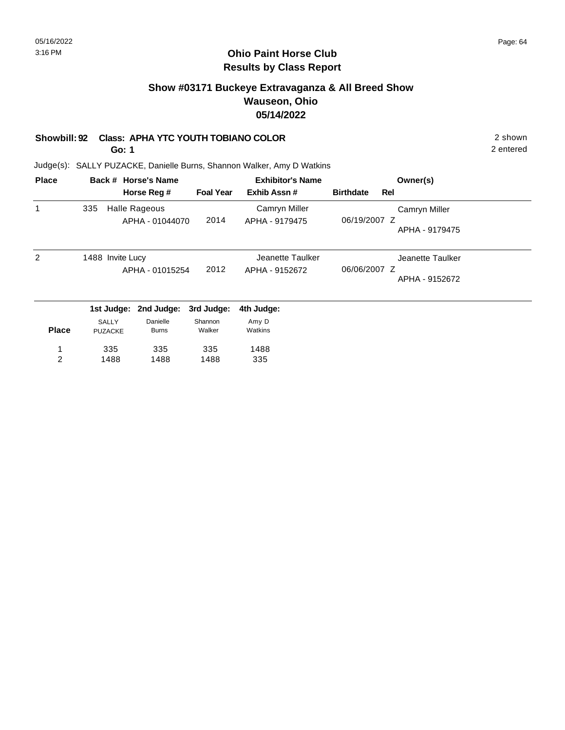#### **Ohio Paint Horse Club Results by Class Report**

## **Show #03171 Buckeye Extravaganza & All Breed Show Wauseon, Ohio 05/14/2022**

#### **Showbill: 92 Class: APHA YTC YOUTH TOBIANO COLOR** 2 shown

1488

1488

**Go: 1**

1488

2

Judge(s): SALLY PUZACKE, Danielle Burns, Shannon Walker, Amy D Watkins

| <b>Place</b> |                                | Back # Horse's Name      |                   | <b>Exhibitor's Name</b> |                  | Owner(s)                       |
|--------------|--------------------------------|--------------------------|-------------------|-------------------------|------------------|--------------------------------|
|              |                                | Horse Reg #              | <b>Foal Year</b>  | Exhib Assn#             | <b>Birthdate</b> | Rel                            |
| 1            | 335                            | <b>Halle Rageous</b>     |                   | Camryn Miller           |                  | Camryn Miller                  |
|              |                                | APHA - 01044070          |                   | 2014<br>APHA - 9179475  |                  | 06/19/2007 Z<br>APHA - 9179475 |
| 2            | 1488 Invite Lucy               |                          |                   | Jeanette Taulker        |                  | Jeanette Taulker               |
|              |                                | APHA - 01015254          | 2012              | APHA - 9152672          | 06/06/2007 Z     | APHA - 9152672                 |
|              | 1st Judge:                     | 2nd Judge:               | 3rd Judge:        | 4th Judge:              |                  |                                |
| <b>Place</b> | <b>SALLY</b><br><b>PUZACKE</b> | Danielle<br><b>Burns</b> | Shannon<br>Walker | Amy D<br>Watkins        |                  |                                |
|              | 335                            | 335                      | 335               | 1488                    |                  |                                |

335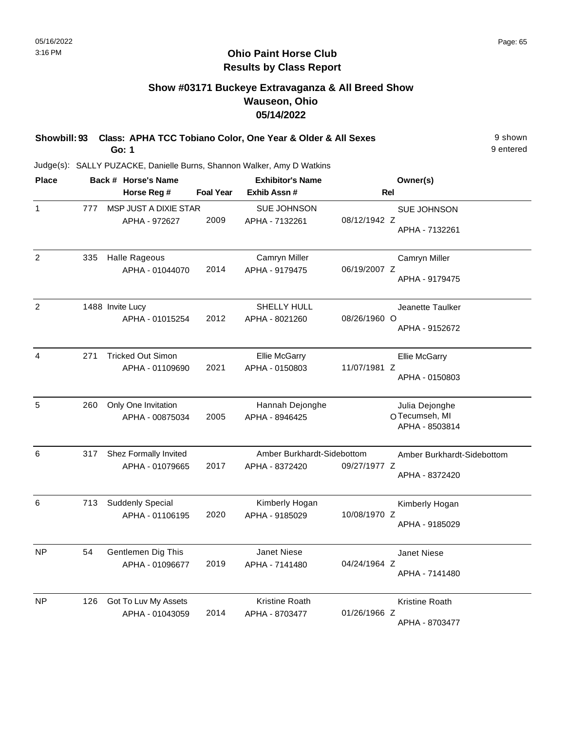## **Show #03171 Buckeye Extravaganza & All Breed Show Wauseon, Ohio 05/14/2022**

| Showbill: 93 Class: APHA TCC Tobiano Color, One Year & Older & All Sexes | 9 shown   |
|--------------------------------------------------------------------------|-----------|
| Go: 1                                                                    | 9 entered |

| <b>Place</b>   |     | Back # Horse's Name      | <b>Exhibitor's Name</b> |                            | Owner(s)     |                                 |
|----------------|-----|--------------------------|-------------------------|----------------------------|--------------|---------------------------------|
|                |     | Horse Reg #              | <b>Foal Year</b>        | Exhib Assn #               | Rel          |                                 |
| 1              | 777 | MSP JUST A DIXIE STAR    |                         | <b>SUE JOHNSON</b>         |              | SUE JOHNSON                     |
|                |     | APHA - 972627            | 2009                    | APHA - 7132261             | 08/12/1942 Z | APHA - 7132261                  |
| $\overline{2}$ | 335 | <b>Halle Rageous</b>     |                         | Camryn Miller              |              | Camryn Miller                   |
|                |     | APHA - 01044070          | 2014                    | APHA - 9179475             | 06/19/2007 Z | APHA - 9179475                  |
| $\overline{2}$ |     | 1488 Invite Lucy         |                         | SHELLY HULL                |              | Jeanette Taulker                |
|                |     | APHA - 01015254          | 2012                    | APHA - 8021260             | 08/26/1960 O | APHA - 9152672                  |
| 4              | 271 | <b>Tricked Out Simon</b> |                         | <b>Ellie McGarry</b>       |              | Ellie McGarry                   |
|                |     | APHA - 01109690          | 2021                    | APHA - 0150803             | 11/07/1981 Z | APHA - 0150803                  |
| 5              | 260 | Only One Invitation      |                         | Hannah Dejonghe            |              | Julia Dejonghe                  |
|                |     | APHA - 00875034          | 2005                    | APHA - 8946425             |              | OTecumseh, MI<br>APHA - 8503814 |
| 6              | 317 | Shez Formally Invited    |                         | Amber Burkhardt-Sidebottom |              | Amber Burkhardt-Sidebottom      |
|                |     | APHA - 01079665          | 2017                    | APHA - 8372420             | 09/27/1977 Z | APHA - 8372420                  |
| 6              | 713 | <b>Suddenly Special</b>  |                         | Kimberly Hogan             |              | Kimberly Hogan                  |
|                |     | APHA - 01106195          | 2020                    | APHA - 9185029             | 10/08/1970 Z | APHA - 9185029                  |
| NP             | 54  | Gentlemen Dig This       |                         | <b>Janet Niese</b>         |              | <b>Janet Niese</b>              |
|                |     | APHA - 01096677          | 2019                    | APHA - 7141480             | 04/24/1964 Z | APHA - 7141480                  |
| <b>NP</b>      | 126 | Got To Luv My Assets     |                         | Kristine Roath             |              | Kristine Roath                  |
|                |     | APHA - 01043059          | 2014                    | APHA - 8703477             | 01/26/1966 Z | APHA - 8703477                  |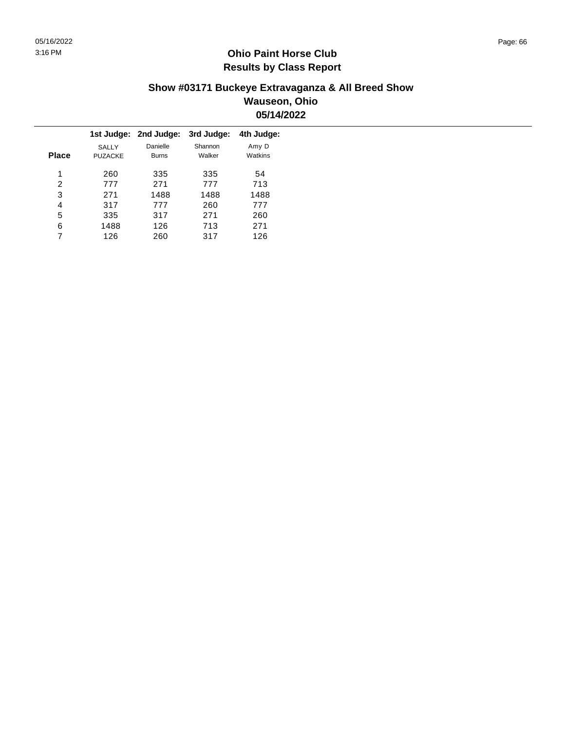### **Show #03171 Buckeye Extravaganza & All Breed Show Wauseon, Ohio 05/14/2022**

|              |                                | 1st Judge: 2nd Judge:    | 3rd Judge:        | 4th Judge:       |
|--------------|--------------------------------|--------------------------|-------------------|------------------|
| <b>Place</b> | <b>SALLY</b><br><b>PUZACKE</b> | Danielle<br><b>Burns</b> | Shannon<br>Walker | Amy D<br>Watkins |
| 1            | 260                            | 335                      | 335               | 54               |
| 2            | 777                            | 271                      | 777               | 713              |
| 3            | 271                            | 1488                     | 1488              | 1488             |
| 4            | 317                            | 777                      | 260               | 777              |
| 5            | 335                            | 317                      | 271               | 260              |
| 6            | 1488                           | 126                      | 713               | 271              |
|              | 126                            | 260                      | 317               | 126              |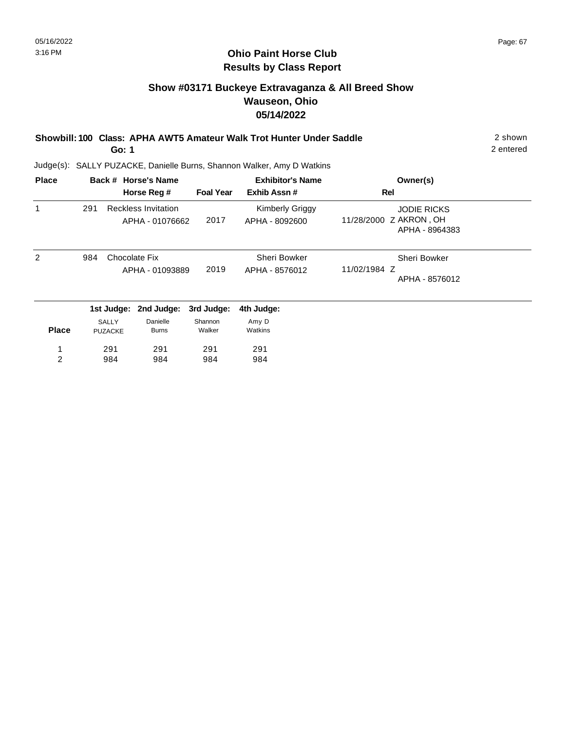## **Show #03171 Buckeye Extravaganza & All Breed Show Wauseon, Ohio 05/14/2022**

**Showbill: 100 Class: APHA AWT5 Amateur Walk Trot Hunter Under Saddle** 2 shown

**Go: 1**

2 entered

| <b>Place</b> |     |                | Back # Horse's Name                           | <b>Exhibitor's Name</b> |                                          | Owner(s)                                     |  |
|--------------|-----|----------------|-----------------------------------------------|-------------------------|------------------------------------------|----------------------------------------------|--|
|              |     |                | Horse Reg #                                   | <b>Foal Year</b>        | Exhib Assn#                              | Rel                                          |  |
| 1            | 291 |                | <b>Reckless Invitation</b><br>APHA - 01076662 | 2017                    | <b>Kimberly Griggy</b><br>APHA - 8092600 | <b>JODIE RICKS</b><br>11/28/2000 Z AKRON, OH |  |
|              |     |                |                                               |                         |                                          | APHA - 8964383                               |  |
| 2            | 984 |                | Chocolate Fix                                 |                         | Sheri Bowker                             | Sheri Bowker                                 |  |
|              |     |                | APHA - 01093889                               | 2019                    | APHA - 8576012                           | 11/02/1984 Z                                 |  |
|              |     |                |                                               |                         |                                          | APHA - 8576012                               |  |
|              |     | 1st Judge:     | 2nd Judge:                                    | 3rd Judge:              | 4th Judge:                               |                                              |  |
|              |     | <b>SALLY</b>   | Danielle                                      | Shannon                 | Amy D                                    |                                              |  |
| <b>Place</b> |     | <b>PUZACKE</b> | <b>Burns</b>                                  | Walker                  | Watkins                                  |                                              |  |
| 1            |     | 291            | 291                                           | 291                     | 291                                      |                                              |  |
| 2            |     | 984            | 984                                           | 984                     | 984                                      |                                              |  |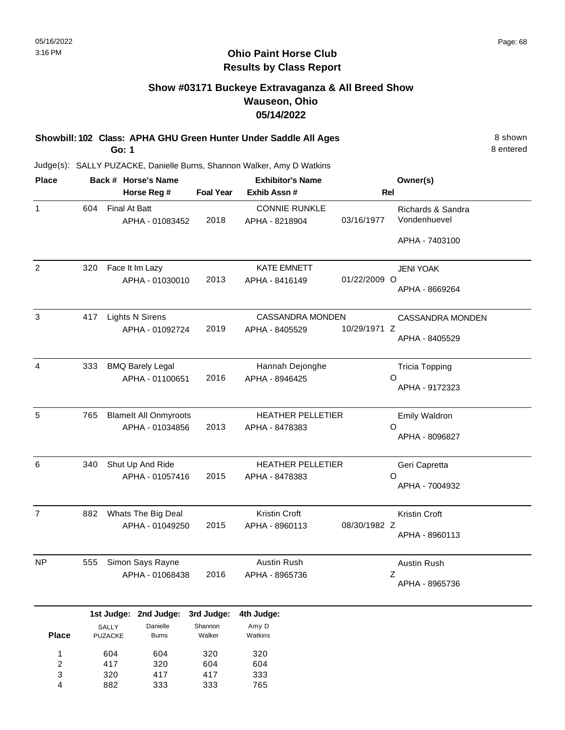#### **Ohio Paint Horse Club Results by Class Report**

## **Show #03171 Buckeye Extravaganza & All Breed Show Wauseon, Ohio 05/14/2022**

**Showbill: 102 Class: APHA GHU Green Hunter Under Saddle All Ages** 8 Shown **Go: 1**

| <b>Place</b>            |     | Back # Horse's Name              |                  | <b>Exhibitor's Name</b>                |              | Owner(s)                          |
|-------------------------|-----|----------------------------------|------------------|----------------------------------------|--------------|-----------------------------------|
|                         |     | Horse Reg #                      | <b>Foal Year</b> | Exhib Assn #                           |              | Rel                               |
| $\mathbf{1}$            | 604 | Final At Batt<br>APHA - 01083452 | 2018             | <b>CONNIE RUNKLE</b><br>APHA - 8218904 | 03/16/1977   | Richards & Sandra<br>Vondenhuevel |
|                         |     |                                  |                  |                                        |              | APHA - 7403100                    |
| $\overline{2}$          | 320 | Face It Im Lazy                  |                  | <b>KATE EMNETT</b>                     |              | JENI YOAK                         |
|                         |     | APHA - 01030010                  | 2013             | APHA - 8416149                         | 01/22/2009 O | APHA - 8669264                    |
| $\mathbf{3}$            | 417 | <b>Lights N Sirens</b>           |                  | <b>CASSANDRA MONDEN</b>                |              | <b>CASSANDRA MONDEN</b>           |
|                         |     | APHA - 01092724                  | 2019             | APHA - 8405529                         | 10/29/1971 Z | APHA - 8405529                    |
| $\overline{\mathbf{4}}$ | 333 | <b>BMQ Barely Legal</b>          |                  | Hannah Dejonghe                        |              | <b>Tricia Topping</b>             |
|                         |     | APHA - 01100651                  | 2016             | APHA - 8946425                         |              | O<br>APHA - 9172323               |
| 5                       | 765 | <b>Blamelt All Onmyroots</b>     |                  | <b>HEATHER PELLETIER</b>               |              | <b>Emily Waldron</b>              |
|                         |     | APHA - 01034856                  | 2013             | APHA - 8478383                         |              | O<br>APHA - 8096827               |
| 6                       | 340 | Shut Up And Ride                 |                  | <b>HEATHER PELLETIER</b>               |              | Geri Capretta                     |
|                         |     | APHA - 01057416                  | 2015             | APHA - 8478383                         |              | O<br>APHA - 7004932               |
| $\overline{7}$          | 882 | Whats The Big Deal               |                  | Kristin Croft                          |              | <b>Kristin Croft</b>              |
|                         |     | APHA - 01049250                  | 2015             | APHA - 8960113                         | 08/30/1982 Z | APHA - 8960113                    |
| <b>NP</b>               | 555 | Simon Says Rayne                 |                  | Austin Rush                            |              | Austin Rush                       |
|                         |     | APHA - 01068438                  | 2016             | APHA - 8965736                         |              | Ζ<br>APHA - 8965736               |
|                         |     | 1st Judge: 2nd Judge:            | 3rd Judge:       | 4th Judge:                             |              |                                   |
|                         |     | <b>SALLY</b><br>Danielle         | Shannon          | Amy D                                  |              |                                   |

| <b>Place</b> | ا LLL ا<br><b>PUZACKE</b> | panono<br><b>Burns</b> | י ישו יישו יש<br>Walker | $\cdots$<br>Watkins |
|--------------|---------------------------|------------------------|-------------------------|---------------------|
| 1            | 604                       | 604                    | 320                     | 320                 |
| 2            | 417                       | 320                    | 604                     | 604                 |
| 3            | 320                       | 417                    | 417                     | 333                 |
| 4            | 882                       | 333                    | 333                     | 765                 |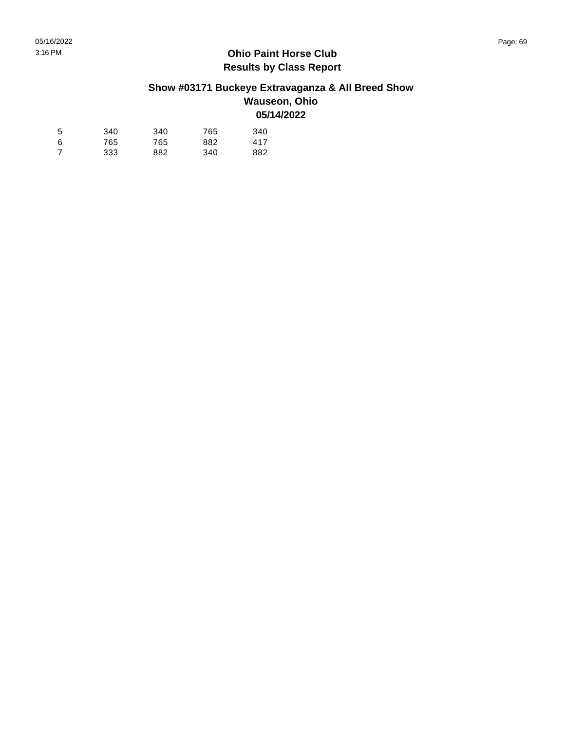# **Show #03171 Buckeye Extravaganza & All Breed Show**

#### **Wauseon, Ohio 05/14/2022**

| 5 | 340 | 340 | 765 | 340 |
|---|-----|-----|-----|-----|
| 6 | 765 | 765 | 882 | 417 |
| 7 | 333 | 882 | 340 | 882 |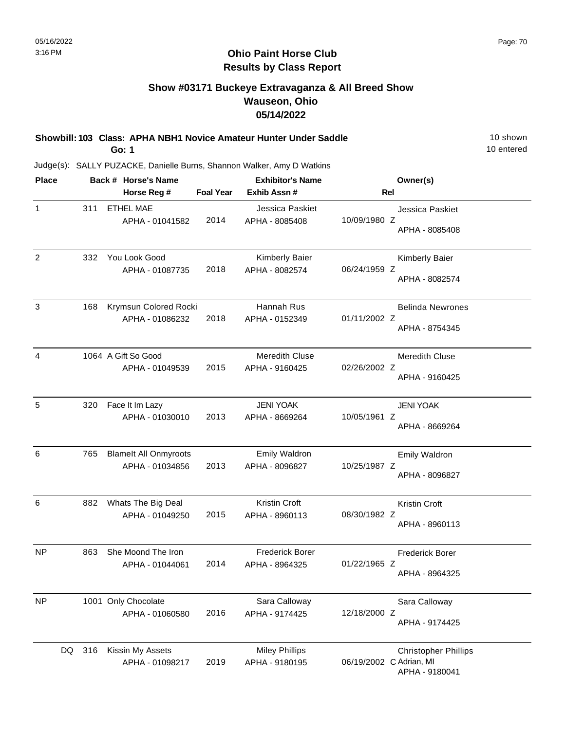#### **Ohio Paint Horse Club Results by Class Report**

## **Show #03171 Buckeye Extravaganza & All Breed Show Wauseon, Ohio 05/14/2022**

**Showbill: 103 Class: APHA NBH1 Novice Amateur Hunter Under Saddle** 10 Shown **Go: 1**

| <b>Place</b>   |           | Back # Horse's Name                             |                  | <b>Exhibitor's Name</b>                  | Owner(s)                                                                 |
|----------------|-----------|-------------------------------------------------|------------------|------------------------------------------|--------------------------------------------------------------------------|
|                |           | Horse Reg #                                     | <b>Foal Year</b> | Exhib Assn#                              | Rel                                                                      |
| $\mathbf{1}$   | 311       | <b>ETHEL MAE</b><br>APHA - 01041582             | 2014             | Jessica Paskiet<br>APHA - 8085408        | Jessica Paskiet<br>10/09/1980 Z<br>APHA - 8085408                        |
| $\overline{2}$ | 332       | You Look Good<br>APHA - 01087735                | 2018             | Kimberly Baier<br>APHA - 8082574         | Kimberly Baier<br>06/24/1959 Z<br>APHA - 8082574                         |
| 3              | 168       | Krymsun Colored Rocki<br>APHA - 01086232        | 2018             | Hannah Rus<br>APHA - 0152349             | <b>Belinda Newrones</b><br>01/11/2002 Z<br>APHA - 8754345                |
| 4              |           | 1064 A Gift So Good<br>APHA - 01049539          | 2015             | Meredith Cluse<br>APHA - 9160425         | <b>Meredith Cluse</b><br>02/26/2002 Z<br>APHA - 9160425                  |
| 5              | 320       | Face It Im Lazy<br>APHA - 01030010              | 2013             | <b>JENI YOAK</b><br>APHA - 8669264       | <b>JENI YOAK</b><br>10/05/1961 Z<br>APHA - 8669264                       |
| 6              | 765       | <b>Blamelt All Onmyroots</b><br>APHA - 01034856 | 2013             | Emily Waldron<br>APHA - 8096827          | Emily Waldron<br>10/25/1987 Z<br>APHA - 8096827                          |
| 6              | 882       | Whats The Big Deal<br>APHA - 01049250           | 2015             | Kristin Croft<br>APHA - 8960113          | Kristin Croft<br>08/30/1982 Z<br>APHA - 8960113                          |
| <b>NP</b>      | 863       | She Moond The Iron<br>APHA - 01044061           | 2014             | <b>Frederick Borer</b><br>APHA - 8964325 | <b>Frederick Borer</b><br>01/22/1965 Z<br>APHA - 8964325                 |
| <b>NP</b>      |           | 1001 Only Chocolate<br>APHA - 01060580          | 2016             | Sara Calloway<br>APHA - 9174425          | Sara Calloway<br>12/18/2000 Z<br>APHA - 9174425                          |
|                | DQ<br>316 | Kissin My Assets<br>APHA - 01098217             | 2019             | <b>Miley Phillips</b><br>APHA - 9180195  | <b>Christopher Phillips</b><br>06/19/2002 C Adrian, MI<br>APHA - 9180041 |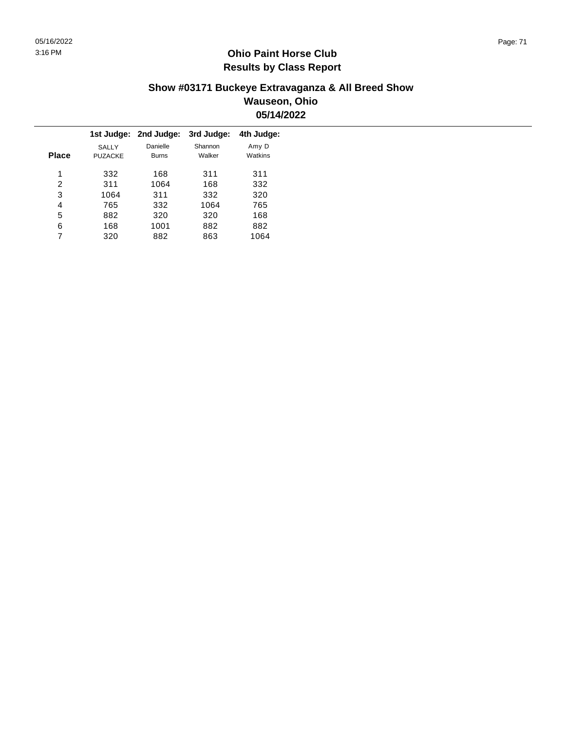### **Show #03171 Buckeye Extravaganza & All Breed Show Wauseon, Ohio 05/14/2022**

|                                |                          | 3rd Judge:            | 4th Judge:       |
|--------------------------------|--------------------------|-----------------------|------------------|
| <b>SALLY</b><br><b>PUZACKE</b> | Danielle<br><b>Burns</b> | Shannon<br>Walker     | Amy D<br>Watkins |
| 332                            | 168                      | 311                   | 311              |
| 311                            | 1064                     | 168                   | 332              |
| 1064                           | 311                      | 332                   | 320              |
| 765                            | 332                      | 1064                  | 765              |
| 882                            | 320                      | 320                   | 168              |
| 168                            | 1001                     | 882                   | 882              |
| 320                            | 882                      | 863                   | 1064             |
|                                |                          | 1st Judge: 2nd Judge: |                  |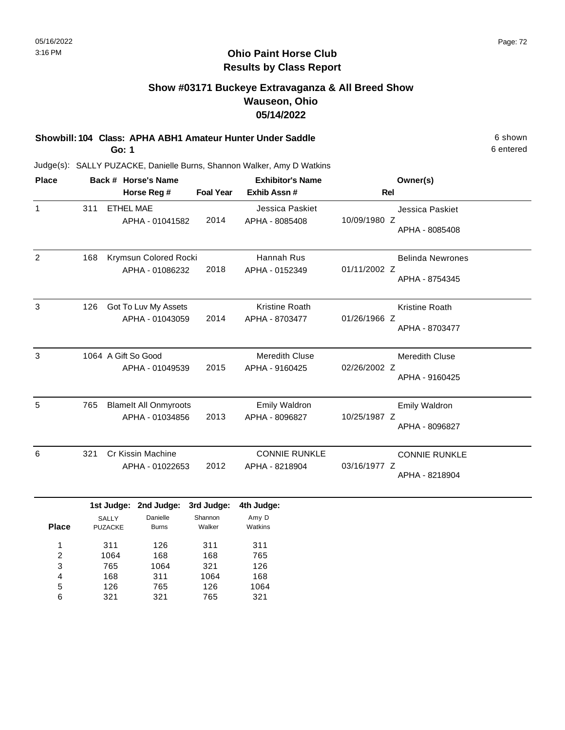## **Show #03171 Buckeye Extravaganza & All Breed Show Wauseon, Ohio 05/14/2022**

**Showbill: 104 Class: APHA ABH1 Amateur Hunter Under Saddle** 6 shown

**Go: 1**

Judge(s): SALLY PUZACKE, Danielle Burns, Shannon Walker, Amy D Watkins

| 311<br>168 | Horse Reg #<br><b>ETHEL MAE</b><br>APHA - 01041582<br>Krymsun Colored Rocki<br>APHA - 01086232 | <b>Foal Year</b><br>2014 | Exhib Assn#<br>Jessica Paskiet<br>APHA - 8085408<br>Hannah Rus | <b>Rel</b><br>Jessica Paskiet<br>10/09/1980 Z<br>APHA - 8085408 |
|------------|------------------------------------------------------------------------------------------------|--------------------------|----------------------------------------------------------------|-----------------------------------------------------------------|
|            |                                                                                                |                          |                                                                |                                                                 |
|            |                                                                                                |                          |                                                                |                                                                 |
|            |                                                                                                | 2018                     | APHA - 0152349                                                 | <b>Belinda Newrones</b><br>01/11/2002 Z<br>APHA - 8754345       |
| 126        | Got To Luv My Assets<br>APHA - 01043059                                                        | 2014                     | <b>Kristine Roath</b><br>APHA - 8703477                        | <b>Kristine Roath</b><br>01/26/1966 Z<br>APHA - 8703477         |
|            | APHA - 01049539                                                                                | 2015                     | <b>Meredith Cluse</b><br>APHA - 9160425                        | <b>Meredith Cluse</b><br>02/26/2002 Z<br>APHA - 9160425         |
| 765        | <b>Blamelt All Onmyroots</b><br>APHA - 01034856                                                | 2013                     | <b>Emily Waldron</b><br>APHA - 8096827                         | <b>Emily Waldron</b><br>10/25/1987 Z<br>APHA - 8096827          |
| 321        | Cr Kissin Machine<br>APHA - 01022653                                                           | 2012                     | <b>CONNIE RUNKLE</b><br>APHA - 8218904                         | <b>CONNIE RUNKLE</b><br>03/16/1977 Z<br>APHA - 8218904          |
|            |                                                                                                | 1064 A Gift So Good      | 1st Judge: 2nd Judge: 3rd Judge:                               | 4th Judge:                                                      |

|              | .                              | - - - - - - - - -        | .                 |                  |
|--------------|--------------------------------|--------------------------|-------------------|------------------|
| <b>Place</b> | <b>SALLY</b><br><b>PUZACKE</b> | Danielle<br><b>Burns</b> | Shannon<br>Walker | Amy D<br>Watkins |
| 1            | 311                            | 126                      | 311               | 311              |
| 2            | 1064                           | 168                      | 168               | 765              |
| 3            | 765                            | 1064                     | 321               | 126              |
| 4            | 168                            | 311                      | 1064              | 168              |
| 5            | 126                            | 765                      | 126               | 1064             |
| 6            | 321                            | 321                      | 765               | 321              |

6 entered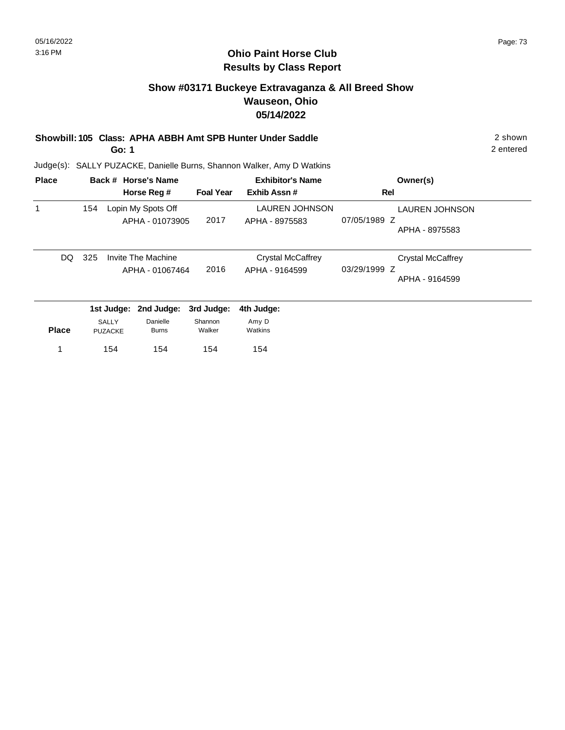## **Show #03171 Buckeye Extravaganza & All Breed Show Wauseon, Ohio 05/14/2022**

## **Showbill: 105 Class: APHA ABBH Amt SPB Hunter Under Saddle** 2 shown

**Go: 1**

2 entered

| <b>Place</b> |     |                                | Back # Horse's Name                   |                   | <b>Exhibitor's Name</b>                    | Owner(s)                                                   |  |
|--------------|-----|--------------------------------|---------------------------------------|-------------------|--------------------------------------------|------------------------------------------------------------|--|
|              |     |                                | Horse Reg #                           | <b>Foal Year</b>  | Exhib Assn#                                | Rel                                                        |  |
| 1            | 154 |                                | Lopin My Spots Off<br>APHA - 01073905 | 2017              | <b>LAUREN JOHNSON</b><br>APHA - 8975583    | <b>LAUREN JOHNSON</b><br>07/05/1989 Z<br>APHA - 8975583    |  |
| DQ.          | 325 |                                | Invite The Machine<br>APHA - 01067464 | 2016              | <b>Crystal McCaffrey</b><br>APHA - 9164599 | <b>Crystal McCaffrey</b><br>03/29/1999 Z<br>APHA - 9164599 |  |
|              |     | 1st Judge:                     | 2nd Judge:                            | 3rd Judge:        | 4th Judge:                                 |                                                            |  |
| <b>Place</b> |     | <b>SALLY</b><br><b>PUZACKE</b> | Danielle<br><b>Burns</b>              | Shannon<br>Walker | Amy D<br>Watkins                           |                                                            |  |
|              |     | 154                            | 154                                   | 154               | 154                                        |                                                            |  |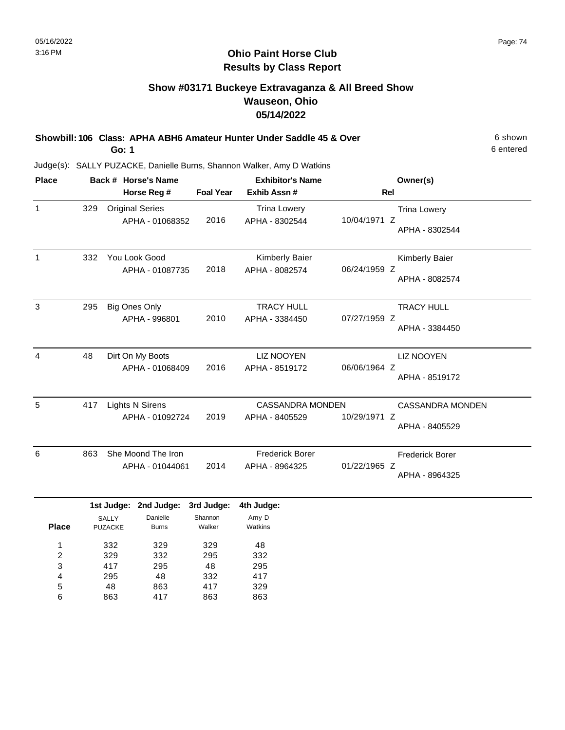## **Show #03171 Buckeye Extravaganza & All Breed Show Wauseon, Ohio 05/14/2022**

**Showbill: 106 Class: APHA ABH6 Amateur Hunter Under Saddle 45 & Over** 6 Shown 6 shown **Go: 1**

6 entered

Judge(s): SALLY PUZACKE, Danielle Burns, Shannon Walker, Amy D Watkins

48 863

5 6

863 417

417 863 329 863

| <b>Place</b>                           |     |                                | Back # Horse's Name                       |                         | <b>Exhibitor's Name</b>                   |              | Owner(s)                                  |
|----------------------------------------|-----|--------------------------------|-------------------------------------------|-------------------------|-------------------------------------------|--------------|-------------------------------------------|
|                                        |     |                                | Horse Reg #                               | <b>Foal Year</b>        | Exhib Assn #                              | <b>Rel</b>   |                                           |
| $\mathbf{1}$                           | 329 |                                | <b>Original Series</b><br>APHA - 01068352 | 2016                    | <b>Trina Lowery</b><br>APHA - 8302544     | 10/04/1971 Z | <b>Trina Lowery</b><br>APHA - 8302544     |
| $\mathbf{1}$                           | 332 |                                | You Look Good<br>APHA - 01087735          | 2018                    | Kimberly Baier<br>APHA - 8082574          | 06/24/1959 Z | Kimberly Baier<br>APHA - 8082574          |
| 3                                      | 295 |                                | <b>Big Ones Only</b><br>APHA - 996801     | 2010                    | <b>TRACY HULL</b><br>APHA - 3384450       | 07/27/1959 Z | <b>TRACY HULL</b><br>APHA - 3384450       |
| 4                                      | 48  |                                | Dirt On My Boots<br>APHA - 01068409       | 2016                    | <b>LIZ NOOYEN</b><br>APHA - 8519172       | 06/06/1964 Z | <b>LIZ NOOYEN</b><br>APHA - 8519172       |
| 5                                      | 417 |                                | <b>Lights N Sirens</b><br>APHA - 01092724 | 2019                    | <b>CASSANDRA MONDEN</b><br>APHA - 8405529 | 10/29/1971 Z | <b>CASSANDRA MONDEN</b><br>APHA - 8405529 |
| 6                                      | 863 |                                | She Moond The Iron<br>APHA - 01044061     | 2014                    | <b>Frederick Borer</b><br>APHA - 8964325  | 01/22/1965 Z | <b>Frederick Borer</b><br>APHA - 8964325  |
|                                        |     |                                | 1st Judge: 2nd Judge:                     | 3rd Judge:              | 4th Judge:                                |              |                                           |
| <b>Place</b>                           |     | <b>SALLY</b><br><b>PUZACKE</b> | Danielle<br><b>Burns</b>                  | Shannon<br>Walker       | Amy D<br>Watkins                          |              |                                           |
| 1<br>$\overline{\mathbf{c}}$<br>3<br>4 |     | 332<br>329<br>417<br>295       | 329<br>332<br>295<br>48                   | 329<br>295<br>48<br>332 | 48<br>332<br>295<br>417                   |              |                                           |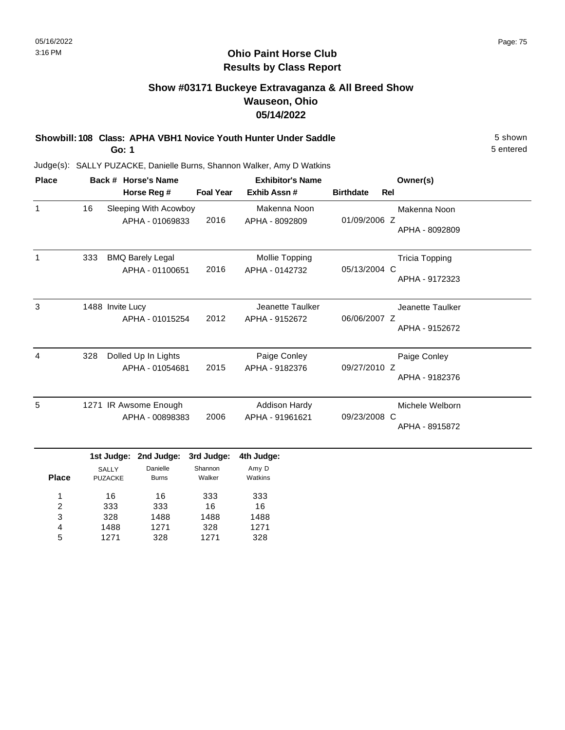## **Show #03171 Buckeye Extravaganza & All Breed Show Wauseon, Ohio 05/14/2022**

**Showbill: 108 Class: APHA VBH1 Novice Youth Hunter Under Saddle** 5 shown

**Go: 1**

5 entered

| <b>Place</b> |     |                                              | Back # Horse's Name                        |                                 | <b>Exhibitor's Name</b>                 |                  |     | Owner(s)                                |
|--------------|-----|----------------------------------------------|--------------------------------------------|---------------------------------|-----------------------------------------|------------------|-----|-----------------------------------------|
|              |     |                                              | Horse Reg #                                | <b>Foal Year</b>                | Exhib Assn#                             | <b>Birthdate</b> | Rel |                                         |
| $\mathbf 1$  | 16  |                                              | Sleeping With Acowboy<br>APHA - 01069833   | 2016                            | Makenna Noon<br>APHA - 8092809          | 01/09/2006 Z     |     | Makenna Noon<br>APHA - 8092809          |
| $\mathbf{1}$ | 333 |                                              | <b>BMQ Barely Legal</b><br>APHA - 01100651 | 2016                            | Mollie Topping<br>APHA - 0142732        | 05/13/2004 C     |     | <b>Tricia Topping</b><br>APHA - 9172323 |
| 3            |     | 1488 Invite Lucy                             | APHA - 01015254                            | 2012                            | Jeanette Taulker<br>APHA - 9152672      | 06/06/2007 Z     |     | Jeanette Taulker<br>APHA - 9152672      |
| 4            | 328 |                                              | Dolled Up In Lights<br>APHA - 01054681     | 2015                            | Paige Conley<br>APHA - 9182376          | 09/27/2010 Z     |     | Paige Conley<br>APHA - 9182376          |
| 5            |     |                                              | 1271 IR Awsome Enough<br>APHA - 00898383   | 2006                            | <b>Addison Hardy</b><br>APHA - 91961621 | 09/23/2008 C     |     | Michele Welborn<br>APHA - 8915872       |
| <b>Place</b> |     | 1st Judge:<br><b>SALLY</b><br><b>PUZACKE</b> | 2nd Judge:<br>Danielle<br><b>Burns</b>     | 3rd Judge:<br>Shannon<br>Walker | 4th Judge:<br>Amy D<br>Watkins          |                  |     |                                         |
| 1            |     | 16                                           | 16                                         | 333                             | 333                                     |                  |     |                                         |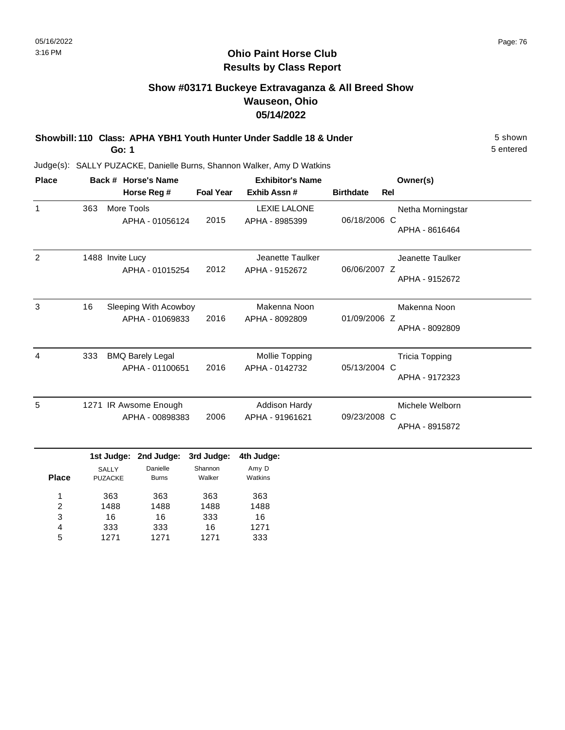# **Show #03171 Buckeye Extravaganza & All Breed Show Wauseon, Ohio 05/14/2022**

**Showbill: 110 Class: APHA YBH1 Youth Hunter Under Saddle 18 & Under** 5 Shown 5 shown **Go: 1**

5 entered

| <b>Place</b>      |                                |                   | Back # Horse's Name                           |                                        | <b>Exhibitor's Name</b>                 | Owner(s)         |                                         |  |
|-------------------|--------------------------------|-------------------|-----------------------------------------------|----------------------------------------|-----------------------------------------|------------------|-----------------------------------------|--|
|                   |                                |                   | Horse Reg #                                   | <b>Foal Year</b>                       | Exhib Assn #                            | <b>Birthdate</b> | <b>Rel</b>                              |  |
| $\mathbf{1}$      | 363                            | More Tools        | APHA - 01056124                               | 2015                                   | <b>LEXIE LALONE</b><br>APHA - 8985399   | 06/18/2006 C     | Netha Morningstar<br>APHA - 8616464     |  |
| $\overline{2}$    | 1488 Invite Lucy               |                   | APHA - 01015254                               | 2012                                   | Jeanette Taulker<br>APHA - 9152672      | 06/06/2007 Z     | Jeanette Taulker<br>APHA - 9152672      |  |
| 3                 | 16                             |                   | Sleeping With Acowboy<br>APHA - 01069833      | 2016                                   | Makenna Noon<br>APHA - 8092809          | 01/09/2006 Z     | Makenna Noon<br>APHA - 8092809          |  |
| 4                 | 333                            |                   | <b>BMQ Barely Legal</b><br>APHA - 01100651    | 2016                                   | Mollie Topping<br>APHA - 0142732        | 05/13/2004 C     | <b>Tricia Topping</b><br>APHA - 9172323 |  |
| 5                 |                                |                   | 1271 IR Awsome Enough<br>APHA - 00898383      | 2006                                   | <b>Addison Hardy</b><br>APHA - 91961621 | 09/23/2008 C     | Michele Welborn<br>APHA - 8915872       |  |
| <b>Place</b><br>1 | <b>SALLY</b><br><b>PUZACKE</b> | 1st Judge:<br>363 | 2nd Judge:<br>Danielle<br><b>Burns</b><br>363 | 3rd Judge:<br>Shannon<br>Walker<br>363 | 4th Judge:<br>Amy D<br>Watkins<br>363   |                  |                                         |  |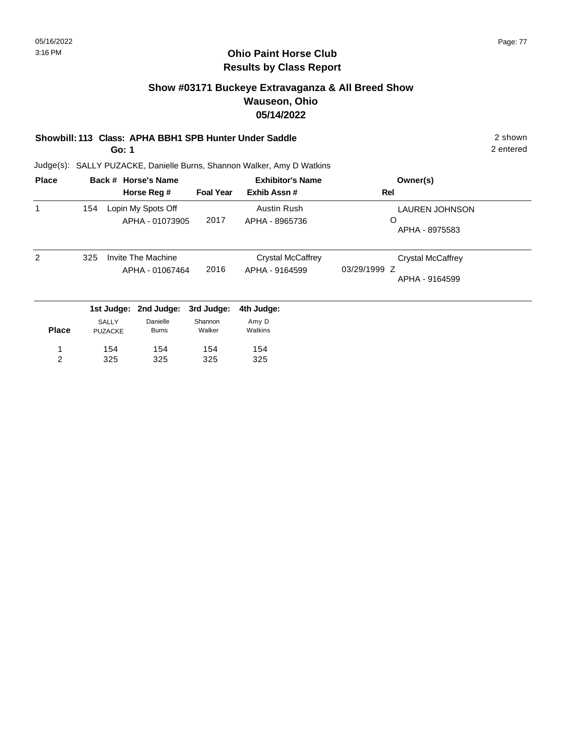2 entered

#### **Ohio Paint Horse Club Results by Class Report**

## **Show #03171 Buckeye Extravaganza & All Breed Show Wauseon, Ohio 05/14/2022**

#### **Showbill: 113 Class: APHA BBH1 SPB Hunter Under Saddle** 2 shown

**Go: 1**

Judge(s): SALLY PUZACKE, Danielle Burns, Shannon Walker, Amy D Watkins

| <b>Place</b>   |     |                                | Back # Horse's Name                   |                   | <b>Exhibitor's Name</b>                    | Owner(s)                                                   |
|----------------|-----|--------------------------------|---------------------------------------|-------------------|--------------------------------------------|------------------------------------------------------------|
|                |     |                                | Horse Reg #                           | <b>Foal Year</b>  | Exhib Assn#                                | Rel                                                        |
|                | 154 |                                | Lopin My Spots Off<br>APHA - 01073905 | 2017              | Austin Rush<br>APHA - 8965736              | <b>LAUREN JOHNSON</b><br>O<br>APHA - 8975583               |
| $\mathcal{P}$  | 325 |                                | Invite The Machine<br>APHA - 01067464 | 2016              | <b>Crystal McCaffrey</b><br>APHA - 9164599 | <b>Crystal McCaffrey</b><br>03/29/1999 Z<br>APHA - 9164599 |
|                |     | 1st Judge:                     | 2nd Judge:                            | 3rd Judge:        | 4th Judge:                                 |                                                            |
| <b>Place</b>   |     | <b>SALLY</b><br><b>PUZACKE</b> | Danielle<br><b>Burns</b>              | Shannon<br>Walker | Amy D<br>Watkins                           |                                                            |
| 1              |     | 154                            | 154                                   | 154               | 154                                        |                                                            |
| $\overline{c}$ |     | 325                            | 325                                   | 325               | 325                                        |                                                            |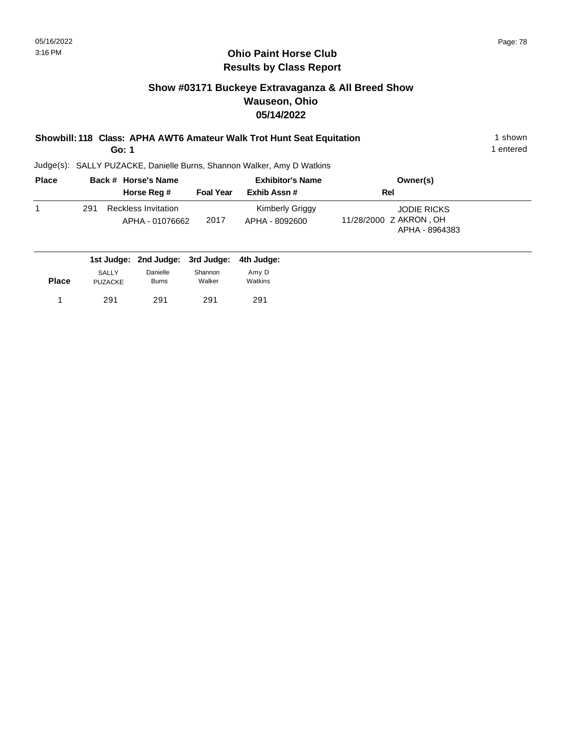## **Show #03171 Buckeye Extravaganza & All Breed Show Wauseon, Ohio 05/14/2022**

# **Showbill: 118 Class: APHA AWT6 Amateur Walk Trot Hunt Seat Equitation** 1 Shown 1 shown

**Go: 1**

1 entered

| <b>Place</b> |     | Back # Horse's Name                           |                  | <b>Exhibitor's Name</b>                  | Owner(s)                                                       |  |
|--------------|-----|-----------------------------------------------|------------------|------------------------------------------|----------------------------------------------------------------|--|
|              |     | Horse Reg #                                   | <b>Foal Year</b> | Exhib Assn#                              | Rel                                                            |  |
|              | 291 | <b>Reckless Invitation</b><br>APHA - 01076662 | 2017             | <b>Kimberly Griggy</b><br>APHA - 8092600 | <b>JODIE RICKS</b><br>11/28/2000 Z AKRON, OH<br>APHA - 8964383 |  |

|              |                                |                          | 1st Judge: 2nd Judge: 3rd Judge: 4th Judge: |                  |
|--------------|--------------------------------|--------------------------|---------------------------------------------|------------------|
| <b>Place</b> | <b>SALLY</b><br><b>PUZACKE</b> | Danielle<br><b>Burns</b> | Shannon<br>Walker                           | Amy D<br>Watkins |
|              | 291                            | 291                      | 291                                         | 291              |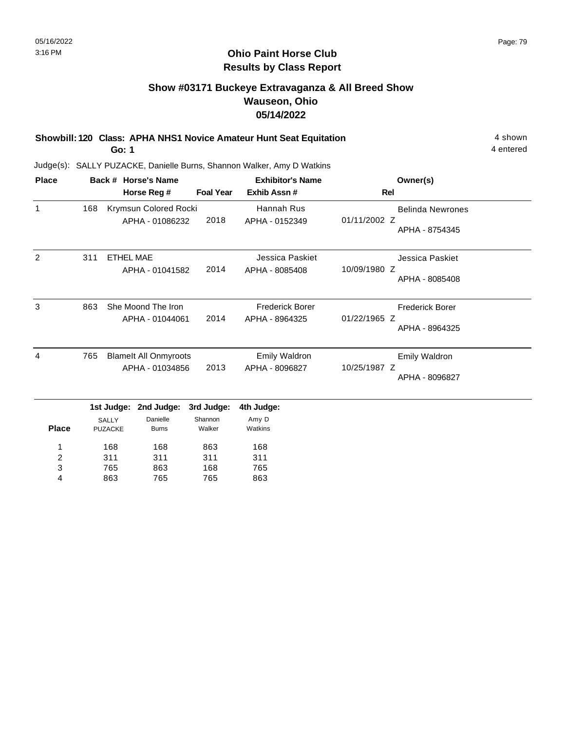## **Show #03171 Buckeye Extravaganza & All Breed Show Wauseon, Ohio 05/14/2022**

**Showbill: 120 Class: APHA NHS1 Novice Amateur Hunt Seat Equitation** 4 shown 4 shown **Go: 1**

Judge(s): SALLY PUZACKE, Danielle Burns, Shannon Walker, Amy D Watkins

765 863

3 4 863 765 168 765 765 863

| <b>Place</b> |     | Back # Horse's Name                          |                                                 |                                 | <b>Exhibitor's Name</b>                  | Owner(s)                                                  |
|--------------|-----|----------------------------------------------|-------------------------------------------------|---------------------------------|------------------------------------------|-----------------------------------------------------------|
|              |     |                                              | Horse Reg #                                     | <b>Foal Year</b>                | Exhib Assn#                              | <b>Rel</b>                                                |
| $\mathbf{1}$ | 168 |                                              | Krymsun Colored Rocki<br>APHA - 01086232        | 2018                            | Hannah Rus<br>APHA - 0152349             | <b>Belinda Newrones</b><br>01/11/2002 Z<br>APHA - 8754345 |
| 2            | 311 | <b>ETHEL MAE</b>                             | APHA - 01041582                                 | 2014                            | Jessica Paskiet<br>APHA - 8085408        | Jessica Paskiet<br>10/09/1980 Z<br>APHA - 8085408         |
| 3            | 863 |                                              | She Moond The Iron<br>APHA - 01044061           | 2014                            | <b>Frederick Borer</b><br>APHA - 8964325 | <b>Frederick Borer</b><br>01/22/1965 Z<br>APHA - 8964325  |
| 4            | 765 |                                              | <b>Blamelt All Onmyroots</b><br>APHA - 01034856 | 2013                            | <b>Emily Waldron</b><br>APHA - 8096827   | Emily Waldron<br>10/25/1987 Z<br>APHA - 8096827           |
| <b>Place</b> |     | 1st Judge:<br><b>SALLY</b><br><b>PUZACKE</b> | 2nd Judge:<br>Danielle<br><b>Burns</b>          | 3rd Judge:<br>Shannon<br>Walker | 4th Judge:<br>Amy D<br>Watkins           |                                                           |
| 2            |     | 168<br>311                                   | 168<br>311                                      | 863<br>311                      | 168<br>311                               |                                                           |

4 entered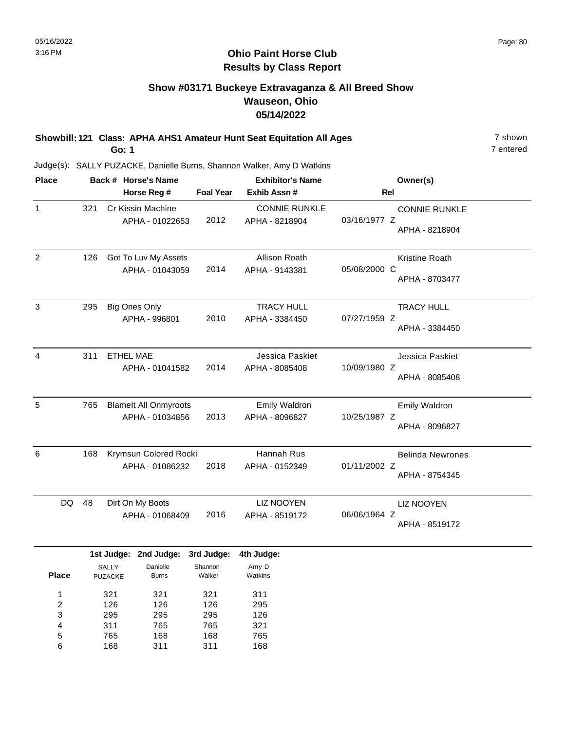7 entered

#### **Ohio Paint Horse Club Results by Class Report**

## **Show #03171 Buckeye Extravaganza & All Breed Show Wauseon, Ohio 05/14/2022**

**Showbill: 121 Class: APHA AHS1 Amateur Hunt Seat Equitation All Ages** 7 shown **Go: 1**

| <b>Place</b> |    |     | Back # Horse's Name                             |                  | <b>Exhibitor's Name</b>                | Owner(s)                                                  |
|--------------|----|-----|-------------------------------------------------|------------------|----------------------------------------|-----------------------------------------------------------|
|              |    |     | Horse Reg #                                     | <b>Foal Year</b> | Exhib Assn#                            | Rel                                                       |
| 1            |    | 321 | Cr Kissin Machine<br>APHA - 01022653            | 2012             | <b>CONNIE RUNKLE</b><br>APHA - 8218904 | <b>CONNIE RUNKLE</b><br>03/16/1977 Z<br>APHA - 8218904    |
| 2            |    | 126 | Got To Luv My Assets<br>APHA - 01043059         | 2014             | Allison Roath<br>APHA - 9143381        | <b>Kristine Roath</b><br>05/08/2000 C<br>APHA - 8703477   |
| 3            |    | 295 | <b>Big Ones Only</b><br>APHA - 996801           | 2010             | <b>TRACY HULL</b><br>APHA - 3384450    | <b>TRACY HULL</b><br>07/27/1959 Z<br>APHA - 3384450       |
| 4            |    | 311 | <b>ETHEL MAE</b><br>APHA - 01041582             | 2014             | Jessica Paskiet<br>APHA - 8085408      | Jessica Paskiet<br>10/09/1980 Z<br>APHA - 8085408         |
| 5            |    | 765 | <b>Blamelt All Onmyroots</b><br>APHA - 01034856 | 2013             | <b>Emily Waldron</b><br>APHA - 8096827 | Emily Waldron<br>10/25/1987 Z<br>APHA - 8096827           |
| 6            |    | 168 | Krymsun Colored Rocki<br>APHA - 01086232        | 2018             | Hannah Rus<br>APHA - 0152349           | <b>Belinda Newrones</b><br>01/11/2002 Z<br>APHA - 8754345 |
|              | DQ | 48  | Dirt On My Boots<br>APHA - 01068409             | 2016             | <b>LIZ NOOYEN</b><br>APHA - 8519172    | <b>LIZ NOOYEN</b><br>06/06/1964 Z<br>APHA - 8519172       |

|       |                                | 1st Judge: 2nd Judge: 3rd Judge: |                   | 4th Judge:       |
|-------|--------------------------------|----------------------------------|-------------------|------------------|
| Place | <b>SALLY</b><br><b>PUZACKE</b> | Danielle<br><b>Burns</b>         | Shannon<br>Walker | Amy D<br>Watkins |
| 1     | 321                            | 321                              | 321               | 311              |
| 2     | 126                            | 126                              | 126               | 295              |
| 3     | 295                            | 295                              | 295               | 126              |
| 4     | 311                            | 765                              | 765               | 321              |
| 5     | 765                            | 168                              | 168               | 765              |
| 6     | 168                            | 311                              | 311               | 168              |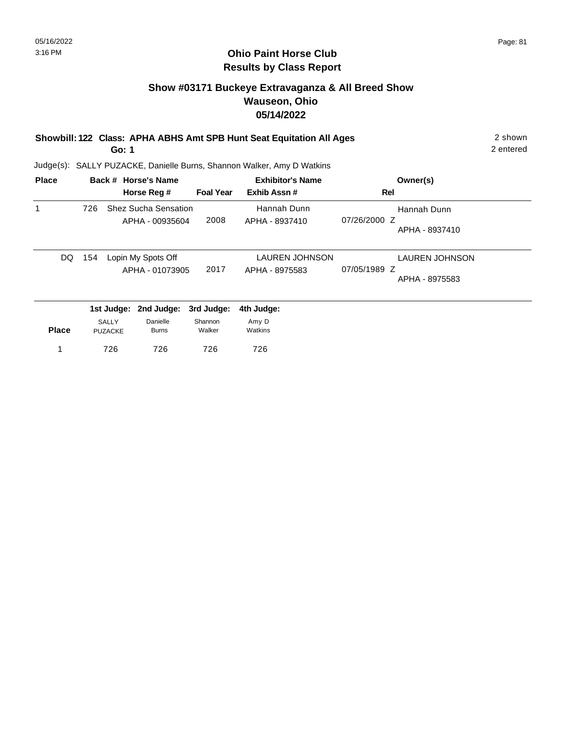## **Show #03171 Buckeye Extravaganza & All Breed Show Wauseon, Ohio 05/14/2022**

|  | Showbill: 122 Class: APHA ABHS Amt SPB Hunt Seat Equitation All Ages | 2 shown |
|--|----------------------------------------------------------------------|---------|
|--|----------------------------------------------------------------------|---------|

**Go: 1**

2 entered

| <b>Place</b> |     |                | Back # Horse's Name         |                  | <b>Exhibitor's Name</b> | Owner(s)              |
|--------------|-----|----------------|-----------------------------|------------------|-------------------------|-----------------------|
|              |     |                | Horse Reg #                 | <b>Foal Year</b> | Exhib Assn#             | Rel                   |
| 1            | 726 |                | <b>Shez Sucha Sensation</b> |                  | Hannah Dunn             | Hannah Dunn           |
|              |     |                | APHA - 00935604             | 2008             | APHA - 8937410          | 07/26/2000 Z          |
|              |     |                |                             |                  |                         | APHA - 8937410        |
| DQ.          | 154 |                | Lopin My Spots Off          |                  | <b>LAUREN JOHNSON</b>   | <b>LAUREN JOHNSON</b> |
|              |     |                | APHA - 01073905             | 2017             | APHA - 8975583          | 07/05/1989 Z          |
|              |     |                |                             |                  |                         | APHA - 8975583        |
|              |     | 1st Judge:     | 2nd Judge:                  | 3rd Judge:       | 4th Judge:              |                       |
|              |     | SALLY          | Danielle                    | Shannon          | Amy D                   |                       |
| <b>Place</b> |     | <b>PUZACKE</b> | <b>Burns</b>                | Walker           | Watkins                 |                       |
|              |     | 726            | 726                         | 726              | 726                     |                       |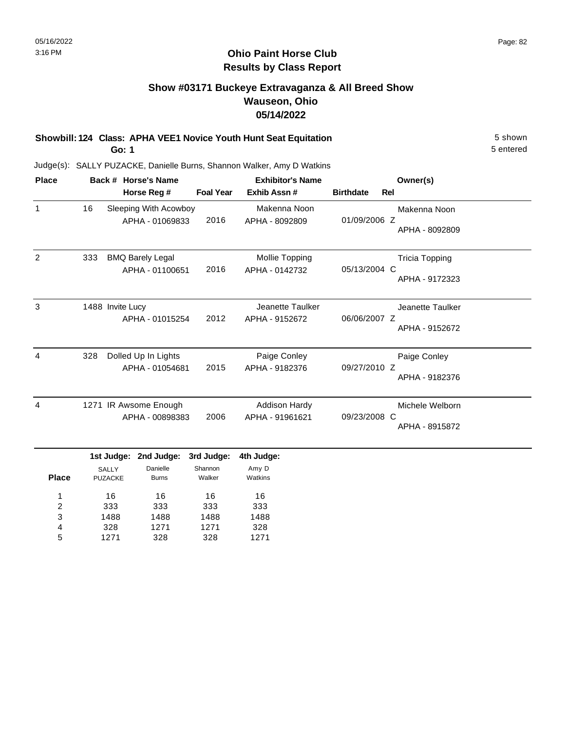# **Show #03171 Buckeye Extravaganza & All Breed Show Wauseon, Ohio 05/14/2022**

**Showbill: 124 Class: APHA VEE1 Novice Youth Hunt Seat Equitation** 5 shown

**Go: 1**

5 entered

|                   |     |                                                    |                                              |                                       |                                         |                  |     | Owner(s)                                |
|-------------------|-----|----------------------------------------------------|----------------------------------------------|---------------------------------------|-----------------------------------------|------------------|-----|-----------------------------------------|
|                   |     |                                                    | Horse Reg #                                  | <b>Foal Year</b>                      | Exhib Assn #                            | <b>Birthdate</b> | Rel |                                         |
| -1                | 16  |                                                    | Sleeping With Acowboy<br>APHA - 01069833     | 2016                                  | Makenna Noon<br>APHA - 8092809          | 01/09/2006 Z     |     | Makenna Noon<br>APHA - 8092809          |
| $\overline{2}$    | 333 |                                                    | <b>BMQ Barely Legal</b><br>APHA - 01100651   | 2016                                  | Mollie Topping<br>APHA - 0142732        | 05/13/2004 C     |     | <b>Tricia Topping</b><br>APHA - 9172323 |
| 3                 |     | 1488 Invite Lucy                                   | APHA - 01015254                              | 2012                                  | Jeanette Taulker<br>APHA - 9152672      | 06/06/2007 Z     |     | Jeanette Taulker<br>APHA - 9152672      |
| 4                 | 328 |                                                    | Dolled Up In Lights<br>APHA - 01054681       | 2015                                  | Paige Conley<br>APHA - 9182376          | 09/27/2010 Z     |     | Paige Conley<br>APHA - 9182376          |
| 4                 |     |                                                    | 1271 IR Awsome Enough<br>APHA - 00898383     | 2006                                  | <b>Addison Hardy</b><br>APHA - 91961621 | 09/23/2008 C     |     | Michele Welborn<br>APHA - 8915872       |
| <b>Place</b><br>1 |     | 1st Judge:<br><b>SALLY</b><br><b>PUZACKE</b><br>16 | 2nd Judge:<br>Danielle<br><b>Burns</b><br>16 | 3rd Judge:<br>Shannon<br>Walker<br>16 | 4th Judge:<br>Amy D<br>Watkins<br>16    |                  |     |                                         |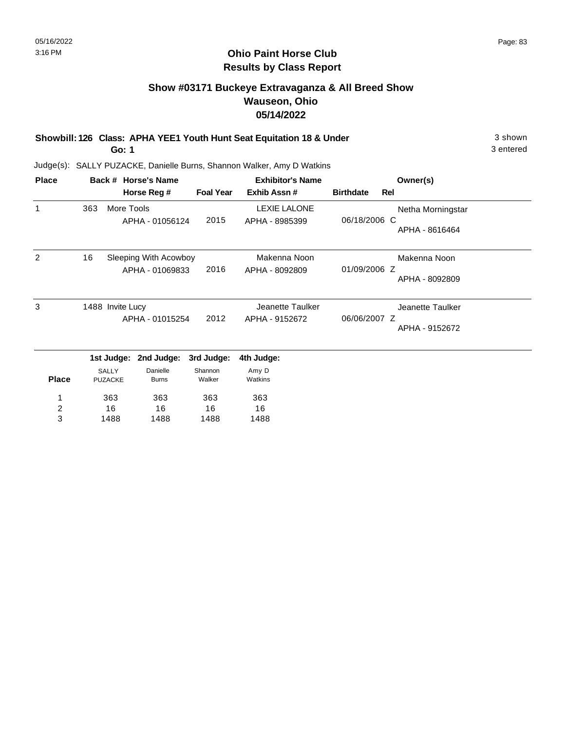## **Show #03171 Buckeye Extravaganza & All Breed Show Wauseon, Ohio 05/14/2022**

**Showbill: 126 Class: APHA YEE1 Youth Hunt Seat Equitation 18 & Under** 3 Shown 3 shown

**Go: 1**

3 entered

| <b>Place</b>     |                                     |                                                  | Back # Horse's Name      |                                    | <b>Exhibitor's Name</b>               |                  |                                    | Owner(s)                            |  |  |
|------------------|-------------------------------------|--------------------------------------------------|--------------------------|------------------------------------|---------------------------------------|------------------|------------------------------------|-------------------------------------|--|--|
|                  |                                     |                                                  | Horse Reg #              | <b>Foal Year</b>                   | Exhib Assn#                           | <b>Birthdate</b> | Rel                                |                                     |  |  |
| $\mathbf{1}$     | 363                                 | More Tools                                       | APHA - 01056124          | 2015                               | <b>LEXIE LALONE</b><br>APHA - 8985399 | 06/18/2006 C     |                                    | Netha Morningstar<br>APHA - 8616464 |  |  |
| 2                | 16                                  | Sleeping With Acowboy<br>2016<br>APHA - 01069833 |                          |                                    | Makenna Noon<br>APHA - 8092809        | 01/09/2006 Z     |                                    | Makenna Noon<br>APHA - 8092809      |  |  |
| 3                | 1488 Invite Lucy<br>APHA - 01015254 |                                                  | 2012                     | Jeanette Taulker<br>APHA - 9152672 | 06/06/2007 Z                          |                  | Jeanette Taulker<br>APHA - 9152672 |                                     |  |  |
|                  |                                     | 1st Judge:                                       | 2nd Judge:               | 3rd Judge:                         | 4th Judge:                            |                  |                                    |                                     |  |  |
| <b>Place</b>     |                                     | SALLY<br><b>PUZACKE</b>                          | Danielle<br><b>Burns</b> | Shannon<br>Walker                  | Amy D<br>Watkins                      |                  |                                    |                                     |  |  |
| 1                |                                     | 363                                              | 363                      | 363                                | 363                                   |                  |                                    |                                     |  |  |
| $\boldsymbol{2}$ |                                     | 16                                               | 16                       | 16                                 | 16                                    |                  |                                    |                                     |  |  |
| 3                |                                     | 1488                                             | 1488                     | 1488                               | 1488                                  |                  |                                    |                                     |  |  |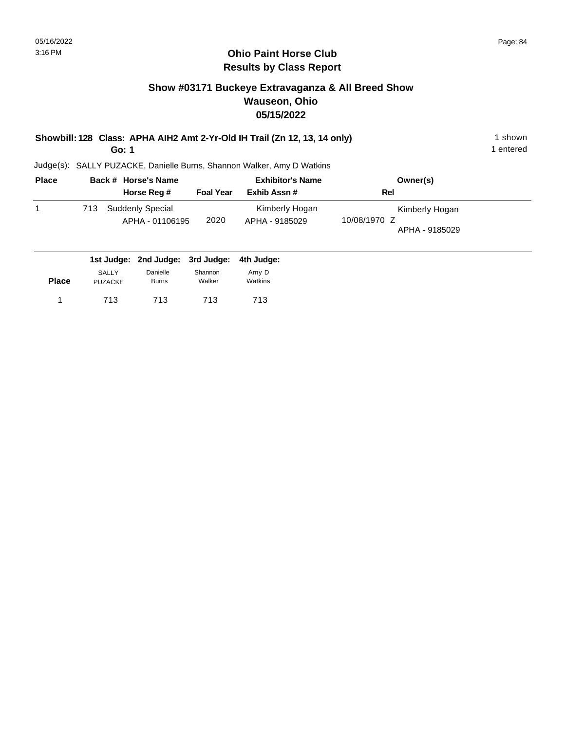1 entered

#### **Ohio Paint Horse Club Results by Class Report**

## **Show #03171 Buckeye Extravaganza & All Breed Show Wauseon, Ohio 05/15/2022**

#### **Showbill: 128 Class: APHA AIH2 Amt 2-Yr-Old IH Trail (Zn 12, 13, 14 only)** 1 shown

**Go: 1**

| <b>Place</b> |     | Back # Horse's Name                 |                  | <b>Exhibitor's Name</b>          | Owner(s)                                         |  |
|--------------|-----|-------------------------------------|------------------|----------------------------------|--------------------------------------------------|--|
|              |     | Horse Reg #                         | <b>Foal Year</b> | Exhib Assn#                      | Rel                                              |  |
|              | 713 | Suddenly Special<br>APHA - 01106195 | 2020             | Kimberly Hogan<br>APHA - 9185029 | Kimberly Hogan<br>10/08/1970 Z<br>APHA - 9185029 |  |
|              |     | 1st Judge: 2nd Judge: 3rd Judge:    |                  | 4th Judge:                       |                                                  |  |

| <b>Place</b> | SALLY   | Danielle     | Shannon | Amy D   |
|--------------|---------|--------------|---------|---------|
|              | PUZACKE | <b>Burns</b> | Walker  | Watkins |
|              | 713     | 713          | 713     | 713     |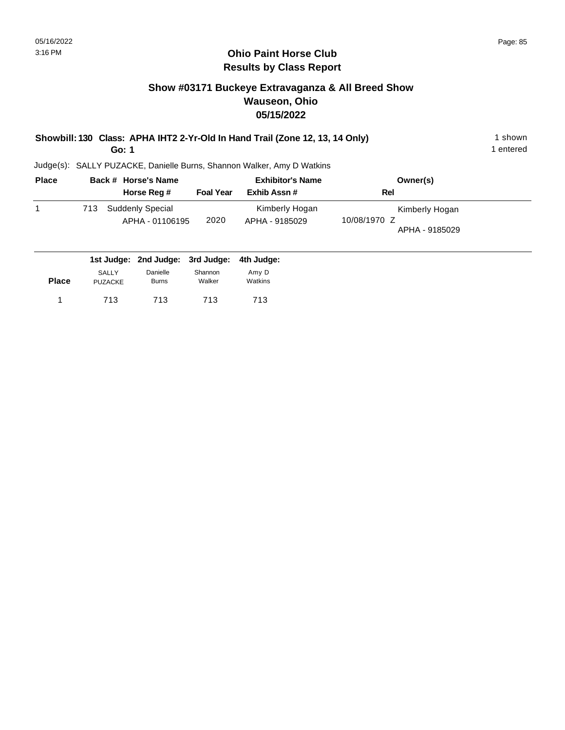1 entered

#### **Ohio Paint Horse Club Results by Class Report**

## **Show #03171 Buckeye Extravaganza & All Breed Show Wauseon, Ohio 05/15/2022**

**Showbill: 130 Class: APHA IHT2 2-Yr-Old In Hand Trail (Zone 12, 13, 14 Only)** 1 shown

**Go: 1**

| <b>Place</b> | Back # Horse's Name                        |                  | <b>Exhibitor's Name</b>          | Owner(s)                                         |
|--------------|--------------------------------------------|------------------|----------------------------------|--------------------------------------------------|
|              | Horse Reg #                                | <b>Foal Year</b> | Exhib Assn#                      | Rel                                              |
|              | Suddenly Special<br>713<br>APHA - 01106195 | 2020             | Kimberly Hogan<br>APHA - 9185029 | Kimberly Hogan<br>10/08/1970 Z<br>APHA - 9185029 |
|              | 1st Judge: 2nd Judge: 3rd Judge:           |                  | 4th Judge:                       |                                                  |

| <b>Place</b> | <b>SALLY</b> | Danielle     | Shannon | Amy D   |
|--------------|--------------|--------------|---------|---------|
|              | PUZACKE      | <b>Burns</b> | Walker  | Watkins |
| 1            | 713          | 713          | 713     | 713     |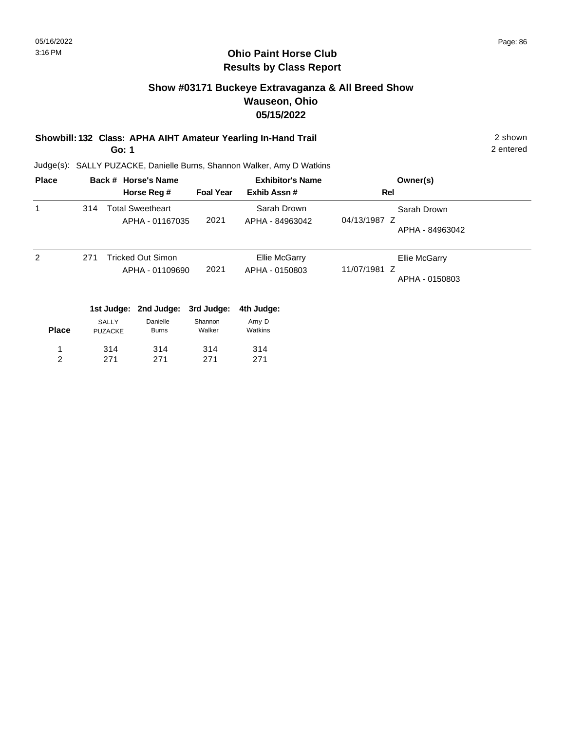## **Show #03171 Buckeye Extravaganza & All Breed Show Wauseon, Ohio 05/15/2022**

#### **Showbill: 132 Class: APHA AIHT Amateur Yearling In-Hand Trail** 2 shown **Go: 1**

2 entered

| <b>Place</b>   |     |                         | Back # Horse's Name      |                   | <b>Exhibitor's Name</b> | Owner(s)                        |
|----------------|-----|-------------------------|--------------------------|-------------------|-------------------------|---------------------------------|
|                |     |                         | Horse Reg #              | <b>Foal Year</b>  | Exhib Assn#             | <b>Rel</b>                      |
| 1              | 314 |                         | <b>Total Sweetheart</b>  |                   | Sarah Drown             | Sarah Drown                     |
|                |     |                         | APHA - 01167035          | 2021              | APHA - 84963042         | 04/13/1987 Z<br>APHA - 84963042 |
| $\overline{2}$ | 271 |                         | <b>Tricked Out Simon</b> |                   | <b>Ellie McGarry</b>    | Ellie McGarry                   |
|                |     |                         | APHA - 01109690          | 2021              | APHA - 0150803          | 11/07/1981 Z<br>APHA - 0150803  |
|                |     | 1st Judge:              | 2nd Judge:               | 3rd Judge:        | 4th Judge:              |                                 |
| <b>Place</b>   |     | SALLY<br><b>PUZACKE</b> | Danielle<br><b>Burns</b> | Shannon<br>Walker | Amy D<br>Watkins        |                                 |
| 1              |     | 314                     | 314                      | 314               | 314                     |                                 |
| 2              |     | 271                     | 271                      | 271               | 271                     |                                 |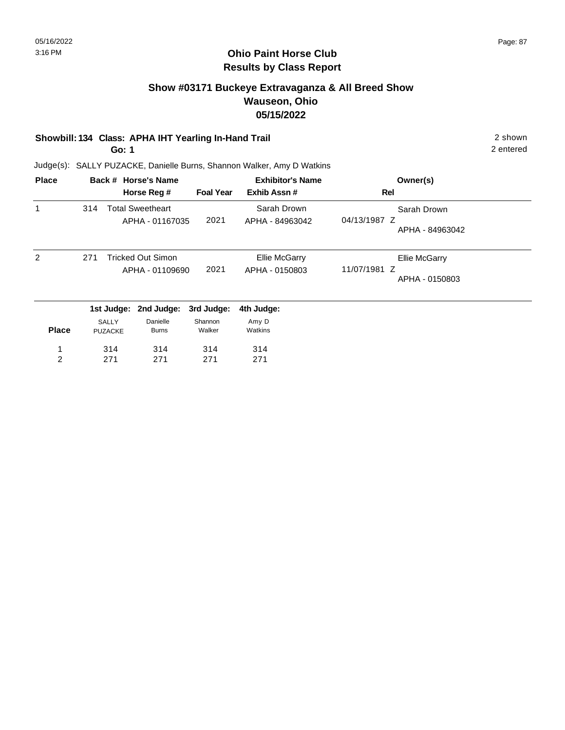## **Show #03171 Buckeye Extravaganza & All Breed Show Wauseon, Ohio 05/15/2022**

#### **Showbill: 134 Class: APHA IHT Yearling In-Hand Trail** 2 shown

**Go: 1**

2 entered

| <b>Place</b> |     |                                | Back # Horse's Name                        |                   | <b>Exhibitor's Name</b>         | Owner(s)                                        |
|--------------|-----|--------------------------------|--------------------------------------------|-------------------|---------------------------------|-------------------------------------------------|
|              |     |                                | Horse Reg #                                | <b>Foal Year</b>  | Exhib Assn#                     | Rel                                             |
| 1            | 314 |                                | <b>Total Sweetheart</b><br>APHA - 01167035 | 2021              | Sarah Drown<br>APHA - 84963042  | Sarah Drown<br>04/13/1987 Z<br>APHA - 84963042  |
| 2            | 271 |                                | Tricked Out Simon<br>APHA - 01109690       | 2021              | Ellie McGarry<br>APHA - 0150803 | Ellie McGarry<br>11/07/1981 Z<br>APHA - 0150803 |
|              |     | 1st Judge:                     | 2nd Judge:                                 | 3rd Judge:        | 4th Judge:                      |                                                 |
| <b>Place</b> |     | <b>SALLY</b><br><b>PUZACKE</b> | Danielle<br><b>Burns</b>                   | Shannon<br>Walker | Amy D<br>Watkins                |                                                 |
| 1            |     | 314                            | 314                                        | 314               | 314                             |                                                 |
| 2            |     | 271                            | 271                                        | 271               | 271                             |                                                 |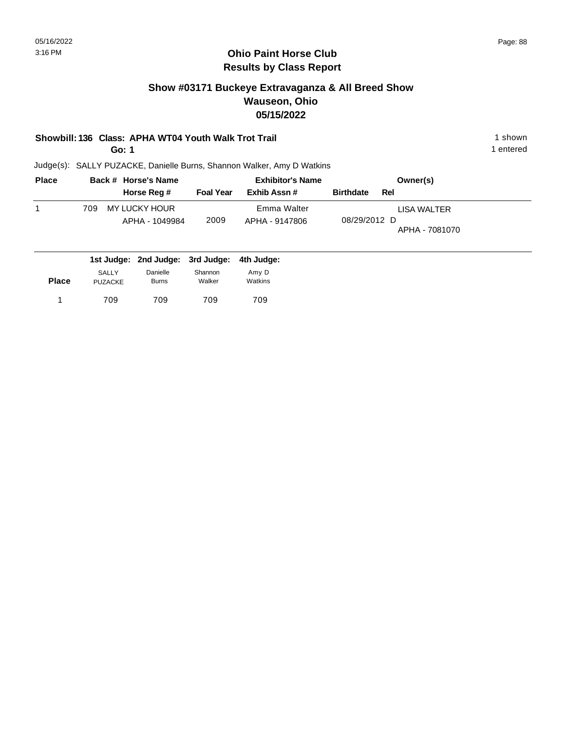## **Show #03171 Buckeye Extravaganza & All Breed Show Wauseon, Ohio 05/15/2022**

#### **Showbill: 136 Class: APHA WT04 Youth Walk Trot Trail 1 Shown 1 shown 1 shown**

**Go: 1**

Judge(s): SALLY PUZACKE, Danielle Burns, Shannon Walker, Amy D Watkins

| <b>Place</b> |     | Back # Horse's Name             |                  | <b>Exhibitor's Name</b>       |                  | Owner(s)                      |  |  |
|--------------|-----|---------------------------------|------------------|-------------------------------|------------------|-------------------------------|--|--|
|              |     | Horse Reg #                     | <b>Foal Year</b> | Exhib Assn #                  | <b>Birthdate</b> | Rel                           |  |  |
|              | 709 | MY LUCKY HOUR<br>APHA - 1049984 | 2009             | Emma Walter<br>APHA - 9147806 | 08/29/2012 D     | LISA WALTER<br>APHA - 7081070 |  |  |

|              |                         | 1st Judge: 2nd Judge: 3rd Judge: 4th Judge: |                   |                  |  |
|--------------|-------------------------|---------------------------------------------|-------------------|------------------|--|
| <b>Place</b> | SALLY<br><b>PUZACKE</b> | Danielle<br><b>Burns</b>                    | Shannon<br>Walker | Amy D<br>Watkins |  |
|              | 709                     | 709                                         | 709               | 709              |  |

1 entered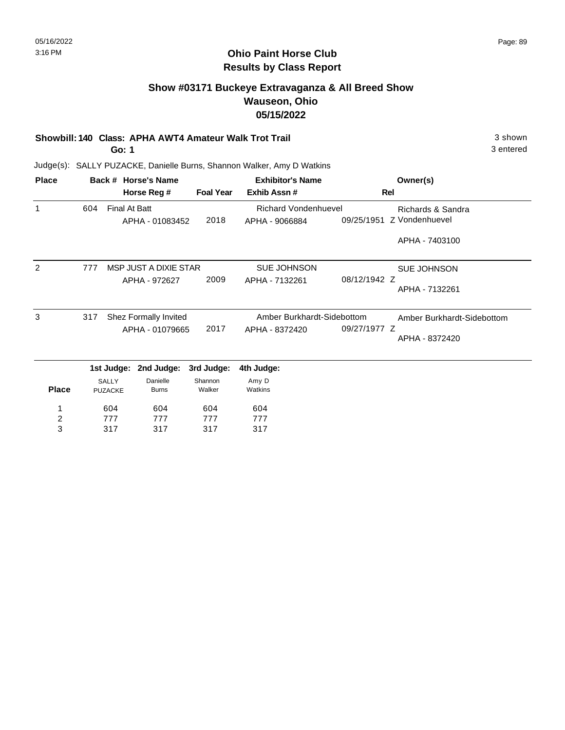3 entered

#### **Ohio Paint Horse Club Results by Class Report**

## **Show #03171 Buckeye Extravaganza & All Breed Show Wauseon, Ohio 05/15/2022**

#### **Showbill: 140 Class: APHA AWT4 Amateur Walk Trot Trail** 3 shown

**Go: 1**

| <b>Place</b>  |     |                                | Back # Horse's Name      |                            | <b>Exhibitor's Name</b>     |                            | Owner(s)           |
|---------------|-----|--------------------------------|--------------------------|----------------------------|-----------------------------|----------------------------|--------------------|
|               |     |                                | Horse Reg #              | <b>Foal Year</b>           | Exhib Assn#                 |                            | <b>Rel</b>         |
| 1             | 604 | <b>Final At Batt</b>           |                          |                            | <b>Richard Vondenhuevel</b> |                            | Richards & Sandra  |
|               |     |                                | APHA - 01083452          | 2018                       | APHA - 9066884              | 09/25/1951                 | Z Vondenhuevel     |
|               |     |                                |                          |                            |                             |                            | APHA - 7403100     |
| $\mathcal{P}$ | 777 |                                | MSP JUST A DIXIE STAR    |                            | <b>SUE JOHNSON</b>          |                            | <b>SUE JOHNSON</b> |
|               |     |                                | APHA - 972627            | 2009                       | APHA - 7132261              | 08/12/1942 Z               | APHA - 7132261     |
| 3             | 317 | Shez Formally Invited          |                          | Amber Burkhardt-Sidebottom |                             | Amber Burkhardt-Sidebottom |                    |
|               |     |                                | APHA - 01079665          | 2017                       | APHA - 8372420              | 09/27/1977 Z               | APHA - 8372420     |
|               |     |                                | 1st Judge: 2nd Judge:    | 3rd Judge:                 | 4th Judge:                  |                            |                    |
| <b>Place</b>  |     | <b>SALLY</b><br><b>PUZACKE</b> | Danielle<br><b>Burns</b> | Shannon<br>Walker          | Amy D<br>Watkins            |                            |                    |
|               |     | 604                            | 604                      | 604                        | 604                         |                            |                    |
| 2             |     | 777                            | 777                      | 777                        | 777                         |                            |                    |
| 3             |     | 317                            | 317                      | 317                        | 317                         |                            |                    |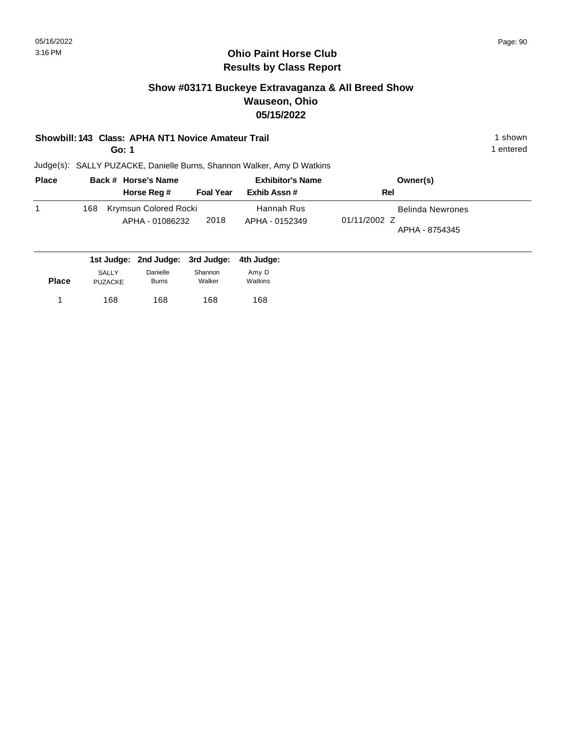## **Show #03171 Buckeye Extravaganza & All Breed Show Wauseon, Ohio 05/15/2022**

#### **Showbill: 143 Class: APHA NT1 Novice Amateur Trail 1 shown 1 shown 1 shown**

**Go: 1**

1 entered

| <b>Place</b> |     | Back # Horse's Name                      | <b>Exhibitor's Name</b> |                              | Owner(s)                                                  |  |
|--------------|-----|------------------------------------------|-------------------------|------------------------------|-----------------------------------------------------------|--|
|              |     | Horse Reg #                              | <b>Foal Year</b>        | Exhib Assn#                  | Rel                                                       |  |
|              | 168 | Krymsun Colored Rocki<br>APHA - 01086232 | 2018                    | Hannah Rus<br>APHA - 0152349 | <b>Belinda Newrones</b><br>01/11/2002 Z<br>APHA - 8754345 |  |

|              |                                |                          | 1st Judge: 2nd Judge: 3rd Judge: 4th Judge: |                  |
|--------------|--------------------------------|--------------------------|---------------------------------------------|------------------|
| <b>Place</b> | <b>SALLY</b><br><b>PUZACKE</b> | Danielle<br><b>Burns</b> | Shannon<br>Walker                           | Amy D<br>Watkins |
|              | 168                            | 168                      | 168                                         | 168              |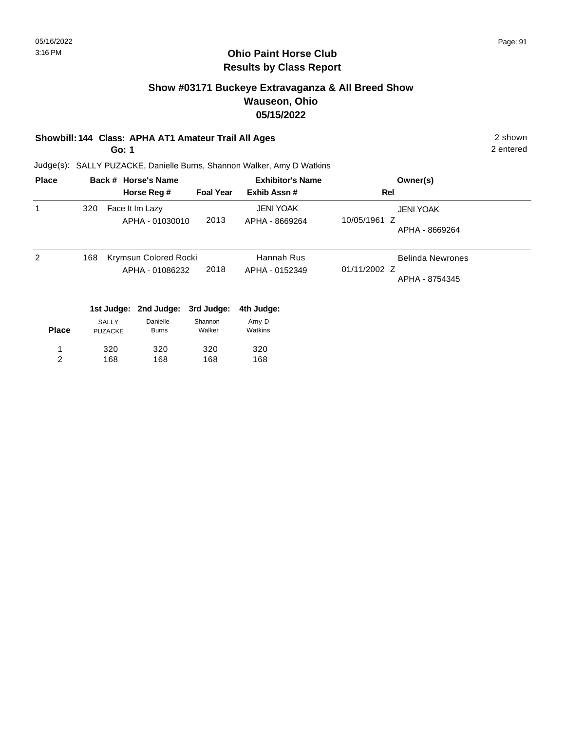## **Show #03171 Buckeye Extravaganza & All Breed Show Wauseon, Ohio 05/15/2022**

#### **Showbill: 144 Class: APHA AT1 Amateur Trail All Ages** 2 shown

**Go: 1**

2 entered

| <b>Place</b>   |                              |                 | Back # Horse's Name |                  | <b>Exhibitor's Name</b> | Owner(s)         |
|----------------|------------------------------|-----------------|---------------------|------------------|-------------------------|------------------|
|                |                              |                 | Horse Reg #         | <b>Foal Year</b> | Exhib Assn#             | Rel              |
|                | 320                          |                 | Face It Im Lazy     |                  | <b>JENI YOAK</b>        | <b>JENI YOAK</b> |
|                |                              |                 | APHA - 01030010     | 2013             | APHA - 8669264          | 10/05/1961 Z     |
|                |                              |                 |                     |                  |                         | APHA - 8669264   |
| 2              | 168<br>Krymsun Colored Rocki |                 |                     | Hannah Rus       | <b>Belinda Newrones</b> |                  |
|                |                              | APHA - 01086232 |                     | 2018             | APHA - 0152349          | 01/11/2002 Z     |
|                |                              |                 |                     |                  |                         | APHA - 8754345   |
|                |                              | 1st Judge:      | 2nd Judge:          | 3rd Judge:       | 4th Judge:              |                  |
|                |                              | SALLY           | Danielle            | Shannon          | Amy D                   |                  |
| <b>Place</b>   |                              | <b>PUZACKE</b>  | <b>Burns</b>        | Walker           | Watkins                 |                  |
| 1              |                              | 320             | 320                 | 320              | 320                     |                  |
| $\overline{c}$ |                              | 168             | 168                 | 168              | 168                     |                  |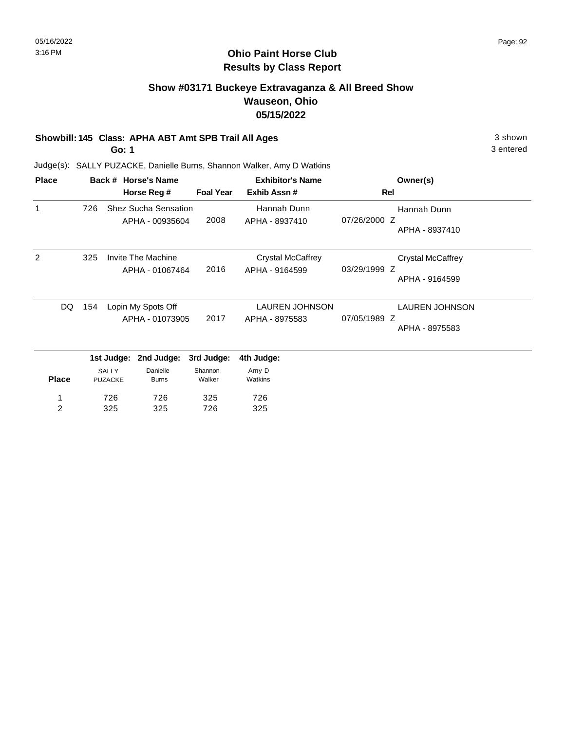## **Show #03171 Buckeye Extravaganza & All Breed Show Wauseon, Ohio 05/15/2022**

#### **Showbill: 145 Class: APHA ABT Amt SPB Trail All Ages** 3 shown

**Go: 1**

3 entered

| <b>Place</b> |                 |                    | Back # Horse's Name  |                       | <b>Exhibitor's Name</b>        | Owner(s)                       |  |
|--------------|-----------------|--------------------|----------------------|-----------------------|--------------------------------|--------------------------------|--|
|              |                 |                    | Horse Reg #          | <b>Foal Year</b>      | Exhib Assn#                    | Rel                            |  |
| 1            | 726             |                    | Shez Sucha Sensation |                       | Hannah Dunn                    | Hannah Dunn                    |  |
|              |                 |                    | APHA - 00935604      | 2008                  | APHA - 8937410                 | 07/26/2000 Z<br>APHA - 8937410 |  |
| 2            | 325             |                    | Invite The Machine   |                       | <b>Crystal McCaffrey</b>       | <b>Crystal McCaffrey</b>       |  |
|              |                 |                    | APHA - 01067464      | 2016                  | APHA - 9164599                 | 03/29/1999 Z<br>APHA - 9164599 |  |
| DQ           | 154             | Lopin My Spots Off |                      | <b>LAUREN JOHNSON</b> | <b>LAUREN JOHNSON</b>          |                                |  |
|              | APHA - 01073905 |                    | 2017                 | APHA - 8975583        | 07/05/1989 Z<br>APHA - 8975583 |                                |  |
|              |                 | 1st Judge:         | 2nd Judge:           | 3rd Judge:            | 4th Judge:                     |                                |  |
|              |                 | <b>SALLY</b>       | Danielle             | Shannon               | Amy D                          |                                |  |
| <b>Place</b> |                 | <b>PUZACKE</b>     | <b>Burns</b>         | Walker                | Watkins                        |                                |  |
|              |                 | 726                | 726                  | 325                   | 726                            |                                |  |
| 2            |                 | 325                | 325                  | 726                   | 325                            |                                |  |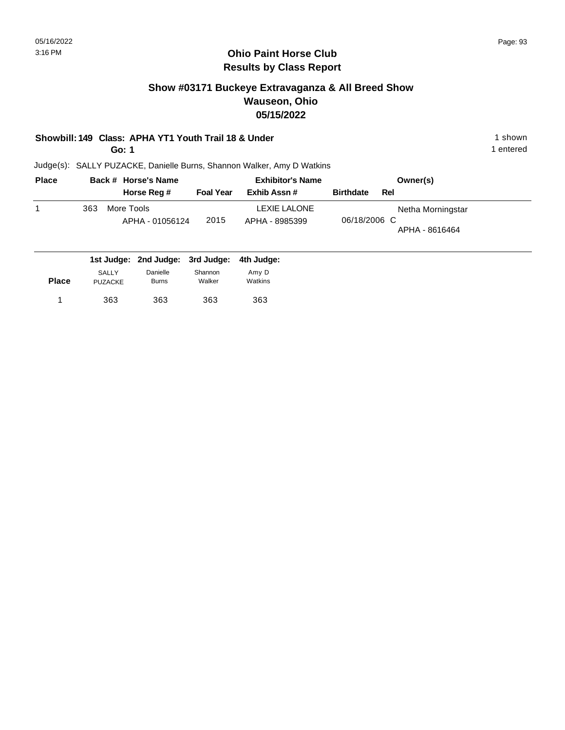## **Show #03171 Buckeye Extravaganza & All Breed Show Wauseon, Ohio 05/15/2022**

#### **Showbill: 149 Class: APHA YT1 Youth Trail 18 & Under** 1 **Shown** 1 shown

**Go: 1**

1 entered

| <b>Place</b> |     | Back # Horse's Name                                             |                  | <b>Exhibitor's Name</b>        | Owner(s)                                            |
|--------------|-----|-----------------------------------------------------------------|------------------|--------------------------------|-----------------------------------------------------|
|              |     | Horse Reg #                                                     | <b>Foal Year</b> | Exhib Assn#                    | <b>Birthdate</b><br>Rel                             |
|              | 363 | More Tools<br>APHA - 01056124                                   | 2015             | LEXIE LALONE<br>APHA - 8985399 | Netha Morningstar<br>06/18/2006 C<br>APHA - 8616464 |
|              |     | المسلوبيا والملاز ومساوينا اوسي ومساوينا المستري ومساوينا لمسار |                  |                                |                                                     |

|              |                         | 1st Judge: 2nd Judge: 3rd Judge: 4th Judge: |                   |                  |
|--------------|-------------------------|---------------------------------------------|-------------------|------------------|
| <b>Place</b> | SALLY<br><b>PUZACKE</b> | Danielle<br><b>Burns</b>                    | Shannon<br>Walker | Amy D<br>Watkins |
|              | 363                     | 363                                         | 363               | 363              |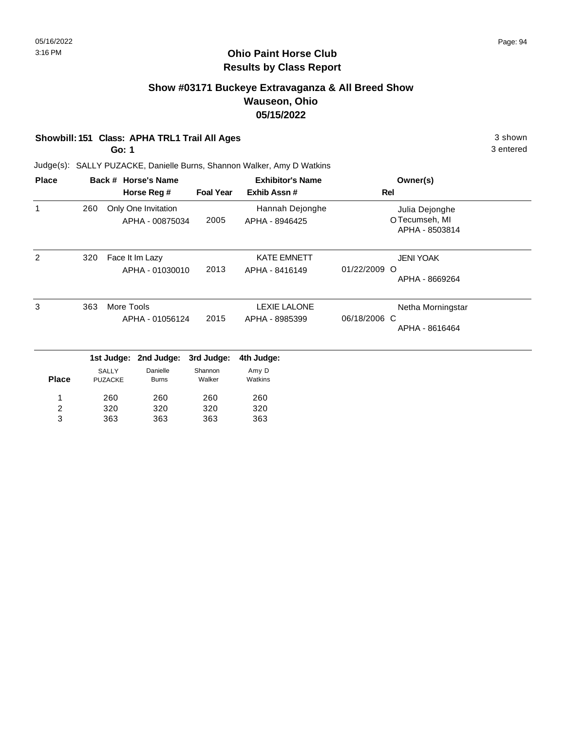## **Show #03171 Buckeye Extravaganza & All Breed Show Wauseon, Ohio 05/15/2022**

#### **Showbill: 151 Class: APHA TRL1 Trail All Ages** 3 shown

**Go: 1**

3 entered

| <b>Place</b> |                                      | Back # Horse's Name            |                                        |                                       | <b>Exhibitor's Name</b>                             | Owner(s)                                                    |
|--------------|--------------------------------------|--------------------------------|----------------------------------------|---------------------------------------|-----------------------------------------------------|-------------------------------------------------------------|
|              |                                      |                                | Horse Reg #                            | <b>Foal Year</b>                      | Exhib Assn #                                        | Rel                                                         |
| $\mathbf{1}$ | 260                                  |                                | Only One Invitation<br>APHA - 00875034 | 2005                                  | Hannah Dejonghe<br>APHA - 8946425                   | Julia Dejonghe<br>OTecumseh, MI<br>APHA - 8503814           |
| 2            | 320                                  |                                | Face It Im Lazy<br>APHA - 01030010     | 2013                                  | <b>KATE EMNETT</b><br>APHA - 8416149                | <b>JENI YOAK</b><br>01/22/2009<br>$\circ$<br>APHA - 8669264 |
| 3            | 363<br>More Tools<br>APHA - 01056124 |                                | 2015                                   | <b>LEXIE LALONE</b><br>APHA - 8985399 | Netha Morningstar<br>06/18/2006 C<br>APHA - 8616464 |                                                             |
|              |                                      | 1st Judge:                     | 2nd Judge:                             | 3rd Judge:                            | 4th Judge:                                          |                                                             |
| <b>Place</b> |                                      | <b>SALLY</b><br><b>PUZACKE</b> | Danielle<br><b>Burns</b>               | Shannon<br>Walker                     | Amy D<br>Watkins                                    |                                                             |
| 1<br>2<br>3  |                                      | 260<br>320<br>363              | 260<br>320<br>363                      | 260<br>320<br>363                     | 260<br>320<br>363                                   |                                                             |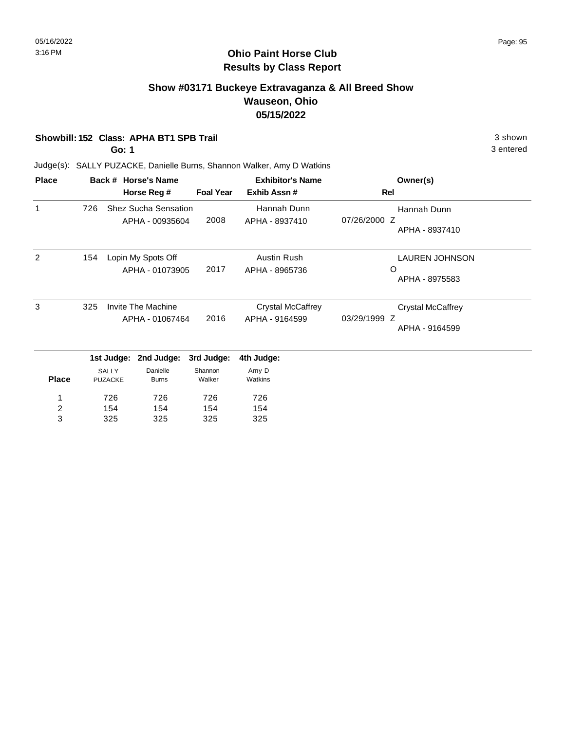## **Show #03171 Buckeye Extravaganza & All Breed Show Wauseon, Ohio 05/15/2022**

#### **Showbill: 152 Class: APHA BT1 SPB Trail** 3 shown

**Go: 1**

3 entered

| <b>Place</b>            |     |                | Back # Horse's Name         |                  | <b>Exhibitor's Name</b>  | Owner(s)                       |
|-------------------------|-----|----------------|-----------------------------|------------------|--------------------------|--------------------------------|
|                         |     |                | Horse Reg #                 | <b>Foal Year</b> | Exhib Assn#              | Rel                            |
| 1                       | 726 |                | <b>Shez Sucha Sensation</b> |                  | Hannah Dunn              | Hannah Dunn                    |
|                         |     |                | APHA - 00935604             | 2008             | APHA - 8937410           | 07/26/2000 Z<br>APHA - 8937410 |
| 2                       | 154 |                | Lopin My Spots Off          |                  | Austin Rush              | <b>LAUREN JOHNSON</b>          |
|                         |     |                | APHA - 01073905             | 2017             | APHA - 8965736           | O<br>APHA - 8975583            |
|                         |     |                |                             |                  |                          |                                |
| 3                       | 325 |                | <b>Invite The Machine</b>   |                  | <b>Crystal McCaffrey</b> | <b>Crystal McCaffrey</b>       |
|                         |     |                | APHA - 01067464             | 2016             | APHA - 9164599           | 03/29/1999 Z                   |
|                         |     |                |                             |                  |                          | APHA - 9164599                 |
|                         |     | 1st Judge:     | 2nd Judge:                  | 3rd Judge:       | 4th Judge:               |                                |
|                         |     | <b>SALLY</b>   | Danielle                    | Shannon          | Amy D                    |                                |
| <b>Place</b>            |     | <b>PUZACKE</b> | <b>Burns</b>                | Walker           | Watkins                  |                                |
| 1                       |     | 726            | 726                         | 726              | 726                      |                                |
| $\overline{\mathbf{c}}$ |     | 154            | 154                         | 154              | 154                      |                                |
| 3                       |     | 325            | 325                         | 325              | 325                      |                                |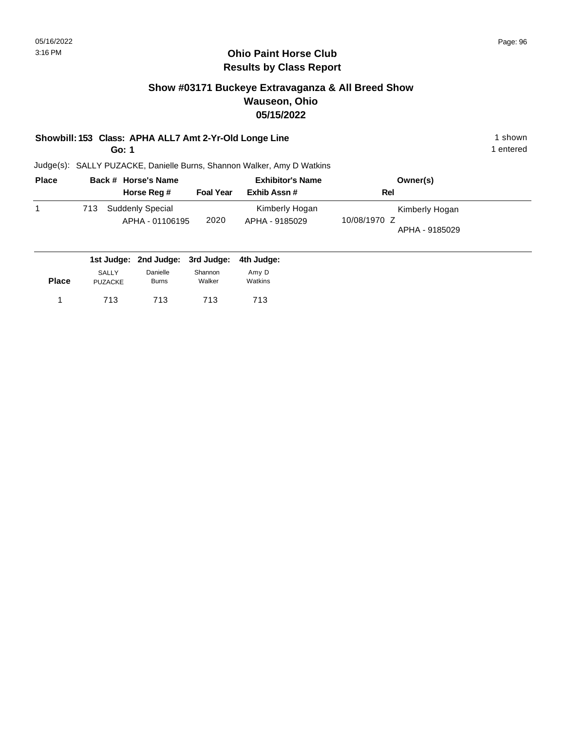## **Show #03171 Buckeye Extravaganza & All Breed Show Wauseon, Ohio 05/15/2022**

#### **Showbill: 153 Class: APHA ALL7 Amt 2-Yr-Old Longe Line** 1 notation 1 shown

**Go: 1**

1 entered

| <b>Place</b> |     | Back # Horse's Name                        |                  | <b>Exhibitor's Name</b>          | Owner(s)                                         |
|--------------|-----|--------------------------------------------|------------------|----------------------------------|--------------------------------------------------|
|              |     | Horse Reg #                                | <b>Foal Year</b> | Exhib Assn#                      | Rel                                              |
|              | 713 | <b>Suddenly Special</b><br>APHA - 01106195 | 2020             | Kimberly Hogan<br>APHA - 9185029 | Kimberly Hogan<br>10/08/1970 Z<br>APHA - 9185029 |

|              |                | 1st Judge: 2nd Judge: 3rd Judge: 4th Judge: |         |         |
|--------------|----------------|---------------------------------------------|---------|---------|
|              | <b>SALLY</b>   | Danielle                                    | Shannon | Amy D   |
| <b>Place</b> | <b>PUZACKE</b> | Burns                                       | Walker  | Watkins |
|              | 713            | 713                                         | 713     | 713     |
|              |                |                                             |         |         |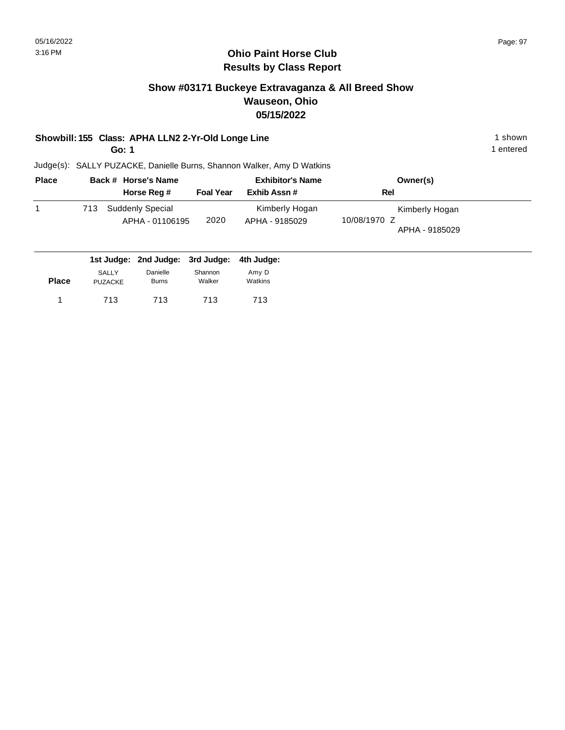## **Show #03171 Buckeye Extravaganza & All Breed Show Wauseon, Ohio 05/15/2022**

#### **Showbill: 155 Class: APHA LLN2 2-Yr-Old Longe Line** 1 **Shown** 1 shown

**Go: 1**

1 entered

|     | Back # Horse's Name                 |                  | <b>Exhibitor's Name</b>          | Owner(s)                                         |  |
|-----|-------------------------------------|------------------|----------------------------------|--------------------------------------------------|--|
|     | Horse Reg #                         | <b>Foal Year</b> | Exhib Assn#                      | Rel                                              |  |
| 713 | Suddenly Special<br>APHA - 01106195 | 2020             | Kimberly Hogan<br>APHA - 9185029 | Kimberly Hogan<br>10/08/1970 Z<br>APHA - 9185029 |  |

|              |                | 1st Judge: 2nd Judge: 3rd Judge: 4th Judge: |         |         |
|--------------|----------------|---------------------------------------------|---------|---------|
|              | <b>SALLY</b>   | Danielle                                    | Shannon | Amy D   |
| <b>Place</b> | <b>PUZACKE</b> | <b>Burns</b>                                | Walker  | Watkins |
|              | 713            | 713                                         | 713     | 713     |
|              |                |                                             |         |         |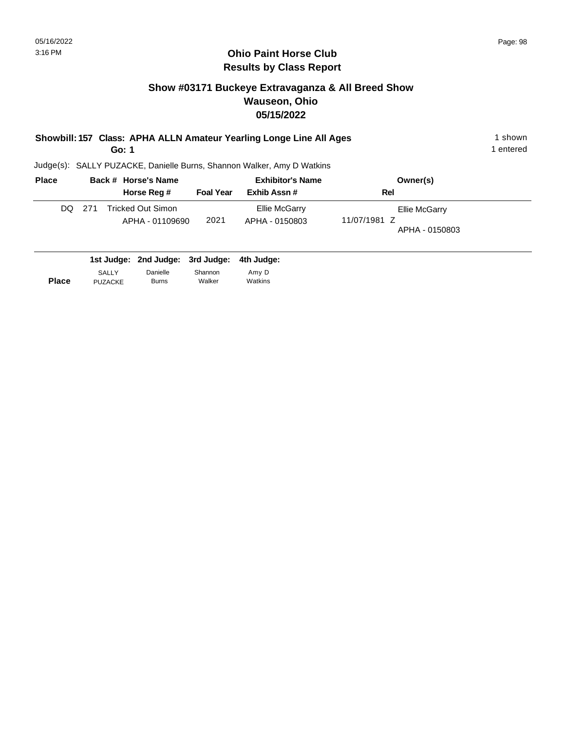# **Show #03171 Buckeye Extravaganza & All Breed Show Wauseon, Ohio 05/15/2022**

| Showbill: 157 Class: APHA ALLN Amateur Yearling Longe Line All Ages | l shown   |
|---------------------------------------------------------------------|-----------|
| Go: 1                                                               | 1 entered |

| <b>Place</b> |        | Back # Horse's Name                  |                  | <b>Exhibitor's Name</b>         | Owner(s)                                        |
|--------------|--------|--------------------------------------|------------------|---------------------------------|-------------------------------------------------|
|              |        | Horse Reg #                          | <b>Foal Year</b> | Exhib Assn#                     | Rel                                             |
|              | DQ 271 | Tricked Out Simon<br>APHA - 01109690 | 2021             | Ellie McGarry<br>APHA - 0150803 | Ellie McGarry<br>11/07/1981 Z<br>APHA - 0150803 |

|              |                | 1st Judge: 2nd Judge: 3rd Judge: 4th Judge: |         |         |
|--------------|----------------|---------------------------------------------|---------|---------|
| <b>Place</b> | <b>SALLY</b>   | Danielle                                    | Shannon | Amy D   |
|              | <b>PUZACKE</b> | Burns                                       | Walker  | Watkins |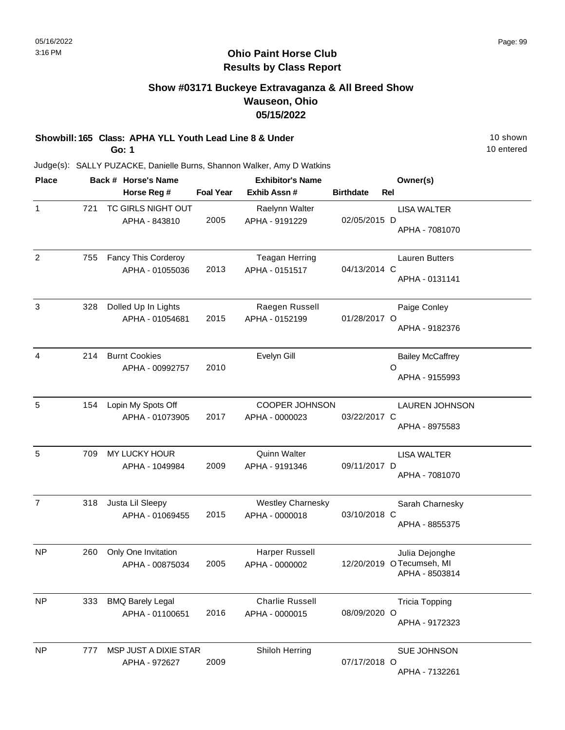## **Show #03171 Buckeye Extravaganza & All Breed Show Wauseon, Ohio 05/15/2022**

# **Showbill: 165 Class: APHA YLL Youth Lead Line 8 & Under** 10 Shown 10 shown

**Go: 1**

10 entered

| <b>Place</b>   |     | Back # Horse's Name                        |                  | <b>Exhibitor's Name</b>                    |                  |     | Owner(s)                                                     |
|----------------|-----|--------------------------------------------|------------------|--------------------------------------------|------------------|-----|--------------------------------------------------------------|
|                |     | Horse Reg #                                | <b>Foal Year</b> | Exhib Assn #                               | <b>Birthdate</b> | Rel |                                                              |
| 1              | 721 | TC GIRLS NIGHT OUT<br>APHA - 843810        | 2005             | Raelynn Walter<br>APHA - 9191229           | 02/05/2015 D     |     | <b>LISA WALTER</b><br>APHA - 7081070                         |
| 2              | 755 | Fancy This Corderoy<br>APHA - 01055036     | 2013             | <b>Teagan Herring</b><br>APHA - 0151517    | 04/13/2014 C     |     | <b>Lauren Butters</b><br>APHA - 0131141                      |
| $\sqrt{3}$     | 328 | Dolled Up In Lights<br>APHA - 01054681     | 2015             | Raegen Russell<br>APHA - 0152199           | 01/28/2017 O     |     | Paige Conley<br>APHA - 9182376                               |
| 4              | 214 | <b>Burnt Cookies</b><br>APHA - 00992757    | 2010             | Evelyn Gill                                |                  | O   | <b>Bailey McCaffrey</b><br>APHA - 9155993                    |
| 5              | 154 | Lopin My Spots Off<br>APHA - 01073905      | 2017             | <b>COOPER JOHNSON</b><br>APHA - 0000023    | 03/22/2017 C     |     | <b>LAUREN JOHNSON</b><br>APHA - 8975583                      |
| 5              | 709 | MY LUCKY HOUR<br>APHA - 1049984            | 2009             | Quinn Walter<br>APHA - 9191346             | 09/11/2017 D     |     | <b>LISA WALTER</b><br>APHA - 7081070                         |
| $\overline{7}$ | 318 | Justa Lil Sleepy<br>APHA - 01069455        | 2015             | <b>Westley Charnesky</b><br>APHA - 0000018 | 03/10/2018 C     |     | Sarah Charnesky<br>APHA - 8855375                            |
| NP             | 260 | Only One Invitation<br>APHA - 00875034     | 2005             | Harper Russell<br>APHA - 0000002           |                  |     | Julia Dejonghe<br>12/20/2019 OTecumseh, MI<br>APHA - 8503814 |
| <b>NP</b>      | 333 | <b>BMQ Barely Legal</b><br>APHA - 01100651 | 2016             | <b>Charlie Russell</b><br>APHA - 0000015   | 08/09/2020 O     |     | <b>Tricia Topping</b><br>APHA - 9172323                      |
| <b>NP</b>      | 777 | MSP JUST A DIXIE STAR<br>APHA - 972627     | 2009             | Shiloh Herring                             | 07/17/2018 O     |     | SUE JOHNSON<br>APHA - 7132261                                |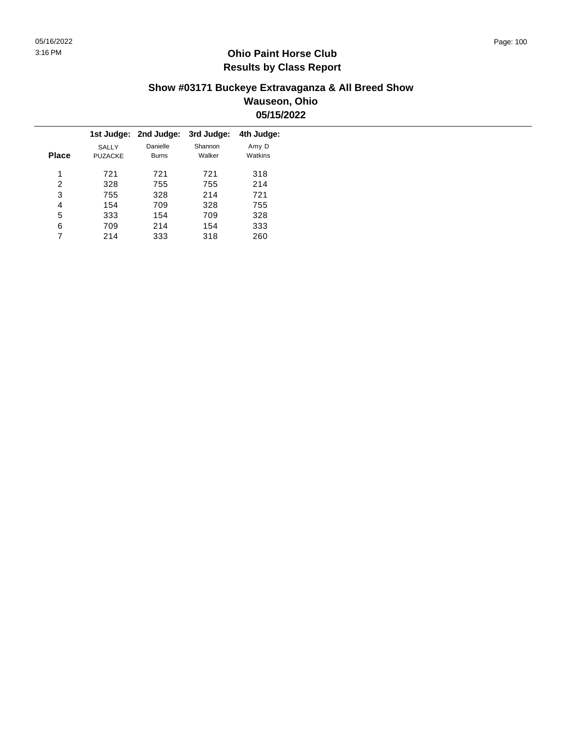#### **Show #03171 Buckeye Extravaganza & All Breed Show Wauseon, Ohio 05/15/2022**

|   |                                |                          | 3rd Judge:            | 4th Judge:       |
|---|--------------------------------|--------------------------|-----------------------|------------------|
|   | <b>SALLY</b><br><b>PUZACKE</b> | Danielle<br><b>Burns</b> | Shannon<br>Walker     | Amy D<br>Watkins |
| 1 | 721                            | 721                      | 721                   | 318              |
| 2 | 328                            | 755                      | 755                   | 214              |
| 3 | 755                            | 328                      | 214                   | 721              |
| 4 | 154                            | 709                      | 328                   | 755              |
| 5 | 333                            | 154                      | 709                   | 328              |
| 6 | 709                            | 214                      | 154                   | 333              |
|   | 214                            | 333                      | 318                   | 260              |
|   | <b>Place</b>                   |                          | 1st Judge: 2nd Judge: |                  |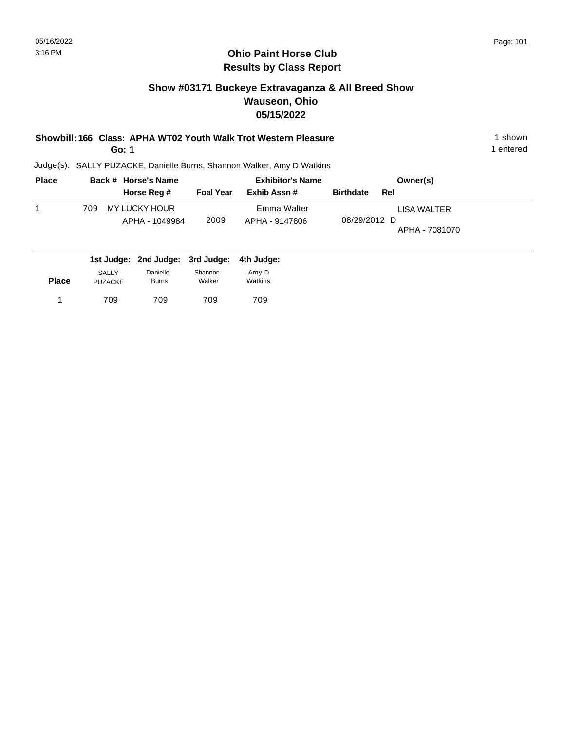## **Show #03171 Buckeye Extravaganza & All Breed Show Wauseon, Ohio 05/15/2022**

**Showbill: 166 Class: APHA WT02 Youth Walk Trot Western Pleasure** 1 **Shown** 1 shown

**Go: 1**

1 entered

| <b>Place</b> | Back # Horse's Name |  | <b>Exhibitor's Name</b>         |                  |                               | Owner(s)         |     |                               |
|--------------|---------------------|--|---------------------------------|------------------|-------------------------------|------------------|-----|-------------------------------|
|              |                     |  | Horse Reg #                     | <b>Foal Year</b> | Exhib Assn#                   | <b>Birthdate</b> | Rel |                               |
|              | 709                 |  | MY LUCKY HOUR<br>APHA - 1049984 | 2009             | Emma Walter<br>APHA - 9147806 | 08/29/2012 D     |     | LISA WALTER<br>APHA - 7081070 |

|              |                                |                          | 1st Judge: 2nd Judge: 3rd Judge: 4th Judge: |                  |
|--------------|--------------------------------|--------------------------|---------------------------------------------|------------------|
| <b>Place</b> | <b>SALLY</b><br><b>PUZACKE</b> | Danielle<br><b>Burns</b> | Shannon<br>Walker                           | Amy D<br>Watkins |
|              | 709                            | 709                      | 709                                         | 709              |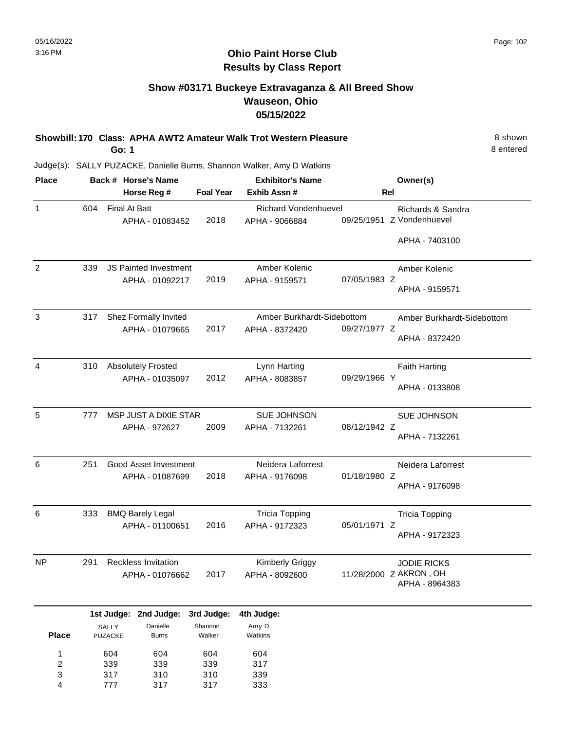8 entered

## **Ohio Paint Horse Club Results by Class Report**

## **Show #03171 Buckeye Extravaganza & All Breed Show Wauseon, Ohio 05/15/2022**

**Showbill: 170 Class: APHA AWT2 Amateur Walk Trot Western Pleasure** 8 shown **Go: 1**

| <b>Place</b>   |     | Back # Horse's Name              |                  | <b>Exhibitor's Name</b>                       |              | Owner(s)                                       |
|----------------|-----|----------------------------------|------------------|-----------------------------------------------|--------------|------------------------------------------------|
|                |     | Horse Reg #                      | <b>Foal Year</b> | Exhib Assn #                                  | Rel          |                                                |
| $\mathbf{1}$   | 604 | Final At Batt<br>APHA - 01083452 | 2018             | <b>Richard Vondenhuevel</b><br>APHA - 9066884 |              | Richards & Sandra<br>09/25/1951 Z Vondenhuevel |
|                |     |                                  |                  |                                               |              | APHA - 7403100                                 |
| $\overline{2}$ | 339 | <b>JS Painted Investment</b>     |                  | Amber Kolenic                                 |              | Amber Kolenic                                  |
|                |     | APHA - 01092217                  | 2019             | APHA - 9159571                                | 07/05/1983 Z | APHA - 9159571                                 |
| $\mathbf{3}$   | 317 | Shez Formally Invited            |                  | Amber Burkhardt-Sidebottom                    |              | Amber Burkhardt-Sidebottom                     |
|                |     | APHA - 01079665                  | 2017             | APHA - 8372420                                | 09/27/1977 Z | APHA - 8372420                                 |
| 4              | 310 | <b>Absolutely Frosted</b>        |                  | Lynn Harting                                  |              | <b>Faith Harting</b>                           |
|                |     | APHA - 01035097                  | 2012             | APHA - 8083857                                | 09/29/1966 Y | APHA - 0133808                                 |
| 5              | 777 | MSP JUST A DIXIE STAR            |                  | SUE JOHNSON                                   |              | SUE JOHNSON                                    |
|                |     | APHA - 972627                    | 2009             | APHA - 7132261                                | 08/12/1942 Z | APHA - 7132261                                 |
| 6              | 251 | Good Asset Investment            |                  | Neidera Laforrest                             |              | Neidera Laforrest                              |
|                |     | APHA - 01087699                  | 2018             | APHA - 9176098                                | 01/18/1980 Z | APHA - 9176098                                 |
| 6              | 333 | <b>BMQ Barely Legal</b>          |                  | <b>Tricia Topping</b>                         |              | <b>Tricia Topping</b>                          |
|                |     | APHA - 01100651                  | 2016             | APHA - 9172323                                | 05/01/1971 Z | APHA - 9172323                                 |
| <b>NP</b>      | 291 | <b>Reckless Invitation</b>       |                  | Kimberly Griggy                               |              | <b>JODIE RICKS</b>                             |
|                |     | APHA - 01076662                  | 2017             | APHA - 8092600                                |              | 11/28/2000 Z AKRON, OH<br>APHA - 8964383       |
|                |     | 1st Judge: 2nd Judge:            | 3rd Judge:       | 4th Judge:                                    |              |                                                |
|                |     | SALLY<br>Danielle                | Shannon          | Amy D                                         |              |                                                |

| <b>Place</b> | <b>PUZACKE</b> | <b>Burns</b> | Walker | Watkins |
|--------------|----------------|--------------|--------|---------|
| 1            | 604            | 604          | 604    | 604     |
| 2            | 339            | 339          | 339    | 317     |
| 3            | 317            | 310          | 310    | 339     |
| 4            | 777            | 317          | 317    | 333     |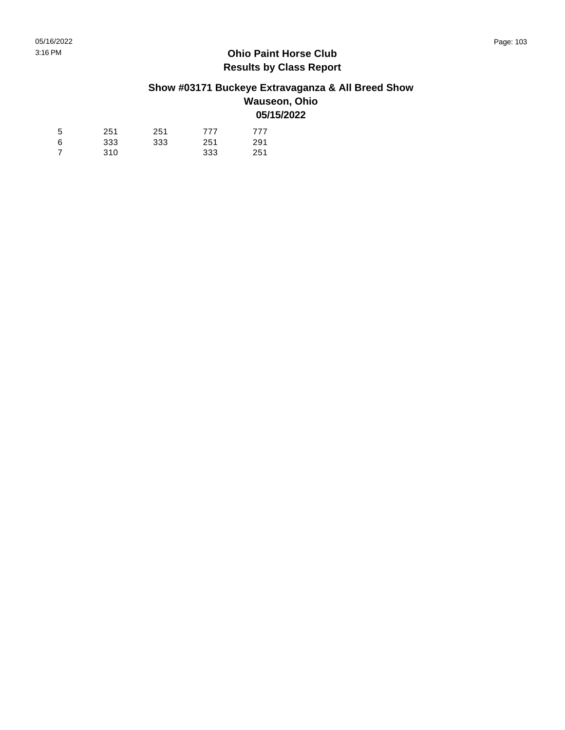# **Show #03171 Buckeye Extravaganza & All Breed Show**

#### **Wauseon, Ohio 05/15/2022**

| 5 | 251 | 251 | 777 | 777 |
|---|-----|-----|-----|-----|
| 6 | 333 | 333 | 251 | 291 |
| 7 | 310 |     | 333 | 251 |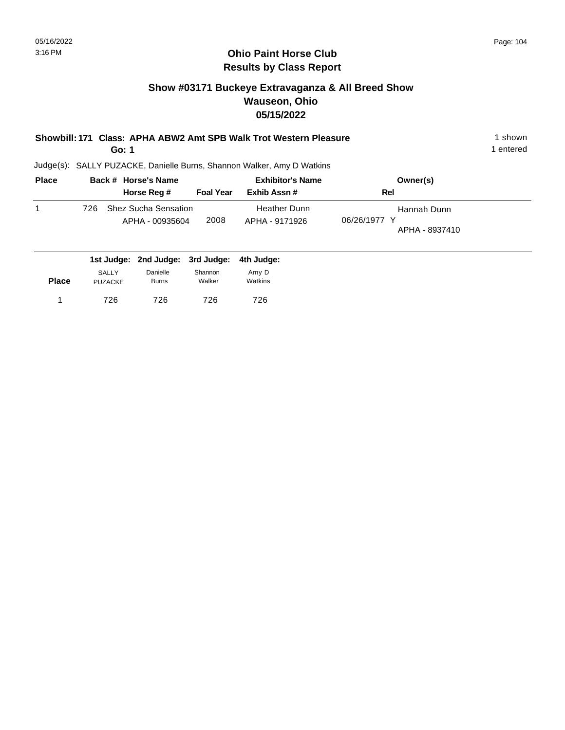# **Show #03171 Buckeye Extravaganza & All Breed Show Wauseon, Ohio 05/15/2022**

| Showbill: 171 Class: APHA ABW2 Amt SPB Walk Trot Western Pleasure | 1 shown |
|-------------------------------------------------------------------|---------|
|                                                                   |         |

**Go: 1**

1 entered

| <b>Place</b> | Back # Horse's Name                                   |                  | <b>Exhibitor's Name</b>               | Owner(s)                                      |
|--------------|-------------------------------------------------------|------------------|---------------------------------------|-----------------------------------------------|
|              | Horse Reg #                                           | <b>Foal Year</b> | Exhib Assn#                           | Rel                                           |
|              | <b>Shez Sucha Sensation</b><br>726<br>APHA - 00935604 | 2008             | <b>Heather Dunn</b><br>APHA - 9171926 | Hannah Dunn<br>06/26/1977 Y<br>APHA - 8937410 |
|              | 1st Judge: 2nd Judge: 3rd Judge: 4th Judge:           |                  |                                       |                                               |

|              | <b>SALLY</b>   | Danielle     | Shannon | Amy D   |  |
|--------------|----------------|--------------|---------|---------|--|
| <b>Place</b> | <b>PUZACKE</b> | <b>Burns</b> | Walker  | Watkins |  |
|              | 726            | 726          | 726     | 726     |  |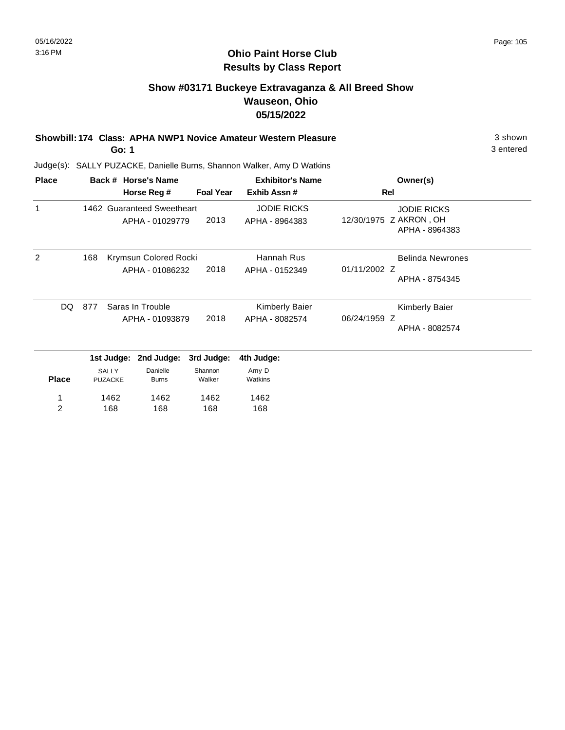## **Show #03171 Buckeye Extravaganza & All Breed Show Wauseon, Ohio 05/15/2022**

**Showbill: 174 Class: APHA NWP1 Novice Amateur Western Pleasure** 3 shown **Go: 1**

3 entered

| <b>Place</b>   |     |                         | Back # Horse's Name        |                  | <b>Exhibitor's Name</b>        | Owner(s)                                 |
|----------------|-----|-------------------------|----------------------------|------------------|--------------------------------|------------------------------------------|
|                |     |                         | Horse Reg #                | <b>Foal Year</b> | Exhib Assn#                    | <b>Rel</b>                               |
| 1              |     |                         | 1462 Guaranteed Sweetheart |                  | <b>JODIE RICKS</b>             | <b>JODIE RICKS</b>                       |
|                |     |                         | APHA - 01029779            | 2013             | APHA - 8964383                 | 12/30/1975 Z AKRON, OH<br>APHA - 8964383 |
| 2              | 168 | Krymsun Colored Rocki   |                            | Hannah Rus       | <b>Belinda Newrones</b>        |                                          |
|                |     |                         | APHA - 01086232            | 2018             | APHA - 0152349                 | 01/11/2002 Z<br>APHA - 8754345           |
| DQ             | 877 |                         | Saras In Trouble           |                  | Kimberly Baier                 | Kimberly Baier                           |
|                |     | 2018<br>APHA - 01093879 |                            | APHA - 8082574   | 06/24/1959 Z<br>APHA - 8082574 |                                          |
|                |     | 1st Judge:              | 2nd Judge:                 | 3rd Judge:       | 4th Judge:                     |                                          |
|                |     | SALLY                   | Danielle                   | Shannon          | Amy D                          |                                          |
| <b>Place</b>   |     | <b>PUZACKE</b>          | <b>Burns</b>               | Walker           | Watkins                        |                                          |
|                |     | 1462                    | 1462                       | 1462             | 1462                           |                                          |
| $\overline{2}$ |     | 168                     | 168                        | 168              | 168                            |                                          |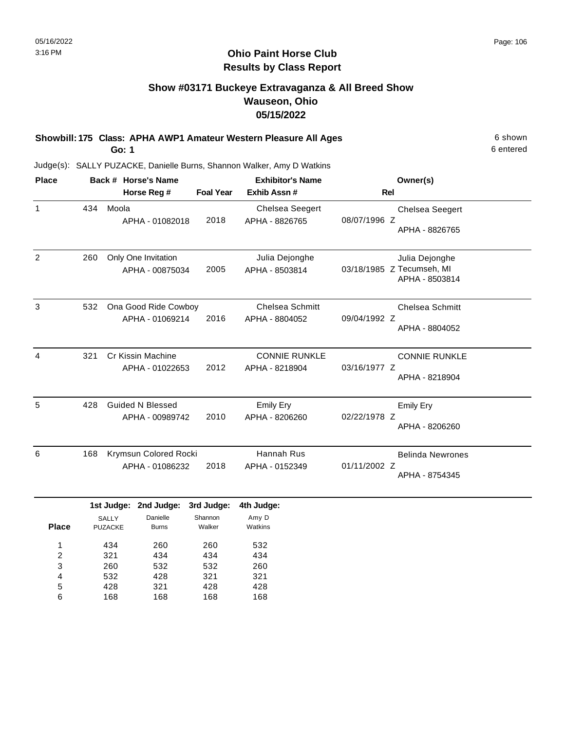## **Show #03171 Buckeye Extravaganza & All Breed Show Wauseon, Ohio 05/15/2022**

**Showbill: 175 Class: APHA AWP1 Amateur Western Pleasure All Ages** 6 Shown **Go: 1**

Judge(s): SALLY PUZACKE, Danielle Burns, Shannon Walker, Amy D Watkins

| <b>Place</b> |     | Back # Horse's Name                        |                  | <b>Exhibitor's Name</b>                  | Owner(s)                                                      |  |
|--------------|-----|--------------------------------------------|------------------|------------------------------------------|---------------------------------------------------------------|--|
|              |     | Horse Reg #                                | <b>Foal Year</b> | Exhib Assn#                              | <b>Rel</b>                                                    |  |
| $\mathbf{1}$ | 434 | Moola<br>APHA - 01082018                   | 2018             | <b>Chelsea Seegert</b><br>APHA - 8826765 | <b>Chelsea Seegert</b><br>08/07/1996 Z<br>APHA - 8826765      |  |
| 2            | 260 | Only One Invitation<br>APHA - 00875034     | 2005             | Julia Dejonghe<br>APHA - 8503814         | Julia Dejonghe<br>03/18/1985 Z Tecumseh, MI<br>APHA - 8503814 |  |
| 3            | 532 | Ona Good Ride Cowboy<br>APHA - 01069214    | 2016             | <b>Chelsea Schmitt</b><br>APHA - 8804052 | <b>Chelsea Schmitt</b><br>09/04/1992 Z<br>APHA - 8804052      |  |
| 4            | 321 | Cr Kissin Machine<br>APHA - 01022653       | 2012             | <b>CONNIE RUNKLE</b><br>APHA - 8218904   | <b>CONNIE RUNKLE</b><br>03/16/1977 Z<br>APHA - 8218904        |  |
| 5            | 428 | <b>Guided N Blessed</b><br>APHA - 00989742 | 2010             | Emily Ery<br>APHA - 8206260              | <b>Emily Ery</b><br>02/22/1978 Z<br>APHA - 8206260            |  |
| 6            | 168 | Krymsun Colored Rocki<br>APHA - 01086232   | 2018             | Hannah Rus<br>APHA - 0152349             | <b>Belinda Newrones</b><br>01/11/2002 Z<br>APHA - 8754345     |  |

|              |                | 1st Judge: 2nd Judge: 3rd Judge: |         | 4th Judge: |
|--------------|----------------|----------------------------------|---------|------------|
|              | <b>SALLY</b>   | Danielle                         | Shannon | Amy D      |
| <b>Place</b> | <b>PUZACKE</b> | <b>Burns</b>                     | Walker  | Watkins    |
| 1            | 434            | 260                              | 260     | 532        |
| 2            | 321            | 434                              | 434     | 434        |
| 3            | 260            | 532                              | 532     | 260        |
| 4            | 532            | 428                              | 321     | 321        |
| 5            | 428            | 321                              | 428     | 428        |
| 6            | 168            | 168                              | 168     | 168        |

6 entered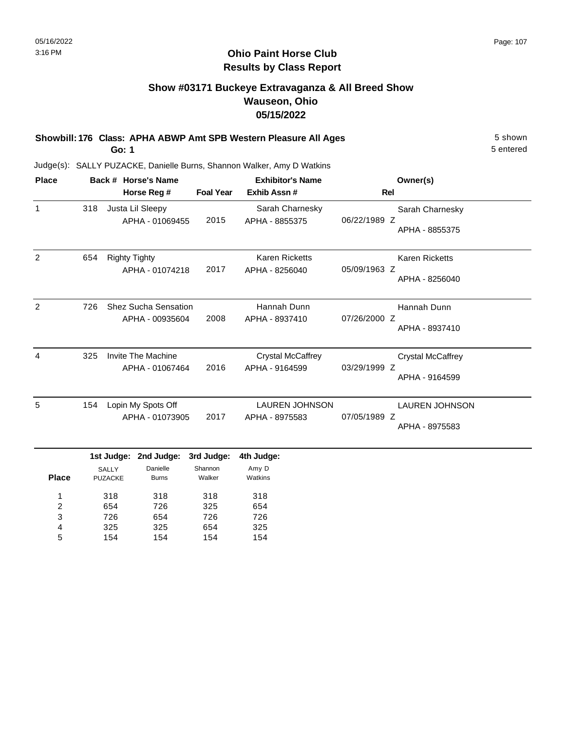5 entered

## **Ohio Paint Horse Club Results by Class Report**

## **Show #03171 Buckeye Extravaganza & All Breed Show Wauseon, Ohio 05/15/2022**

**Showbill: 176 Class: APHA ABWP Amt SPB Western Pleasure All Ages** 5 Shown **Go: 1**

Judge(s): SALLY PUZACKE, Danielle Burns, Shannon Walker, Amy D Watkins

| <b>Place</b>   | Back # Horse's Name |                                              |                                                |                                 | <b>Exhibitor's Name</b>                    | Owner(s)        |                                            |
|----------------|---------------------|----------------------------------------------|------------------------------------------------|---------------------------------|--------------------------------------------|-----------------|--------------------------------------------|
|                |                     |                                              | Horse Reg #                                    | <b>Foal Year</b>                | Exhib Assn#                                | <b>Rel</b>      |                                            |
| $\mathbf{1}$   | 318                 |                                              | Justa Lil Sleepy<br>APHA - 01069455            | 2015                            | Sarah Charnesky<br>APHA - 8855375          | 06/22/1989 Z    | Sarah Charnesky<br>APHA - 8855375          |
| 2              | 654                 | <b>Righty Tighty</b>                         | APHA - 01074218                                | 2017                            | Karen Ricketts<br>APHA - 8256040           | 05/09/1963 Z    | <b>Karen Ricketts</b><br>APHA - 8256040    |
| $\overline{2}$ | 726                 |                                              | <b>Shez Sucha Sensation</b><br>APHA - 00935604 | 2008                            | Hannah Dunn<br>APHA - 8937410              | 07/26/2000 Z    | Hannah Dunn<br>APHA - 8937410              |
| 4              | 325                 |                                              | Invite The Machine<br>APHA - 01067464          | 2016                            | <b>Crystal McCaffrey</b><br>APHA - 9164599 | 03/29/1999<br>z | <b>Crystal McCaffrey</b><br>APHA - 9164599 |
| 5              | 154                 |                                              | Lopin My Spots Off<br>APHA - 01073905          | 2017                            | <b>LAUREN JOHNSON</b><br>APHA - 8975583    | 07/05/1989 Z    | <b>LAUREN JOHNSON</b><br>APHA - 8975583    |
| <b>Place</b>   |                     | 1st Judge:<br><b>SALLY</b><br><b>PUZACKE</b> | 2nd Judge:<br>Danielle<br><b>Burns</b>         | 3rd Judge:<br>Shannon<br>Walker | 4th Judge:<br>Amy D<br>Watkins             |                 |                                            |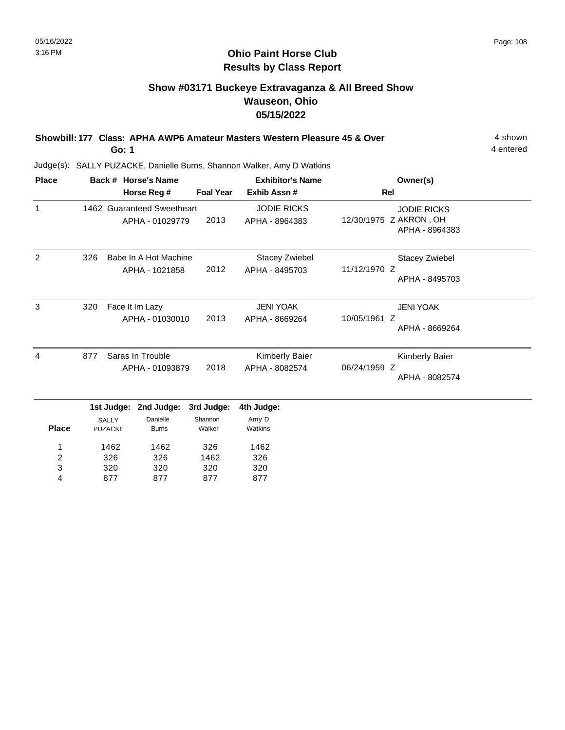# **Show #03171 Buckeye Extravaganza & All Breed Show Wauseon, Ohio 05/15/2022**

**Showbill: 177 Class: APHA AWP6 Amateur Masters Western Pleasure 45 & Over** 4 Shown 4 shown **Go: 1**

4 entered

Judge(s): SALLY PUZACKE, Danielle Burns, Shannon Walker, Amy D Watkins

877

4

877

877

877

| <b>Place</b> |     |                         | Back # Horse's Name                           |                   | <b>Exhibitor's Name</b>                 | Owner(s)                                                       |
|--------------|-----|-------------------------|-----------------------------------------------|-------------------|-----------------------------------------|----------------------------------------------------------------|
|              |     |                         | Horse Reg #                                   | <b>Foal Year</b>  | Exhib Assn #                            | Rel                                                            |
| $\mathbf{1}$ |     |                         | 1462 Guaranteed Sweetheart<br>APHA - 01029779 | 2013              | <b>JODIE RICKS</b><br>APHA - 8964383    | <b>JODIE RICKS</b><br>12/30/1975 Z AKRON, OH<br>APHA - 8964383 |
| 2            | 326 |                         | Babe In A Hot Machine<br>APHA - 1021858       | 2012              | <b>Stacey Zwiebel</b><br>APHA - 8495703 | Stacey Zwiebel<br>11/12/1970 Z<br>APHA - 8495703               |
| 3            | 320 |                         | Face It Im Lazy<br>APHA - 01030010            | 2013              | <b>JENI YOAK</b><br>APHA - 8669264      | <b>JENI YOAK</b><br>10/05/1961 Z<br>APHA - 8669264             |
| 4            | 877 |                         | Saras In Trouble<br>APHA - 01093879           | 2018              | Kimberly Baier<br>APHA - 8082574        | Kimberly Baier<br>06/24/1959 Z<br>APHA - 8082574               |
|              |     | 1st Judge:              | 2nd Judge:                                    | 3rd Judge:        | 4th Judge:                              |                                                                |
| <b>Place</b> |     | <b>SALLY</b><br>PUZACKE | Danielle<br><b>Burns</b>                      | Shannon<br>Walker | Amy D<br>Watkins                        |                                                                |
| 1            |     | 1462                    | 1462                                          | 326               | 1462                                    |                                                                |
| 2            |     | 326                     | 326                                           | 1462              | 326                                     |                                                                |
| 3            |     | 320                     | 320                                           | 320               | 320                                     |                                                                |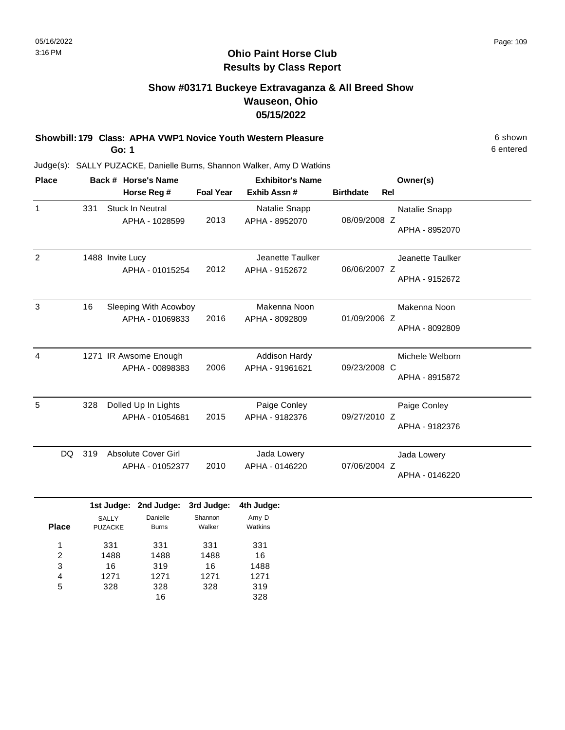# **Show #03171 Buckeye Extravaganza & All Breed Show Wauseon, Ohio 05/15/2022**

**Showbill: 179 Class: APHA VWP1 Novice Youth Western Pleasure** 6 shown

**Go: 1**

6 entered

| <b>Place</b> |     | Back # Horse's Name                           |                  | <b>Exhibitor's Name</b>                 |                                | Owner(s)                           |  |
|--------------|-----|-----------------------------------------------|------------------|-----------------------------------------|--------------------------------|------------------------------------|--|
|              |     | Horse Reg #                                   | <b>Foal Year</b> | Exhib Assn#                             | <b>Rel</b><br><b>Birthdate</b> |                                    |  |
| $\mathbf{1}$ | 331 | <b>Stuck In Neutral</b><br>APHA - 1028599     | 2013             | Natalie Snapp<br>APHA - 8952070         | 08/09/2008 Z                   | Natalie Snapp<br>APHA - 8952070    |  |
| 2            |     | 1488 Invite Lucy<br>APHA - 01015254           | 2012             | Jeanette Taulker<br>APHA - 9152672      | 06/06/2007 Z                   | Jeanette Taulker<br>APHA - 9152672 |  |
| 3            | 16  | Sleeping With Acowboy<br>APHA - 01069833      | 2016             | Makenna Noon<br>APHA - 8092809          | 01/09/2006 Z                   | Makenna Noon<br>APHA - 8092809     |  |
| 4            |     | 1271 IR Awsome Enough<br>APHA - 00898383      | 2006             | <b>Addison Hardy</b><br>APHA - 91961621 | 09/23/2008 C                   | Michele Welborn<br>APHA - 8915872  |  |
| 5            | 328 | Dolled Up In Lights<br>APHA - 01054681        | 2015             | Paige Conley<br>APHA - 9182376          | 09/27/2010 Z                   | Paige Conley<br>APHA - 9182376     |  |
| DQ.          | 319 | <b>Absolute Cover Girl</b><br>APHA - 01052377 | 2010             | Jada Lowery<br>APHA - 0146220           | 07/06/2004 Z                   | Jada Lowery<br>APHA - 0146220      |  |
|              |     | 1st Judge: 2nd Judge:                         | 3rd Judge:       | 4th Judge:                              |                                |                                    |  |

|              | <b>SALLY</b>   | Danielle     | Shannon | Amy D   |  |
|--------------|----------------|--------------|---------|---------|--|
| <b>Place</b> | <b>PUZACKE</b> | <b>Burns</b> | Walker  | Watkins |  |
| 1            | 331            | 331          | 331     | 331     |  |
| 2            | 1488           | 1488         | 1488    | 16      |  |
| 3            | 16             | 319          | 16      | 1488    |  |
| 4            | 1271           | 1271         | 1271    | 1271    |  |
| 5            | 328            | 328          | 328     | 319     |  |
|              |                | 16           |         | 328     |  |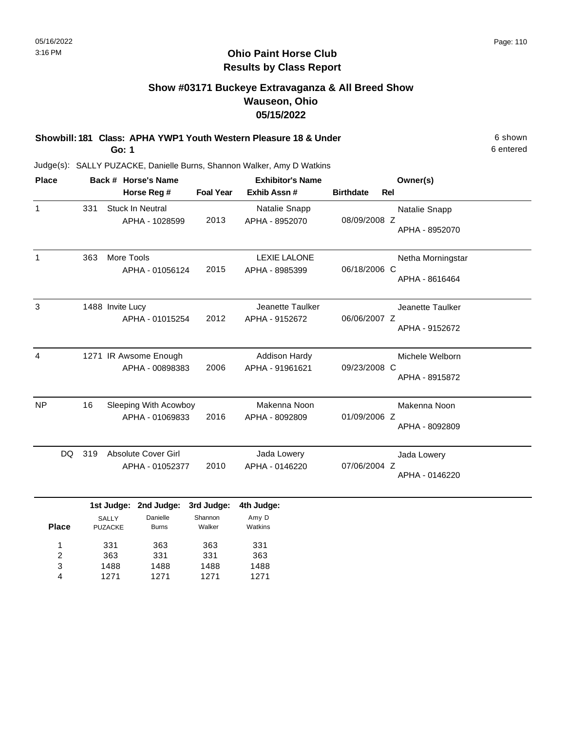# **Show #03171 Buckeye Extravaganza & All Breed Show Wauseon, Ohio 05/15/2022**

**Showbill: 181 Class: APHA YWP1 Youth Western Pleasure 18 & Under** 6 Shown 6 shown **Go: 1**

6 entered

Judge(s): SALLY PUZACKE, Danielle Burns, Shannon Walker, Amy D Watkins

| <b>Place</b> |           |              |                              | Back # Horse's Name                           |                                 | <b>Exhibitor's Name</b>                 |                  |     | Owner(s)                            |
|--------------|-----------|--------------|------------------------------|-----------------------------------------------|---------------------------------|-----------------------------------------|------------------|-----|-------------------------------------|
|              |           |              |                              | Horse Reg #                                   | <b>Foal Year</b>                | Exhib Assn#                             | <b>Birthdate</b> | Rel |                                     |
| $\mathbf{1}$ | 331       |              |                              | <b>Stuck In Neutral</b><br>APHA - 1028599     | 2013                            | Natalie Snapp<br>APHA - 8952070         | 08/09/2008 Z     |     | Natalie Snapp<br>APHA - 8952070     |
| $\mathbf{1}$ | 363       |              | More Tools                   | APHA - 01056124                               | 2015                            | <b>LEXIE LALONE</b><br>APHA - 8985399   | 06/18/2006 C     |     | Netha Morningstar<br>APHA - 8616464 |
| 3            |           |              | 1488 Invite Lucy             | APHA - 01015254                               | 2012                            | Jeanette Taulker<br>APHA - 9152672      | 06/06/2007 Z     |     | Jeanette Taulker<br>APHA - 9152672  |
| 4            |           |              |                              | 1271 IR Awsome Enough<br>APHA - 00898383      | 2006                            | <b>Addison Hardy</b><br>APHA - 91961621 | 09/23/2008 C     |     | Michele Welborn<br>APHA - 8915872   |
| <b>NP</b>    | 16        |              |                              | Sleeping With Acowboy<br>APHA - 01069833      | 2016                            | Makenna Noon<br>APHA - 8092809          | 01/09/2006 Z     |     | Makenna Noon<br>APHA - 8092809      |
|              | DQ<br>319 |              |                              | <b>Absolute Cover Girl</b><br>APHA - 01052377 | 2010                            | Jada Lowery<br>APHA - 0146220           | 07/06/2004 Z     |     | Jada Lowery<br>APHA - 0146220       |
| <b>Place</b> |           | <b>SALLY</b> | 1st Judge:<br><b>PUZACKE</b> | 2nd Judge:<br>Danielle<br><b>Burns</b>        | 3rd Judge:<br>Shannon<br>Walker | 4th Judge:<br>Amy D<br>Watkins          |                  |     |                                     |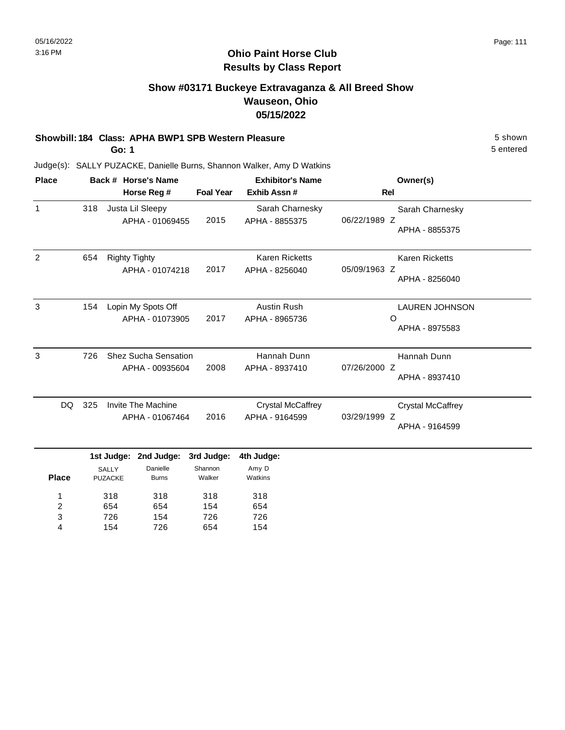# **Show #03171 Buckeye Extravaganza & All Breed Show Wauseon, Ohio 05/15/2022**

### **Showbill: 184 Class: APHA BWP1 SPB Western Pleasure** 5 shown

**Go: 1**

5 entered

| <b>Place</b> |            | Back # Horse's Name                   |                                                |                                 | <b>Exhibitor's Name</b>                    | Owner(s)                                                   |
|--------------|------------|---------------------------------------|------------------------------------------------|---------------------------------|--------------------------------------------|------------------------------------------------------------|
|              |            |                                       | Horse Reg #                                    | <b>Foal Year</b>                | Exhib Assn#                                | <b>Rel</b>                                                 |
| $\mathbf{1}$ | 318        |                                       | Justa Lil Sleepy<br>APHA - 01069455            | 2015                            | Sarah Charnesky<br>APHA - 8855375          | Sarah Charnesky<br>06/22/1989 Z<br>APHA - 8855375          |
| 2            | 654        | <b>Righty Tighty</b>                  | APHA - 01074218                                | 2017                            | <b>Karen Ricketts</b><br>APHA - 8256040    | <b>Karen Ricketts</b><br>05/09/1963 Z<br>APHA - 8256040    |
| 3            | 154        |                                       | Lopin My Spots Off<br>APHA - 01073905          | 2017                            | <b>Austin Rush</b><br>APHA - 8965736       | <b>LAUREN JOHNSON</b><br>O<br>APHA - 8975583               |
| 3            | 726        |                                       | <b>Shez Sucha Sensation</b><br>APHA - 00935604 | 2008                            | Hannah Dunn<br>APHA - 8937410              | Hannah Dunn<br>07/26/2000 Z<br>APHA - 8937410              |
|              | 325<br>DQ. |                                       | Invite The Machine<br>APHA - 01067464          | 2016                            | <b>Crystal McCaffrey</b><br>APHA - 9164599 | <b>Crystal McCaffrey</b><br>03/29/1999 Z<br>APHA - 9164599 |
| <b>Place</b> |            | 1st Judge:<br>SALLY<br><b>PUZACKE</b> | 2nd Judge:<br>Danielle<br><b>Burns</b>         | 3rd Judge:<br>Shannon<br>Walker | 4th Judge:<br>Amy D<br>Watkins             |                                                            |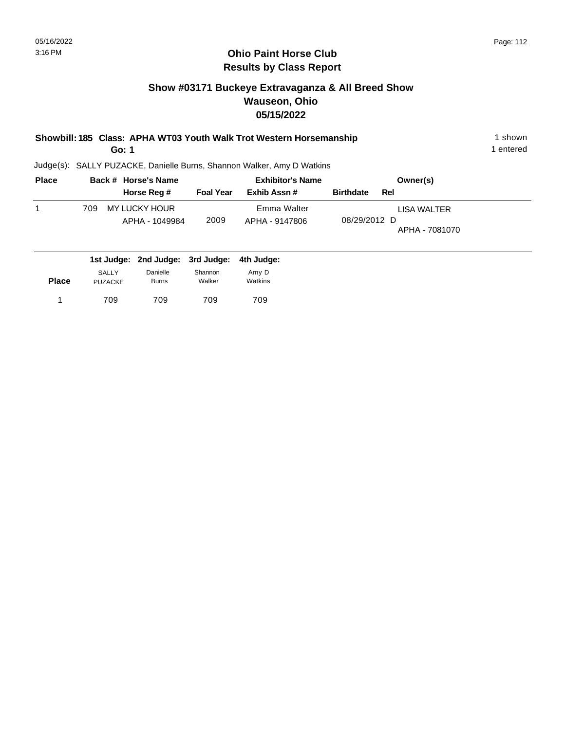# **Ohio Paint Horse Club Results by Class Report**

# **Show #03171 Buckeye Extravaganza & All Breed Show Wauseon, Ohio 05/15/2022**

|  | Showbill: 185 Class: APHA WT03 Youth Walk Trot Western Horsemanship | 1 shown |
|--|---------------------------------------------------------------------|---------|
|  |                                                                     |         |

**Go: 1**

| <b>Place</b> |     | Back # Horse's Name                                             |                  | <b>Exhibitor's Name</b>       |                  | Owner(s)                      |  |
|--------------|-----|-----------------------------------------------------------------|------------------|-------------------------------|------------------|-------------------------------|--|
|              |     | Horse Reg #                                                     | <b>Foal Year</b> | Exhib Assn #                  | <b>Birthdate</b> | Rel                           |  |
|              | 709 | MY LUCKY HOUR<br>APHA - 1049984                                 | 2009             | Emma Walter<br>APHA - 9147806 | 08/29/2012 D     | LISA WALTER<br>APHA - 7081070 |  |
|              |     | المسلوبيا والملاز ومساوينا اوسي ومساوينا المستري ومساوينا لمسار |                  |                               |                  |                               |  |

|              |                         | 1st Judge: 2nd Judge: 3rd Judge: 4th Judge: |                   |                  |
|--------------|-------------------------|---------------------------------------------|-------------------|------------------|
| <b>Place</b> | SALLY<br><b>PUZACKE</b> | Danielle<br><b>Burns</b>                    | Shannon<br>Walker | Amy D<br>Watkins |
|              | 709                     | 709                                         | 709               | 709              |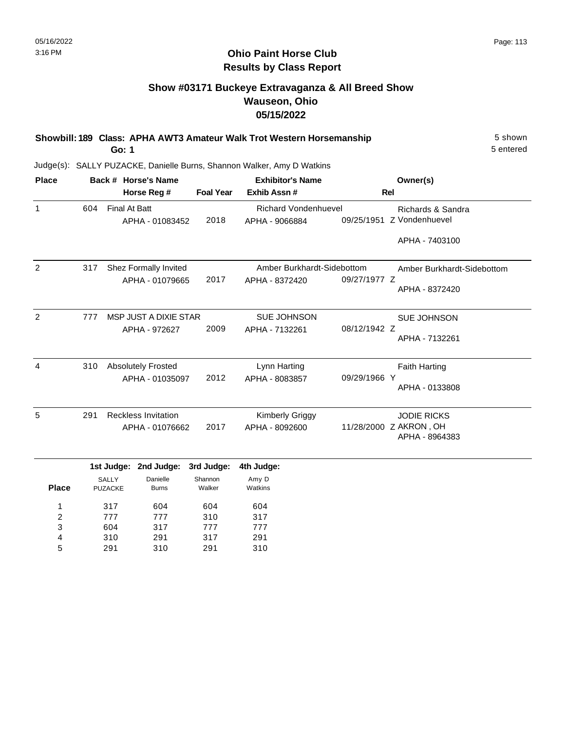# **Show #03171 Buckeye Extravaganza & All Breed Show Wauseon, Ohio 05/15/2022**

| Showbill: 189 Class: APHA AWT3 Amateur Walk Trot Western Horsemanship | 5 shown   |
|-----------------------------------------------------------------------|-----------|
| Go: 1                                                                 | 5 entered |

Judge(s): SALLY PUZACKE, Danielle Burns, Shannon Walker, Amy D Watkins

| <b>Place</b>   |     | Back # Horse's Name  |                            |                  | <b>Exhibitor's Name</b>     |              | Owner(s)                   |
|----------------|-----|----------------------|----------------------------|------------------|-----------------------------|--------------|----------------------------|
|                |     |                      | Horse Reg #                | <b>Foal Year</b> | Exhib Assn#                 |              | <b>Rel</b>                 |
| 1              | 604 | <b>Final At Batt</b> |                            |                  | <b>Richard Vondenhuevel</b> |              | Richards & Sandra          |
|                |     |                      | APHA - 01083452            | 2018             | APHA - 9066884              |              | 09/25/1951 Z Vondenhuevel  |
|                |     |                      |                            |                  |                             |              | APHA - 7403100             |
| 2              | 317 |                      | Shez Formally Invited      |                  | Amber Burkhardt-Sidebottom  |              | Amber Burkhardt-Sidebottom |
|                |     |                      | APHA - 01079665            | 2017             | APHA - 8372420              | 09/27/1977 Z |                            |
|                |     |                      |                            |                  |                             |              | APHA - 8372420             |
| $\overline{2}$ | 777 |                      | MSP JUST A DIXIE STAR      |                  | <b>SUE JOHNSON</b>          |              | <b>SUE JOHNSON</b>         |
|                |     |                      | APHA - 972627              | 2009             | APHA - 7132261              | 08/12/1942 Z |                            |
|                |     |                      |                            |                  |                             |              | APHA - 7132261             |
| 4              | 310 |                      | <b>Absolutely Frosted</b>  |                  | Lynn Harting                |              | <b>Faith Harting</b>       |
|                |     | APHA - 01035097      |                            |                  | APHA - 8083857              | 09/29/1966 Y |                            |
|                |     |                      |                            |                  |                             |              | APHA - 0133808             |
| 5              | 291 |                      | <b>Reckless Invitation</b> |                  | <b>Kimberly Griggy</b>      |              | <b>JODIE RICKS</b>         |
|                |     |                      | APHA - 01076662            | 2017             | APHA - 8092600              |              | 11/28/2000 Z AKRON, OH     |
|                |     |                      |                            |                  |                             |              | APHA - 8964383             |
|                |     | 1st Judge:           | 2nd Judge:                 | 3rd Judge:       | 4th Judge:                  |              |                            |
|                |     | <b>SALLY</b>         | Danielle                   | Shannon          | Amy D                       |              |                            |
| <b>Place</b>   |     | <b>PUZACKE</b>       | <b>Burns</b>               | Walker           | Watkins                     |              |                            |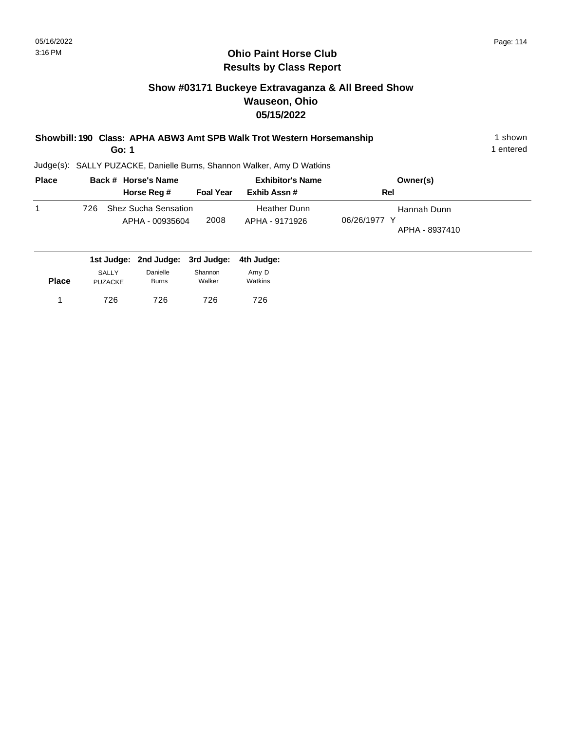# **Show #03171 Buckeye Extravaganza & All Breed Show Wauseon, Ohio 05/15/2022**

| Showbill: 190 Class: APHA ABW3 Amt SPB Walk Trot Western Horsemanship | shown     |
|-----------------------------------------------------------------------|-----------|
| Go: 1                                                                 | 1 entered |

| <b>Place</b> | Back # Horse's Name                                   |                  | <b>Exhibitor's Name</b>               | Owner(s)                                      |
|--------------|-------------------------------------------------------|------------------|---------------------------------------|-----------------------------------------------|
|              | Horse Reg #                                           | <b>Foal Year</b> | Exhib Assn #                          | Rel                                           |
|              | <b>Shez Sucha Sensation</b><br>726<br>APHA - 00935604 | 2008             | <b>Heather Dunn</b><br>APHA - 9171926 | Hannah Dunn<br>06/26/1977 Y<br>APHA - 8937410 |
|              | 1st Judge: 2nd Judge: 3rd Judge:                      |                  | 4th Judge:                            |                                               |

| <b>Place</b> | <b>SALLY</b>   | Danielle     | Shannon | Amy D   |
|--------------|----------------|--------------|---------|---------|
|              | <b>PUZACKE</b> | <b>Burns</b> | Walker  | Watkins |
|              | 726            | 726          | 726     | 726     |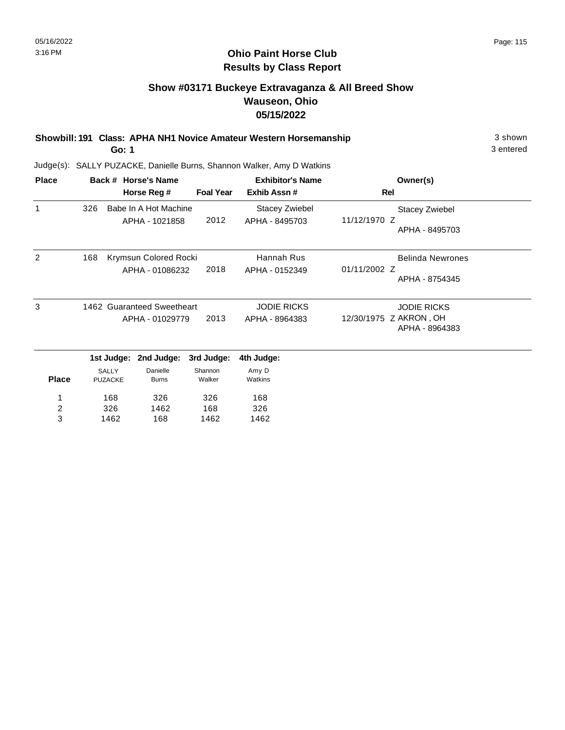# **Show #03171 Buckeye Extravaganza & All Breed Show Wauseon, Ohio 05/15/2022**

**Showbill: 191 Class: APHA NH1 Novice Amateur Western Horsemanship** 3 shown 3 shown **Go: 1**

3 entered

| <b>Place</b>            | Back # Horse's Name |            |                                         |                  | <b>Exhibitor's Name</b>                 | Owner(s)                                 |
|-------------------------|---------------------|------------|-----------------------------------------|------------------|-----------------------------------------|------------------------------------------|
|                         |                     |            | Horse Reg #                             | <b>Foal Year</b> | Exhib Assn#                             | <b>Rel</b>                               |
| 1                       | 326                 |            | Babe In A Hot Machine<br>APHA - 1021858 | 2012             | <b>Stacey Zwiebel</b><br>APHA - 8495703 | <b>Stacey Zwiebel</b><br>11/12/1970 Z    |
|                         |                     |            |                                         |                  |                                         | APHA - 8495703                           |
| 2                       | 168                 |            | Krymsun Colored Rocki                   |                  | Hannah Rus                              | <b>Belinda Newrones</b>                  |
|                         |                     |            | APHA - 01086232                         | 2018             | APHA - 0152349                          | 01/11/2002 Z                             |
|                         |                     |            |                                         |                  |                                         | APHA - 8754345                           |
| 3                       |                     |            | 1462 Guaranteed Sweetheart              |                  | <b>JODIE RICKS</b>                      | <b>JODIE RICKS</b>                       |
|                         |                     |            | APHA - 01029779                         | 2013             | APHA - 8964383                          | 12/30/1975 Z AKRON, OH<br>APHA - 8964383 |
|                         |                     | 1st Judge: | 2nd Judge:                              | 3rd Judge:       | 4th Judge:                              |                                          |
|                         | <b>SALLY</b>        |            | Danielle                                | Shannon          | Amy D                                   |                                          |
| <b>Place</b>            | <b>PUZACKE</b>      |            | <b>Burns</b>                            | Walker           | Watkins                                 |                                          |
| 1                       |                     | 168        | 326                                     | 326              | 168                                     |                                          |
| $\overline{\mathbf{c}}$ |                     | 326        | 1462                                    | 168              | 326                                     |                                          |
| 3                       |                     | 1462       | 168                                     | 1462             | 1462                                    |                                          |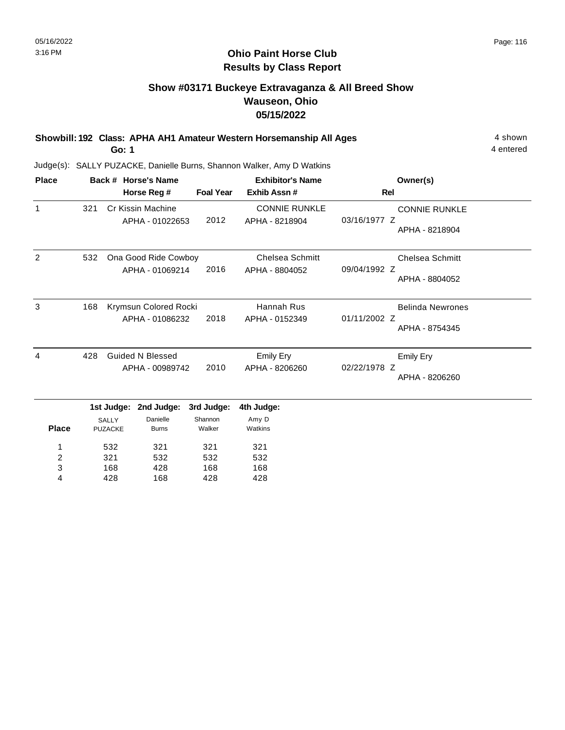# **Show #03171 Buckeye Extravaganza & All Breed Show Wauseon, Ohio 05/15/2022**

**Showbill: 192 Class: APHA AH1 Amateur Western Horsemanship All Ages** 4 shown

**Go: 1**

168 428

3 4

428 168 168 428 168 428 4 entered

| <b>Place</b>   |     |                                | Back # Horse's Name                        |                   | <b>Exhibitor's Name</b>                  | Owner(s)                                                  |  |
|----------------|-----|--------------------------------|--------------------------------------------|-------------------|------------------------------------------|-----------------------------------------------------------|--|
|                |     |                                | Horse Reg #                                | <b>Foal Year</b>  | Exhib Assn #                             | <b>Rel</b>                                                |  |
| $\mathbf{1}$   | 321 |                                | Cr Kissin Machine<br>APHA - 01022653       | 2012              | <b>CONNIE RUNKLE</b><br>APHA - 8218904   | <b>CONNIE RUNKLE</b><br>03/16/1977 Z<br>APHA - 8218904    |  |
| 2              | 532 |                                | Ona Good Ride Cowboy<br>APHA - 01069214    | 2016              | <b>Chelsea Schmitt</b><br>APHA - 8804052 | <b>Chelsea Schmitt</b><br>09/04/1992 Z<br>APHA - 8804052  |  |
| 3              | 168 |                                | Krymsun Colored Rocki<br>APHA - 01086232   | 2018              | Hannah Rus<br>APHA - 0152349             | <b>Belinda Newrones</b><br>01/11/2002 Z<br>APHA - 8754345 |  |
| 4              | 428 |                                | <b>Guided N Blessed</b><br>APHA - 00989742 | 2010              | <b>Emily Ery</b><br>APHA - 8206260       | <b>Emily Ery</b><br>02/22/1978 Z<br>APHA - 8206260        |  |
|                |     | 1st Judge:                     | 2nd Judge:                                 | 3rd Judge:        | 4th Judge:                               |                                                           |  |
| <b>Place</b>   |     | <b>SALLY</b><br><b>PUZACKE</b> | Danielle<br><b>Burns</b>                   | Shannon<br>Walker | Amy D<br>Watkins                         |                                                           |  |
| 1              |     | 532                            | 321                                        | 321               | 321                                      |                                                           |  |
| $\overline{2}$ |     | 321                            | 532                                        | 532               | 532                                      |                                                           |  |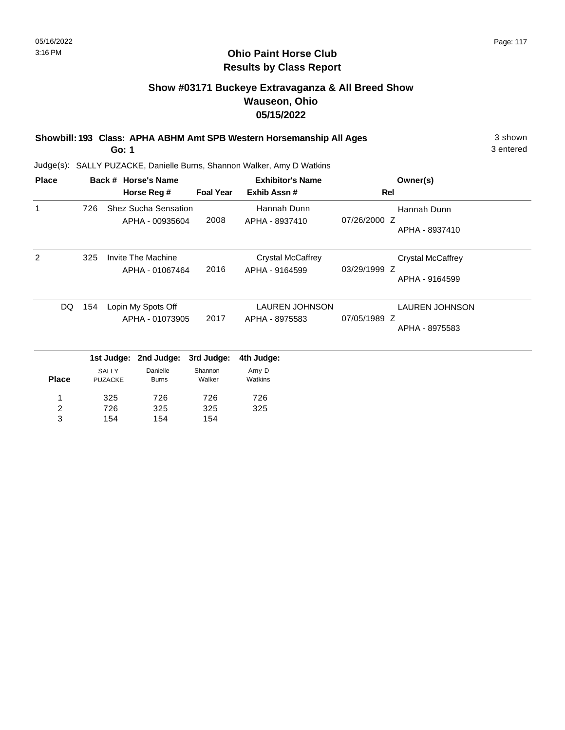# **Show #03171 Buckeye Extravaganza & All Breed Show Wauseon, Ohio 05/15/2022**

| Showbill: 193 Class: APHA ABHM Amt SPB Western Horsemanship All Ages | 3 shown   |
|----------------------------------------------------------------------|-----------|
| Go: 1                                                                | 3 entered |

3 entered

| <b>Place</b>                      | Back # Horse's Name |                                |                                                | <b>Exhibitor's Name</b> |                                            | Owner(s)                                                   |  |
|-----------------------------------|---------------------|--------------------------------|------------------------------------------------|-------------------------|--------------------------------------------|------------------------------------------------------------|--|
|                                   |                     |                                | Horse Reg #                                    | <b>Foal Year</b>        | Exhib Assn#                                | <b>Rel</b>                                                 |  |
| 1                                 | 726                 |                                | <b>Shez Sucha Sensation</b><br>APHA - 00935604 | 2008                    | Hannah Dunn<br>APHA - 8937410              | Hannah Dunn<br>07/26/2000 Z<br>APHA - 8937410              |  |
| 2                                 | 325                 |                                | Invite The Machine<br>APHA - 01067464          | 2016                    | <b>Crystal McCaffrey</b><br>APHA - 9164599 | <b>Crystal McCaffrey</b><br>03/29/1999 Z<br>APHA - 9164599 |  |
| DQ.                               | 154                 |                                | Lopin My Spots Off<br>APHA - 01073905          | 2017                    | <b>LAUREN JOHNSON</b><br>APHA - 8975583    | <b>LAUREN JOHNSON</b><br>07/05/1989 Z<br>APHA - 8975583    |  |
|                                   |                     |                                | 1st Judge: 2nd Judge:                          | 3rd Judge:              | 4th Judge:                                 |                                                            |  |
| <b>Place</b>                      |                     | <b>SALLY</b><br><b>PUZACKE</b> | Danielle<br><b>Burns</b>                       | Shannon<br>Walker       | Amy D<br>Watkins                           |                                                            |  |
| 1<br>$\overline{\mathbf{c}}$<br>3 |                     | 325<br>726<br>154              | 726<br>325<br>154                              | 726<br>325<br>154       | 726<br>325                                 |                                                            |  |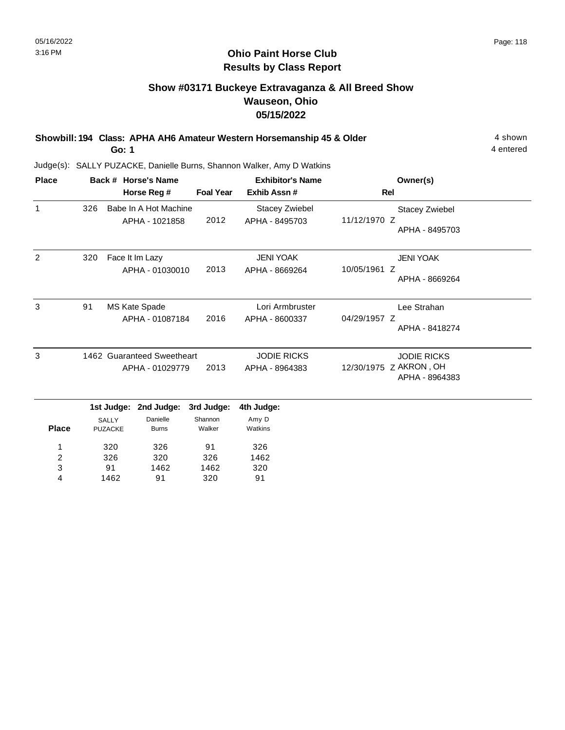# **Show #03171 Buckeye Extravaganza & All Breed Show Wauseon, Ohio 05/15/2022**

**Showbill: 194 Class: APHA AH6 Amateur Western Horsemanship 45 & Older** 4 shown 4 shown **Go: 1**

4 entered

| <b>Place</b>            |     | Back # Horse's Name            |                                         |                   | <b>Exhibitor's Name</b>            | Owner(s)                                                |
|-------------------------|-----|--------------------------------|-----------------------------------------|-------------------|------------------------------------|---------------------------------------------------------|
|                         |     |                                | Horse Reg #                             | <b>Foal Year</b>  | Exhib Assn#                        | Rel                                                     |
| $\mathbf{1}$            | 326 |                                | Babe In A Hot Machine<br>APHA - 1021858 | 2012              | Stacey Zwiebel<br>APHA - 8495703   | <b>Stacey Zwiebel</b><br>11/12/1970 Z<br>APHA - 8495703 |
| 2                       | 320 |                                | Face It Im Lazy<br>APHA - 01030010      | 2013              | <b>JENI YOAK</b><br>APHA - 8669264 | <b>JENI YOAK</b><br>10/05/1961 Z<br>APHA - 8669264      |
| 3                       | 91  |                                | MS Kate Spade<br>APHA - 01087184        | 2016              | Lori Armbruster<br>APHA - 8600337  | Lee Strahan<br>04/29/1957 Z<br>APHA - 8418274           |
| 3                       |     |                                | 1462 Guaranteed Sweetheart              |                   | <b>JODIE RICKS</b>                 | <b>JODIE RICKS</b>                                      |
|                         |     |                                | APHA - 01029779                         | 2013              | APHA - 8964383                     | 12/30/1975 Z AKRON, OH<br>APHA - 8964383                |
|                         |     | 1st Judge:                     | 2nd Judge:                              | 3rd Judge:        | 4th Judge:                         |                                                         |
| <b>Place</b>            |     | <b>SALLY</b><br><b>PUZACKE</b> | Danielle<br><b>Burns</b>                | Shannon<br>Walker | Amy D<br>Watkins                   |                                                         |
| 1                       |     | 320                            | 326                                     | 91                | 326                                |                                                         |
| $\overline{\mathbf{c}}$ |     | 326                            | 320                                     | 326               | 1462                               |                                                         |
| 3                       |     | 91                             | 1462                                    | 1462              | 320                                |                                                         |
| 4                       |     | 1462                           | 91                                      | 320               | 91                                 |                                                         |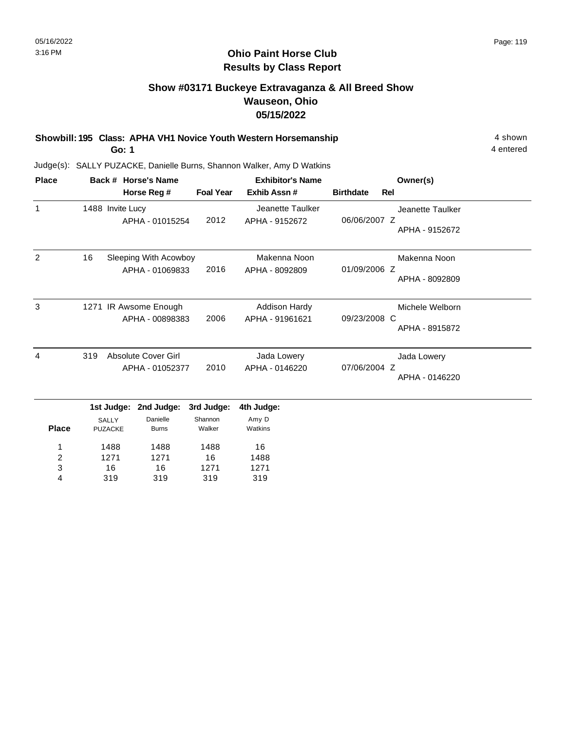# **Show #03171 Buckeye Extravaganza & All Breed Show Wauseon, Ohio 05/15/2022**

**Showbill: 195 Class: APHA VH1 Novice Youth Western Horsemanship** 4 shown 4 shown

**Go: 1**

16 319

3 4

16 319 1271 319

1271 319

4 entered

| <b>Place</b> |                                              | Back # Horse's Name                      |                                 | <b>Exhibitor's Name</b>                 |                  |     | Owner(s)                           |
|--------------|----------------------------------------------|------------------------------------------|---------------------------------|-----------------------------------------|------------------|-----|------------------------------------|
|              |                                              | Horse Reg #                              | <b>Foal Year</b>                | Exhib Assn#                             | <b>Birthdate</b> | Rel |                                    |
| $\mathbf{1}$ | 1488 Invite Lucy                             | APHA - 01015254                          | 2012                            | Jeanette Taulker<br>APHA - 9152672      | 06/06/2007 Z     |     | Jeanette Taulker<br>APHA - 9152672 |
| 2            | 16                                           | Sleeping With Acowboy<br>APHA - 01069833 | 2016                            | Makenna Noon<br>APHA - 8092809          | 01/09/2006 Z     |     | Makenna Noon<br>APHA - 8092809     |
| 3            |                                              | 1271 IR Awsome Enough<br>APHA - 00898383 | 2006                            | <b>Addison Hardy</b><br>APHA - 91961621 | 09/23/2008 C     |     | Michele Welborn<br>APHA - 8915872  |
| 4            | 319                                          | Absolute Cover Girl<br>APHA - 01052377   | 2010                            | Jada Lowery<br>APHA - 0146220           | 07/06/2004 Z     |     | Jada Lowery<br>APHA - 0146220      |
| <b>Place</b> | 1st Judge:<br><b>SALLY</b><br><b>PUZACKE</b> | 2nd Judge:<br>Danielle<br><b>Burns</b>   | 3rd Judge:<br>Shannon<br>Walker | 4th Judge:<br>Amy D<br>Watkins          |                  |     |                                    |
| 1<br>2       | 1488<br>1271                                 | 1488<br>1271                             | 1488<br>16                      | 16<br>1488                              |                  |     |                                    |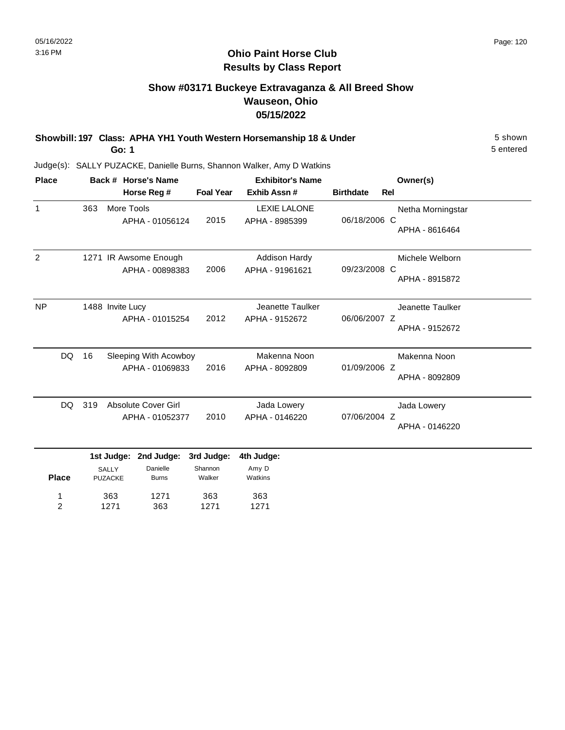# **Show #03171 Buckeye Extravaganza & All Breed Show Wauseon, Ohio 05/15/2022**

**Showbill: 197 Class: APHA YH1 Youth Western Horsemanship 18 & Under** 5 Shown 5 shown **Go: 1**

5 entered

Judge(s): SALLY PUZACKE, Danielle Burns, Shannon Walker, Amy D Watkins

363 1271

1 2 1271 363

363 1271

363 1271

| <b>Place</b>   |     | Back # Horse's Name                          |                                               |                                 | <b>Exhibitor's Name</b>                 |                  |     | Owner(s)                            |
|----------------|-----|----------------------------------------------|-----------------------------------------------|---------------------------------|-----------------------------------------|------------------|-----|-------------------------------------|
|                |     |                                              | Horse Reg #                                   | <b>Foal Year</b>                | Exhib Assn#                             | <b>Birthdate</b> | Rel |                                     |
| $\mathbf{1}$   | 363 | More Tools                                   | APHA - 01056124                               | 2015                            | <b>LEXIE LALONE</b><br>APHA - 8985399   | 06/18/2006 C     |     | Netha Morningstar<br>APHA - 8616464 |
| $\overline{2}$ |     |                                              | 1271 IR Awsome Enough<br>APHA - 00898383      | 2006                            | <b>Addison Hardy</b><br>APHA - 91961621 | 09/23/2008 C     |     | Michele Welborn<br>APHA - 8915872   |
| <b>NP</b>      |     | 1488 Invite Lucy                             | APHA - 01015254                               | 2012                            | Jeanette Taulker<br>APHA - 9152672      | 06/06/2007 Z     |     | Jeanette Taulker<br>APHA - 9152672  |
| DQ             | 16  |                                              | Sleeping With Acowboy<br>APHA - 01069833      | 2016                            | Makenna Noon<br>APHA - 8092809          | 01/09/2006 Z     |     | Makenna Noon<br>APHA - 8092809      |
| DQ.            | 319 |                                              | <b>Absolute Cover Girl</b><br>APHA - 01052377 | 2010                            | Jada Lowery<br>APHA - 0146220           | 07/06/2004 Z     |     | Jada Lowery<br>APHA - 0146220       |
| <b>Place</b>   |     | 1st Judge:<br><b>SALLY</b><br><b>PUZACKE</b> | 2nd Judge:<br>Danielle<br><b>Burns</b>        | 3rd Judge:<br>Shannon<br>Walker | 4th Judge:<br>Amy D<br>Watkins          |                  |     |                                     |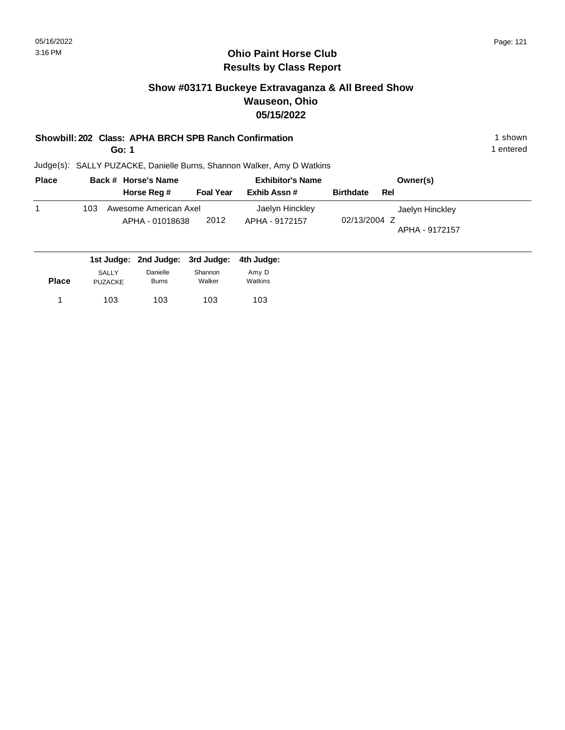## **Ohio Paint Horse Club Results by Class Report**

# **Show #03171 Buckeye Extravaganza & All Breed Show Wauseon, Ohio 05/15/2022**

### **Showbill: 202 Class: APHA BRCH SPB Ranch Confirmation** 1 shown 1 shown

**Go: 1**

| <b>Place</b> | Back # Horse's Name                                                                                                                          |                  | <b>Exhibitor's Name</b>           | Owner(s)                                          |
|--------------|----------------------------------------------------------------------------------------------------------------------------------------------|------------------|-----------------------------------|---------------------------------------------------|
|              | Horse Reg #                                                                                                                                  | <b>Foal Year</b> | Exhib Assn #                      | <b>Birthdate</b><br>Rel                           |
|              | Awesome American Axel<br>103<br>APHA - 01018638                                                                                              | 2012             | Jaelyn Hinckley<br>APHA - 9172157 | Jaelyn Hinckley<br>02/13/2004 Z<br>APHA - 9172157 |
|              | $\overline{a}$ , and $\overline{a}$ , and $\overline{a}$ , and $\overline{a}$ , and $\overline{a}$ , and $\overline{a}$ , and $\overline{a}$ |                  |                                   |                                                   |

|              |                | 1st Judge: 2nd Judge: 3rd Judge: 4th Judge: |         |         |
|--------------|----------------|---------------------------------------------|---------|---------|
|              | <b>SALLY</b>   | Danielle                                    | Shannon | Amy D   |
| <b>Place</b> | <b>PUZACKE</b> | <b>Burns</b>                                | Walker  | Watkins |
|              | 103            | 103                                         | 103     | 103     |
|              |                |                                             |         |         |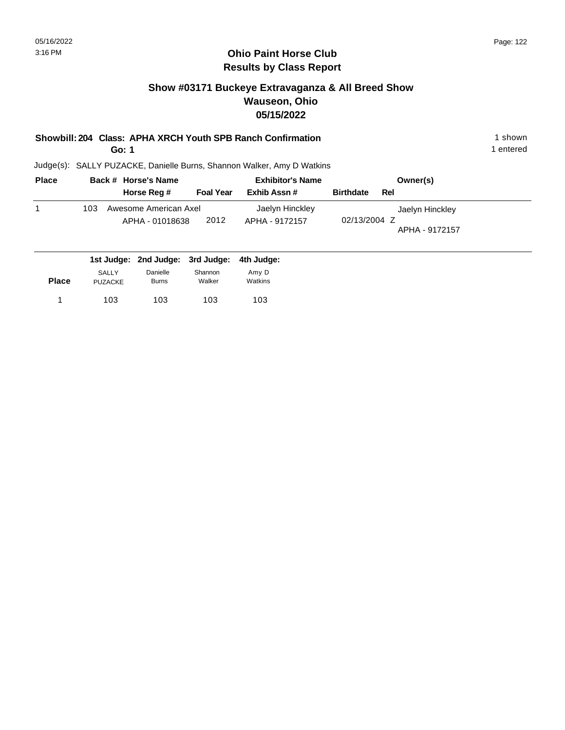# **Show #03171 Buckeye Extravaganza & All Breed Show Wauseon, Ohio 05/15/2022**

### **Showbill: 204 Class: APHA XRCH Youth SPB Ranch Confirmation** 1 Shown 1 shown

**Go: 1**

Judge(s): SALLY PUZACKE, Danielle Burns, Shannon Walker, Amy D Watkins

| <b>Place</b> | Back # Horse's Name                                                                                                                          |                  | <b>Exhibitor's Name</b>           | Owner(s)                                          |
|--------------|----------------------------------------------------------------------------------------------------------------------------------------------|------------------|-----------------------------------|---------------------------------------------------|
|              | Horse Reg #                                                                                                                                  | <b>Foal Year</b> | Exhib Assn #                      | <b>Birthdate</b><br>Rel                           |
|              | Awesome American Axel<br>103<br>APHA - 01018638                                                                                              | 2012             | Jaelyn Hinckley<br>APHA - 9172157 | Jaelyn Hinckley<br>02/13/2004 Z<br>APHA - 9172157 |
|              | $\overline{a}$ , and $\overline{a}$ , and $\overline{a}$ , and $\overline{a}$ , and $\overline{a}$ , and $\overline{a}$ , and $\overline{a}$ |                  |                                   |                                                   |

|              | SALLY          | Danielle     | Shannon | Amy D   |
|--------------|----------------|--------------|---------|---------|
| <b>Place</b> | <b>PUZACKE</b> | <b>Burns</b> | Walker  | Watkins |
|              |                |              |         |         |
|              | 103            | 103          | 103     | 103     |

1 entered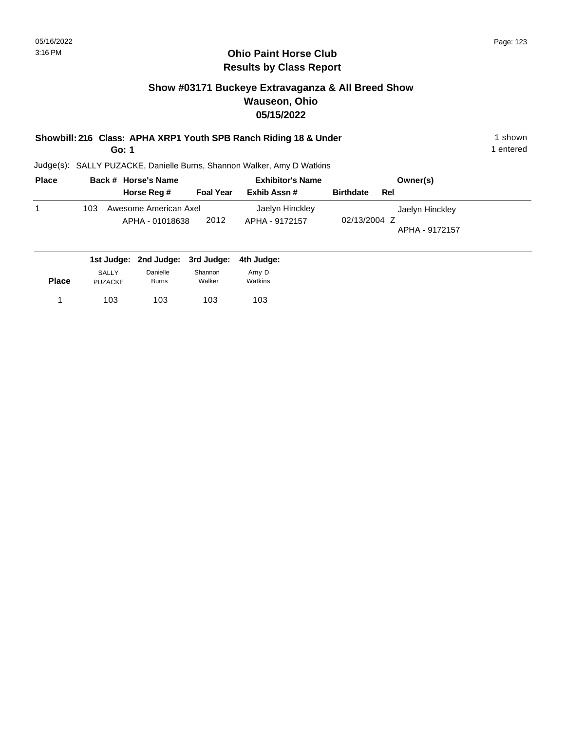## **Ohio Paint Horse Club Results by Class Report**

# **Show #03171 Buckeye Extravaganza & All Breed Show Wauseon, Ohio 05/15/2022**

**Showbill: 216 Class: APHA XRP1 Youth SPB Ranch Riding 18 & Under** 1 **Shown** 1 shown

**Go: 1**

| <b>Place</b> | Back # Horse's Name                         |                  | <b>Exhibitor's Name</b> | Owner(s)                       |
|--------------|---------------------------------------------|------------------|-------------------------|--------------------------------|
|              | Horse Reg #                                 | <b>Foal Year</b> | Exhib Assn #            | <b>Birthdate</b><br>Rel        |
|              | Awesome American Axel<br>103                |                  | Jaelyn Hinckley         | Jaelyn Hinckley                |
|              | APHA - 01018638                             | 2012             | APHA - 9172157          | 02/13/2004 Z<br>APHA - 9172157 |
|              | 1st Judge: 2nd Judge: 3rd Judge: 4th Judge: |                  |                         |                                |

| <b>Place</b> | <b>SALLY</b><br><b>PUZACKE</b> | Danielle<br><b>Burns</b> | Shannon<br>Walker | Amy D<br>Watkins |  |
|--------------|--------------------------------|--------------------------|-------------------|------------------|--|
|              | 103                            | 103                      | 103               | 103              |  |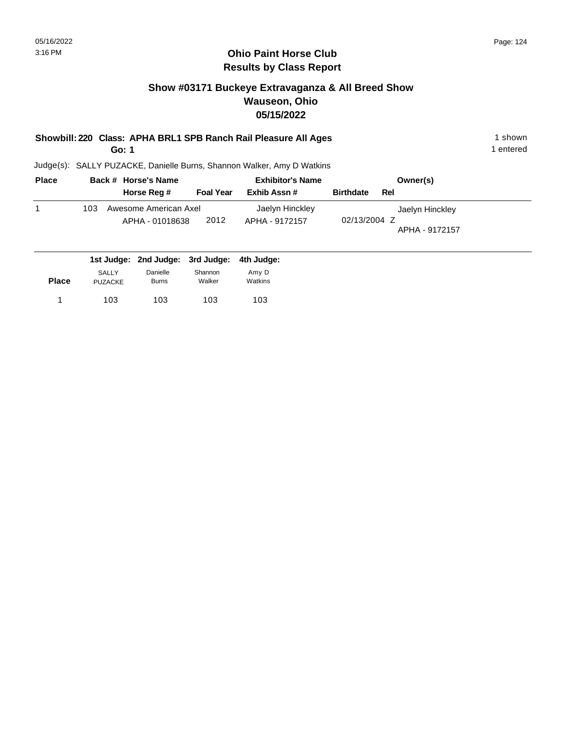## **Ohio Paint Horse Club Results by Class Report**

# **Show #03171 Buckeye Extravaganza & All Breed Show Wauseon, Ohio 05/15/2022**

**Showbill: 220 Class: APHA BRL1 SPB Ranch Rail Pleasure All Ages** 1 shown 1 shown

**Go: 1**

| <b>Place</b> | Back # Horse's Name              |                  | <b>Exhibitor's Name</b> | Owner(s)                       |
|--------------|----------------------------------|------------------|-------------------------|--------------------------------|
|              | Horse Reg #                      | <b>Foal Year</b> | Exhib Assn #            | <b>Birthdate</b><br>Rel        |
|              | Awesome American Axel<br>103     |                  | Jaelyn Hinckley         | Jaelyn Hinckley                |
|              | APHA - 01018638                  | 2012             | APHA - 9172157          | 02/13/2004 Z<br>APHA - 9172157 |
|              | 1st Judge: 2nd Judge: 3rd Judge: |                  | 4th Judge:              |                                |

| <b>Place</b> | <b>SALLY</b> | Danielle     | Shannon | Amy D   |
|--------------|--------------|--------------|---------|---------|
|              | PUZACKE      | <b>Burns</b> | Walker  | Watkins |
|              | 103          | 103          | 103     | 103     |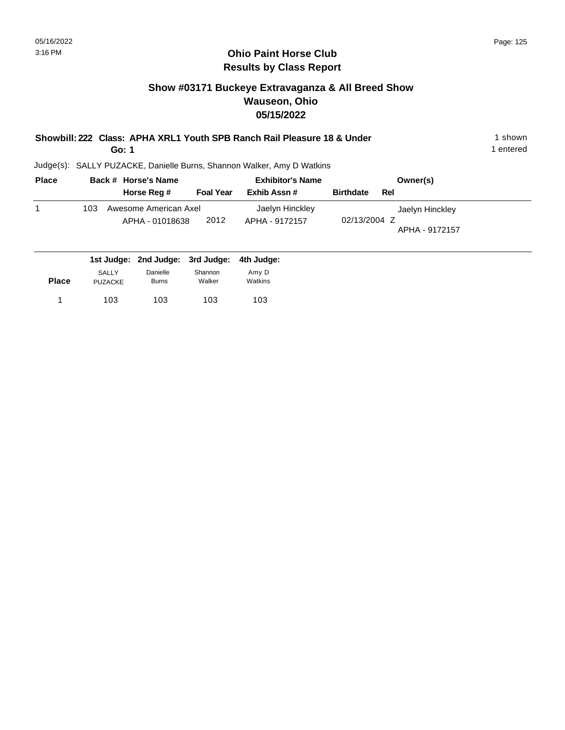## **Ohio Paint Horse Club Results by Class Report**

# **Show #03171 Buckeye Extravaganza & All Breed Show Wauseon, Ohio 05/15/2022**

| Showbill: 222 Class: APHA XRL1 Youth SPB Ranch Rail Pleasure 18 & Under | 1 shown |
|-------------------------------------------------------------------------|---------|
|                                                                         |         |

**Go: 1**

| <b>Place</b> | Back # Horse's Name                         |                  | <b>Exhibitor's Name</b> | Owner(s)                       |
|--------------|---------------------------------------------|------------------|-------------------------|--------------------------------|
|              | Horse Reg #                                 | <b>Foal Year</b> | Exhib Assn #            | <b>Birthdate</b><br>Rel        |
|              | Awesome American Axel<br>103                |                  | Jaelyn Hinckley         | Jaelyn Hinckley                |
|              | APHA - 01018638                             | 2012             | APHA - 9172157          | 02/13/2004 Z<br>APHA - 9172157 |
|              | 1st Judge: 2nd Judge: 3rd Judge: 4th Judge: |                  |                         |                                |

| <b>Place</b> | <b>SALLY</b> | Danielle     | Shannon | Amy D   |
|--------------|--------------|--------------|---------|---------|
|              | PUZACKE      | <b>Burns</b> | Walker  | Watkins |
| 1            | 103          | 103          | 103     | 103     |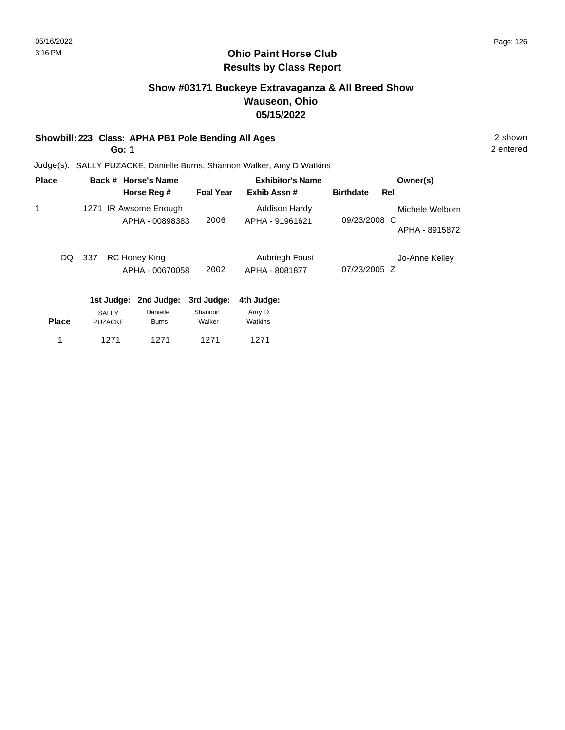# **Ohio Paint Horse Club Results by Class Report**

# **Show #03171 Buckeye Extravaganza & All Breed Show Wauseon, Ohio 05/15/2022**

### **Showbill: 223 Class: APHA PB1 Pole Bending All Ages** 2 shown

**Go: 1**

| <b>Place</b> |                | Back # Horse's Name                      |                  | <b>Exhibitor's Name</b>                 |                  |     | Owner(s)        |
|--------------|----------------|------------------------------------------|------------------|-----------------------------------------|------------------|-----|-----------------|
|              |                | Horse Reg #                              | <b>Foal Year</b> | Exhib Assn#                             | <b>Birthdate</b> | Rel |                 |
|              |                | 1271 IR Awsome Enough<br>APHA - 00898383 | 2006             | <b>Addison Hardy</b><br>APHA - 91961621 | 09/23/2008 C     |     | Michele Welborn |
|              |                |                                          |                  |                                         |                  |     | APHA - 8915872  |
| DQ.          | 337            | RC Honey King                            |                  | Aubriegh Foust                          |                  |     | Jo-Anne Kelley  |
|              |                | APHA - 00670058                          | 2002             | APHA - 8081877                          | 07/23/2005 Z     |     |                 |
|              |                | 1st Judge: 2nd Judge:                    | 3rd Judge:       | 4th Judge:                              |                  |     |                 |
|              | SALLY          | Danielle                                 | Shannon          | Amy D                                   |                  |     |                 |
| <b>Place</b> | <b>PUZACKE</b> | <b>Burns</b>                             | Walker           | Watkins                                 |                  |     |                 |
|              | 1271           | 1271                                     | 1271             | 1271                                    |                  |     |                 |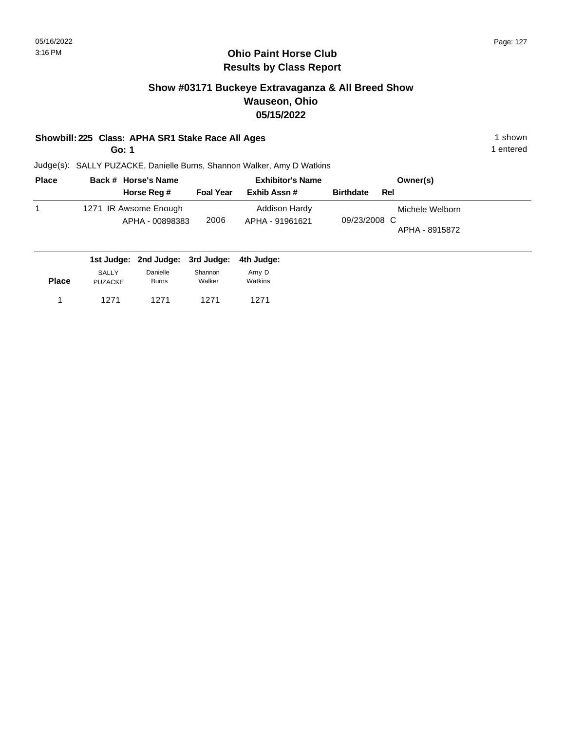# **Show #03171 Buckeye Extravaganza & All Breed Show Wauseon, Ohio 05/15/2022**

### **Showbill: 225 Class: APHA SR1 Stake Race All Ages** 1 shown

**Go: 1**

1 entered

| <b>Place</b> | Back # Horse's Name                      |                  | <b>Exhibitor's Name</b>          | Owner(s)                                          |
|--------------|------------------------------------------|------------------|----------------------------------|---------------------------------------------------|
|              | Horse Reg #                              | <b>Foal Year</b> | Exhib Assn #                     | <b>Birthdate</b><br>Rel                           |
|              | 1271 IR Awsome Enough<br>APHA - 00898383 | 2006             | Addison Hardy<br>APHA - 91961621 | Michele Welborn<br>09/23/2008 C<br>APHA - 8915872 |
|              |                                          |                  |                                  |                                                   |

|              |                         | 1st Judge: 2nd Judge: 3rd Judge: |                   | 4th Judae:       |  |
|--------------|-------------------------|----------------------------------|-------------------|------------------|--|
| <b>Place</b> | SALLY<br><b>PUZACKE</b> | Danielle<br><b>Burns</b>         | Shannon<br>Walker | Amy D<br>Watkins |  |
|              | 1271                    | 1271                             | 1271              | 1271             |  |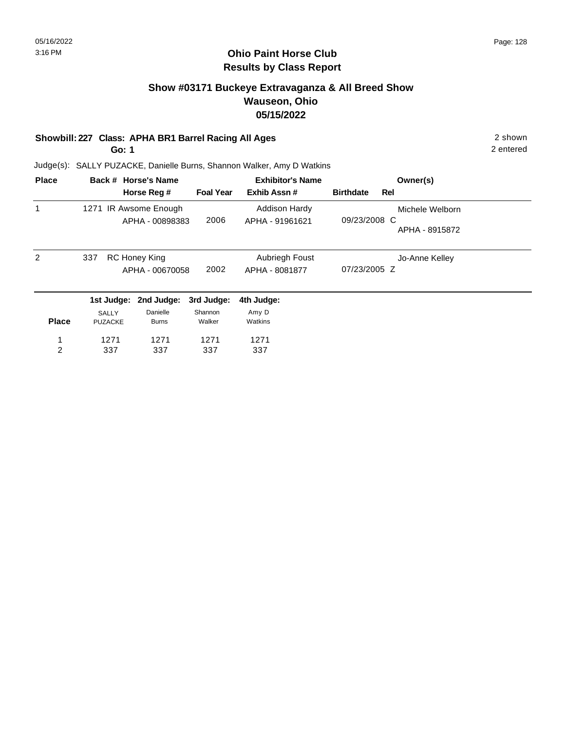2

2 entered

# **Ohio Paint Horse Club Results by Class Report**

# **Show #03171 Buckeye Extravaganza & All Breed Show Wauseon, Ohio 05/15/2022**

### **Showbill: 227 Class: APHA BR1 Barrel Racing All Ages** 2 shown

**Go: 1**

| <b>Place</b> |                | Back # Horse's Name   |                  | <b>Exhibitor's Name</b> |                  |     | Owner(s)        |  |
|--------------|----------------|-----------------------|------------------|-------------------------|------------------|-----|-----------------|--|
|              |                | Horse Reg #           | <b>Foal Year</b> | Exhib Assn#             | <b>Birthdate</b> | Rel |                 |  |
| 1            |                | 1271 IR Awsome Enough |                  | <b>Addison Hardy</b>    |                  |     | Michele Welborn |  |
|              |                | APHA - 00898383       | 2006             | APHA - 91961621         | 09/23/2008 C     |     |                 |  |
|              |                |                       |                  |                         |                  |     | APHA - 8915872  |  |
| 2            | 337            | <b>RC Honey King</b>  |                  | Aubriegh Foust          |                  |     | Jo-Anne Kelley  |  |
|              |                | APHA - 00670058       | 2002             | APHA - 8081877          | 07/23/2005 Z     |     |                 |  |
|              |                | 1st Judge: 2nd Judge: | 3rd Judge:       | 4th Judge:              |                  |     |                 |  |
|              | <b>SALLY</b>   | Danielle              | Shannon          | Amy D                   |                  |     |                 |  |
| <b>Place</b> | <b>PUZACKE</b> | <b>Burns</b>          | Walker           | Watkins                 |                  |     |                 |  |
|              | 1271           | 1271                  | 1271             | 1271                    |                  |     |                 |  |
| 2            | 337            | 337                   | 337              | 337                     |                  |     |                 |  |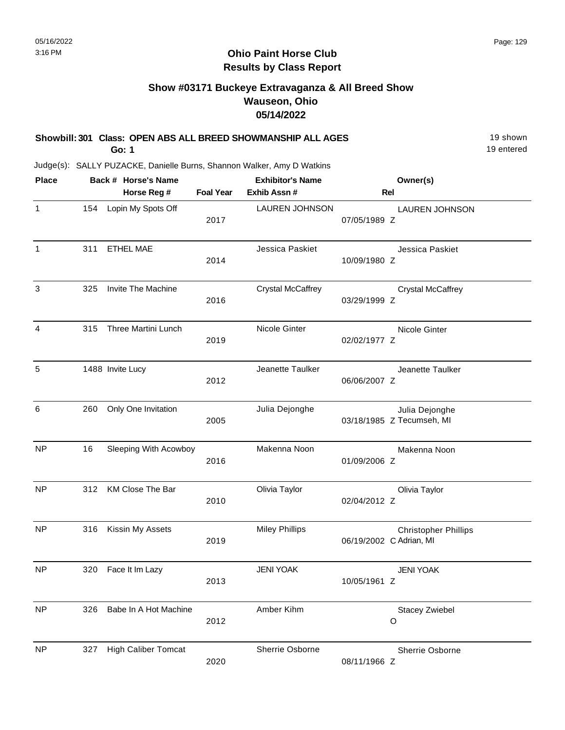# **Show #03171 Buckeye Extravaganza & All Breed Show Wauseon, Ohio 05/14/2022**

| Showbill: 301 Class: OPEN ABS ALL BREED SHOWMANSHIP ALL AGES<br><b>Go: 1</b> |     |                                    |                  |                                                                        |                                                        |  |
|------------------------------------------------------------------------------|-----|------------------------------------|------------------|------------------------------------------------------------------------|--------------------------------------------------------|--|
|                                                                              |     |                                    |                  | Judge(s): SALLY PUZACKE, Danielle Burns, Shannon Walker, Amy D Watkins |                                                        |  |
| <b>Place</b>                                                                 |     | Back # Horse's Name<br>Horse Reg # | <b>Foal Year</b> | <b>Exhibitor's Name</b><br>Exhib Assn #                                | Owner(s)<br>Rel                                        |  |
| $\mathbf{1}$                                                                 | 154 | Lopin My Spots Off                 | 2017             | <b>LAUREN JOHNSON</b>                                                  | <b>LAUREN JOHNSON</b><br>07/05/1989 Z                  |  |
| $\mathbf{1}$                                                                 | 311 | <b>ETHEL MAE</b>                   | 2014             | Jessica Paskiet                                                        | Jessica Paskiet<br>10/09/1980 Z                        |  |
| $\sqrt{3}$                                                                   | 325 | Invite The Machine                 | 2016             | <b>Crystal McCaffrey</b>                                               | <b>Crystal McCaffrey</b><br>03/29/1999 Z               |  |
| 4                                                                            | 315 | Three Martini Lunch                | 2019             | Nicole Ginter                                                          | Nicole Ginter<br>02/02/1977 Z                          |  |
| 5                                                                            |     | 1488 Invite Lucy                   | 2012             | Jeanette Taulker                                                       | Jeanette Taulker<br>06/06/2007 Z                       |  |
| 6                                                                            | 260 | Only One Invitation                | 2005             | Julia Dejonghe                                                         | Julia Dejonghe<br>03/18/1985 Z Tecumseh, MI            |  |
| <b>NP</b>                                                                    | 16  | Sleeping With Acowboy              | 2016             | Makenna Noon                                                           | Makenna Noon<br>01/09/2006 Z                           |  |
| <b>NP</b>                                                                    | 312 | KM Close The Bar                   | 2010             | Olivia Taylor                                                          | Olivia Taylor<br>02/04/2012 Z                          |  |
| <b>NP</b>                                                                    | 316 | Kissin My Assets                   | 2019             | <b>Miley Phillips</b>                                                  | <b>Christopher Phillips</b><br>06/19/2002 C Adrian, MI |  |
| <b>NP</b>                                                                    | 320 | Face It Im Lazy                    | 2013             | <b>JENI YOAK</b>                                                       | <b>JENI YOAK</b><br>10/05/1961 Z                       |  |
| <b>NP</b>                                                                    | 326 | Babe In A Hot Machine              | 2012             | Amber Kihm                                                             | <b>Stacey Zwiebel</b><br>O                             |  |
| <b>NP</b>                                                                    | 327 | <b>High Caliber Tomcat</b>         | 2020             | Sherrie Osborne                                                        | Sherrie Osborne<br>08/11/1966 Z                        |  |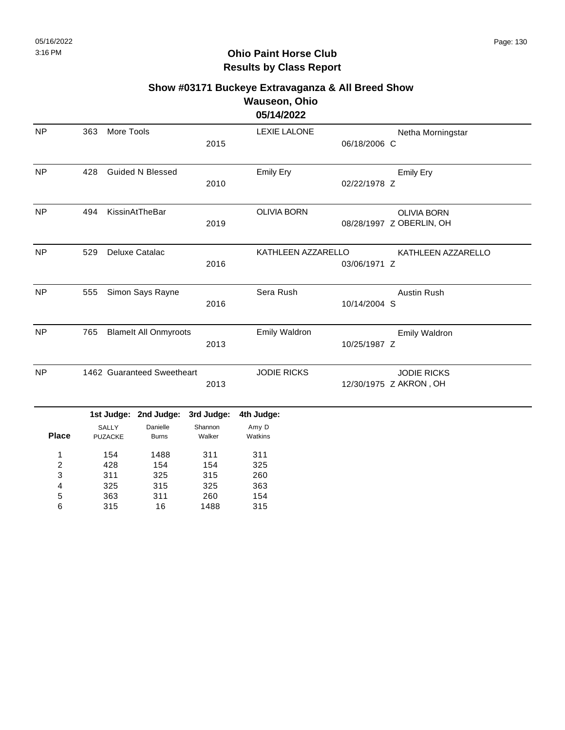|              |                         |                              |                   | <b>Wauseon, Ohio</b> |              |                          |
|--------------|-------------------------|------------------------------|-------------------|----------------------|--------------|--------------------------|
|              |                         |                              |                   | 05/14/2022           |              |                          |
| <b>NP</b>    | 363                     | More Tools                   |                   | <b>LEXIE LALONE</b>  |              | Netha Morningstar        |
|              |                         |                              | 2015              |                      | 06/18/2006 C |                          |
| NP           | 428                     | <b>Guided N Blessed</b>      |                   | <b>Emily Ery</b>     |              | <b>Emily Ery</b>         |
|              |                         |                              | 2010              |                      | 02/22/1978 Z |                          |
| <b>NP</b>    | 494                     | KissinAtTheBar               |                   | <b>OLIVIA BORN</b>   |              | <b>OLIVIA BORN</b>       |
|              |                         |                              | 2019              |                      |              | 08/28/1997 Z OBERLIN, OH |
| <b>NP</b>    | 529                     | Deluxe Catalac               |                   | KATHLEEN AZZARELLO   |              | KATHLEEN AZZARELLO       |
|              |                         |                              | 2016              |                      | 03/06/1971 Z |                          |
| <b>NP</b>    | 555                     | Simon Says Rayne             |                   | Sera Rush            |              | <b>Austin Rush</b>       |
|              |                         |                              | 2016              |                      | 10/14/2004 S |                          |
| <b>NP</b>    | 765                     | <b>Blamelt All Onmyroots</b> |                   | Emily Waldron        |              | <b>Emily Waldron</b>     |
|              |                         |                              | 2013              |                      | 10/25/1987 Z |                          |
| <b>NP</b>    |                         | 1462 Guaranteed Sweetheart   |                   | <b>JODIE RICKS</b>   |              | <b>JODIE RICKS</b>       |
|              |                         |                              | 2013              |                      |              | 12/30/1975 Z AKRON, OH   |
|              |                         | 1st Judge: 2nd Judge:        | 3rd Judge:        | 4th Judge:           |              |                          |
| <b>Place</b> | SALLY<br><b>PUZACKE</b> | Danielle<br><b>Burns</b>     | Shannon<br>Walker | Amy D<br>Watkins     |              |                          |
| 1            | 154                     | 1488                         | 311               | 311                  |              |                          |
| 2            | 428                     | 154                          | 154               | 325                  |              |                          |
| 3            | 311                     | 325                          | 315               | 260                  |              |                          |
| 4            | 325                     | 315                          | 325               | 363                  |              |                          |
| 5            | 363                     | 311                          | 260               | 154                  |              |                          |
| 6            | 315                     | 16                           | 1488              | 315                  |              |                          |

# **Show #03171 Buckeye Extravaganza & All Breed Show**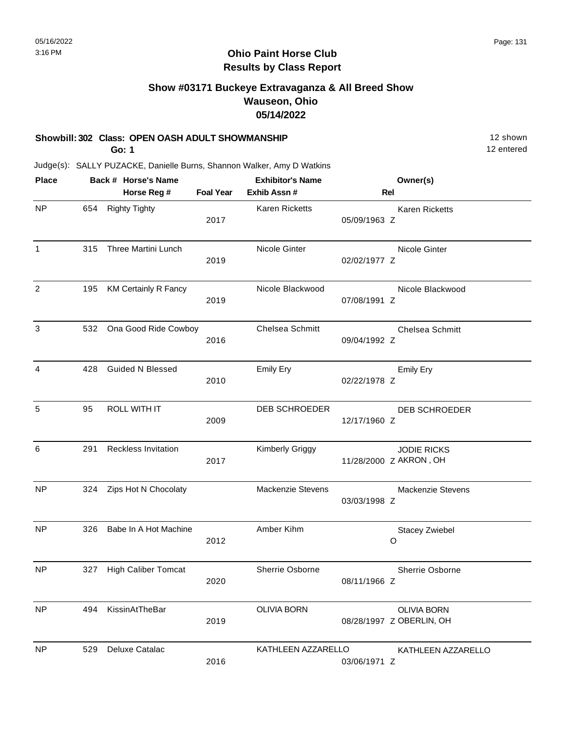# **Show #03171 Buckeye Extravaganza & All Breed Show Wauseon, Ohio 05/14/2022**

#### **Showbill: 302 Class: OPEN OASH ADULT SHOWMANSHIP** 12 Shown

**Go: 1**

12 entered

| <b>Place</b>   |     | Back # Horse's Name         |                  | <b>Exhibitor's Name</b> |              | Owner(s)                                       |
|----------------|-----|-----------------------------|------------------|-------------------------|--------------|------------------------------------------------|
|                |     | Horse Reg #                 | <b>Foal Year</b> | Exhib Assn #            | Rel          |                                                |
| <b>NP</b>      | 654 | <b>Righty Tighty</b>        | 2017             | Karen Ricketts          | 05/09/1963 Z | <b>Karen Ricketts</b>                          |
| 1              | 315 | Three Martini Lunch         | 2019             | Nicole Ginter           | 02/02/1977 Z | Nicole Ginter                                  |
| $\overline{2}$ | 195 | <b>KM Certainly R Fancy</b> | 2019             | Nicole Blackwood        | 07/08/1991 Z | Nicole Blackwood                               |
| 3              | 532 | Ona Good Ride Cowboy        | 2016             | Chelsea Schmitt         | 09/04/1992 Z | Chelsea Schmitt                                |
| 4              | 428 | <b>Guided N Blessed</b>     | 2010             | <b>Emily Ery</b>        | 02/22/1978 Z | Emily Ery                                      |
| 5              | 95  | <b>ROLL WITH IT</b>         | 2009             | <b>DEB SCHROEDER</b>    | 12/17/1960 Z | <b>DEB SCHROEDER</b>                           |
| 6              | 291 | Reckless Invitation         | 2017             | <b>Kimberly Griggy</b>  |              | <b>JODIE RICKS</b><br>11/28/2000 Z AKRON, OH   |
| <b>NP</b>      | 324 | Zips Hot N Chocolaty        |                  | Mackenzie Stevens       | 03/03/1998 Z | Mackenzie Stevens                              |
| NP             | 326 | Babe In A Hot Machine       | 2012             | Amber Kihm              |              | <b>Stacey Zwiebel</b><br>O                     |
| <b>NP</b>      | 327 | <b>High Caliber Tomcat</b>  | 2020             | Sherrie Osborne         | 08/11/1966 Z | Sherrie Osborne                                |
| NP             | 494 | KissinAtTheBar              | 2019             | <b>OLIVIA BORN</b>      |              | <b>OLIVIA BORN</b><br>08/28/1997 Z OBERLIN, OH |
| <b>NP</b>      | 529 | Deluxe Catalac              | 2016             | KATHLEEN AZZARELLO      | 03/06/1971 Z | KATHLEEN AZZARELLO                             |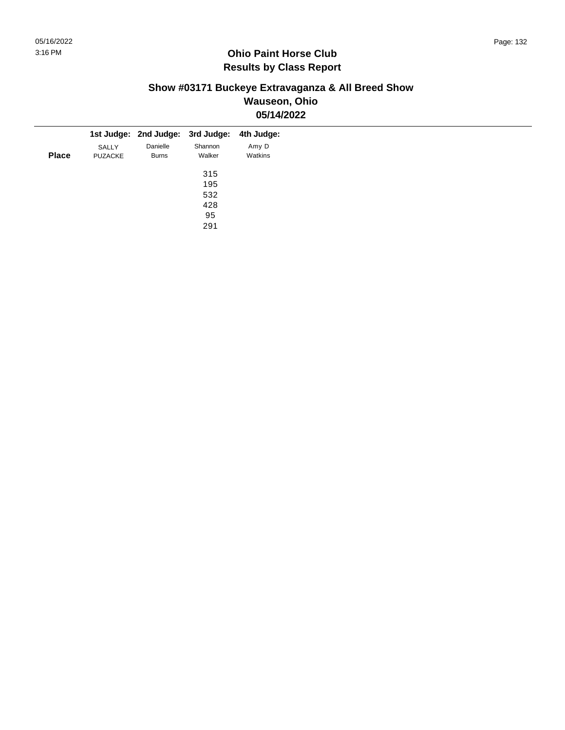## **Show #03171 Buckeye Extravaganza & All Breed Show Wauseon, Ohio 05/14/2022**

|              |                |              | 1st Judge: 2nd Judge: 3rd Judge: 4th Judge: |         |
|--------------|----------------|--------------|---------------------------------------------|---------|
|              | SALLY          | Danielle     | Shannon                                     | Amy D   |
| <b>Place</b> | <b>PUZACKE</b> | <b>Burns</b> | Walker                                      | Watkins |
|              |                |              | 315                                         |         |
|              |                |              | 195                                         |         |
|              |                |              | 532                                         |         |
|              |                |              | 428                                         |         |
|              |                |              | 95                                          |         |
|              |                |              | 291                                         |         |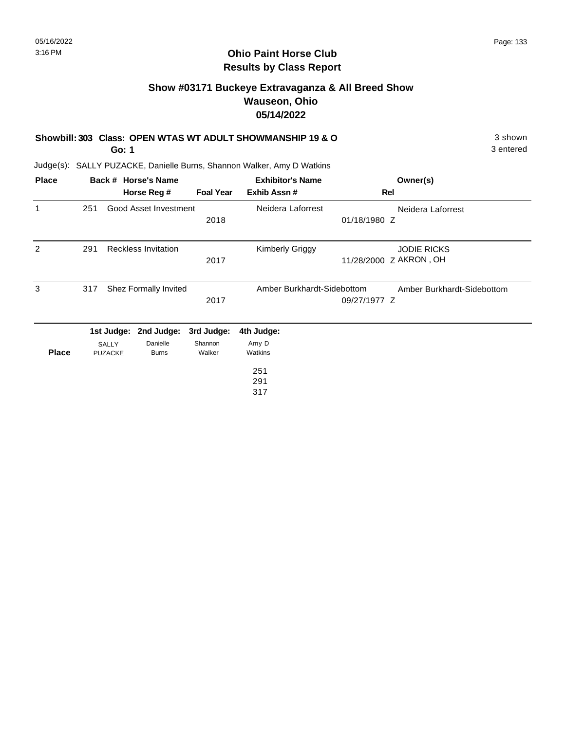## **Ohio Paint Horse Club Results by Class Report**

# **Show #03171 Buckeye Extravaganza & All Breed Show Wauseon, Ohio 05/14/2022**

|  | Showbill: 303 Class: OPEN WTAS WT ADULT SHOWMANSHIP 19 & O | 3 shown |
|--|------------------------------------------------------------|---------|
|  |                                                            |         |

**Go: 1**

Judge(s): SALLY PUZACKE, Danielle Burns, Shannon Walker, Amy D Watkins

| <b>Place</b> |     |                                | Back # Horse's Name        |                   | <b>Exhibitor's Name</b>    | Owner(s)                   |
|--------------|-----|--------------------------------|----------------------------|-------------------|----------------------------|----------------------------|
|              |     |                                | Horse Reg #                | <b>Foal Year</b>  | Exhib Assn#                | Rel                        |
| 1            | 251 |                                | Good Asset Investment      |                   | Neidera Laforrest          | Neidera Laforrest          |
|              |     |                                |                            | 2018              |                            | 01/18/1980 Z               |
| 2            | 291 |                                | <b>Reckless Invitation</b> |                   | <b>Kimberly Griggy</b>     | <b>JODIE RICKS</b>         |
|              |     |                                |                            | 2017              |                            | 11/28/2000 Z AKRON, OH     |
| 3            | 317 |                                | Shez Formally Invited      |                   | Amber Burkhardt-Sidebottom | Amber Burkhardt-Sidebottom |
|              |     |                                |                            | 2017              |                            | 09/27/1977 Z               |
|              |     | 1st Judge:                     | 2nd Judge:                 | 3rd Judge:        | 4th Judge:                 |                            |
| <b>Place</b> |     | <b>SALLY</b><br><b>PUZACKE</b> | Danielle<br><b>Burns</b>   | Shannon<br>Walker | Amy D<br>Watkins           |                            |
|              |     |                                |                            |                   | 251                        |                            |
|              |     |                                |                            |                   | 291                        |                            |

317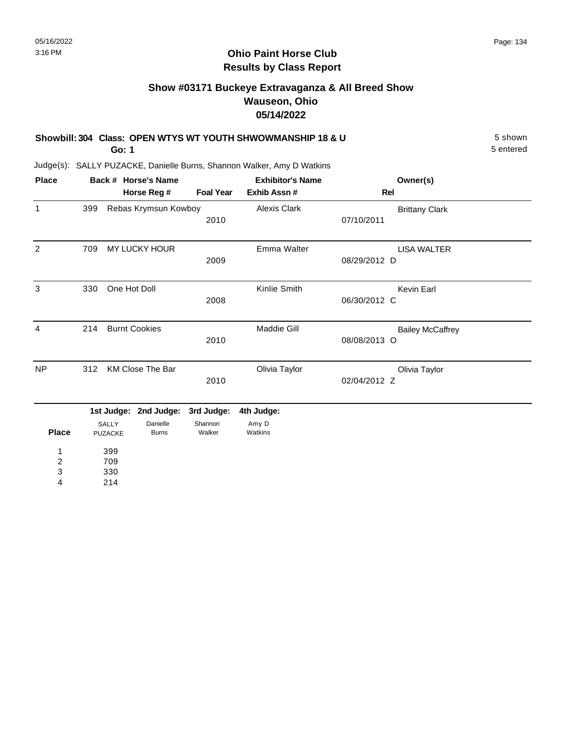# **Show #03171 Buckeye Extravaganza & All Breed Show Wauseon, Ohio 05/14/2022**

| Showbill: 304 Class: OPEN WTYS WT YOUTH SHWOWMANSHIP 18 & U | 5 shown   |
|-------------------------------------------------------------|-----------|
| Go: 1                                                       | 5 entered |

| <b>Place</b>   |     |                         | Back # Horse's Name      |                   | <b>Exhibitor's Name</b> | Owner(s)                |  |
|----------------|-----|-------------------------|--------------------------|-------------------|-------------------------|-------------------------|--|
|                |     |                         | Horse Reg #              | <b>Foal Year</b>  | Exhib Assn #            | Rel                     |  |
| $\mathbf{1}$   | 399 |                         | Rebas Krymsun Kowboy     |                   | Alexis Clark            | <b>Brittany Clark</b>   |  |
|                |     |                         |                          | 2010              |                         | 07/10/2011              |  |
| $\overline{2}$ | 709 |                         | MY LUCKY HOUR            |                   | Emma Walter             | <b>LISA WALTER</b>      |  |
|                |     |                         |                          | 2009              |                         | 08/29/2012 D            |  |
| 3              | 330 | One Hot Doll            |                          |                   | Kinlie Smith            | Kevin Earl              |  |
|                |     |                         |                          | 2008              |                         | 06/30/2012 C            |  |
| 4              | 214 |                         | <b>Burnt Cookies</b>     |                   | <b>Maddie Gill</b>      | <b>Bailey McCaffrey</b> |  |
|                |     |                         |                          | 2010              |                         | 08/08/2013 O            |  |
| <b>NP</b>      | 312 |                         | <b>KM Close The Bar</b>  |                   | Olivia Taylor           | Olivia Taylor           |  |
|                |     |                         |                          | 2010              |                         | 02/04/2012 Z            |  |
|                |     | 1st Judge:              | 2nd Judge:               | 3rd Judge:        | 4th Judge:              |                         |  |
| <b>Place</b>   |     | <b>SALLY</b><br>PUZACKE | Danielle<br><b>Burns</b> | Shannon<br>Walker | Amy D<br>Watkins        |                         |  |
| 1              |     | 399                     |                          |                   |                         |                         |  |
| $\overline{c}$ |     | 709                     |                          |                   |                         |                         |  |
| 3              |     | 330                     |                          |                   |                         |                         |  |
| 4              |     | 214                     |                          |                   |                         |                         |  |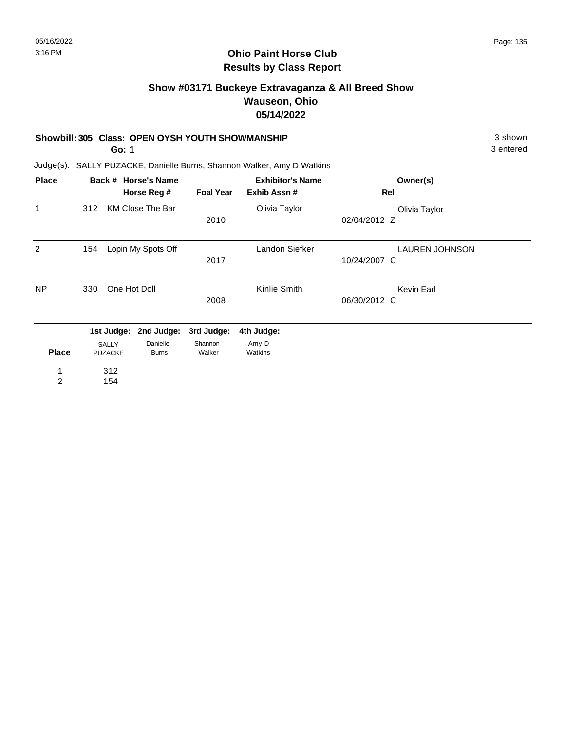# **Show #03171 Buckeye Extravaganza & All Breed Show Wauseon, Ohio 05/14/2022**

#### **Showbill: 305 Class: OPEN OYSH YOUTH SHOWMANSHIP** 3 Shown

**Go: 1**

3 entered

| <b>Place</b>   |     |                         | Back # Horse's Name      | <b>Exhibitor's Name</b> |                  | Owner(s)              |
|----------------|-----|-------------------------|--------------------------|-------------------------|------------------|-----------------------|
|                |     |                         | Horse Reg #              | <b>Foal Year</b>        | Exhib Assn#      | Rel                   |
| 1              | 312 |                         | <b>KM Close The Bar</b>  |                         | Olivia Taylor    | Olivia Taylor         |
|                |     |                         |                          | 2010                    |                  | 02/04/2012 Z          |
| $\overline{2}$ | 154 |                         | Lopin My Spots Off       |                         | Landon Siefker   | <b>LAUREN JOHNSON</b> |
|                |     |                         |                          | 2017                    |                  | 10/24/2007 C          |
| <b>NP</b>      | 330 | One Hot Doll            |                          |                         | Kinlie Smith     | Kevin Earl            |
|                |     |                         |                          | 2008                    |                  | 06/30/2012 C          |
|                |     | 1st Judge:              | 2nd Judge:               | 3rd Judge:              | 4th Judge:       |                       |
| <b>Place</b>   |     | SALLY<br><b>PUZACKE</b> | Danielle<br><b>Burns</b> | Shannon<br>Walker       | Amy D<br>Watkins |                       |
| 1              |     | 312                     |                          |                         |                  |                       |
| $\overline{2}$ |     | 154                     |                          |                         |                  |                       |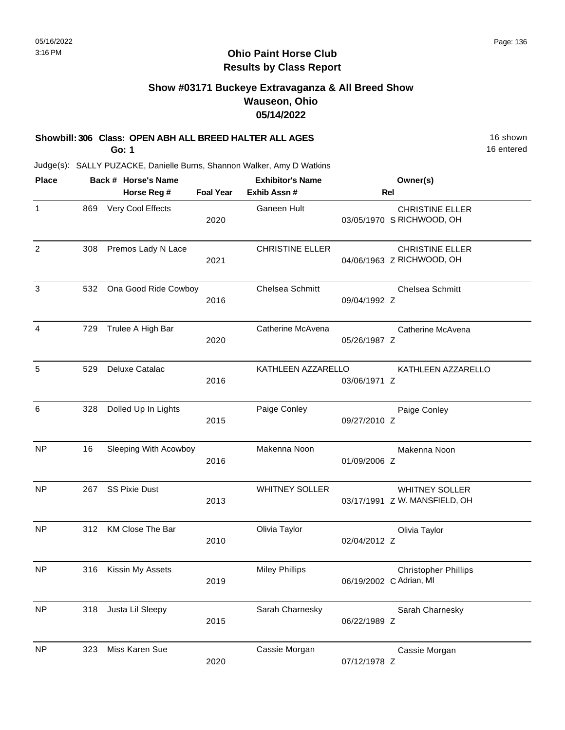## **Ohio Paint Horse Club Results by Class Report**

# **Show #03171 Buckeye Extravaganza & All Breed Show Wauseon, Ohio 05/14/2022**

### **Showbill: 306 Class: OPEN ABH ALL BREED HALTER ALL AGES** 16 Shown

**Go: 1**

| <b>Place</b>   |     | Back # Horse's Name   |                  | <b>Exhibitor's Name</b> | Owner(s)                                               |
|----------------|-----|-----------------------|------------------|-------------------------|--------------------------------------------------------|
|                |     | Horse Reg #           | <b>Foal Year</b> | Exhib Assn #            | <b>Rel</b>                                             |
| $\mathbf{1}$   | 869 | Very Cool Effects     | 2020             | Ganeen Hult             | <b>CHRISTINE ELLER</b><br>03/05/1970 S RICHWOOD, OH    |
| $\overline{2}$ | 308 | Premos Lady N Lace    | 2021             | <b>CHRISTINE ELLER</b>  | <b>CHRISTINE ELLER</b><br>04/06/1963 Z RICHWOOD, OH    |
| $\mathbf{3}$   | 532 | Ona Good Ride Cowboy  | 2016             | <b>Chelsea Schmitt</b>  | Chelsea Schmitt<br>09/04/1992 Z                        |
| $\overline{4}$ | 729 | Trulee A High Bar     | 2020             | Catherine McAvena       | Catherine McAvena<br>05/26/1987 Z                      |
| 5              | 529 | Deluxe Catalac        | 2016             | KATHLEEN AZZARELLO      | KATHLEEN AZZARELLO<br>03/06/1971 Z                     |
| 6              | 328 | Dolled Up In Lights   | 2015             | Paige Conley            | Paige Conley<br>09/27/2010 Z                           |
| <b>NP</b>      | 16  | Sleeping With Acowboy | 2016             | Makenna Noon            | Makenna Noon<br>01/09/2006 Z                           |
| <b>NP</b>      | 267 | <b>SS Pixie Dust</b>  | 2013             | <b>WHITNEY SOLLER</b>   | <b>WHITNEY SOLLER</b><br>03/17/1991 Z W. MANSFIELD, OH |
| <b>NP</b>      | 312 | KM Close The Bar      | 2010             | Olivia Taylor           | Olivia Taylor<br>02/04/2012 Z                          |
| <b>NP</b>      | 316 | Kissin My Assets      | 2019             | <b>Miley Phillips</b>   | <b>Christopher Phillips</b><br>06/19/2002 C Adrian, MI |
| <b>NP</b>      | 318 | Justa Lil Sleepy      | 2015             | Sarah Charnesky         | Sarah Charnesky<br>06/22/1989 Z                        |
| <b>NP</b>      | 323 | Miss Karen Sue        | 2020             | Cassie Morgan           | Cassie Morgan<br>07/12/1978 Z                          |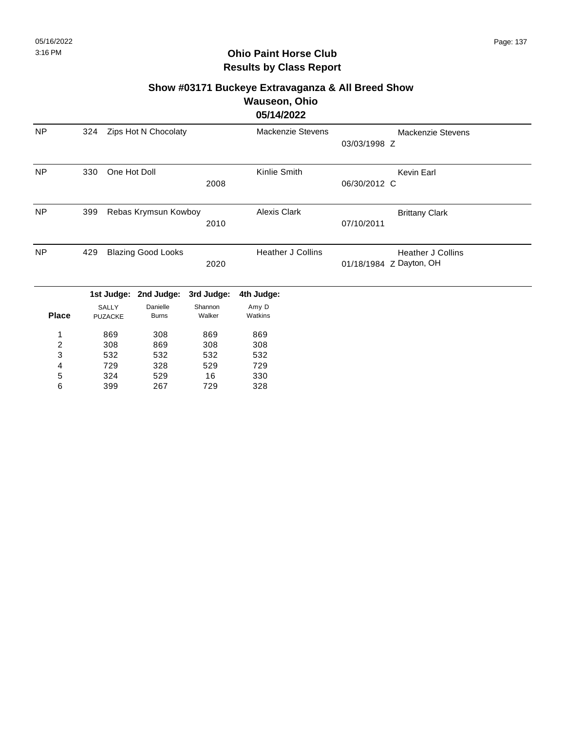# **Ohio Paint Horse Club Results by Class Report**

# **Show #03171 Buckeye Extravaganza & All Breed Show Wauseon, Ohio**

**05/14/2022**

| <b>NP</b>      | 324 |                | Zips Hot N Chocolaty      |            | <b>Mackenzie Stevens</b> | Mackenzie Stevens<br>03/03/1998 Z |
|----------------|-----|----------------|---------------------------|------------|--------------------------|-----------------------------------|
|                |     |                |                           |            |                          |                                   |
| <b>NP</b>      | 330 | One Hot Doll   |                           |            | Kinlie Smith             | <b>Kevin Earl</b>                 |
|                |     |                |                           | 2008       |                          | 06/30/2012 C                      |
| <b>NP</b>      | 399 |                | Rebas Krymsun Kowboy      |            | <b>Alexis Clark</b>      | <b>Brittany Clark</b>             |
|                |     |                |                           | 2010       |                          | 07/10/2011                        |
| <b>NP</b>      | 429 |                | <b>Blazing Good Looks</b> |            | <b>Heather J Collins</b> | <b>Heather J Collins</b>          |
|                |     |                |                           | 2020       |                          | 01/18/1984 Z Dayton, OH           |
|                |     | 1st Judge:     | 2nd Judge:                | 3rd Judge: | 4th Judge:               |                                   |
|                |     | <b>SALLY</b>   | Danielle                  | Shannon    | Amy D                    |                                   |
| <b>Place</b>   |     | <b>PUZACKE</b> | <b>Burns</b>              | Walker     | Watkins                  |                                   |
|                |     | 869            | 308                       | 869        | 869                      |                                   |
| $\overline{2}$ |     | 308            | 869                       | 308        | 308                      |                                   |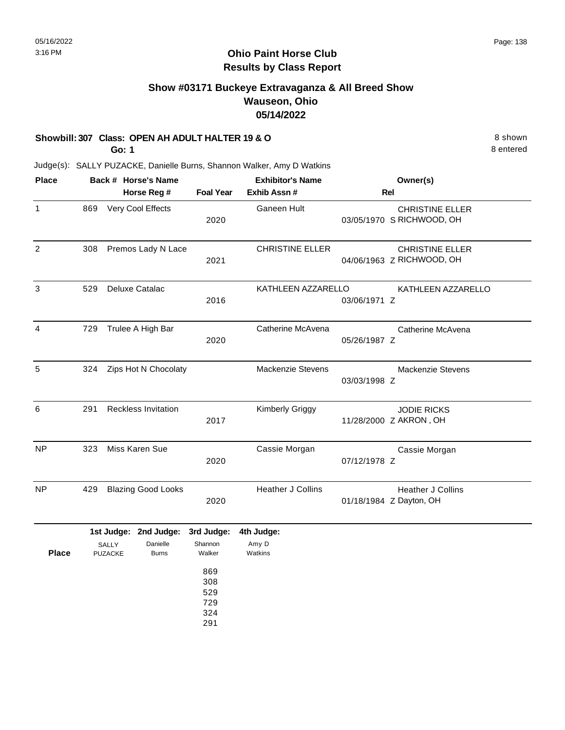# **Show #03171 Buckeye Extravaganza & All Breed Show Wauseon, Ohio 05/14/2022**

### **Showbill: 307 Class: OPEN AH ADULT HALTER 19 & O** 8 shown

**Go: 1**

8 entered

| <b>Place</b> |     |                         | Back # Horse's Name        |                                 | <b>Exhibitor's Name</b> |              | Owner(s)                                            |
|--------------|-----|-------------------------|----------------------------|---------------------------------|-------------------------|--------------|-----------------------------------------------------|
|              |     |                         | Horse Reg #                | <b>Foal Year</b>                | Exhib Assn #            |              | <b>Rel</b>                                          |
| 1            | 869 |                         | Very Cool Effects          | 2020                            | Ganeen Hult             |              | <b>CHRISTINE ELLER</b><br>03/05/1970 S RICHWOOD, OH |
| 2            | 308 |                         | Premos Lady N Lace         | 2021                            | <b>CHRISTINE ELLER</b>  |              | <b>CHRISTINE ELLER</b><br>04/06/1963 Z RICHWOOD, OH |
| 3            | 529 |                         | Deluxe Catalac             | 2016                            | KATHLEEN AZZARELLO      | 03/06/1971 Z | KATHLEEN AZZARELLO                                  |
| 4            | 729 |                         | Trulee A High Bar          | 2020                            | Catherine McAvena       | 05/26/1987 Z | Catherine McAvena                                   |
| 5            | 324 |                         | Zips Hot N Chocolaty       |                                 | Mackenzie Stevens       | 03/03/1998 Z | <b>Mackenzie Stevens</b>                            |
| 6            | 291 |                         | <b>Reckless Invitation</b> | 2017                            | Kimberly Griggy         |              | <b>JODIE RICKS</b><br>11/28/2000 Z AKRON, OH        |
| <b>NP</b>    | 323 |                         | Miss Karen Sue             | 2020                            | Cassie Morgan           | 07/12/1978 Z | Cassie Morgan                                       |
| <b>NP</b>    | 429 |                         | <b>Blazing Good Looks</b>  | 2020                            | Heather J Collins       |              | Heather J Collins<br>01/18/1984 Z Dayton, OH        |
|              |     |                         | 1st Judge: 2nd Judge:      | 3rd Judge:                      | 4th Judge:              |              |                                                     |
| <b>Place</b> |     | SALLY<br><b>PUZACKE</b> | Danielle<br><b>Burns</b>   | Shannon<br>Walker<br>869        | Amy D<br>Watkins        |              |                                                     |
|              |     |                         |                            | 308<br>529<br>729<br>324<br>291 |                         |              |                                                     |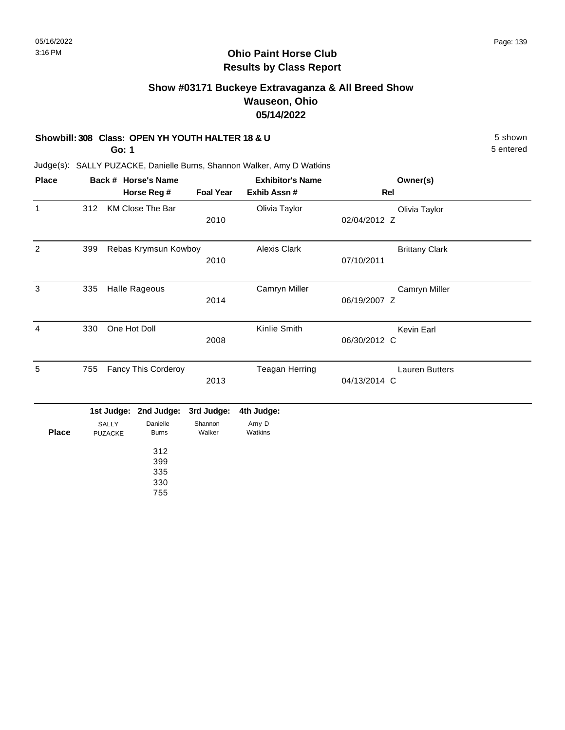# **Show #03171 Buckeye Extravaganza & All Breed Show Wauseon, Ohio 05/14/2022**

### **Showbill: 308 Class: OPEN YH YOUTH HALTER 18 & U** 5 shown

**Go: 1**

5 entered

| <b>Place</b>   |     |                  | Back # Horse's Name             |                   | <b>Exhibitor's Name</b> | Owner(s)                              |  |
|----------------|-----|------------------|---------------------------------|-------------------|-------------------------|---------------------------------------|--|
|                |     |                  | Horse Reg #                     | <b>Foal Year</b>  | Exhib Assn#             | <b>Rel</b>                            |  |
| $\mathbf{1}$   | 312 |                  | KM Close The Bar                | 2010              | Olivia Taylor           | Olivia Taylor<br>02/04/2012 Z         |  |
| $\overline{2}$ | 399 |                  | Rebas Krymsun Kowboy            | 2010              | <b>Alexis Clark</b>     | <b>Brittany Clark</b><br>07/10/2011   |  |
| 3              | 335 |                  | <b>Halle Rageous</b>            | 2014              | Camryn Miller           | Camryn Miller<br>06/19/2007 Z         |  |
| 4              | 330 | One Hot Doll     |                                 | 2008              | Kinlie Smith            | Kevin Earl<br>06/30/2012 C            |  |
| 5              | 755 |                  | <b>Fancy This Corderoy</b>      | 2013              | <b>Teagan Herring</b>   | <b>Lauren Butters</b><br>04/13/2014 C |  |
|                |     | 1st Judge:       | 2nd Judge:                      | 3rd Judge:        | 4th Judge:              |                                       |  |
| <b>Place</b>   |     | SALLY<br>PUZACKE | Danielle<br><b>Burns</b>        | Shannon<br>Walker | Amy D<br>Watkins        |                                       |  |
|                |     |                  | 312<br>399<br>335<br>330<br>755 |                   |                         |                                       |  |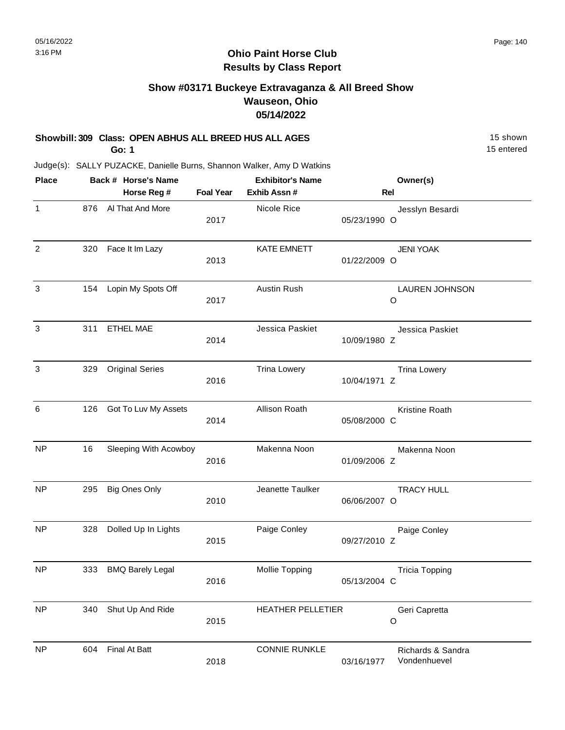## **Ohio Paint Horse Club Results by Class Report**

# **Show #03171 Buckeye Extravaganza & All Breed Show Wauseon, Ohio 05/14/2022**

### **Showbill: 309 Class: OPEN ABHUS ALL BREED HUS ALL AGES** 15 Shown

**Go: 1**

| <b>Place</b>   |     | Back # Horse's Name     |                  | <b>Exhibitor's Name</b>  |              | Owner(s)                          |
|----------------|-----|-------------------------|------------------|--------------------------|--------------|-----------------------------------|
|                |     | Horse Reg #             | <b>Foal Year</b> | Exhib Assn #             |              | Rel                               |
| $\mathbf{1}$   | 876 | Al That And More        | 2017             | Nicole Rice              | 05/23/1990 O | Jesslyn Besardi                   |
| $\overline{2}$ | 320 | Face It Im Lazy         | 2013             | KATE EMNETT              | 01/22/2009 O | <b>JENI YOAK</b>                  |
| 3              | 154 | Lopin My Spots Off      | 2017             | <b>Austin Rush</b>       |              | <b>LAUREN JOHNSON</b><br>O        |
| 3              | 311 | <b>ETHEL MAE</b>        | 2014             | Jessica Paskiet          | 10/09/1980 Z | Jessica Paskiet                   |
| 3              | 329 | <b>Original Series</b>  | 2016             | <b>Trina Lowery</b>      | 10/04/1971 Z | <b>Trina Lowery</b>               |
| 6              | 126 | Got To Luv My Assets    | 2014             | Allison Roath            | 05/08/2000 C | Kristine Roath                    |
| <b>NP</b>      | 16  | Sleeping With Acowboy   | 2016             | Makenna Noon             | 01/09/2006 Z | Makenna Noon                      |
| <b>NP</b>      | 295 | <b>Big Ones Only</b>    | 2010             | Jeanette Taulker         | 06/06/2007 O | <b>TRACY HULL</b>                 |
| NP             | 328 | Dolled Up In Lights     | 2015             | Paige Conley             | 09/27/2010 Z | Paige Conley                      |
| <b>NP</b>      | 333 | <b>BMQ Barely Legal</b> | 2016             | Mollie Topping           | 05/13/2004 C | <b>Tricia Topping</b>             |
| NP             | 340 | Shut Up And Ride        | 2015             | <b>HEATHER PELLETIER</b> |              | Geri Capretta<br>O                |
| <b>NP</b>      | 604 | Final At Batt           | 2018             | <b>CONNIE RUNKLE</b>     | 03/16/1977   | Richards & Sandra<br>Vondenhuevel |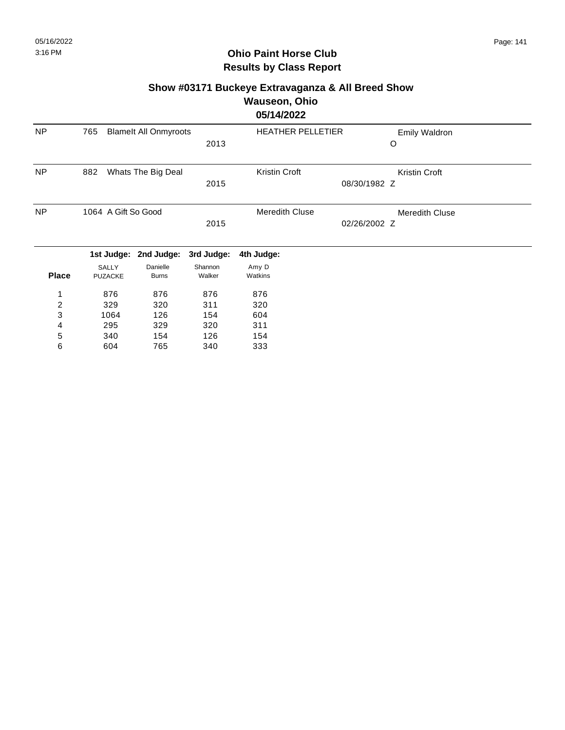### **Show #03171 Buckeye Extravaganza & All Breed Show Wauseon, Ohio 05/14/2022**

|              |                                     |                    |            | VVI 1716V66              |                       |
|--------------|-------------------------------------|--------------------|------------|--------------------------|-----------------------|
| <b>NP</b>    | 765<br><b>Blamelt All Onmyroots</b> |                    |            | <b>HEATHER PELLETIER</b> | Emily Waldron         |
|              |                                     |                    | 2013       |                          | O                     |
| <b>NP</b>    | 882                                 | Whats The Big Deal |            | Kristin Croft            | Kristin Croft         |
|              |                                     |                    | 2015       | 08/30/1982 Z             |                       |
| <b>NP</b>    | 1064 A Gift So Good                 |                    |            | <b>Meredith Cluse</b>    | <b>Meredith Cluse</b> |
|              |                                     |                    | 2015       |                          | 02/26/2002 Z          |
|              | 1st Judge:                          | 2nd Judge:         | 3rd Judge: | 4th Judge:               |                       |
|              | <b>SALLY</b>                        | Danielle           | Shannon    | Amy D                    |                       |
| <b>Place</b> | <b>PUZACKE</b>                      | <b>Burns</b>       | Walker     | Watkins                  |                       |
| 1            | 876                                 | 876                | 876        | 876                      |                       |
| 2            | 329                                 | 320                | 311        | 320                      |                       |
| 3            | 1064                                | 126                | 154        | 604                      |                       |
| 4            | 295                                 | 329                | 320        | 311                      |                       |
| 5            | 340                                 | 154                | 126        | 154                      |                       |
| 6            | 604                                 | 765                | 340        | 333                      |                       |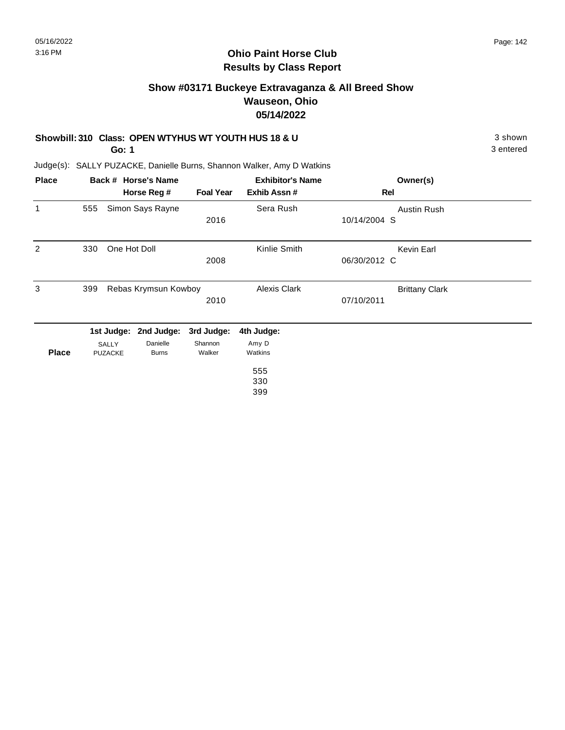## **Ohio Paint Horse Club Results by Class Report**

# **Show #03171 Buckeye Extravaganza & All Breed Show Wauseon, Ohio 05/14/2022**

### **Showbill: 310 Class: OPEN WTYHUS WT YOUTH HUS 18 & U** 3 shown 3 shown

**Go: 1**

| <b>Place</b> |     |                      | Back # Horse's Name |                  | <b>Exhibitor's Name</b> | Owner(s)              |  |
|--------------|-----|----------------------|---------------------|------------------|-------------------------|-----------------------|--|
|              |     |                      | Horse Reg #         | <b>Foal Year</b> | Exhib Assn#             | Rel                   |  |
| 1            | 555 |                      | Simon Says Rayne    |                  | Sera Rush               | Austin Rush           |  |
|              |     |                      |                     | 2016             |                         | 10/14/2004 S          |  |
| 2            | 330 | One Hot Doll         |                     |                  | Kinlie Smith            | Kevin Earl            |  |
|              |     |                      |                     | 2008             |                         | 06/30/2012 C          |  |
| 3            | 399 | Rebas Krymsun Kowboy |                     |                  | <b>Alexis Clark</b>     | <b>Brittany Clark</b> |  |
|              |     |                      |                     | 2010             |                         | 07/10/2011            |  |
|              |     | 1st Judge:           | 2nd Judge:          | 3rd Judge:       | 4th Judge:              |                       |  |
|              |     | SALLY                | Danielle            | Shannon          | Amy D                   |                       |  |
| <b>Place</b> |     | <b>PUZACKE</b>       | <b>Burns</b>        | Walker           | Watkins                 |                       |  |
|              |     |                      |                     |                  | 555                     |                       |  |
|              |     |                      |                     |                  | 330                     |                       |  |
|              |     |                      |                     |                  | 399                     |                       |  |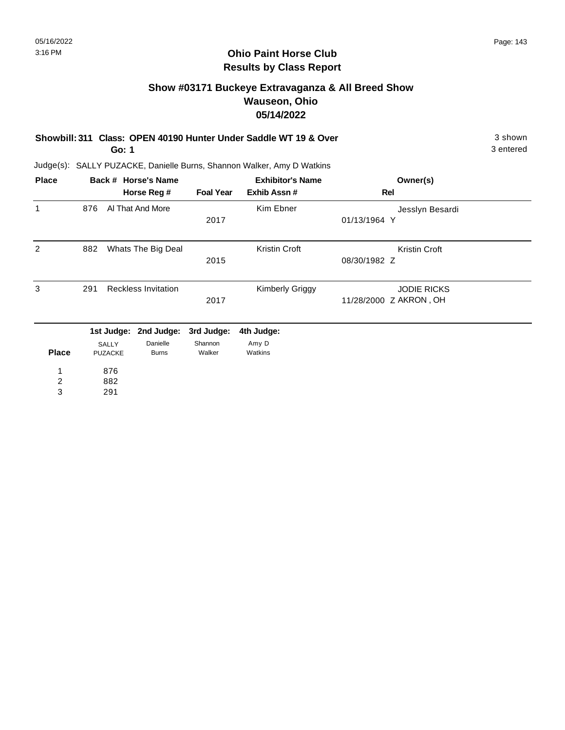## **Ohio Paint Horse Club Results by Class Report**

# **Show #03171 Buckeye Extravaganza & All Breed Show Wauseon, Ohio 05/14/2022**

| Showbill: 311 Class: OPEN 40190 Hunter Under Saddle WT 19 & Over | 3 shown   |
|------------------------------------------------------------------|-----------|
| Go: 1                                                            | 3 entered |

| <b>Place</b>   |       |                | Back # Horse's Name        |                  | <b>Exhibitor's Name</b> | Owner(s)               |  |
|----------------|-------|----------------|----------------------------|------------------|-------------------------|------------------------|--|
|                |       |                | Horse Reg #                | <b>Foal Year</b> | Exhib Assn#             | Rel                    |  |
| 1              | 876   |                | Al That And More           |                  | Kim Ebner               | Jesslyn Besardi        |  |
|                |       |                |                            | 2017             |                         | 01/13/1964 Y           |  |
| 2              | 882   |                | Whats The Big Deal         |                  | <b>Kristin Croft</b>    | Kristin Croft          |  |
|                |       |                |                            | 2015             |                         | 08/30/1982 Z           |  |
| 3              | 291   |                | <b>Reckless Invitation</b> |                  | <b>Kimberly Griggy</b>  | <b>JODIE RICKS</b>     |  |
|                |       |                |                            | 2017             |                         | 11/28/2000 Z AKRON, OH |  |
|                |       | 1st Judge:     | 2nd Judge:                 | 3rd Judge:       | 4th Judge:              |                        |  |
|                | SALLY |                | Danielle                   | Shannon          | Amy D                   |                        |  |
| <b>Place</b>   |       | <b>PUZACKE</b> | <b>Burns</b>               | Walker           | Watkins                 |                        |  |
| 1              |       | 876            |                            |                  |                         |                        |  |
| $\overline{c}$ |       | 882            |                            |                  |                         |                        |  |
| 3              |       | 291            |                            |                  |                         |                        |  |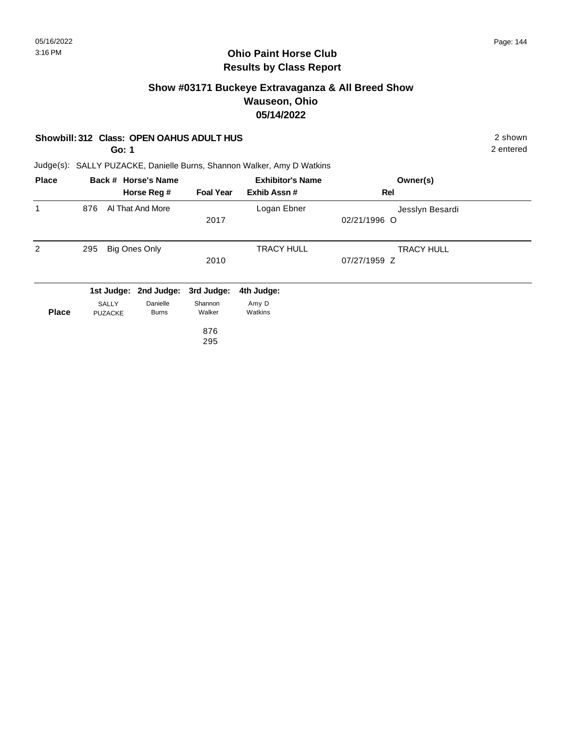# **Show #03171 Buckeye Extravaganza & All Breed Show Wauseon, Ohio 05/14/2022**

### **Showbill: 312 Class: OPEN OAHUS ADULT HUS** 2 shown

**Go: 1**

2 entered

| <b>Place</b> |                                | Back # Horse's Name      |                   | <b>Exhibitor's Name</b> | Owner(s)          |  |
|--------------|--------------------------------|--------------------------|-------------------|-------------------------|-------------------|--|
|              |                                | Horse Reg #              | <b>Foal Year</b>  | Exhib Assn#             | Rel               |  |
| 1            | 876                            | Al That And More         |                   | Logan Ebner             | Jesslyn Besardi   |  |
|              |                                |                          | 2017              |                         | 02/21/1996 O      |  |
| 2            | 295                            | <b>Big Ones Only</b>     |                   | <b>TRACY HULL</b>       | <b>TRACY HULL</b> |  |
|              |                                |                          | 2010              |                         | 07/27/1959 Z      |  |
|              |                                | 1st Judge: 2nd Judge:    | 3rd Judge:        | 4th Judge:              |                   |  |
| <b>Place</b> | <b>SALLY</b><br><b>PUZACKE</b> | Danielle<br><b>Burns</b> | Shannon<br>Walker | Amy D<br>Watkins        |                   |  |
|              |                                |                          | 876               |                         |                   |  |
|              |                                |                          | 295               |                         |                   |  |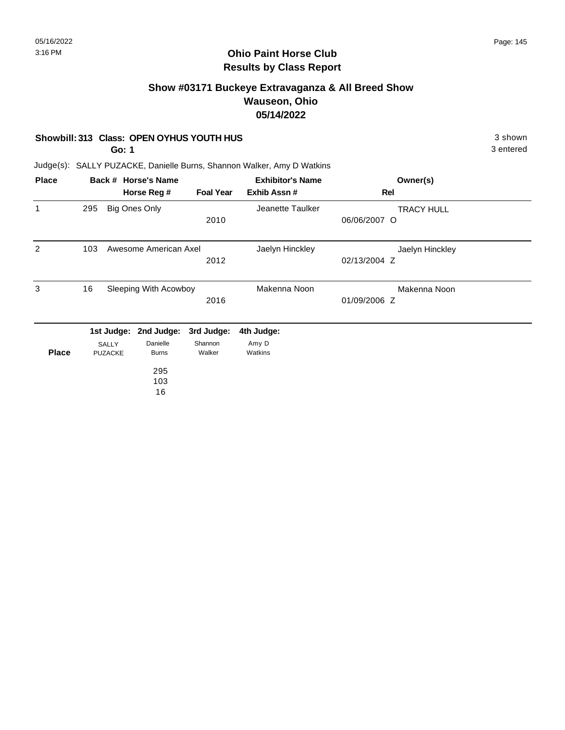#### **Show #03171 Buckeye Extravaganza & All Breed Show Wauseon, Ohio 05/14/2022**

#### **Showbill: 313 Class: OPEN OYHUS YOUTH HUS** 3 shown

**Go: 1**

3 entered

| <b>Place</b> |     |                | Back # Horse's Name   |                  | <b>Exhibitor's Name</b> | Owner(s)          |  |
|--------------|-----|----------------|-----------------------|------------------|-------------------------|-------------------|--|
|              |     |                | Horse Reg #           | <b>Foal Year</b> | Exhib Assn#             | Rel               |  |
| $\mathbf{1}$ | 295 |                | Big Ones Only         |                  | Jeanette Taulker        | <b>TRACY HULL</b> |  |
|              |     |                |                       | 2010             |                         | 06/06/2007 O      |  |
| 2            | 103 |                | Awesome American Axel |                  | Jaelyn Hinckley         | Jaelyn Hinckley   |  |
|              |     |                |                       | 2012             |                         | 02/13/2004 Z      |  |
| 3            | 16  |                | Sleeping With Acowboy |                  | Makenna Noon            | Makenna Noon      |  |
|              |     |                |                       | 2016             |                         | 01/09/2006 Z      |  |
|              |     | 1st Judge:     | 2nd Judge:            | 3rd Judge:       | 4th Judge:              |                   |  |
|              |     | SALLY          | Danielle              | Shannon          | Amy D                   |                   |  |
| <b>Place</b> |     | <b>PUZACKE</b> | <b>Burns</b>          | Walker           | Watkins                 |                   |  |
|              |     |                | 295                   |                  |                         |                   |  |
|              |     |                | 103                   |                  |                         |                   |  |
|              |     |                | 16                    |                  |                         |                   |  |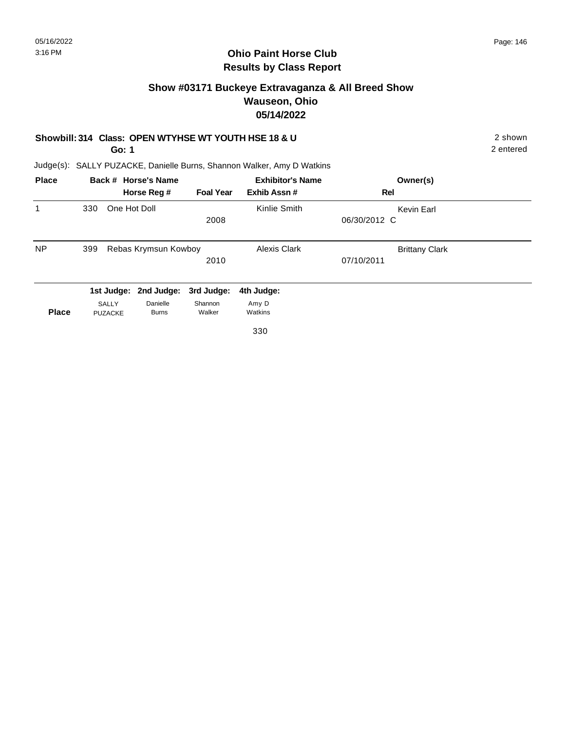#### **Ohio Paint Horse Club Results by Class Report**

#### **Show #03171 Buckeye Extravaganza & All Breed Show Wauseon, Ohio 05/14/2022**

#### **Showbill: 314 Class: OPEN WTYHSE WT YOUTH HSE 18 & U** 2 shown 2 shown

**Go: 1**

| <b>Place</b> |     |                | Back # Horse's Name   | <b>Exhibitor's Name</b> |              | Owner(s)              |
|--------------|-----|----------------|-----------------------|-------------------------|--------------|-----------------------|
|              |     |                | Horse Reg #           | <b>Foal Year</b>        | Exhib Assn#  | Rel                   |
| 1            | 330 | One Hot Doll   |                       |                         | Kinlie Smith | Kevin Earl            |
|              |     |                |                       | 2008                    |              | 06/30/2012 C          |
| NP.          | 399 |                | Rebas Krymsun Kowboy  |                         | Alexis Clark | <b>Brittany Clark</b> |
|              |     |                |                       | 2010                    |              | 07/10/2011            |
|              |     |                | 1st Judge: 2nd Judge: | 3rd Judge:              | 4th Judge:   |                       |
|              |     | SALLY          | Danielle              | Shannon                 | Amy D        |                       |
| <b>Place</b> |     | <b>PUZACKE</b> | <b>Burns</b>          | Walker                  | Watkins      |                       |
|              |     |                |                       |                         | 330          |                       |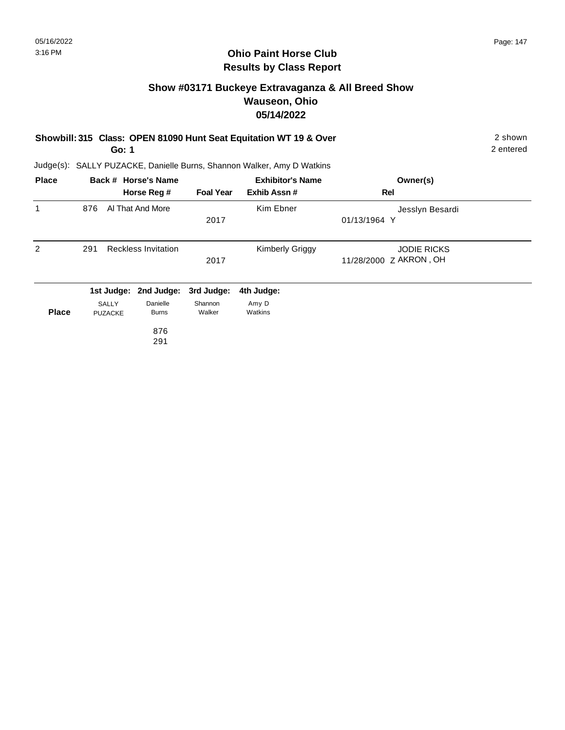# **Show #03171 Buckeye Extravaganza & All Breed Show Wauseon, Ohio 05/14/2022**

|              | Showbill: 315 Class: OPEN 81090 Hunt Seat Equitation WT 19 & Over<br>Go: 1 |                         |                                                   |                                 |                                                                        |                                              |  |  |
|--------------|----------------------------------------------------------------------------|-------------------------|---------------------------------------------------|---------------------------------|------------------------------------------------------------------------|----------------------------------------------|--|--|
|              |                                                                            |                         |                                                   |                                 | Judge(s): SALLY PUZACKE, Danielle Burns, Shannon Walker, Amy D Watkins |                                              |  |  |
| <b>Place</b> |                                                                            |                         | Back # Horse's Name                               |                                 | <b>Exhibitor's Name</b>                                                | Owner(s)                                     |  |  |
|              |                                                                            |                         | Horse Reg #                                       | <b>Foal Year</b>                | Exhib Assn#                                                            | Rel                                          |  |  |
| 1            | 876                                                                        |                         | Al That And More                                  | 2017                            | Kim Ebner                                                              | Jesslyn Besardi<br>01/13/1964 Y              |  |  |
| 2            | 291                                                                        |                         | <b>Reckless Invitation</b>                        | 2017                            | Kimberly Griggy                                                        | <b>JODIE RICKS</b><br>11/28/2000 Z AKRON, OH |  |  |
| <b>Place</b> |                                                                            | SALLY<br><b>PUZACKE</b> | 1st Judge: 2nd Judge:<br>Danielle<br><b>Burns</b> | 3rd Judge:<br>Shannon<br>Walker | 4th Judge:<br>Amy D<br>Watkins                                         |                                              |  |  |
|              |                                                                            |                         | 876<br>291                                        |                                 |                                                                        |                                              |  |  |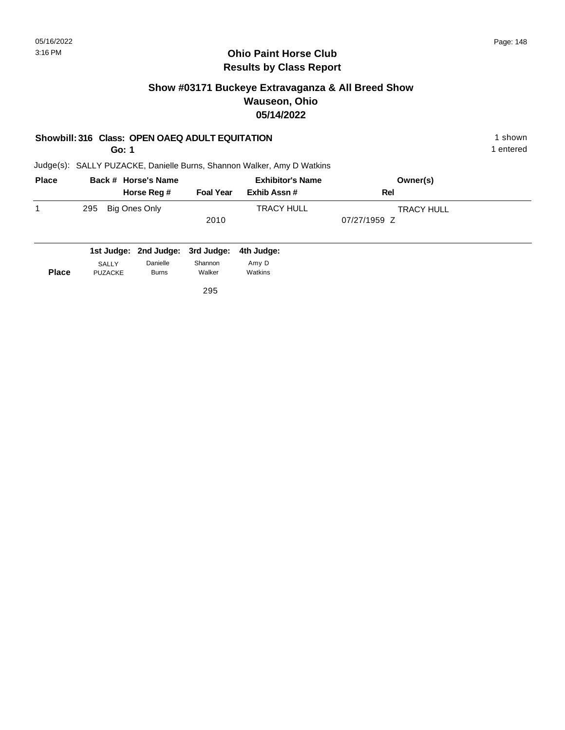## **Show #03171 Buckeye Extravaganza & All Breed Show Wauseon, Ohio 05/14/2022**

#### **Showbill: 316 Class: OPEN OAEQ ADULT EQUITATION** 1 shown 1 shown

**Go: 1**

1 entered

Judge(s): SALLY PUZACKE, Danielle Burns, Shannon Walker, Amy D Watkins

| <b>Place</b> | Back # Horse's Name  |                  | <b>Exhibitor's Name</b> | Owner(s)          |  |
|--------------|----------------------|------------------|-------------------------|-------------------|--|
|              | Horse Reg #          | <b>Foal Year</b> | Exhib Assn #            | Rel               |  |
|              | Big Ones Only<br>295 |                  | <b>TRACY HULL</b>       | <b>TRACY HULL</b> |  |
|              |                      | 2010             |                         | 07/27/1959 Z      |  |
|              |                      |                  |                         |                   |  |

|              |                | 1st Judge: 2nd Judge: 3rd Judge: 4th Judge: |         |         |
|--------------|----------------|---------------------------------------------|---------|---------|
| <b>Place</b> | SALLY          | Danielle                                    | Shannon | Amy D   |
|              | <b>PUZACKE</b> | <b>Burns</b>                                | Walker  | Watkins |

295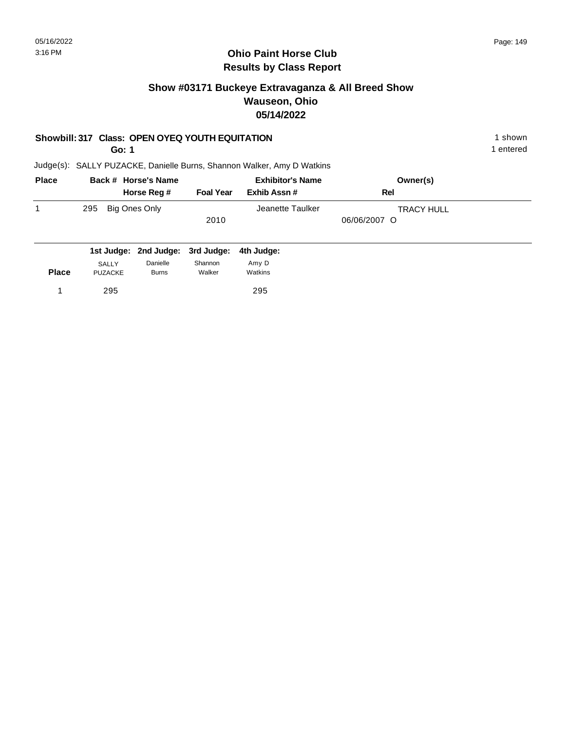## **Show #03171 Buckeye Extravaganza & All Breed Show Wauseon, Ohio 05/14/2022**

#### **Showbill: 317 Class: OPEN OYEQ YOUTH EQUITATION** 1 shown

**Go: 1**

1 entered

| <b>Place</b> | Back # Horse's Name |               |                  | <b>Exhibitor's Name</b> | Owner(s)          |  |
|--------------|---------------------|---------------|------------------|-------------------------|-------------------|--|
|              |                     | Horse Reg #   | <b>Foal Year</b> | Exhib Assn #            | Rel               |  |
|              | 295                 | Big Ones Only |                  | Jeanette Taulker        | <b>TRACY HULL</b> |  |
|              |                     |               | 2010             |                         | 06/06/2007 O      |  |
|              |                     |               |                  |                         |                   |  |

|              |                | 1st Judge: 2nd Judge: 3rd Judge: 4th Judge: |         |         |
|--------------|----------------|---------------------------------------------|---------|---------|
|              | <b>SALLY</b>   | Danielle                                    | Shannon | Amv D   |
| <b>Place</b> | <b>PUZACKE</b> | <b>Burns</b>                                | Walker  | Watkins |
|              | 295            |                                             |         | 295     |
|              |                |                                             |         |         |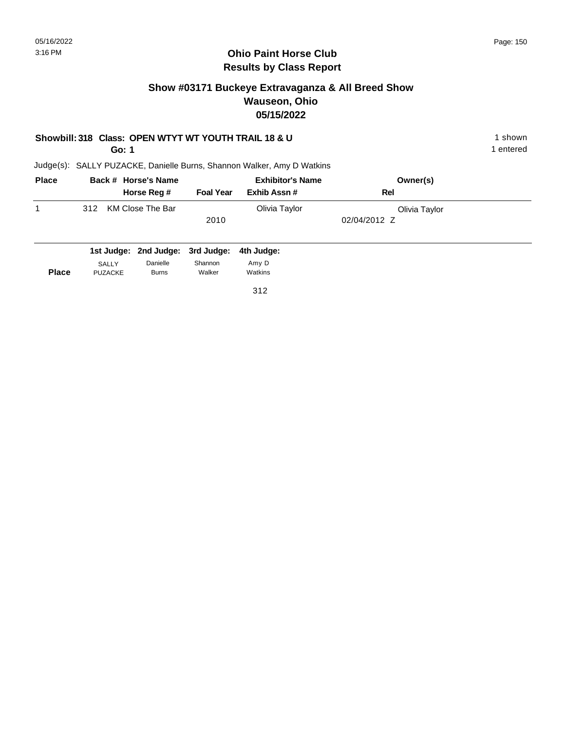## **Show #03171 Buckeye Extravaganza & All Breed Show Wauseon, Ohio 05/15/2022**

#### **Showbill: 318 Class: OPEN WTYT WT YOUTH TRAIL 18 & U** 1 shown 1 shown

**Go: 1**

1 entered

Judge(s): SALLY PUZACKE, Danielle Burns, Shannon Walker, Amy D Watkins

| <b>Place</b> | Back # Horse's Name     |                  | <b>Exhibitor's Name</b> | Owner(s)      |  |
|--------------|-------------------------|------------------|-------------------------|---------------|--|
|              | Horse Reg #             | <b>Foal Year</b> | Exhib Assn #            | Rel           |  |
|              | KM Close The Bar<br>312 |                  | Olivia Taylor           | Olivia Taylor |  |
|              |                         | 2010             |                         | 02/04/2012 Z  |  |
|              |                         |                  |                         |               |  |

|              |                | 1st Judge: 2nd Judge: 3rd Judge: 4th Judge: |         |         |
|--------------|----------------|---------------------------------------------|---------|---------|
| <b>Place</b> | SALLY          | Danielle                                    | Shannon | Amy D   |
|              | <b>PUZACKE</b> | <b>Burns</b>                                | Walker  | Watkins |

312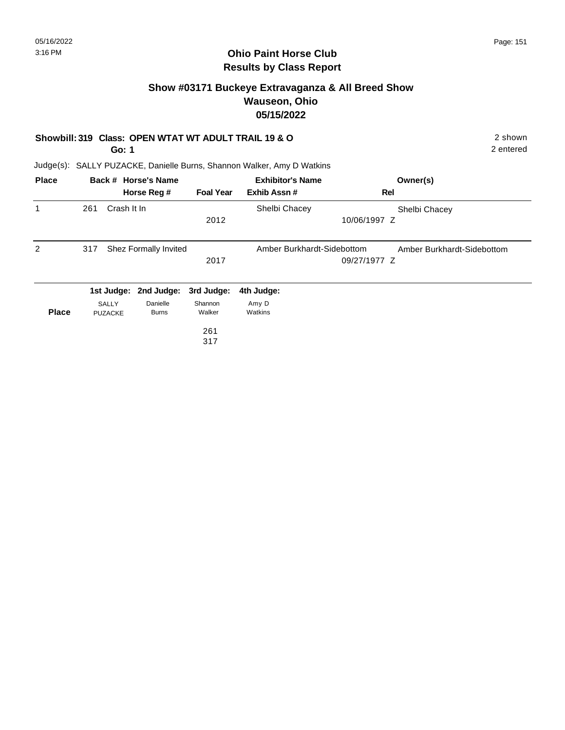#### **Ohio Paint Horse Club Results by Class Report**

## **Show #03171 Buckeye Extravaganza & All Breed Show Wauseon, Ohio 05/15/2022**

#### **Showbill: 319 Class: OPEN WTAT WT ADULT TRAIL 19 & O** 2 shown

**Go: 1**

|              |                                |             | Horse Reg #              | <b>Foal Year</b>  | Exhib Assn#                | Rel                        |
|--------------|--------------------------------|-------------|--------------------------|-------------------|----------------------------|----------------------------|
|              |                                |             |                          |                   |                            |                            |
|              | 261                            | Crash It In |                          |                   | Shelbi Chacey              | Shelbi Chacey              |
|              |                                |             |                          | 2012              |                            | 10/06/1997 Z               |
| 2            | 317                            |             | Shez Formally Invited    |                   | Amber Burkhardt-Sidebottom | Amber Burkhardt-Sidebottom |
|              |                                |             |                          | 2017              |                            | 09/27/1977 Z               |
|              |                                |             | 1st Judge: 2nd Judge:    | 3rd Judge:        | 4th Judge:                 |                            |
| <b>Place</b> | <b>SALLY</b><br><b>PUZACKE</b> |             | Danielle<br><b>Burns</b> | Shannon<br>Walker | Amy D<br>Watkins           |                            |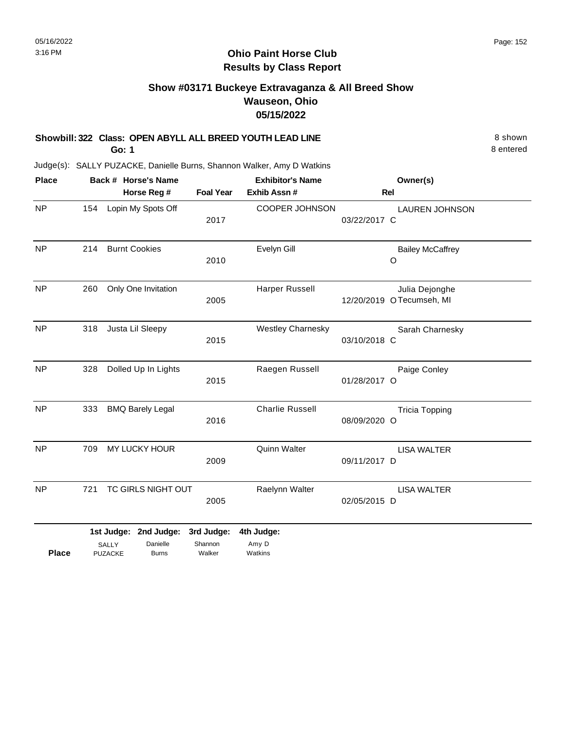#### **Ohio Paint Horse Club Results by Class Report**

# **Show #03171 Buckeye Extravaganza & All Breed Show Wauseon, Ohio 05/15/2022**

#### **Showbill: 322 Class: OPEN ABYLL ALL BREED YOUTH LEAD LINE** 8 Shown

**Go: 1**

PUZACKE

| <b>Place</b> |     |                                | Back # Horse's Name                        |                                 | <b>Exhibitor's Name</b>        | Owner(s)                                   |
|--------------|-----|--------------------------------|--------------------------------------------|---------------------------------|--------------------------------|--------------------------------------------|
|              |     |                                | Horse Reg #                                | <b>Foal Year</b>                | Exhib Assn #                   | <b>Rel</b>                                 |
| <b>NP</b>    | 154 |                                | Lopin My Spots Off                         | 2017                            | <b>COOPER JOHNSON</b>          | <b>LAUREN JOHNSON</b><br>03/22/2017 C      |
| <b>NP</b>    | 214 |                                | <b>Burnt Cookies</b>                       | 2010                            | Evelyn Gill                    | <b>Bailey McCaffrey</b><br>O               |
| <b>NP</b>    | 260 |                                | Only One Invitation                        | 2005                            | Harper Russell                 | Julia Dejonghe<br>12/20/2019 OTecumseh, MI |
| <b>NP</b>    | 318 |                                | Justa Lil Sleepy                           | 2015                            | <b>Westley Charnesky</b>       | Sarah Charnesky<br>03/10/2018 C            |
| NP           | 328 |                                | Dolled Up In Lights                        | 2015                            | Raegen Russell                 | Paige Conley<br>01/28/2017 O               |
| NP           | 333 |                                | <b>BMQ Barely Legal</b>                    | 2016                            | <b>Charlie Russell</b>         | <b>Tricia Topping</b><br>08/09/2020 O      |
| <b>NP</b>    | 709 |                                | MY LUCKY HOUR                              | 2009                            | Quinn Walter                   | <b>LISA WALTER</b><br>09/11/2017 D         |
| <b>NP</b>    | 721 |                                | TC GIRLS NIGHT OUT                         | 2005                            | Raelynn Walter                 | <b>LISA WALTER</b><br>02/05/2015 D         |
| <b>Place</b> |     | <b>SALLY</b><br><b>PUZACKE</b> | 1st Judge: 2nd Judge:<br>Danielle<br>Burns | 3rd Judge:<br>Shannon<br>Walker | 4th Judge:<br>Amy D<br>Watkins |                                            |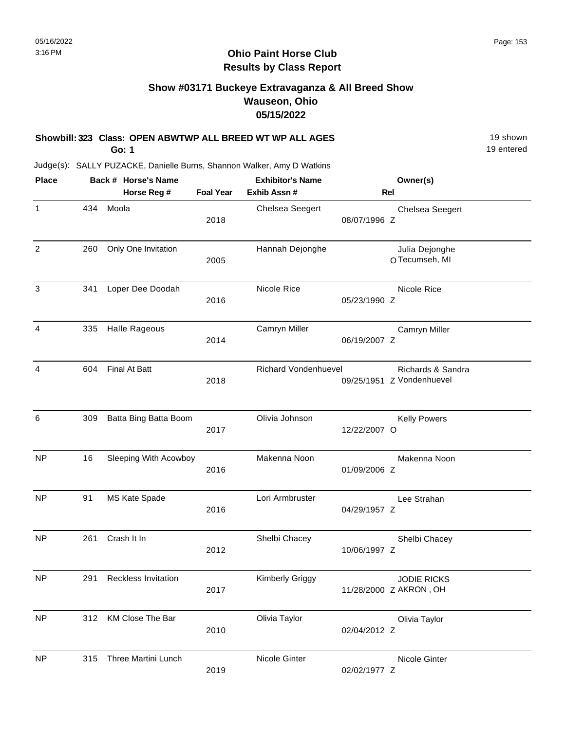#### **Ohio Paint Horse Club Results by Class Report**

## **Show #03171 Buckeye Extravaganza & All Breed Show Wauseon, Ohio 05/15/2022**

#### **Showbill: 323 Class: OPEN ABWTWP ALL BREED WT WP ALL AGES** 19 Shown

**Go: 1**

| <b>Place</b> |     | Back # Horse's Name        |                  | <b>Exhibitor's Name</b>     |              | Owner(s)                                       |
|--------------|-----|----------------------------|------------------|-----------------------------|--------------|------------------------------------------------|
|              |     | Horse Reg #                | <b>Foal Year</b> | Exhib Assn #                | <b>Rel</b>   |                                                |
| 1            | 434 | Moola                      | 2018             | Chelsea Seegert             | 08/07/1996 Z | <b>Chelsea Seegert</b>                         |
| 2            | 260 | Only One Invitation        | 2005             | Hannah Dejonghe             |              | Julia Dejonghe<br>OTecumseh, MI                |
| 3            | 341 | Loper Dee Doodah           | 2016             | Nicole Rice                 | 05/23/1990 Z | Nicole Rice                                    |
| 4            | 335 | <b>Halle Rageous</b>       | 2014             | Camryn Miller               | 06/19/2007 Z | Camryn Miller                                  |
| 4            | 604 | Final At Batt              | 2018             | <b>Richard Vondenhuevel</b> |              | Richards & Sandra<br>09/25/1951 Z Vondenhuevel |
| 6            | 309 | Batta Bing Batta Boom      | 2017             | Olivia Johnson              | 12/22/2007 O | <b>Kelly Powers</b>                            |
| <b>NP</b>    | 16  | Sleeping With Acowboy      | 2016             | Makenna Noon                | 01/09/2006 Z | Makenna Noon                                   |
| <b>NP</b>    | 91  | MS Kate Spade              | 2016             | Lori Armbruster             | 04/29/1957 Z | Lee Strahan                                    |
| <b>NP</b>    | 261 | Crash It In                | 2012             | Shelbi Chacey               | 10/06/1997 Z | Shelbi Chacey                                  |
| <b>NP</b>    | 291 | <b>Reckless Invitation</b> | 2017             | Kimberly Griggy             |              | <b>JODIE RICKS</b><br>11/28/2000 Z AKRON, OH   |
| <b>NP</b>    | 312 | KM Close The Bar           | 2010             | Olivia Taylor               | 02/04/2012 Z | Olivia Taylor                                  |
| <b>NP</b>    | 315 | Three Martini Lunch        | 2019             | Nicole Ginter               | 02/02/1977 Z | Nicole Ginter                                  |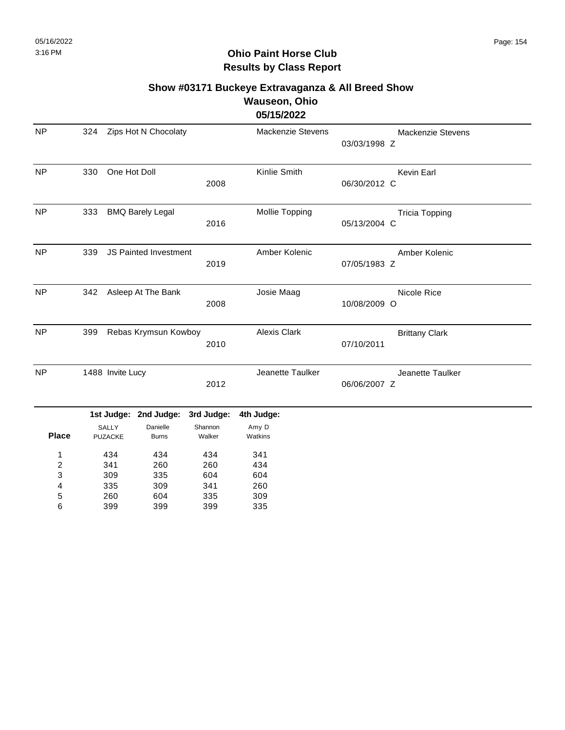#### **Show #03171 Buckeye Extravaganza & All Breed Show Wauseon, Ohio 05/15/2022**

| <b>NP</b>      | 324 |                         | Zips Hot N Chocolaty     |                   | Mackenzie Stevens | 03/03/1998 Z | Mackenzie Stevens     |
|----------------|-----|-------------------------|--------------------------|-------------------|-------------------|--------------|-----------------------|
| <b>NP</b>      | 330 | One Hot Doll            |                          | 2008              | Kinlie Smith      | 06/30/2012 C | Kevin Earl            |
| <b>NP</b>      | 333 |                         | <b>BMQ Barely Legal</b>  | 2016              | Mollie Topping    | 05/13/2004 C | <b>Tricia Topping</b> |
| <b>NP</b>      | 339 |                         | JS Painted Investment    | 2019              | Amber Kolenic     | 07/05/1983 Z | Amber Kolenic         |
| <b>NP</b>      | 342 |                         | Asleep At The Bank       | 2008              | Josie Maag        | 10/08/2009 O | Nicole Rice           |
| <b>NP</b>      | 399 |                         | Rebas Krymsun Kowboy     | 2010              | Alexis Clark      | 07/10/2011   | <b>Brittany Clark</b> |
| <b>NP</b>      |     | 1488 Invite Lucy        |                          | 2012              | Jeanette Taulker  | 06/06/2007 Z | Jeanette Taulker      |
|                |     |                         | 1st Judge: 2nd Judge:    | 3rd Judge:        | 4th Judge:        |              |                       |
| <b>Place</b>   |     | SALLY<br><b>PUZACKE</b> | Danielle<br><b>Burns</b> | Shannon<br>Walker | Amy D<br>Watkins  |              |                       |
| 1              |     | 434                     | 434                      | 434               | 341               |              |                       |
| $\overline{c}$ |     | 341                     | 260                      | 260               | 434               |              |                       |
| 3              |     | 309                     | 335                      | 604               | 604               |              |                       |
| 4              |     | 335                     | 309                      | 341               | 260               |              |                       |
| 5              |     | 260                     | 604                      | 335               | 309               |              |                       |
| 6              |     | 399                     | 399                      | 399               | 335               |              |                       |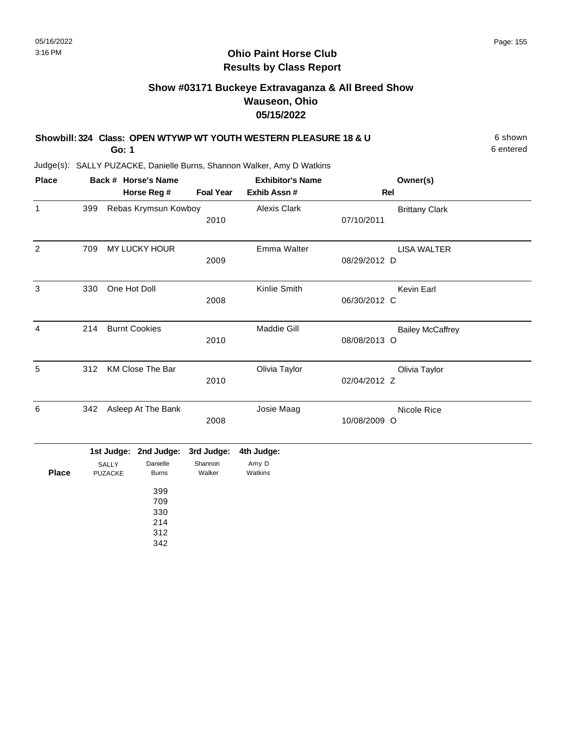#### **Ohio Paint Horse Club Results by Class Report**

# **Show #03171 Buckeye Extravaganza & All Breed Show Wauseon, Ohio 05/15/2022**

| Showbill: 324 Class: OPEN WTYWP WT YOUTH WESTERN PLEASURE 18 & U | 6 shown   |
|------------------------------------------------------------------|-----------|
| Go: 1                                                            | 6 entered |

| <b>Place</b> |     | Back # Horse's Name   |                  | <b>Exhibitor's Name</b> | Owner(s)                |
|--------------|-----|-----------------------|------------------|-------------------------|-------------------------|
|              |     | Horse Reg #           | <b>Foal Year</b> | Exhib Assn#             | Rel                     |
| 1            | 399 | Rebas Krymsun Kowboy  |                  | Alexis Clark            | <b>Brittany Clark</b>   |
|              |     |                       | 2010             |                         | 07/10/2011              |
| 2            | 709 | MY LUCKY HOUR         |                  | Emma Walter             | <b>LISA WALTER</b>      |
|              |     |                       | 2009             |                         | 08/29/2012 D            |
| 3            | 330 | One Hot Doll          |                  | Kinlie Smith            | Kevin Earl              |
|              |     |                       | 2008             |                         | 06/30/2012 C            |
| 4            | 214 | <b>Burnt Cookies</b>  |                  | <b>Maddie Gill</b>      | <b>Bailey McCaffrey</b> |
|              |     |                       | 2010             |                         | 08/08/2013 O            |
| 5            | 312 | KM Close The Bar      |                  | Olivia Taylor           | Olivia Taylor           |
|              |     |                       | 2010             |                         | 02/04/2012 Z            |
| 6            | 342 | Asleep At The Bank    |                  | Josie Maag              | Nicole Rice             |
|              |     |                       | 2008             |                         | 10/08/2009 O            |
|              |     | 1st Judge: 2nd Judge: | 3rd Judge:       | 4th Judge:              |                         |

|              |                | $\frac{1}{2}$ or $\frac{1}{2}$ or $\frac{1}{2}$ or $\frac{1}{2}$ or $\frac{1}{2}$ or $\frac{1}{2}$ or $\frac{1}{2}$ or $\frac{1}{2}$ |         | 40 Juuye. |
|--------------|----------------|--------------------------------------------------------------------------------------------------------------------------------------|---------|-----------|
|              | <b>SALLY</b>   | Danielle                                                                                                                             | Shannon | Amy D     |
| <b>Place</b> | <b>PUZACKE</b> | <b>Burns</b>                                                                                                                         | Walker  | Watkins   |
|              |                |                                                                                                                                      |         |           |
|              |                | 399                                                                                                                                  |         |           |
|              |                | 709                                                                                                                                  |         |           |
|              |                | 330                                                                                                                                  |         |           |
|              |                | 214                                                                                                                                  |         |           |
|              |                | 312                                                                                                                                  |         |           |
|              |                | 342                                                                                                                                  |         |           |
|              |                |                                                                                                                                      |         |           |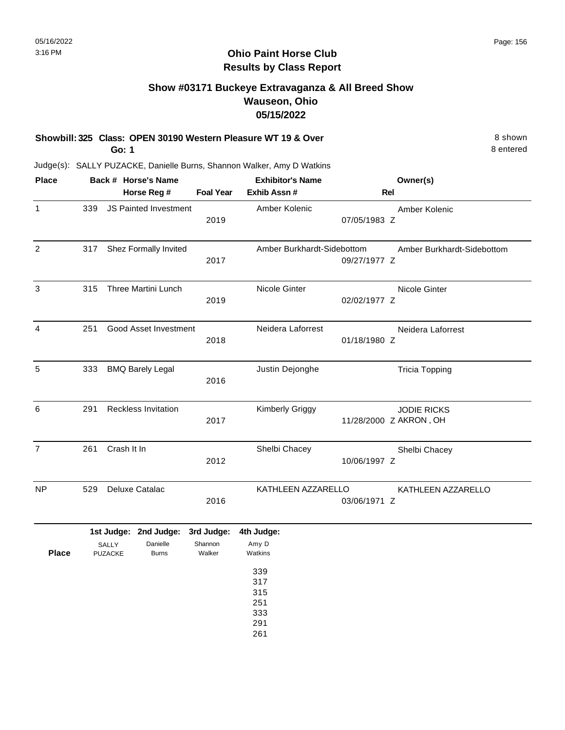#### **Ohio Paint Horse Club Results by Class Report**

## **Show #03171 Buckeye Extravaganza & All Breed Show Wauseon, Ohio 05/15/2022**

**Showbill: 325 Class: OPEN 30190 Western Pleasure WT 19 & Over** 8 Shown 8 shown **Go: 1**

| <b>Place</b>   |     |                         | Back # Horse's Name                               |                                 | <b>Exhibitor's Name</b>                       |              | Owner(s)                                     |
|----------------|-----|-------------------------|---------------------------------------------------|---------------------------------|-----------------------------------------------|--------------|----------------------------------------------|
|                |     |                         | Horse Reg #                                       | <b>Foal Year</b>                | Exhib Assn #                                  |              | <b>Rel</b>                                   |
| $\mathbf{1}$   | 339 |                         | <b>JS Painted Investment</b>                      | 2019                            | Amber Kolenic                                 | 07/05/1983 Z | Amber Kolenic                                |
| $\overline{2}$ | 317 |                         | Shez Formally Invited                             | 2017                            | Amber Burkhardt-Sidebottom                    | 09/27/1977 Z | Amber Burkhardt-Sidebottom                   |
| 3              | 315 |                         | Three Martini Lunch                               | 2019                            | Nicole Ginter                                 | 02/02/1977 Z | Nicole Ginter                                |
| 4              | 251 |                         | Good Asset Investment                             | 2018                            | Neidera Laforrest                             | 01/18/1980 Z | Neidera Laforrest                            |
| 5              | 333 |                         | <b>BMQ Barely Legal</b>                           | 2016                            | Justin Dejonghe                               |              | <b>Tricia Topping</b>                        |
| 6              | 291 |                         | <b>Reckless Invitation</b>                        | 2017                            | <b>Kimberly Griggy</b>                        |              | <b>JODIE RICKS</b><br>11/28/2000 Z AKRON, OH |
| $\overline{7}$ | 261 | Crash It In             |                                                   | 2012                            | Shelbi Chacey                                 | 10/06/1997 Z | Shelbi Chacey                                |
| NP.            | 529 |                         | Deluxe Catalac                                    | 2016                            | KATHLEEN AZZARELLO                            | 03/06/1971 Z | KATHLEEN AZZARELLO                           |
| <b>Place</b>   |     | SALLY<br><b>PUZACKE</b> | 1st Judge: 2nd Judge:<br>Danielle<br><b>Burns</b> | 3rd Judge:<br>Shannon<br>Walker | 4th Judge:<br>Amy D<br>Watkins                |              |                                              |
|                |     |                         |                                                   |                                 | 339<br>317<br>315<br>251<br>333<br>291<br>261 |              |                                              |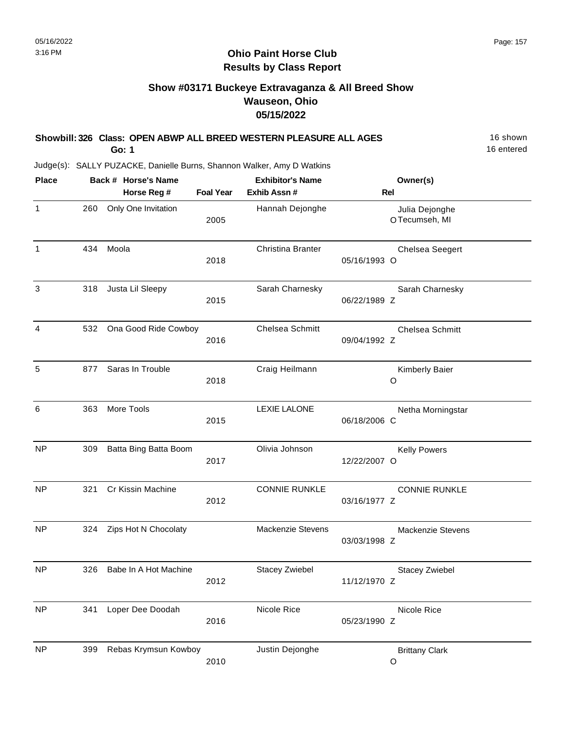# **Show #03171 Buckeye Extravaganza & All Breed Show Wauseon, Ohio 05/15/2022**

| Showbill: 326 Class: OPEN ABWP ALL BREED WESTERN PLEASURE ALL AGES<br>Go: 1 |     |       |                                    |                  |                                         |              |                                 |  |  |  |  |
|-----------------------------------------------------------------------------|-----|-------|------------------------------------|------------------|-----------------------------------------|--------------|---------------------------------|--|--|--|--|
| Judge(s): SALLY PUZACKE, Danielle Burns, Shannon Walker, Amy D Watkins      |     |       |                                    |                  |                                         |              |                                 |  |  |  |  |
| <b>Place</b>                                                                |     |       | Back # Horse's Name<br>Horse Reg # | <b>Foal Year</b> | <b>Exhibitor's Name</b><br>Exhib Assn # |              | Owner(s)<br><b>Rel</b>          |  |  |  |  |
| $\mathbf{1}$                                                                | 260 |       | Only One Invitation                | 2005             | Hannah Dejonghe                         |              | Julia Dejonghe<br>OTecumseh, MI |  |  |  |  |
| 1                                                                           | 434 | Moola |                                    | 2018             | Christina Branter                       | 05/16/1993 O | <b>Chelsea Seegert</b>          |  |  |  |  |
| 3                                                                           | 318 |       | Justa Lil Sleepy                   | 2015             | Sarah Charnesky                         | 06/22/1989 Z | Sarah Charnesky                 |  |  |  |  |
| 4                                                                           |     |       | 532 Ona Good Ride Cowboy           | 2016             | Chelsea Schmitt                         | 09/04/1992 Z | Chelsea Schmitt                 |  |  |  |  |
| 5                                                                           | 877 |       | Saras In Trouble                   | 2018             | Craig Heilmann                          |              | Kimberly Baier<br>O             |  |  |  |  |
| 6                                                                           | 363 |       | More Tools                         | 2015             | <b>LEXIE LALONE</b>                     | 06/18/2006 C | Netha Morningstar               |  |  |  |  |
| <b>NP</b>                                                                   | 309 |       | Batta Bing Batta Boom              | 2017             | Olivia Johnson                          | 12/22/2007 O | <b>Kelly Powers</b>             |  |  |  |  |
| <b>NP</b>                                                                   | 321 |       | Cr Kissin Machine                  | 2012             | <b>CONNIE RUNKLE</b>                    | 03/16/1977 Z | <b>CONNIE RUNKLE</b>            |  |  |  |  |
| <b>NP</b>                                                                   | 324 |       | Zips Hot N Chocolaty               |                  | Mackenzie Stevens                       | 03/03/1998 Z | <b>Mackenzie Stevens</b>        |  |  |  |  |
| <b>NP</b>                                                                   | 326 |       | Babe In A Hot Machine              | 2012             | <b>Stacey Zwiebel</b>                   | 11/12/1970 Z | <b>Stacey Zwiebel</b>           |  |  |  |  |
| <b>NP</b>                                                                   | 341 |       | Loper Dee Doodah                   | 2016             | Nicole Rice                             | 05/23/1990 Z | Nicole Rice                     |  |  |  |  |
| <b>NP</b>                                                                   | 399 |       | Rebas Krymsun Kowboy               | 2010             | Justin Dejonghe                         |              | <b>Brittany Clark</b><br>O      |  |  |  |  |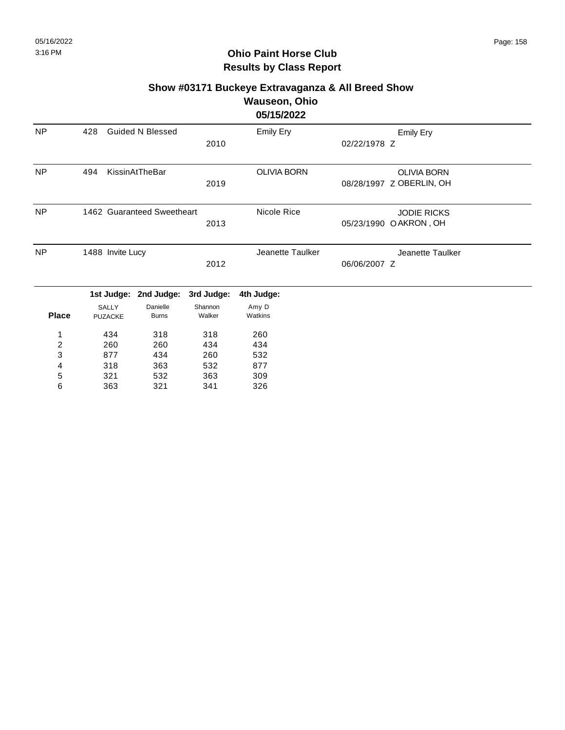#### **Show #03171 Buckeye Extravaganza & All Breed Show Wauseon, Ohio**

#### **05/15/2022**

|           |     |                            |      | $VU \cup V \cup L$ |                          |  |
|-----------|-----|----------------------------|------|--------------------|--------------------------|--|
| <b>NP</b> | 428 | <b>Guided N Blessed</b>    |      | Emily Ery          | Emily Ery                |  |
|           |     |                            | 2010 |                    | 02/22/1978 Z             |  |
| NP        | 494 | KissinAtTheBar             |      | <b>OLIVIA BORN</b> | <b>OLIVIA BORN</b>       |  |
|           |     |                            | 2019 |                    | 08/28/1997 Z OBERLIN, OH |  |
| <b>NP</b> |     | 1462 Guaranteed Sweetheart |      | Nicole Rice        | <b>JODIE RICKS</b>       |  |
|           |     |                            | 2013 |                    | 05/23/1990 OAKRON, OH    |  |
| <b>NP</b> |     | 1488 Invite Lucy           |      | Jeanette Taulker   | Jeanette Taulker         |  |
|           |     |                            | 2012 |                    | 06/06/2007 Z             |  |
|           |     | .                          |      |                    |                          |  |

|              |                | 1st Judge: 2nd Judge: 3rd Judge: |         | 4th Judge: |
|--------------|----------------|----------------------------------|---------|------------|
|              | <b>SALLY</b>   | Danielle                         | Shannon | Amy D      |
| <b>Place</b> | <b>PUZACKE</b> | <b>Burns</b>                     | Walker  | Watkins    |
|              |                |                                  |         |            |
| 1            | 434            | 318                              | 318     | 260        |
| 2            | 260            | 260                              | 434     | 434        |
| 3            | 877            | 434                              | 260     | 532        |
| 4            | 318            | 363                              | 532     | 877        |
| 5            | 321            | 532                              | 363     | 309        |
| 6            | 363            | 321                              | 341     | 326        |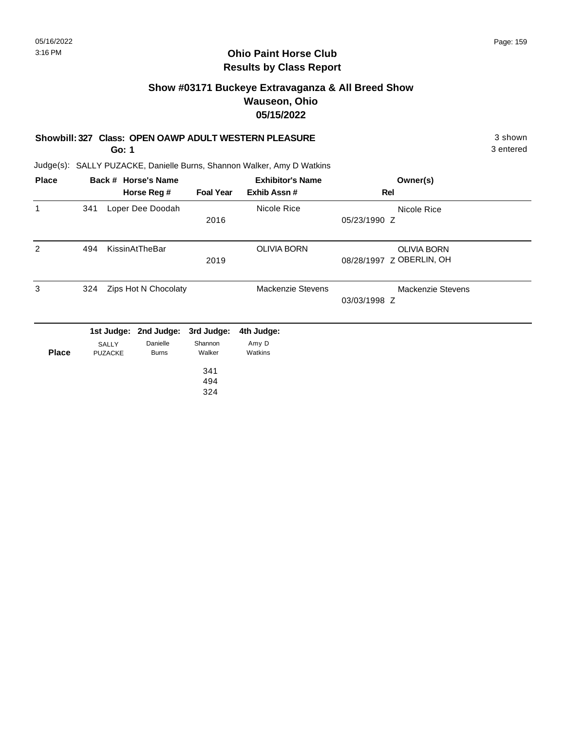#### **Ohio Paint Horse Club Results by Class Report**

## **Show #03171 Buckeye Extravaganza & All Breed Show Wauseon, Ohio 05/15/2022**

#### **Showbill: 327 Class: OPEN OAWP ADULT WESTERN PLEASURE** 3 shown

**Go: 1**

| <b>Place</b> |     |                         | Back # Horse's Name      |                   | <b>Exhibitor's Name</b>  | Owner(s)                 |  |
|--------------|-----|-------------------------|--------------------------|-------------------|--------------------------|--------------------------|--|
|              |     |                         | Horse Reg #              | <b>Foal Year</b>  | Exhib Assn#              | Rel                      |  |
| $\mathbf{1}$ | 341 |                         | Loper Dee Doodah         |                   | Nicole Rice              | Nicole Rice              |  |
|              |     |                         |                          | 2016              |                          | 05/23/1990 Z             |  |
| 2            | 494 |                         | KissinAtTheBar           |                   | <b>OLIVIA BORN</b>       | <b>OLIVIA BORN</b>       |  |
|              |     |                         |                          | 2019              |                          | 08/28/1997 Z OBERLIN, OH |  |
| 3            | 324 |                         | Zips Hot N Chocolaty     |                   | <b>Mackenzie Stevens</b> | Mackenzie Stevens        |  |
|              |     |                         |                          |                   |                          | 03/03/1998 Z             |  |
|              |     | 1st Judge:              | 2nd Judge:               | 3rd Judge:        | 4th Judge:               |                          |  |
| <b>Place</b> |     | SALLY<br><b>PUZACKE</b> | Danielle<br><b>Burns</b> | Shannon<br>Walker | Amy D<br>Watkins         |                          |  |
|              |     |                         |                          | 341               |                          |                          |  |
|              |     |                         |                          | 494               |                          |                          |  |
|              |     |                         |                          | 324               |                          |                          |  |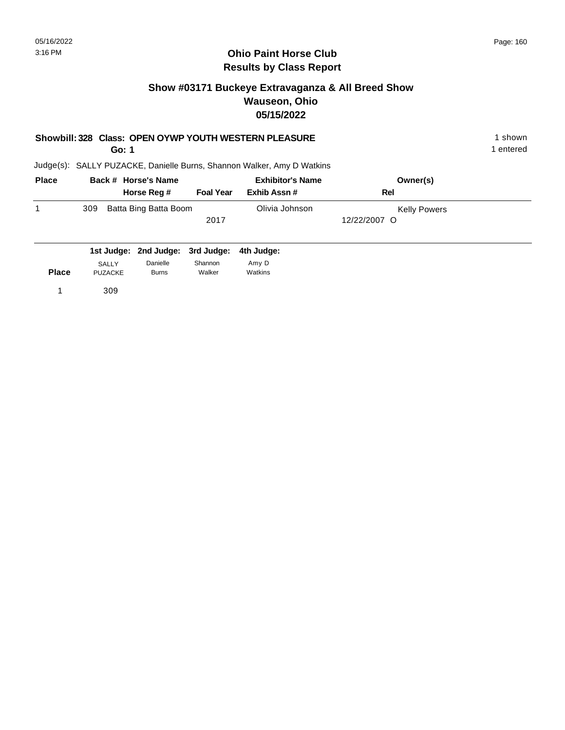#### **Ohio Paint Horse Club Results by Class Report**

#### **Show #03171 Buckeye Extravaganza & All Breed Show Wauseon, Ohio 05/15/2022**

#### **Showbill: 328 Class: OPEN OYWP YOUTH WESTERN PLEASURE** 1 shown

**Go: 1**

| <b>Place</b> | Back # Horse's Name |                       | <b>Exhibitor's Name</b> |                |              | Owner(s)            |
|--------------|---------------------|-----------------------|-------------------------|----------------|--------------|---------------------|
|              |                     | Horse Reg #           | <b>Foal Year</b>        | Exhib Assn#    | Rel          |                     |
|              | 309                 | Batta Bing Batta Boom |                         | Olivia Johnson |              | <b>Kelly Powers</b> |
|              |                     |                       | 2017                    |                | 12/22/2007 O |                     |
|              |                     |                       |                         |                |              |                     |

|              |                | 1st Judge: 2nd Judge: 3rd Judge: 4th Judge: |         |         |
|--------------|----------------|---------------------------------------------|---------|---------|
|              | <b>SALLY</b>   | Danielle                                    | Shannon | Amy D   |
| <b>Place</b> | <b>PUZACKE</b> | <b>Burns</b>                                | Walker  | Watkins |
|              | 309            |                                             |         |         |
|              |                |                                             |         |         |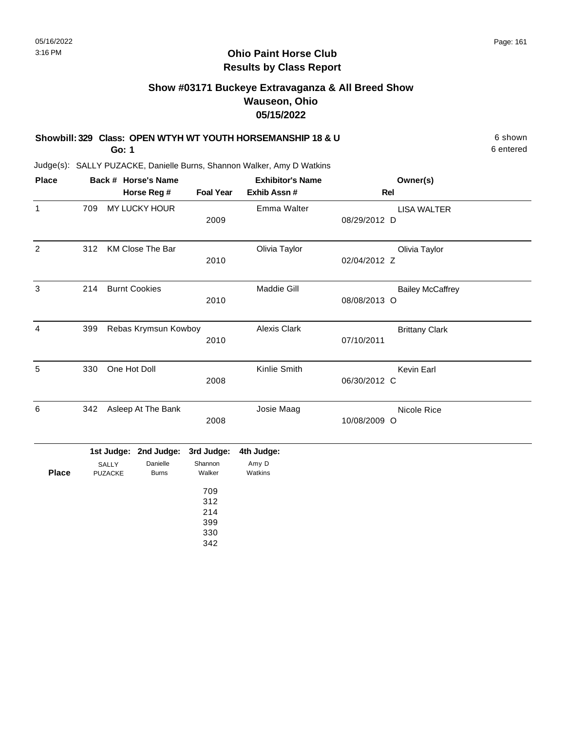# **Show #03171 Buckeye Extravaganza & All Breed Show Wauseon, Ohio 05/15/2022**

| Showbill: 329 Class: OPEN WTYH WT YOUTH HORSEMANSHIP 18 & U | 6 shown |
|-------------------------------------------------------------|---------|
|                                                             |         |

**Go: 1**

Judge(s): SALLY PUZACKE, Danielle Burns, Shannon Walker, Amy D Watkins

| <b>Place</b> | Back # Horse's Name |                         |                  | <b>Exhibitor's Name</b> | Owner(s)                                |  |
|--------------|---------------------|-------------------------|------------------|-------------------------|-----------------------------------------|--|
|              |                     | Horse Reg #             | <b>Foal Year</b> | Exhib Assn#             | Rel                                     |  |
| 1            | 709                 | MY LUCKY HOUR           | 2009             | Emma Walter             | <b>LISA WALTER</b><br>08/29/2012 D      |  |
| 2            | 312                 | <b>KM Close The Bar</b> | 2010             | Olivia Taylor           | Olivia Taylor<br>02/04/2012 Z           |  |
| 3            | 214                 | <b>Burnt Cookies</b>    | 2010             | <b>Maddie Gill</b>      | <b>Bailey McCaffrey</b><br>08/08/2013 O |  |
| 4            | 399                 | Rebas Krymsun Kowboy    | 2010             | <b>Alexis Clark</b>     | <b>Brittany Clark</b><br>07/10/2011     |  |
| 5            | 330                 | One Hot Doll            | 2008             | Kinlie Smith            | Kevin Earl<br>06/30/2012 C              |  |
| 6            | 342                 | Asleep At The Bank      | 2008             | Josie Maag              | Nicole Rice<br>10/08/2009 O             |  |
|              |                     | 1st Judge: 2nd Judge:   | 3rd Judge:       | 4th Judge:              |                                         |  |

| SALLY   | Danielle     | Shannon | Amy D                                                                               |
|---------|--------------|---------|-------------------------------------------------------------------------------------|
| PUZACKE | <b>Burns</b> | Walker  | Watkins                                                                             |
|         |              |         |                                                                                     |
|         |              |         |                                                                                     |
|         |              |         |                                                                                     |
|         |              |         |                                                                                     |
|         |              |         |                                                                                     |
|         |              |         |                                                                                     |
|         |              |         |                                                                                     |
|         |              |         | Tacouga. Zhu buuga. Oru buuga. Fiirbuuga.<br>709<br>312<br>214<br>399<br>330<br>342 |

6 entered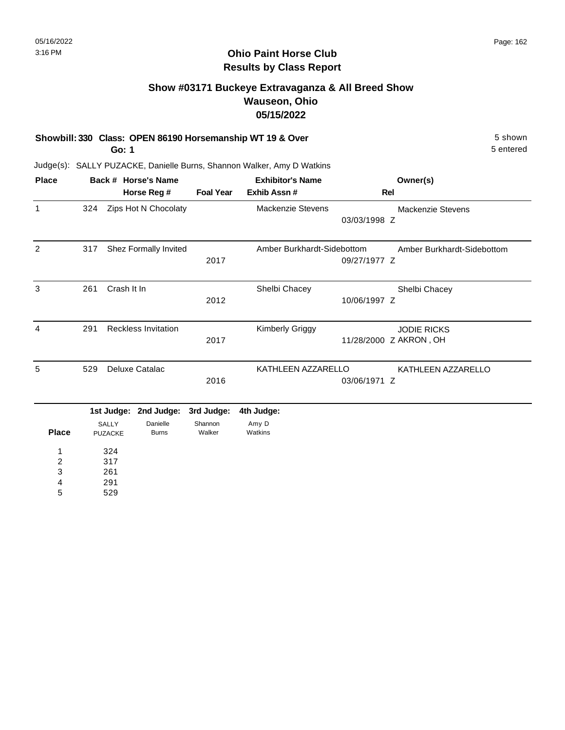## **Show #03171 Buckeye Extravaganza & All Breed Show Wauseon, Ohio 05/15/2022**

**Showbill: 330 Class: OPEN 86190 Horsemanship WT 19 & Over** 5 Shown 5 shown

**Go: 1**

Judge(s): SALLY PUZACKE, Danielle Burns, Shannon Walker, Amy D Watkins

| <b>Place</b>            |     |                | Back # Horse's Name        |                  | <b>Exhibitor's Name</b>    |              | Owner(s)                   |
|-------------------------|-----|----------------|----------------------------|------------------|----------------------------|--------------|----------------------------|
|                         |     |                | Horse Reg #                | <b>Foal Year</b> | Exhib Assn#                | <b>Rel</b>   |                            |
| $\mathbf{1}$            | 324 |                | Zips Hot N Chocolaty       |                  | <b>Mackenzie Stevens</b>   |              | Mackenzie Stevens          |
|                         |     |                |                            |                  |                            | 03/03/1998 Z |                            |
| 2                       | 317 |                | Shez Formally Invited      |                  | Amber Burkhardt-Sidebottom |              | Amber Burkhardt-Sidebottom |
|                         |     |                |                            | 2017             |                            | 09/27/1977 Z |                            |
| 3                       | 261 | Crash It In    |                            |                  | Shelbi Chacey              |              | Shelbi Chacey              |
|                         |     |                |                            | 2012             |                            | 10/06/1997 Z |                            |
| $\overline{4}$          | 291 |                | <b>Reckless Invitation</b> |                  | <b>Kimberly Griggy</b>     |              | <b>JODIE RICKS</b>         |
|                         |     |                |                            | 2017             |                            |              | 11/28/2000 Z AKRON, OH     |
| 5                       | 529 |                | Deluxe Catalac             |                  | KATHLEEN AZZARELLO         |              | KATHLEEN AZZARELLO         |
|                         |     |                |                            | 2016             |                            | 03/06/1971 Z |                            |
|                         |     | 1st Judge:     | 2nd Judge:                 | 3rd Judge:       | 4th Judge:                 |              |                            |
|                         |     | <b>SALLY</b>   | Danielle                   | Shannon          | Amy D                      |              |                            |
| <b>Place</b>            |     | <b>PUZACKE</b> | <b>Burns</b>               | Walker           | Watkins                    |              |                            |
| 1                       |     | 324            |                            |                  |                            |              |                            |
| $\overline{\mathbf{c}}$ |     | 317            |                            |                  |                            |              |                            |
| 3                       |     | 261            |                            |                  |                            |              |                            |

4

529 5

291

5 entered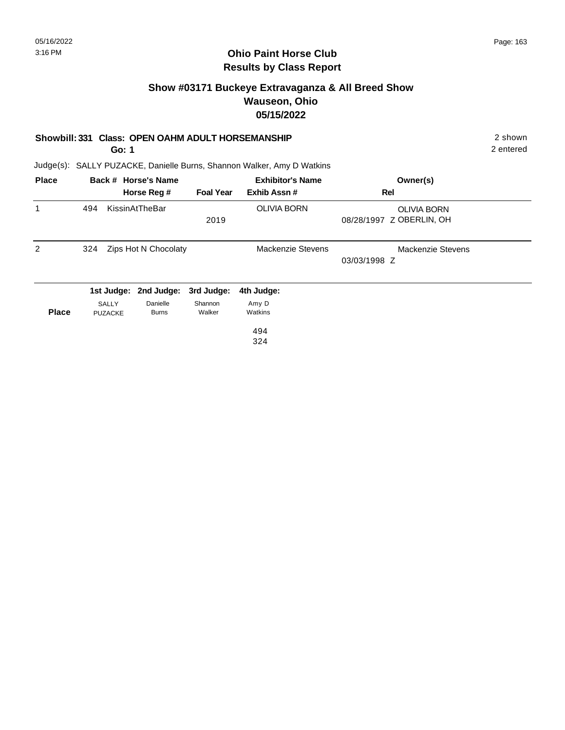### **Show #03171 Buckeye Extravaganza & All Breed Show Wauseon, Ohio 05/15/2022**

#### **Showbill: 331 Class: OPEN OAHM ADULT HORSEMANSHIP** 2 shown

**Go: 1**

2 entered

| <b>Place</b>   |                | Back # Horse's Name   |                  | <b>Exhibitor's Name</b>  | Owner(s)                 |  |
|----------------|----------------|-----------------------|------------------|--------------------------|--------------------------|--|
|                |                | Horse Reg #           | <b>Foal Year</b> | Exhib Assn#              | Rel                      |  |
| 1              | 494            | KissinAtTheBar        |                  | <b>OLIVIA BORN</b>       | <b>OLIVIA BORN</b>       |  |
|                |                |                       | 2019             |                          | 08/28/1997 Z OBERLIN, OH |  |
| $\overline{2}$ | 324            | Zips Hot N Chocolaty  |                  | <b>Mackenzie Stevens</b> | <b>Mackenzie Stevens</b> |  |
|                |                |                       |                  |                          | 03/03/1998 Z             |  |
|                |                | 1st Judge: 2nd Judge: | 3rd Judge:       | 4th Judge:               |                          |  |
|                | SALLY          | Danielle              | Shannon          | Amy D                    |                          |  |
| <b>Place</b>   | <b>PUZACKE</b> | <b>Burns</b>          | Walker           | Watkins                  |                          |  |
|                |                |                       |                  | 494                      |                          |  |
|                |                |                       |                  | 324                      |                          |  |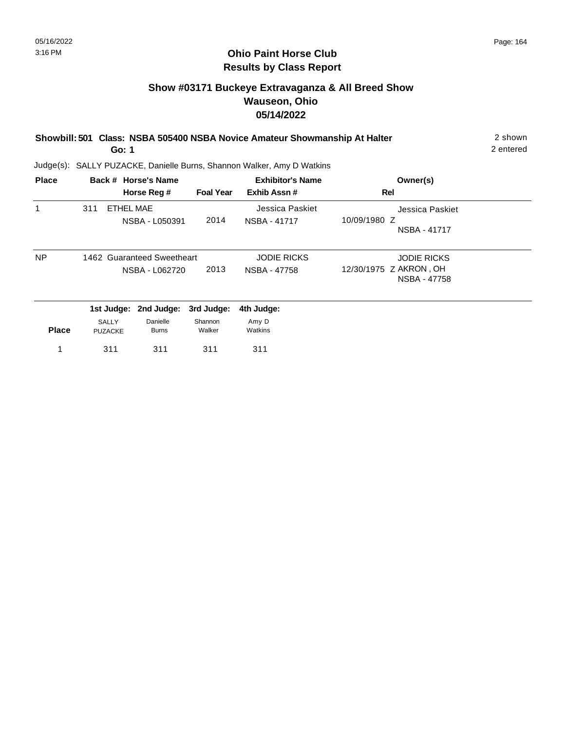# **Show #03171 Buckeye Extravaganza & All Breed Show Wauseon, Ohio 05/14/2022**

| Showbill: 501 Class: NSBA 505400 NSBA Novice Amateur Showmanship At Halter | 2 shown   |
|----------------------------------------------------------------------------|-----------|
| Go: 1                                                                      | 2 entered |

| <b>Place</b> |                         | Back # Horse's Name                          |                   | <b>Exhibitor's Name</b>            | Owner(s)                                                     |
|--------------|-------------------------|----------------------------------------------|-------------------|------------------------------------|--------------------------------------------------------------|
|              |                         | Horse Reg #                                  | <b>Foal Year</b>  | Exhib Assn#                        | Rel                                                          |
| 1            | 311                     | <b>ETHEL MAE</b><br>NSBA - L050391           | 2014              | Jessica Paskiet<br>NSBA - 41717    | Jessica Paskiet<br>10/09/1980 Z<br>NSBA - 41717              |
| NP           |                         | 1462 Guaranteed Sweetheart<br>NSBA - L062720 | 2013              | <b>JODIE RICKS</b><br>NSBA - 47758 | <b>JODIE RICKS</b><br>12/30/1975 Z AKRON, OH<br>NSBA - 47758 |
|              | 1st Judge:              | 2nd Judge:                                   | 3rd Judge:        | 4th Judge:                         |                                                              |
| <b>Place</b> | SALLY<br><b>PUZACKE</b> | Danielle<br><b>Burns</b>                     | Shannon<br>Walker | Amy D<br>Watkins                   |                                                              |
|              | 311                     | 311                                          | 311               | 311                                |                                                              |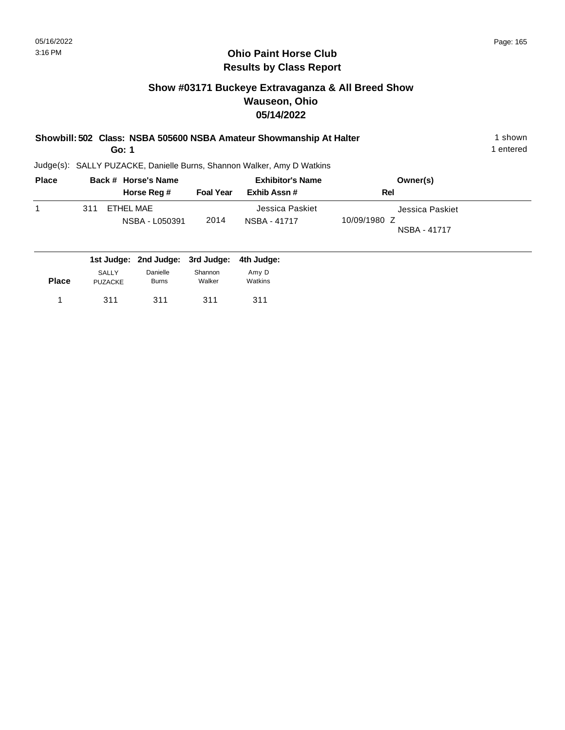# **Show #03171 Buckeye Extravaganza & All Breed Show Wauseon, Ohio 05/14/2022**

| Showbill: 502 Class: NSBA 505600 NSBA Amateur Showmanship At Halter<br>Go: 1<br>Judge(s): SALLY PUZACKE, Danielle Burns, Shannon Walker, Amy D Watkins |     |                     |                  |                         |                 |  |
|--------------------------------------------------------------------------------------------------------------------------------------------------------|-----|---------------------|------------------|-------------------------|-----------------|--|
|                                                                                                                                                        |     |                     |                  |                         |                 |  |
| <b>Place</b>                                                                                                                                           |     | Back # Horse's Name |                  | <b>Exhibitor's Name</b> | Owner(s)        |  |
|                                                                                                                                                        |     | Horse Reg #         | <b>Foal Year</b> | Exhib Assn#             | Rel             |  |
| 1                                                                                                                                                      | 311 | ETHEL MAE           |                  | Jessica Paskiet         | Jessica Paskiet |  |
|                                                                                                                                                        |     | NSBA - L050391      | 2014             | NSBA - 41717            | 10/09/1980 Z    |  |
|                                                                                                                                                        |     |                     |                  |                         | NSBA - 41717    |  |
|                                                                                                                                                        |     |                     |                  |                         |                 |  |

| <b>SALLY</b>   | Danielle     | Shannon | Amy D                                       |
|----------------|--------------|---------|---------------------------------------------|
| <b>PUZACKE</b> | <b>Burns</b> | Walker  | Watkins                                     |
| 311            | 311          | 311     | 311                                         |
|                |              |         | 1st Judge: 2nd Judge: 3rd Judge: 4th Judge: |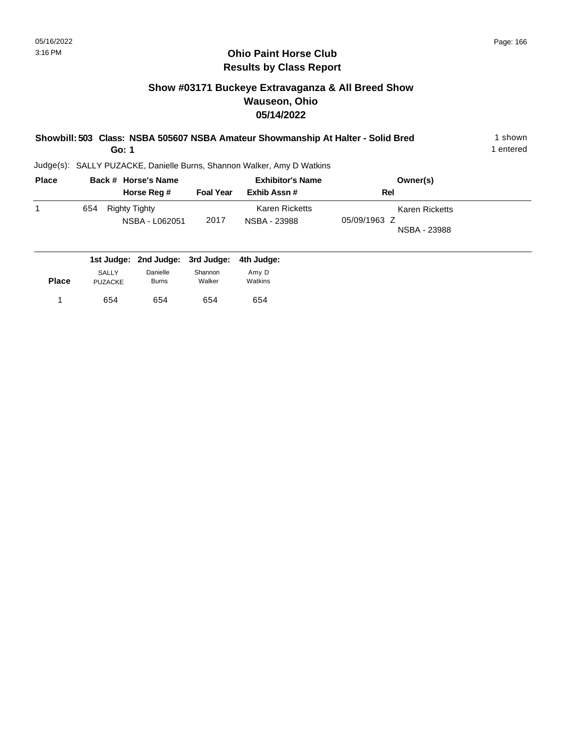# **Show #03171 Buckeye Extravaganza & All Breed Show Wauseon, Ohio 05/14/2022**

| Showbill: 503 Class: NSBA 505607 NSBA Amateur Showmanship At Halter - Solid Bred | shown     |
|----------------------------------------------------------------------------------|-----------|
| Go: 1                                                                            | l entered |

| <b>Place</b> | Back # Horse's Name                         |                  | <b>Exhibitor's Name</b>               | Owner(s)                                       |
|--------------|---------------------------------------------|------------------|---------------------------------------|------------------------------------------------|
|              | Horse Reg #                                 | <b>Foal Year</b> | Exhib Assn#                           | Rel                                            |
|              | 654<br>Righty Tighty<br>NSBA - L062051      | 2017             | <b>Karen Ricketts</b><br>NSBA - 23988 | Karen Ricketts<br>05/09/1963 Z<br>NSBA - 23988 |
|              | 1st Judge: 2nd Judge: 3rd Judge: 4th Judge: |                  |                                       |                                                |

| <b>Place</b> | <b>SALLY</b>   | Danielle     | Shannon | Amy D   |
|--------------|----------------|--------------|---------|---------|
|              | <b>PUZACKE</b> | <b>Burns</b> | Walker  | Watkins |
|              | 654            | 654          | 654     | 654     |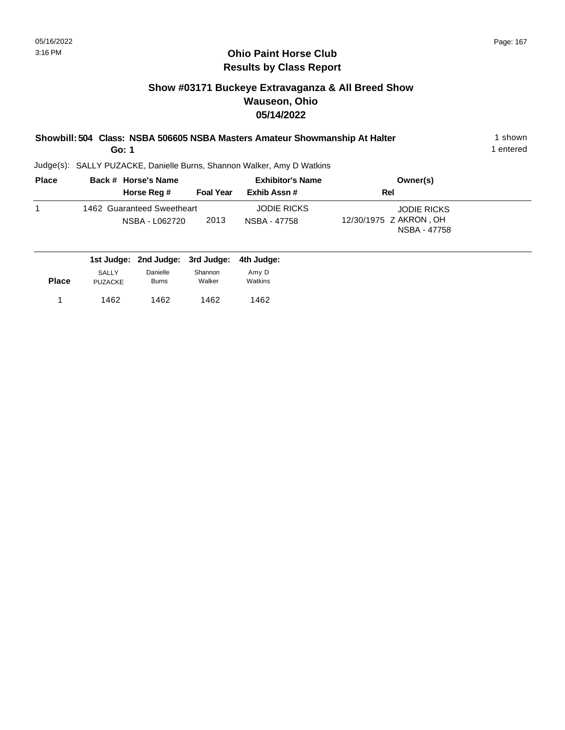# **Show #03171 Buckeye Extravaganza & All Breed Show Wauseon, Ohio 05/14/2022**

| Showbill: 504 Class: NSBA 506605 NSBA Masters Amateur Showmanship At Halter | shown     |
|-----------------------------------------------------------------------------|-----------|
| Go: 1                                                                       | 1 entered |

| <b>Place</b> | Back # Horse's Name                          | <b>Exhibitor's Name</b> |                                    | Owner(s)                                                     |  |  |
|--------------|----------------------------------------------|-------------------------|------------------------------------|--------------------------------------------------------------|--|--|
|              | Horse Reg #                                  | <b>Foal Year</b>        | Exhib Assn #                       | Rel                                                          |  |  |
|              | 1462 Guaranteed Sweetheart<br>NSBA - L062720 | 2013                    | <b>JODIE RICKS</b><br>NSBA - 47758 | <b>JODIE RICKS</b><br>12/30/1975 Z AKRON, OH<br>NSBA - 47758 |  |  |

|              |                                |                          | 1st Judge: 2nd Judge: 3rd Judge: 4th Judge: |                  |
|--------------|--------------------------------|--------------------------|---------------------------------------------|------------------|
| <b>Place</b> | <b>SALLY</b><br><b>PUZACKE</b> | Danielle<br><b>Burns</b> | Shannon<br>Walker                           | Amy D<br>Watkins |
|              | 1462                           | 1462                     | 1462                                        | 1462             |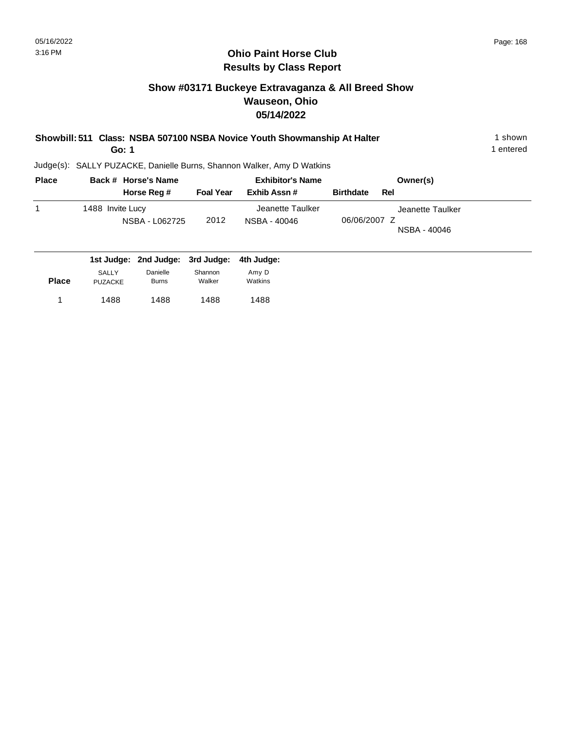# **Show #03171 Buckeye Extravaganza & All Breed Show Wauseon, Ohio 05/14/2022**

| Showbill: 511 Class: NSBA 507100 NSBA Novice Youth Showmanship At Halter | ∣shown    |
|--------------------------------------------------------------------------|-----------|
| Go: 1                                                                    | 1 entered |
| Judge(s): SALLY PUZACKE, Danielle Burns, Shannon Walker, Amy D Watkins   |           |

| <b>Place</b> | Back # Horse's Name                         |                  | <b>Exhibitor's Name</b>          | Owner(s)                                         |
|--------------|---------------------------------------------|------------------|----------------------------------|--------------------------------------------------|
|              | Horse Reg #                                 | <b>Foal Year</b> | Exhib Assn#                      | <b>Birthdate</b><br>Rel                          |
| 1            | 1488 Invite Lucy<br>NSBA - L062725          | 2012             | Jeanette Taulker<br>NSBA - 40046 | Jeanette Taulker<br>06/06/2007 Z<br>NSBA - 40046 |
|              | 1st Judge: 2nd Judge: 3rd Judge: 4th Judge: |                  |                                  |                                                  |

| <b>Place</b> | SALLY<br><b>PUZACKE</b> | Danielle<br>Burns | Shannon<br>Walker | Amy D<br>Watkins |  |
|--------------|-------------------------|-------------------|-------------------|------------------|--|
| 1            | 1488                    | 1488              | 1488              | 1488             |  |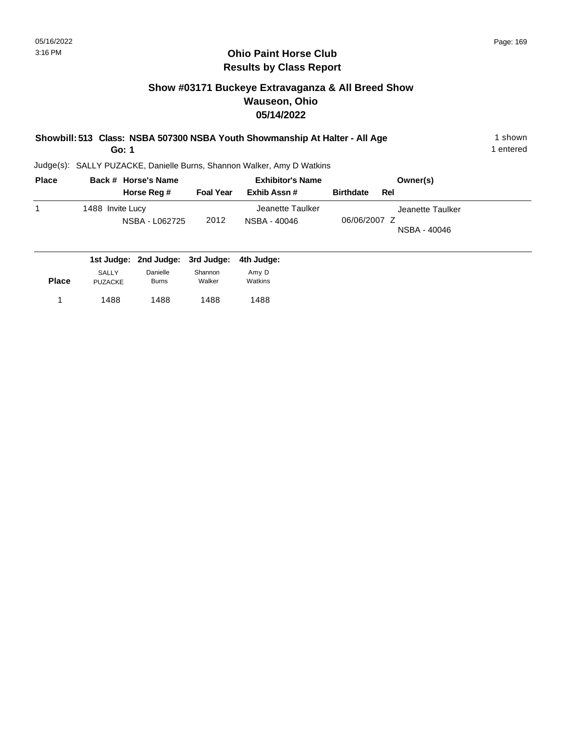# **Show #03171 Buckeye Extravaganza & All Breed Show Wauseon, Ohio 05/14/2022**

| Showbill: 513 Class: NSBA 507300 NSBA Youth Showmanship At Halter - All Age | shown     |
|-----------------------------------------------------------------------------|-----------|
| Go: 1                                                                       | 1 entered |

Judge(s): SALLY PUZACKE, Danielle Burns, Shannon Walker, Amy D Watkins

1488 1488 1 1488

1488

| <b>Place</b> |                                | Back # Horse's Name              |                   | <b>Exhibitor's Name</b>          | Owner(s)                                         |
|--------------|--------------------------------|----------------------------------|-------------------|----------------------------------|--------------------------------------------------|
|              |                                | Horse Reg #                      | <b>Foal Year</b>  | Exhib Assn#                      | <b>Birthdate</b><br>Rel                          |
| 1            | 1488 Invite Lucy               | NSBA - L062725                   | 2012              | Jeanette Taulker<br>NSBA - 40046 | Jeanette Taulker<br>06/06/2007 Z<br>NSBA - 40046 |
|              |                                | 1st Judge: 2nd Judge: 3rd Judge: |                   | 4th Judge:                       |                                                  |
| <b>Place</b> | <b>SALLY</b><br><b>PUZACKE</b> | Danielle<br><b>Burns</b>         | Shannon<br>Walker | Amy D<br>Watkins                 |                                                  |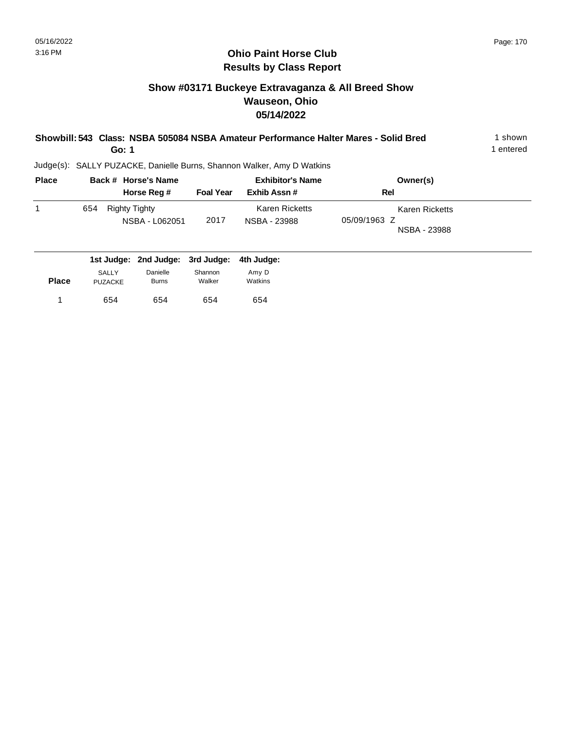# **Show #03171 Buckeye Extravaganza & All Breed Show Wauseon, Ohio 05/14/2022**

| Showbill: 543 Class: NSBA 505084 NSBA Amateur Performance Halter Mares - Solid Bred | shown   |
|-------------------------------------------------------------------------------------|---------|
| Go: 1                                                                               | entered |

| <b>Place</b> | Back # Horse's Name                         |                  | <b>Exhibitor's Name</b>        | Owner(s)                                       |
|--------------|---------------------------------------------|------------------|--------------------------------|------------------------------------------------|
|              | Horse Reg #                                 | <b>Foal Year</b> | Exhib Assn#                    | Rel                                            |
|              | 654<br>Righty Tighty<br>NSBA - L062051      | 2017             | Karen Ricketts<br>NSBA - 23988 | Karen Ricketts<br>05/09/1963 Z<br>NSBA - 23988 |
|              | 1st Judge: 2nd Judge: 3rd Judge: 4th Judge: |                  |                                |                                                |

| <b>Place</b> | SALLY          | Danielle     | Shannon | Amy D   |
|--------------|----------------|--------------|---------|---------|
|              | <b>PUZACKE</b> | <b>Burns</b> | Walker  | Watkins |
| 1            | 654            | 654          | 654     | 654     |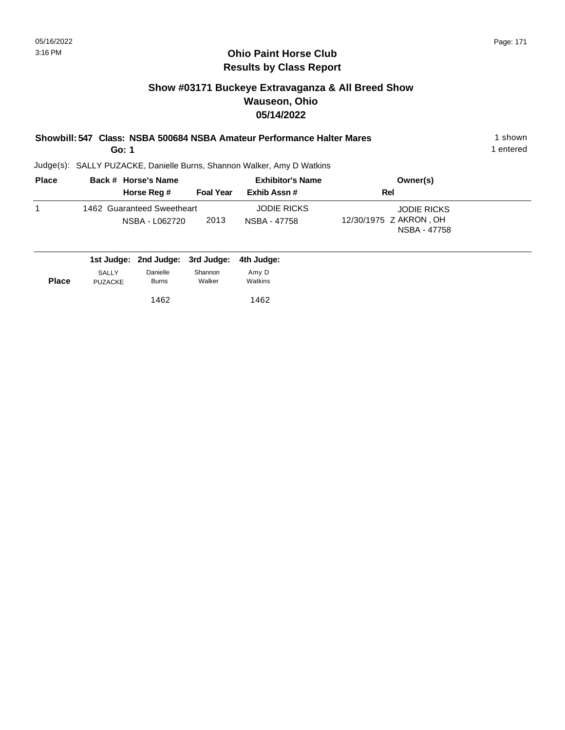# **Show #03171 Buckeye Extravaganza & All Breed Show Wauseon, Ohio 05/14/2022**

| Showbill: 547 Class: NSBA 500684 NSBA Amateur Performance Halter Mares                                                                                                                                                                                                                                                         | l shown   |
|--------------------------------------------------------------------------------------------------------------------------------------------------------------------------------------------------------------------------------------------------------------------------------------------------------------------------------|-----------|
| Go: 1                                                                                                                                                                                                                                                                                                                          | 1 entered |
| $\mathbf{r} = \mathbf{r} + \mathbf{r}$ , where $\mathbf{r} = \mathbf{r} + \mathbf{r}$ , we are the set of $\mathbf{r} = \mathbf{r} + \mathbf{r}$ , we are the set of $\mathbf{r} = \mathbf{r} + \mathbf{r}$ , we are the set of $\mathbf{r} = \mathbf{r} + \mathbf{r}$ , we are the set of $\mathbf{r} = \mathbf{r} + \mathbf$ |           |

| <b>Place</b> | Back # Horse's Name                          |                  | <b>Exhibitor's Name</b>            | Owner(s)                                                     |  |
|--------------|----------------------------------------------|------------------|------------------------------------|--------------------------------------------------------------|--|
|              | Horse Reg #                                  | <b>Foal Year</b> | Exhib Assn #                       | Rel                                                          |  |
|              | 1462 Guaranteed Sweetheart<br>NSBA - L062720 | 2013             | <b>JODIE RICKS</b><br>NSBA - 47758 | <b>JODIE RICKS</b><br>12/30/1975 Z AKRON, OH<br>NSBA - 47758 |  |

|              |                                | 1st Judge: 2nd Judge: 3rd Judge: 4th Judge: |                   |                  |
|--------------|--------------------------------|---------------------------------------------|-------------------|------------------|
| <b>Place</b> | <b>SALLY</b><br><b>PUZACKE</b> | Danielle<br><b>Burns</b>                    | Shannon<br>Walker | Amy D<br>Watkins |
|              |                                | 1462                                        |                   | 1462             |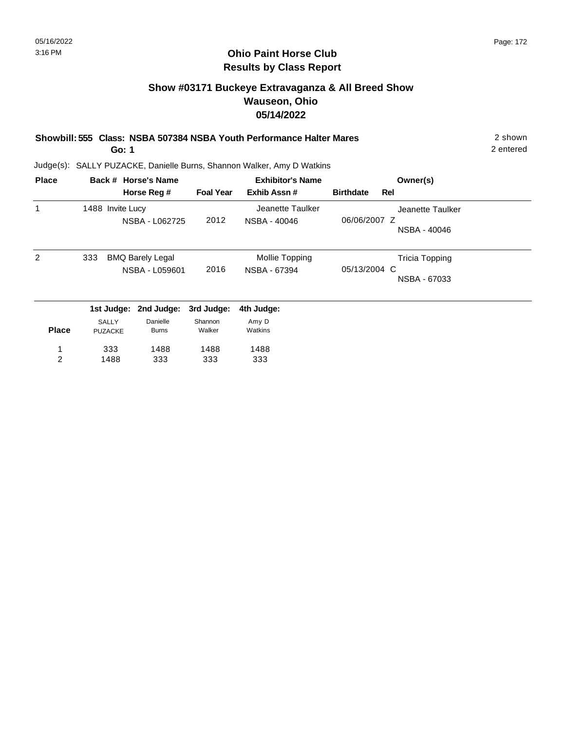# **Show #03171 Buckeye Extravaganza & All Breed Show Wauseon, Ohio 05/14/2022**

**Showbill: 555 Class: NSBA 507384 NSBA Youth Performance Halter Mares** 2 shown

**Go: 1**

2 entered

| <b>Place</b> |                  | Back # Horse's Name     |                  | <b>Exhibitor's Name</b> |                  |     | Owner(s)              |
|--------------|------------------|-------------------------|------------------|-------------------------|------------------|-----|-----------------------|
|              |                  | Horse Reg #             | <b>Foal Year</b> | Exhib Assn#             | <b>Birthdate</b> | Rel |                       |
| 1            | 1488 Invite Lucy |                         |                  | Jeanette Taulker        |                  |     | Jeanette Taulker      |
|              |                  | NSBA - L062725          | 2012             | NSBA - 40046            | 06/06/2007 Z     |     |                       |
|              |                  |                         |                  |                         |                  |     | NSBA - 40046          |
| 2            | 333              | <b>BMQ Barely Legal</b> |                  | Mollie Topping          |                  |     | <b>Tricia Topping</b> |
|              |                  | NSBA - L059601          | 2016             | NSBA - 67394            | 05/13/2004 C     |     |                       |
|              |                  |                         |                  |                         |                  |     | NSBA - 67033          |
|              |                  | 1st Judge: 2nd Judge:   | 3rd Judge:       | 4th Judge:              |                  |     |                       |
|              | <b>SALLY</b>     | Danielle                | Shannon          | Amy D                   |                  |     |                       |
| <b>Place</b> | <b>PUZACKE</b>   | <b>Burns</b>            | Walker           | Watkins                 |                  |     |                       |
| 1            | 333              | 1488                    | 1488             | 1488                    |                  |     |                       |
| 2            | 1488             | 333                     | 333              | 333                     |                  |     |                       |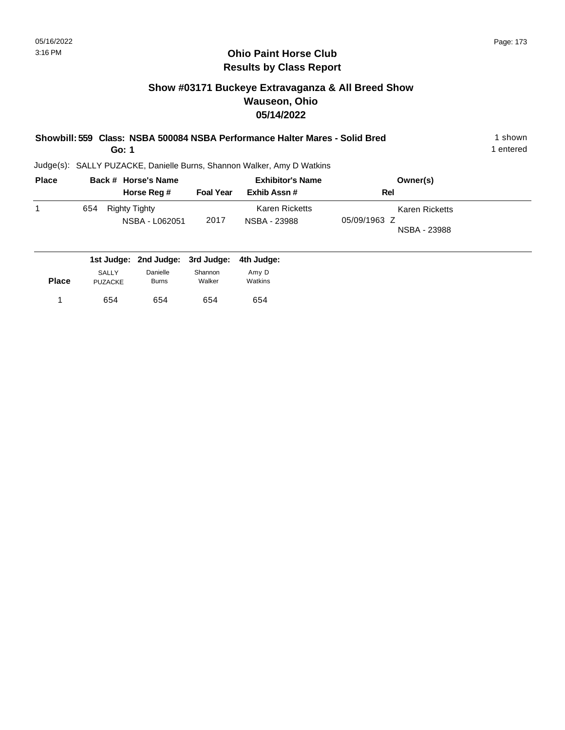654 654

1 654 654 654 654

654

# **Ohio Paint Horse Club Results by Class Report**

# **Show #03171 Buckeye Extravaganza & All Breed Show Wauseon, Ohio 05/14/2022**

| Showbill: 559 Class: NSBA 500084 NSBA Performance Halter Mares - Solid Bred<br>Go: 1 |     |                                              |                                        |                                 |                                                                        |                                                       |  |  |
|--------------------------------------------------------------------------------------|-----|----------------------------------------------|----------------------------------------|---------------------------------|------------------------------------------------------------------------|-------------------------------------------------------|--|--|
|                                                                                      |     |                                              |                                        |                                 | Judge(s): SALLY PUZACKE, Danielle Burns, Shannon Walker, Amy D Watkins |                                                       |  |  |
| <b>Place</b>                                                                         |     | Back # Horse's Name                          |                                        |                                 | <b>Exhibitor's Name</b>                                                | Owner(s)                                              |  |  |
|                                                                                      |     |                                              | Horse Reg #                            | <b>Foal Year</b>                | Exhib Assn#                                                            | Rel                                                   |  |  |
| 1                                                                                    | 654 | <b>Righty Tighty</b>                         | NSBA - L062051                         | 2017                            | <b>Karen Ricketts</b><br>NSBA - 23988                                  | <b>Karen Ricketts</b><br>05/09/1963 Z<br>NSBA - 23988 |  |  |
| <b>Place</b>                                                                         |     | 1st Judge:<br><b>SALLY</b><br><b>PUZACKE</b> | 2nd Judge:<br>Danielle<br><b>Burns</b> | 3rd Judge:<br>Shannon<br>Walker | 4th Judge:<br>Amy D<br>Watkins                                         |                                                       |  |  |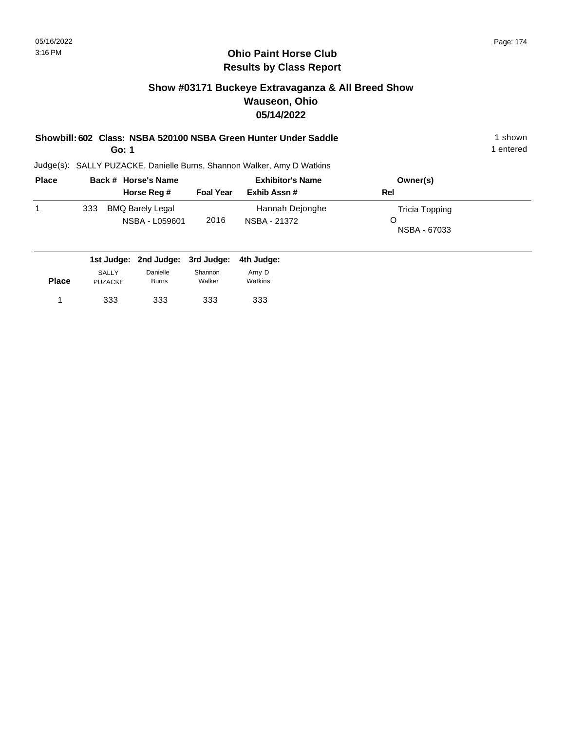# **Show #03171 Buckeye Extravaganza & All Breed Show Wauseon, Ohio 05/14/2022**

| Showbill: 602 Class: NSBA 520100 NSBA Green Hunter Under Saddle | shown   |
|-----------------------------------------------------------------|---------|
| Go: 1                                                           | entered |

1 entered

| <b>Place</b> |     | Back # Horse's Name                       | <b>Exhibitor's Name</b> |                                 | Owner(s)                            |  |
|--------------|-----|-------------------------------------------|-------------------------|---------------------------------|-------------------------------------|--|
|              |     | Horse Reg #                               | <b>Foal Year</b>        | Exhib Assn#                     | Rel                                 |  |
|              | 333 | <b>BMQ Barely Legal</b><br>NSBA - L059601 | 2016                    | Hannah Dejonghe<br>NSBA - 21372 | Tricia Topping<br>O<br>NSBA - 67033 |  |

|              |                                |                          | 1st Judge: 2nd Judge: 3rd Judge: 4th Judge: |                  |
|--------------|--------------------------------|--------------------------|---------------------------------------------|------------------|
| <b>Place</b> | <b>SALLY</b><br><b>PUZACKE</b> | Danielle<br><b>Burns</b> | Shannon<br>Walker                           | Amy D<br>Watkins |
|              | 333                            | 333                      | 333                                         | 333              |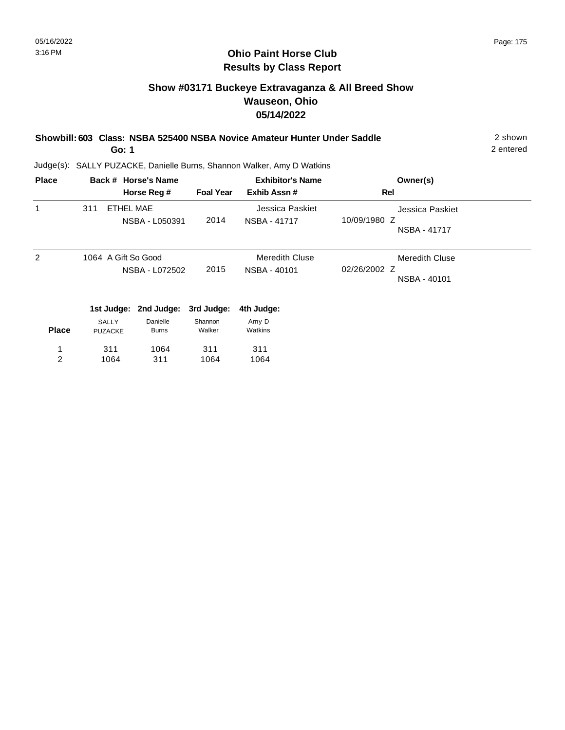# **Show #03171 Buckeye Extravaganza & All Breed Show Wauseon, Ohio 05/14/2022**

| Showbill: 603 Class: NSBA 525400 NSBA Novice Amateur Hunter Under Saddle | 2 shown   |
|--------------------------------------------------------------------------|-----------|
| Go: 1                                                                    | 2 entered |

| <b>Place</b> |                     | Back # Horse's Name |                  | <b>Exhibitor's Name</b> | Owner(s)              |
|--------------|---------------------|---------------------|------------------|-------------------------|-----------------------|
|              |                     | Horse Reg #         | <b>Foal Year</b> | Exhib Assn#             | <b>Rel</b>            |
| 1            | 311                 | ETHEL MAE           |                  | Jessica Paskiet         | Jessica Paskiet       |
|              |                     | NSBA - L050391      | 2014             | NSBA - 41717            | 10/09/1980 Z          |
|              |                     |                     |                  |                         | NSBA - 41717          |
| 2            | 1064 A Gift So Good |                     |                  | <b>Meredith Cluse</b>   | <b>Meredith Cluse</b> |
|              |                     | NSBA - L072502      | 2015             | NSBA - 40101            | 02/26/2002 Z          |
|              |                     |                     |                  |                         | NSBA - 40101          |
|              | 1st Judge:          | 2nd Judge:          | 3rd Judge:       | 4th Judge:              |                       |
|              | <b>SALLY</b>        | Danielle            | Shannon          | Amy D                   |                       |
| <b>Place</b> | <b>PUZACKE</b>      | <b>Burns</b>        | Walker           | Watkins                 |                       |
| 1            | 311                 | 1064                | 311              | 311                     |                       |
| 2            | 1064                | 311                 | 1064             | 1064                    |                       |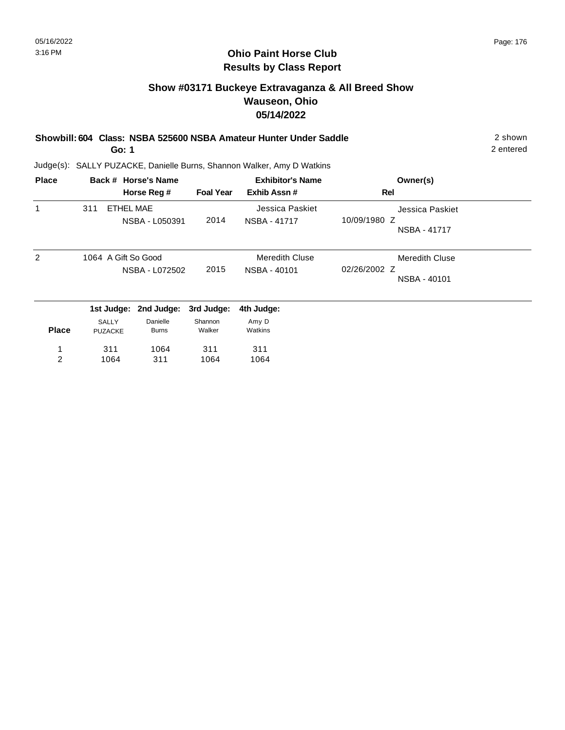# **Show #03171 Buckeye Extravaganza & All Breed Show Wauseon, Ohio 05/14/2022**

|  | Showbill: 604 Class: NSBA 525600 NSBA Amateur Hunter Under Saddle | 2 shown                                                                                                                                                                                                                                                                                                                                                                           |
|--|-------------------------------------------------------------------|-----------------------------------------------------------------------------------------------------------------------------------------------------------------------------------------------------------------------------------------------------------------------------------------------------------------------------------------------------------------------------------|
|  |                                                                   | $\bigcap$ $\bigcap$ $\bigcap$ $\bigcap$ $\bigcap$ $\bigcap$ $\bigcap$ $\bigcap$ $\bigcap$ $\bigcap$ $\bigcap$ $\bigcap$ $\bigcap$ $\bigcap$ $\bigcap$ $\bigcap$ $\bigcap$ $\bigcap$ $\bigcap$ $\bigcap$ $\bigcap$ $\bigcap$ $\bigcap$ $\bigcap$ $\bigcap$ $\bigcap$ $\bigcap$ $\bigcap$ $\bigcap$ $\bigcap$ $\bigcap$ $\bigcap$ $\bigcap$ $\bigcap$ $\bigcap$ $\bigcap$ $\bigcap$ |

**Go: 1**

2 entered

| <b>Place</b>  |                     | Back # Horse's Name |                  | <b>Exhibitor's Name</b> | Owner(s)              |
|---------------|---------------------|---------------------|------------------|-------------------------|-----------------------|
|               |                     | Horse Reg #         | <b>Foal Year</b> | Exhib Assn#             | Rel                   |
|               | 311                 | <b>ETHEL MAE</b>    |                  | Jessica Paskiet         | Jessica Paskiet       |
|               |                     | NSBA - L050391      | 2014             | <b>NSBA - 41717</b>     | 10/09/1980 Z          |
|               |                     |                     |                  |                         | NSBA - 41717          |
| $\mathcal{P}$ | 1064 A Gift So Good |                     |                  | <b>Meredith Cluse</b>   | <b>Meredith Cluse</b> |
|               |                     | NSBA - L072502      | 2015             | NSBA - 40101            | 02/26/2002 Z          |
|               |                     |                     |                  |                         | NSBA - 40101          |
|               | 1st Judge:          | 2nd Judge:          | 3rd Judge:       | 4th Judge:              |                       |
|               | SALLY               | Danielle            | Shannon          | Amy D                   |                       |
| <b>Place</b>  | <b>PUZACKE</b>      | <b>Burns</b>        | Walker           | Watkins                 |                       |
| 1             | 311                 | 1064                | 311              | 311                     |                       |
| 2             | 1064                | 311                 | 1064             | 1064                    |                       |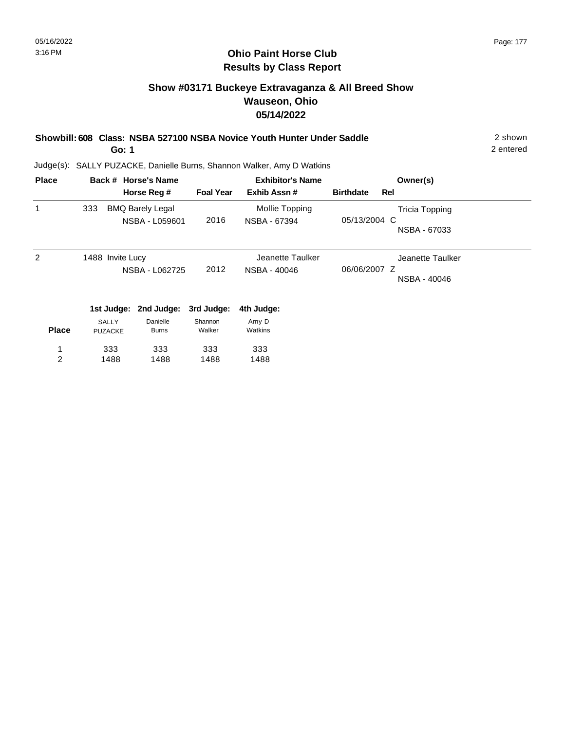#### **Ohio Paint Horse Club Results by Class Report**

# **Show #03171 Buckeye Extravaganza & All Breed Show Wauseon, Ohio 05/14/2022**

**Showbill: 608 Class: NSBA 527100 NSBA Novice Youth Hunter Under Saddle** 2 shown

**Go: 1**

1488

2

1488

1488

Judge(s): SALLY PUZACKE, Danielle Burns, Shannon Walker, Amy D Watkins

| <b>Place</b> |                         | Back # Horse's Name                       |                   | <b>Exhibitor's Name</b>          | Owner(s)                                              |
|--------------|-------------------------|-------------------------------------------|-------------------|----------------------------------|-------------------------------------------------------|
|              |                         | Horse Reg #                               | <b>Foal Year</b>  | Exhib Assn#                      | <b>Birthdate</b><br>Rel                               |
| 1            | 333                     | <b>BMQ Barely Legal</b><br>NSBA - L059601 | 2016              | Mollie Topping<br>NSBA - 67394   | <b>Tricia Topping</b><br>05/13/2004 C<br>NSBA - 67033 |
| 2            | 1488 Invite Lucy        | NSBA - L062725                            | 2012              | Jeanette Taulker<br>NSBA - 40046 | Jeanette Taulker<br>06/06/2007 Z<br>NSBA - 40046      |
|              |                         | 1st Judge: 2nd Judge:                     | 3rd Judge:        | 4th Judge:                       |                                                       |
| <b>Place</b> | SALLY<br><b>PUZACKE</b> | Danielle<br><b>Burns</b>                  | Shannon<br>Walker | Amy D<br>Watkins                 |                                                       |
|              | 333                     | 333                                       | 333               | 333                              |                                                       |

1488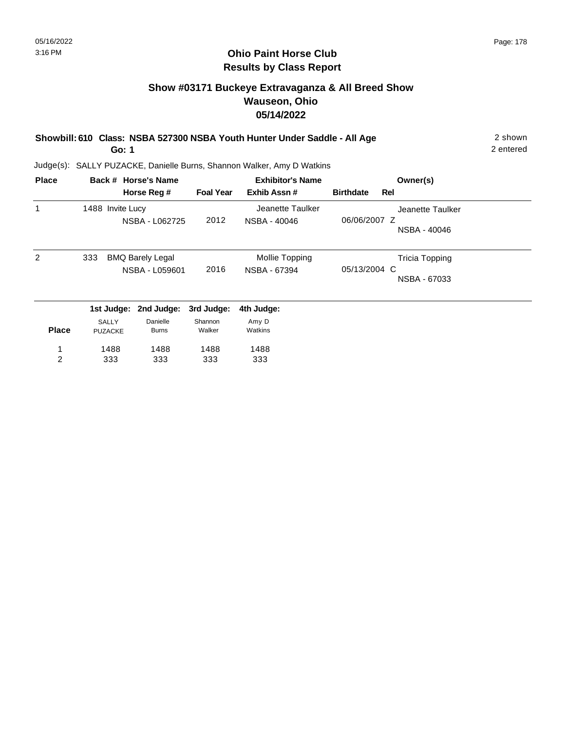#### **Ohio Paint Horse Club Results by Class Report**

# **Show #03171 Buckeye Extravaganza & All Breed Show Wauseon, Ohio 05/14/2022**

**Showbill: 610 Class: NSBA 527300 NSBA Youth Hunter Under Saddle - All Age** 2 shown

**Go: 1**

Judge(s): SALLY PUZACKE, Danielle Burns, Shannon Walker, Amy D Watkins

| <b>Place</b> |                  | Back # Horse's Name     |                  | <b>Exhibitor's Name</b> |                  | Owner(s)              |  |
|--------------|------------------|-------------------------|------------------|-------------------------|------------------|-----------------------|--|
|              |                  | Horse Reg #             | <b>Foal Year</b> | Exhib Assn#             | <b>Birthdate</b> | Rel                   |  |
| 1            | 1488 Invite Lucy |                         |                  | Jeanette Taulker        |                  | Jeanette Taulker      |  |
|              |                  | NSBA - L062725          | 2012             | NSBA - 40046            | 06/06/2007 Z     |                       |  |
|              |                  |                         |                  |                         |                  | NSBA - 40046          |  |
| 2            | 333              | <b>BMQ Barely Legal</b> |                  | Mollie Topping          |                  | <b>Tricia Topping</b> |  |
|              |                  | NSBA - L059601          | 2016             | NSBA - 67394            | 05/13/2004 C     |                       |  |
|              |                  |                         |                  |                         |                  | NSBA - 67033          |  |
|              | 1st Judge:       | 2nd Judge:              | 3rd Judge:       | 4th Judge:              |                  |                       |  |
|              | <b>SALLY</b>     | Danielle                | Shannon          | Amy D                   |                  |                       |  |
| <b>Place</b> | <b>PUZACKE</b>   | <b>Burns</b>            | Walker           | Watkins                 |                  |                       |  |
| 1            | 1488             | 1488                    | 1488             | 1488                    |                  |                       |  |
| 2            | 333              | 333                     | 333              | 333                     |                  |                       |  |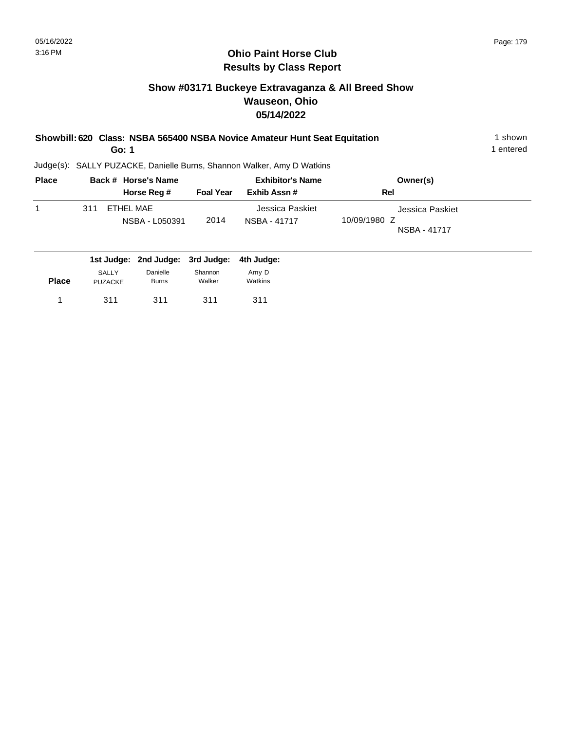# **Show #03171 Buckeye Extravaganza & All Breed Show Wauseon, Ohio 05/14/2022**

| Showbill: 620 Class: NSBA 565400 NSBA Novice Amateur Hunt Seat Equitation<br>Go: 1 |     |  |                                  |                  |                                                                        |                     |  |
|------------------------------------------------------------------------------------|-----|--|----------------------------------|------------------|------------------------------------------------------------------------|---------------------|--|
|                                                                                    |     |  |                                  |                  | Judge(s): SALLY PUZACKE, Danielle Burns, Shannon Walker, Amy D Watkins |                     |  |
| <b>Place</b>                                                                       |     |  | Back # Horse's Name              |                  | <b>Exhibitor's Name</b>                                                | Owner(s)            |  |
|                                                                                    |     |  | Horse Reg #                      | <b>Foal Year</b> | Exhib Assn#                                                            | Rel                 |  |
| 1                                                                                  | 311 |  | <b>ETHEL MAE</b>                 |                  | Jessica Paskiet                                                        | Jessica Paskiet     |  |
|                                                                                    |     |  | NSBA - L050391                   | 2014             | NSBA - 41717                                                           | 10/09/1980 Z        |  |
|                                                                                    |     |  |                                  |                  |                                                                        | <b>NSBA - 41717</b> |  |
|                                                                                    |     |  | 1st Judge: 2nd Judge: 3rd Judge: |                  | 4th Judae:                                                             |                     |  |

| <b>Place</b> | <b>SALLY</b> | Danielle     | Shannon | Amy D   |
|--------------|--------------|--------------|---------|---------|
|              | PUZACKE      | <b>Burns</b> | Walker  | Watkins |
|              | 311          | 311          | 311     | 311     |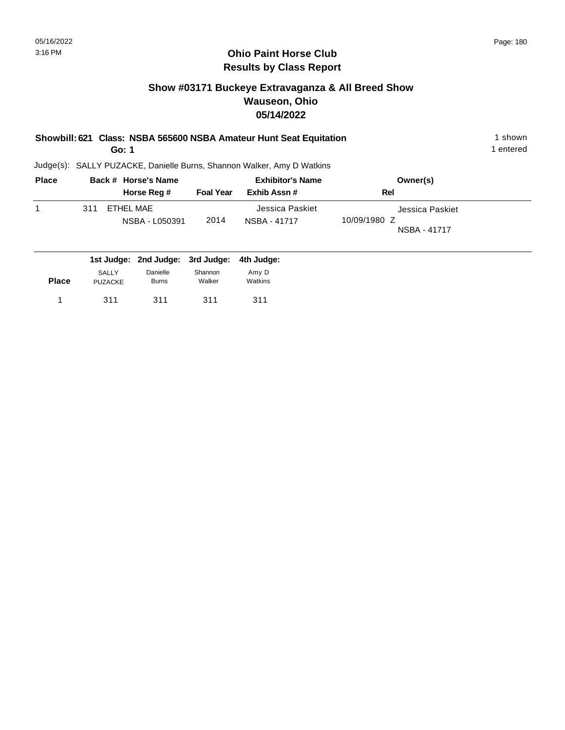# **Show #03171 Buckeye Extravaganza & All Breed Show Wauseon, Ohio 05/14/2022**

| Showbill: 621 Class: NSBA 565600 NSBA Amateur Hunt Seat Equitation<br>Go: 1 |     |                                |                                    |                   |                                        |                                                 |  |  |  |
|-----------------------------------------------------------------------------|-----|--------------------------------|------------------------------------|-------------------|----------------------------------------|-------------------------------------------------|--|--|--|
| Judge(s): SALLY PUZACKE, Danielle Burns, Shannon Walker, Amy D Watkins      |     |                                |                                    |                   |                                        |                                                 |  |  |  |
| <b>Place</b>                                                                |     |                                | Back # Horse's Name<br>Horse Reg # | <b>Foal Year</b>  | <b>Exhibitor's Name</b><br>Exhib Assn# | Owner(s)<br>Rel                                 |  |  |  |
|                                                                             | 311 |                                | <b>ETHEL MAE</b><br>NSBA - L050391 | 2014              | Jessica Paskiet<br>NSBA - 41717        | Jessica Paskiet<br>10/09/1980 Z<br>NSBA - 41717 |  |  |  |
|                                                                             |     | 1st Judge:                     | 2nd Judge:                         | 3rd Judge:        | 4th Judge:                             |                                                 |  |  |  |
| <b>Place</b>                                                                |     | <b>SALLY</b><br><b>PUZACKE</b> | Danielle<br><b>Burns</b>           | Shannon<br>Walker | Amy D<br>Watkins                       |                                                 |  |  |  |
|                                                                             |     | 311                            | 311                                | 311               | 311                                    |                                                 |  |  |  |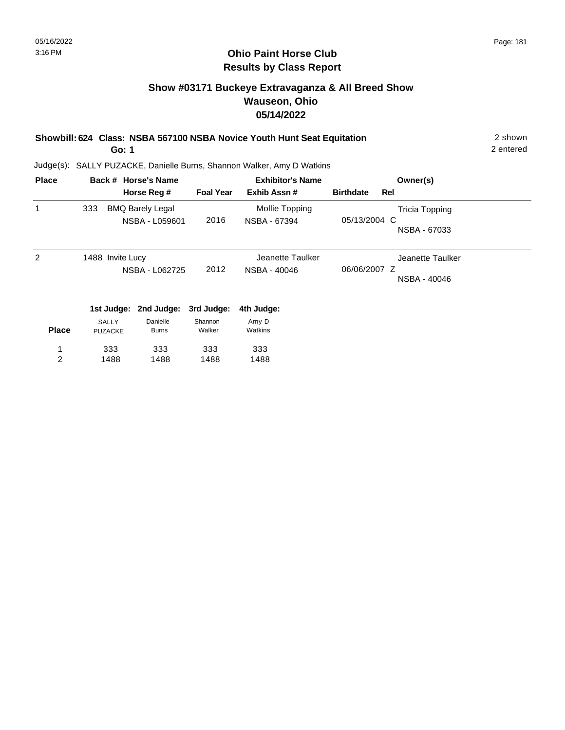#### **Show #03171 Buckeye Extravaganza & All Breed Show Wauseon, Ohio 05/14/2022**

| Showbill: 624 Class: NSBA 567100 NSBA Novice Youth Hunt Seat Equitation | 2 shown |
|-------------------------------------------------------------------------|---------|
|                                                                         |         |

**Go: 1**

2 entered

| <b>Place</b>   |                  | Back # Horse's Name     |                  | <b>Exhibitor's Name</b> |                  | Owner(s)              |
|----------------|------------------|-------------------------|------------------|-------------------------|------------------|-----------------------|
|                |                  | Horse Reg #             | <b>Foal Year</b> | Exhib Assn#             | <b>Birthdate</b> | Rel                   |
| 1              | 333              | <b>BMQ Barely Legal</b> |                  | Mollie Topping          |                  | <b>Tricia Topping</b> |
|                |                  | NSBA - L059601          | 2016             | NSBA - 67394            | 05/13/2004 C     |                       |
|                |                  |                         |                  |                         |                  | NSBA - 67033          |
| 2              | 1488 Invite Lucy |                         |                  | Jeanette Taulker        |                  | Jeanette Taulker      |
|                |                  | NSBA - L062725          | 2012             | NSBA - 40046            | 06/06/2007 Z     |                       |
|                |                  |                         |                  |                         |                  | NSBA - 40046          |
|                | 1st Judge:       | 2nd Judge:              | 3rd Judge:       | 4th Judge:              |                  |                       |
|                | <b>SALLY</b>     | Danielle                | Shannon          | Amy D                   |                  |                       |
| <b>Place</b>   | <b>PUZACKE</b>   | <b>Burns</b>            | Walker           | Watkins                 |                  |                       |
| 1              | 333              | 333                     | 333              | 333                     |                  |                       |
| $\overline{c}$ | 1488             | 1488                    | 1488             | 1488                    |                  |                       |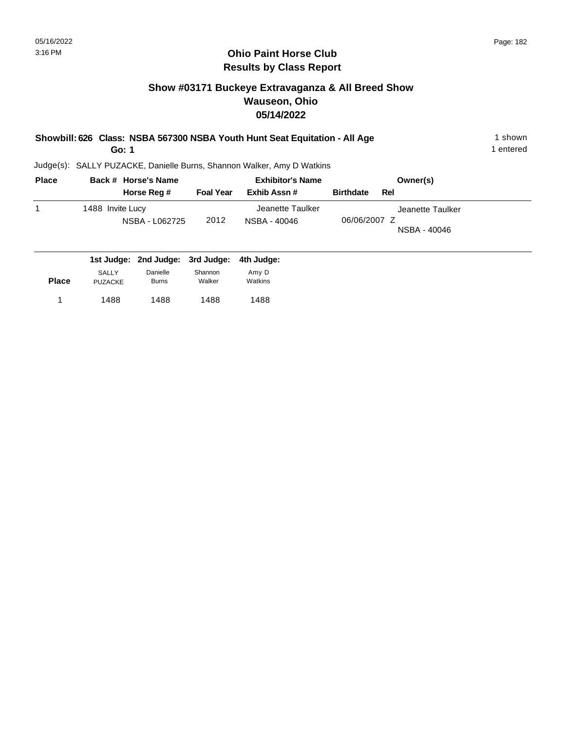PUZACKE

#### **Ohio Paint Horse Club Results by Class Report**

#### **Show #03171 Buckeye Extravaganza & All Breed Show Wauseon, Ohio 05/14/2022**

| Showbill: 626 Class: NSBA 567300 NSBA Youth Hunt Seat Equitation - All Age | shown     |
|----------------------------------------------------------------------------|-----------|
| Go: 1                                                                      | 1 entered |

Judge(s): SALLY PUZACKE, Danielle Burns, Shannon Walker, Amy D Watkins

1488 1488 1 1488

Burns

1488

Walker

| <b>Place</b> | Back # Horse's Name                |                  | <b>Exhibitor's Name</b>          | Owner(s)                                         |
|--------------|------------------------------------|------------------|----------------------------------|--------------------------------------------------|
|              | Horse Reg #                        | <b>Foal Year</b> | Exhib Assn#                      | <b>Birthdate</b><br>Rel                          |
| 1            | 1488 Invite Lucy<br>NSBA - L062725 | 2012             | Jeanette Taulker<br>NSBA - 40046 | Jeanette Taulker<br>06/06/2007 Z<br>NSBA - 40046 |
|              | 1st Judge: 2nd Judge: 3rd Judge:   |                  | 4th Judge:                       |                                                  |
|              | Danielle<br>SALLY                  | Shannon          | Amy D                            |                                                  |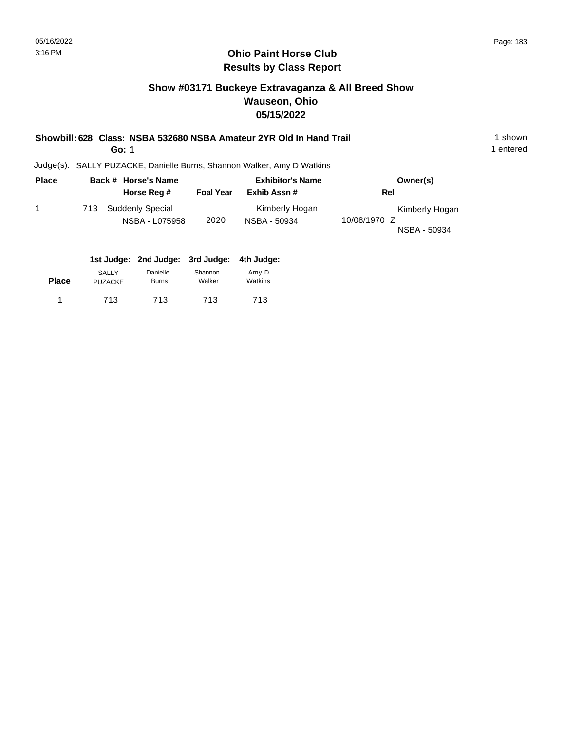#### **Show #03171 Buckeye Extravaganza & All Breed Show Wauseon, Ohio 05/15/2022**

| Showbill: 628 Class: NSBA 532680 NSBA Amateur 2YR Old In Hand Trail | shown   |
|---------------------------------------------------------------------|---------|
| Go: 1                                                               | entered |

| <b>Place</b> |     | Back # Horse's Name                       |                  | <b>Exhibitor's Name</b>        | Owner(s)                                       |  |
|--------------|-----|-------------------------------------------|------------------|--------------------------------|------------------------------------------------|--|
|              |     | Horse Reg #                               | <b>Foal Year</b> | Exhib Assn#                    | Rel                                            |  |
|              | 713 | <b>Suddenly Special</b><br>NSBA - L075958 | 2020             | Kimberly Hogan<br>NSBA - 50934 | Kimberly Hogan<br>10/08/1970 Z<br>NSBA - 50934 |  |
|              |     | 1st Judge: 2nd Judge: 3rd Judge:          |                  | 4th Judge:                     |                                                |  |

|              |                | $19199991$ and $99999$ . | viu vuunvi | THI VUWYVI |  |
|--------------|----------------|--------------------------|------------|------------|--|
|              | SALLY          | Danielle                 | Shannon    | Amy D      |  |
| <b>Place</b> | <b>PUZACKE</b> | <b>Burns</b>             | Walker     | Watkins    |  |
|              | 713            | 713                      | 713        | 713        |  |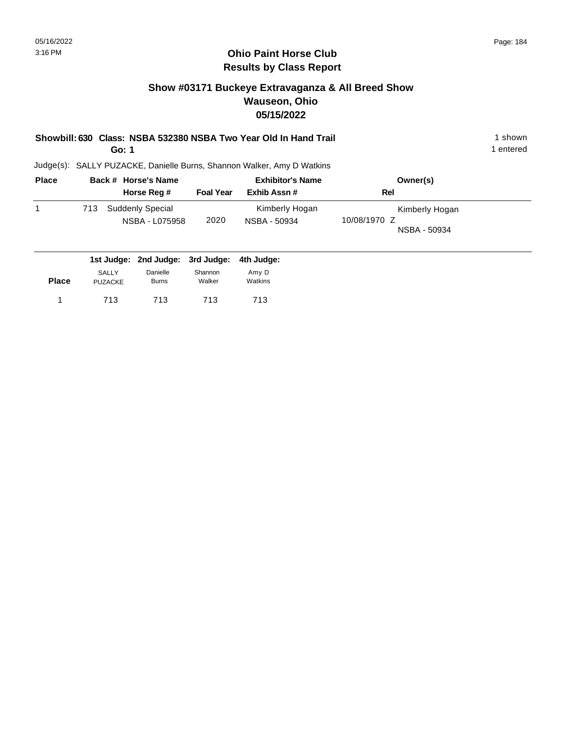#### **Show #03171 Buckeye Extravaganza & All Breed Show Wauseon, Ohio 05/15/2022**

| Showbill: 630 Class: NSBA 532380 NSBA Two Year Old In Hand Trail | 1 shown        |
|------------------------------------------------------------------|----------------|
|                                                                  | المصدحة مراجاة |

**Go: 1**

1 entered

| <b>Place</b> |     | Back # Horse's Name                |                  | <b>Exhibitor's Name</b>        | Owner(s)                                       |  |
|--------------|-----|------------------------------------|------------------|--------------------------------|------------------------------------------------|--|
|              |     | Horse Reg #                        | <b>Foal Year</b> | Exhib Assn #                   | Rel                                            |  |
|              | 713 | Suddenly Special<br>NSBA - L075958 | 2020             | Kimberly Hogan<br>NSBA - 50934 | Kimberly Hogan<br>10/08/1970 Z<br>NSBA - 50934 |  |
|              |     | 1st Judge: 2nd Judge: 3rd Judge:   |                  | 4th Judge:                     |                                                |  |

|              |                | $130 \text{ years}$ . End budge. bru budge. Furbudge. |         |         |  |
|--------------|----------------|-------------------------------------------------------|---------|---------|--|
|              | SALLY          | Danielle                                              | Shannon | Amy D   |  |
| <b>Place</b> | <b>PUZACKE</b> | <b>Burns</b>                                          | Walker  | Watkins |  |
|              | 713            | 713                                                   | 713     | 713     |  |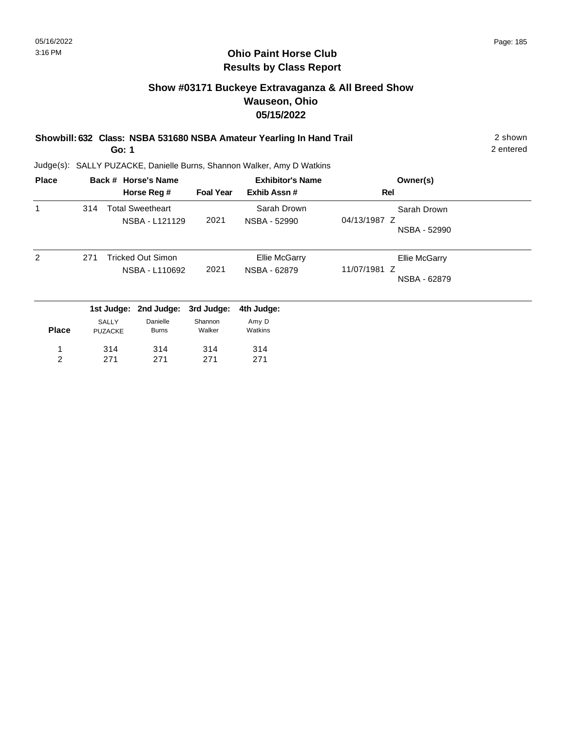#### **Show #03171 Buckeye Extravaganza & All Breed Show Wauseon, Ohio 05/15/2022**

| Showbill: 632 Class: NSBA 531680 NSBA Amateur Yearling In Hand Trail | 2 shown   |
|----------------------------------------------------------------------|-----------|
| Go: 1                                                                | 2 entered |

| <b>Place</b> |     |                         | Back # Horse's Name                        |                   | <b>Exhibitor's Name</b>              | Owner(s)                                      |
|--------------|-----|-------------------------|--------------------------------------------|-------------------|--------------------------------------|-----------------------------------------------|
|              |     |                         | Horse Reg #                                | <b>Foal Year</b>  | Exhib Assn#                          | Rel                                           |
| 1            | 314 |                         | <b>Total Sweetheart</b><br>NSBA - L121129  | 2021              | Sarah Drown<br>NSBA - 52990          | Sarah Drown<br>04/13/1987 Z<br>NSBA - 52990   |
| 2            | 271 |                         | <b>Tricked Out Simon</b><br>NSBA - L110692 | 2021              | <b>Ellie McGarry</b><br>NSBA - 62879 | Ellie McGarry<br>11/07/1981 Z<br>NSBA - 62879 |
|              |     |                         | 1st Judge: 2nd Judge:                      | 3rd Judge:        | 4th Judge:                           |                                               |
| <b>Place</b> |     | SALLY<br><b>PUZACKE</b> | Danielle<br><b>Burns</b>                   | Shannon<br>Walker | Amy D<br>Watkins                     |                                               |
| 1            |     | 314                     | 314                                        | 314               | 314                                  |                                               |
| 2            |     | 271                     | 271                                        | 271               | 271                                  |                                               |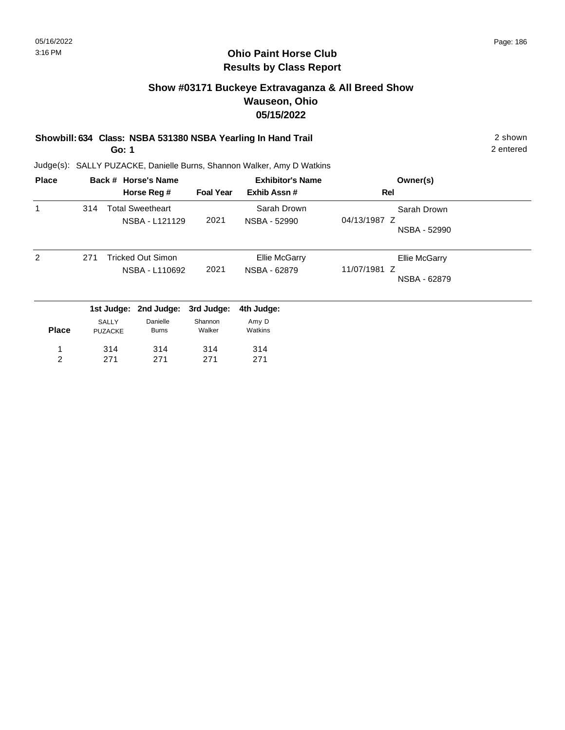#### **Ohio Paint Horse Club Results by Class Report**

#### **Show #03171 Buckeye Extravaganza & All Breed Show Wauseon, Ohio 05/15/2022**

# **Showbill: 634 Class: NSBA 531380 NSBA Yearling In Hand Trail** 2 shown

**Go: 1**

| <b>Place</b>        |     |                                | Back # Horse's Name<br>Horse Reg #         | <b>Foal Year</b>  | <b>Exhibitor's Name</b><br>Exhib Assn# | Owner(s)<br>Rel                                      |
|---------------------|-----|--------------------------------|--------------------------------------------|-------------------|----------------------------------------|------------------------------------------------------|
| 1                   | 314 |                                | <b>Total Sweetheart</b><br>NSBA - L121129  | 2021              | Sarah Drown<br>NSBA - 52990            | Sarah Drown<br>04/13/1987 Z<br>NSBA - 52990          |
| 2                   | 271 |                                | <b>Tricked Out Simon</b><br>NSBA - L110692 | 2021              | <b>Ellie McGarry</b><br>NSBA - 62879   | <b>Ellie McGarry</b><br>11/07/1981 Z<br>NSBA - 62879 |
|                     |     |                                | 1st Judge: 2nd Judge:                      | 3rd Judge:        | 4th Judge:                             |                                                      |
| <b>Place</b>        |     | <b>SALLY</b><br><b>PUZACKE</b> | Danielle<br><b>Burns</b>                   | Shannon<br>Walker | Amy D<br>Watkins                       |                                                      |
| 1<br>$\overline{2}$ |     | 314<br>271                     | 314<br>271                                 | 314<br>271        | 314<br>271                             |                                                      |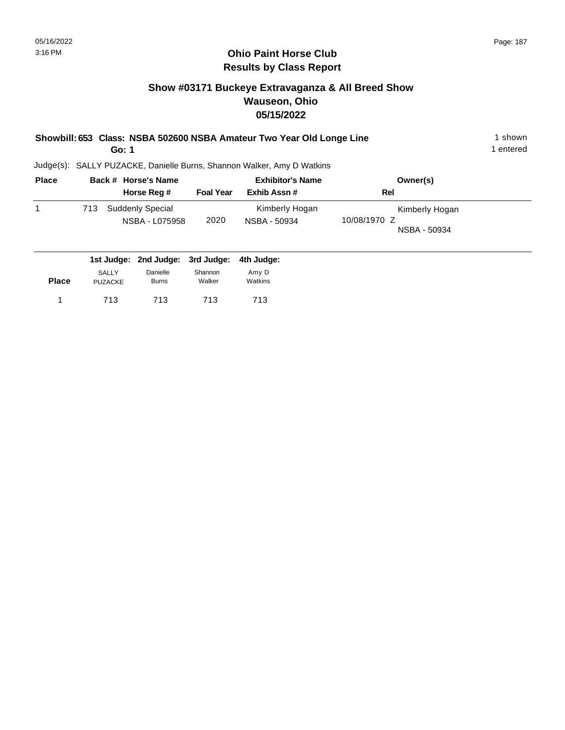713 713

PUZACKE

1 713

Burns

713

Walker

#### **Ohio Paint Horse Club Results by Class Report**

#### **Show #03171 Buckeye Extravaganza & All Breed Show Wauseon, Ohio 05/15/2022**

|          | Go: 1                                                                  | Showbill: 653 Class: NSBA 502600 NSBA Amateur Two Year Old Longe Line | shown<br>entered |
|----------|------------------------------------------------------------------------|-----------------------------------------------------------------------|------------------|
|          | Judge(s): SALLY PUZACKE, Danielle Burns, Shannon Walker, Amy D Watkins |                                                                       |                  |
| $D2 - 2$ | Besk # Havesle Name                                                    | Fuckillational and a more                                             |                  |

| <b>Place</b><br>1 |              | Back # Horse's Name                | <b>Exhibitor's Name</b> |                                | Owner(s)                                       |  |  |
|-------------------|--------------|------------------------------------|-------------------------|--------------------------------|------------------------------------------------|--|--|
|                   |              | Horse Reg #                        | <b>Foal Year</b>        | Exhib Assn#                    | Rel                                            |  |  |
|                   | 713          | Suddenly Special<br>NSBA - L075958 | 2020                    | Kimberly Hogan<br>NSBA - 50934 | Kimberly Hogan<br>10/08/1970 Z<br>NSBA - 50934 |  |  |
|                   |              | 1st Judge: 2nd Judge: 3rd Judge:   |                         | 4th Judge:                     |                                                |  |  |
|                   | <b>SALLY</b> | Danielle                           | Shannon                 | Amy D                          |                                                |  |  |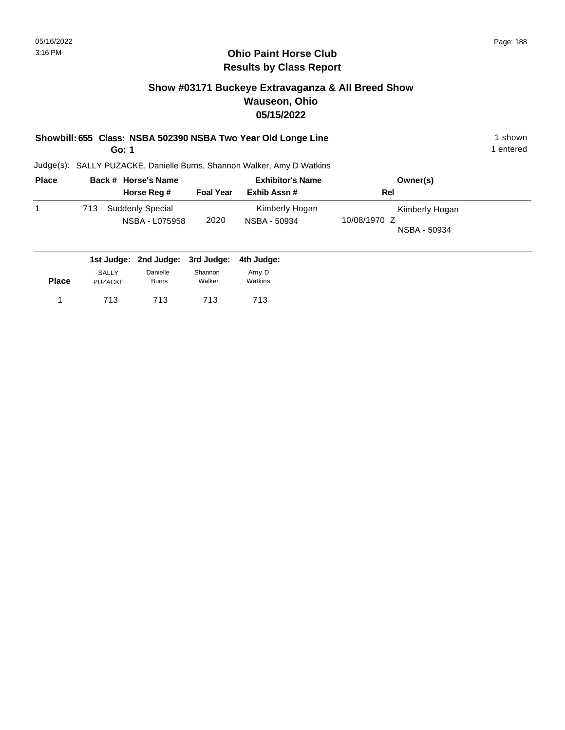#### **Show #03171 Buckeye Extravaganza & All Breed Show Wauseon, Ohio 05/15/2022**

**Showbill: 655 Class: NSBA 502390 NSBA Two Year Old Longe Line** 1 Shown 1 shown **Go: 1**

1 entered

| <b>Place</b> | Back # Horse's Name                       |                  | <b>Exhibitor's Name</b>        | Owner(s)                                       |
|--------------|-------------------------------------------|------------------|--------------------------------|------------------------------------------------|
|              | Horse Reg #                               | <b>Foal Year</b> | Exhib Assn#                    | Rel                                            |
|              | Suddenly Special<br>713<br>NSBA - L075958 | 2020             | Kimberly Hogan<br>NSBA - 50934 | Kimberly Hogan<br>10/08/1970 Z<br>NSBA - 50934 |
|              | 1st Judge: 2nd Judge: 3rd Judge:          |                  | 4th Judge:                     |                                                |

| <b>Place</b> | <b>SALLY</b> | Danielle     | Shannon | Amy D   |
|--------------|--------------|--------------|---------|---------|
|              | PUZACKE      | <b>Burns</b> | Walker  | Watkins |
| 1            | 713          | 713          | 713     | 713     |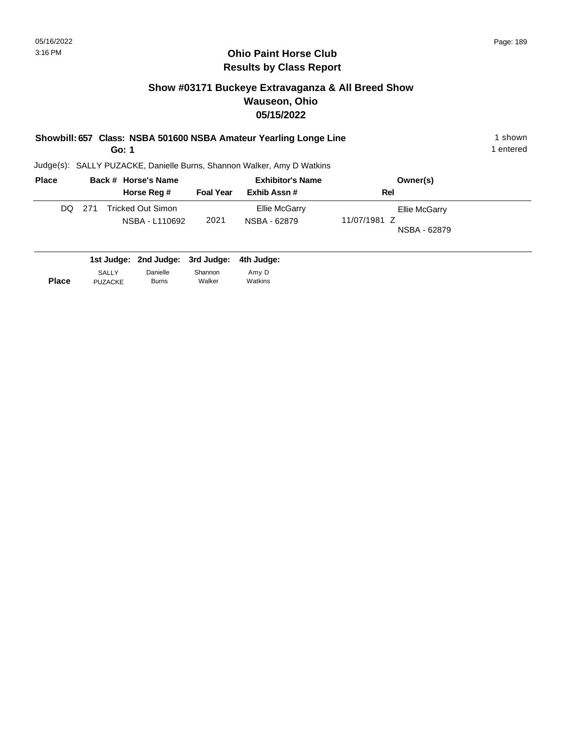PUZACKE

Burns

Walker

#### **Ohio Paint Horse Club Results by Class Report**

#### **Show #03171 Buckeye Extravaganza & All Breed Show Wauseon, Ohio 05/15/2022**

|              | Showbill: 657 Class: NSBA 501600 NSBA Amateur Yearling Longe Line<br>Go: 1 |     |              |                                   |                       |                                                                        |                              |  |
|--------------|----------------------------------------------------------------------------|-----|--------------|-----------------------------------|-----------------------|------------------------------------------------------------------------|------------------------------|--|
|              |                                                                            |     |              |                                   |                       | Judge(s): SALLY PUZACKE, Danielle Burns, Shannon Walker, Amy D Watkins |                              |  |
| <b>Place</b> |                                                                            |     |              | Back # Horse's Name               |                       | <b>Exhibitor's Name</b>                                                | Owner(s)                     |  |
|              |                                                                            |     |              | Horse Reg #                       | <b>Foal Year</b>      | Exhib Assn#                                                            | Rel                          |  |
|              | DQ.                                                                        | 271 |              | <b>Tricked Out Simon</b>          |                       | Ellie McGarry                                                          | Ellie McGarry                |  |
|              |                                                                            |     |              | NSBA - L110692                    | 2021                  | NSBA - 62879                                                           | 11/07/1981 Z<br>NSBA - 62879 |  |
|              |                                                                            |     | <b>SALLY</b> | 1st Judge: 2nd Judge:<br>Danielle | 3rd Judge:<br>Shannon | 4th Judge:<br>Amy D                                                    |                              |  |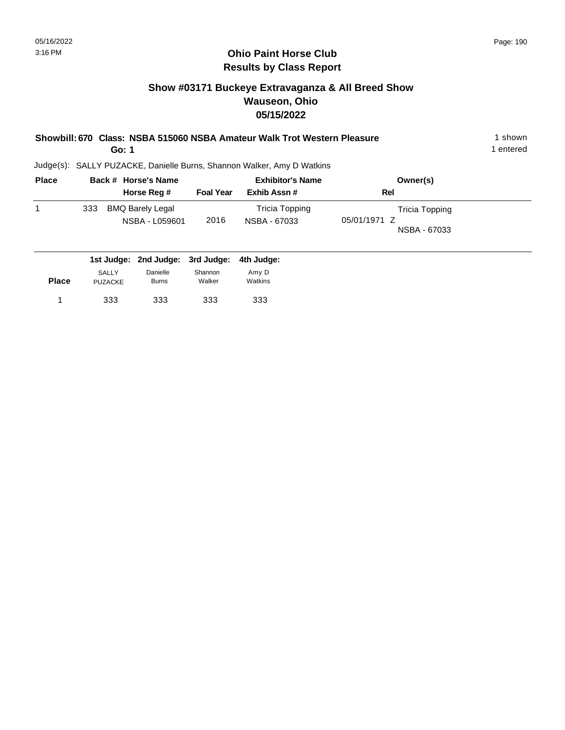333 333

PUZACKE

1 333 333 333 333

Burns

333

Walker

#### **Ohio Paint Horse Club Results by Class Report**

#### **Show #03171 Buckeye Extravaganza & All Breed Show Wauseon, Ohio 05/15/2022**

|              | Go: 1                                                                  | Showbill: 670 Class: NSBA 515060 NSBA Amateur Walk Trot Western Pleasure |          | 1 shown<br>1 entered |
|--------------|------------------------------------------------------------------------|--------------------------------------------------------------------------|----------|----------------------|
|              | Judge(s): SALLY PUZACKE, Danielle Burns, Shannon Walker, Amy D Watkins |                                                                          |          |                      |
| <b>Place</b> | Back # Horse's Name                                                    | <b>Exhibitor's Name</b>                                                  | Owner(s) |                      |

| . |              | <b>PUVIL # 11919991101119</b>             |                  | $-$                            | "                                              |  |
|---|--------------|-------------------------------------------|------------------|--------------------------------|------------------------------------------------|--|
|   |              | Horse Reg #                               | <b>Foal Year</b> | Exhib Assn#                    | Rel                                            |  |
| 1 | 333          | <b>BMQ Barely Legal</b><br>NSBA - L059601 | 2016             | Tricia Topping<br>NSBA - 67033 | Tricia Topping<br>05/01/1971 Z<br>NSBA - 67033 |  |
|   |              | 1st Judge: 2nd Judge: 3rd Judge:          |                  | 4th Judge:                     |                                                |  |
|   | <b>SALLY</b> | Danielle                                  | Shannon          | Amy D                          |                                                |  |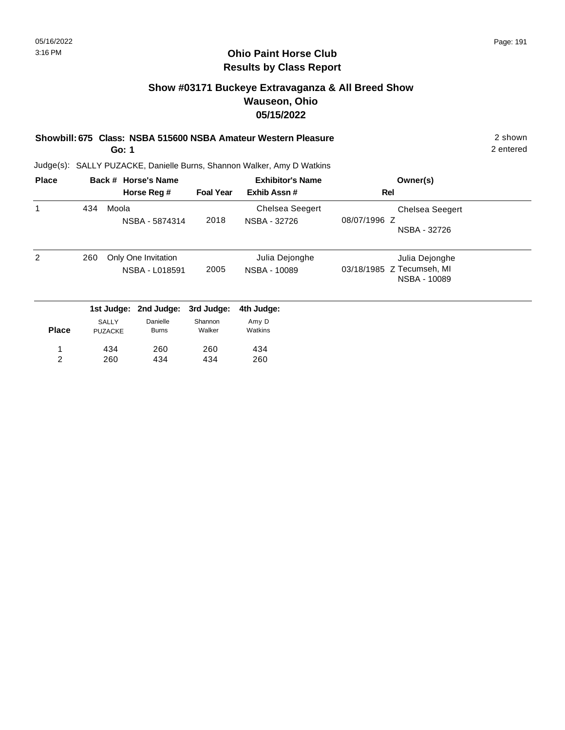#### **Ohio Paint Horse Club Results by Class Report**

#### **Show #03171 Buckeye Extravaganza & All Breed Show Wauseon, Ohio 05/15/2022**

#### **Showbill: 675 Class: NSBA 515600 NSBA Amateur Western Pleasure** 2 shown **Go: 1**

Judge(s): SALLY PUZACKE, Danielle Burns, Shannon Walker, Amy D Watkins

| <b>Place</b> |     |                                | Back # Horse's Name                   |                   | <b>Exhibitor's Name</b>                | Owner(s)                                                    |
|--------------|-----|--------------------------------|---------------------------------------|-------------------|----------------------------------------|-------------------------------------------------------------|
|              |     |                                | Horse Reg #                           | <b>Foal Year</b>  | Exhib Assn#                            | Rel                                                         |
| 1            | 434 | Moola                          | NSBA - 5874314                        | 2018              | <b>Chelsea Seegert</b><br>NSBA - 32726 | <b>Chelsea Seegert</b><br>08/07/1996 Z<br>NSBA - 32726      |
| 2            | 260 |                                | Only One Invitation<br>NSBA - L018591 | 2005              | Julia Dejonghe<br>NSBA - 10089         | Julia Dejonghe<br>03/18/1985 Z Tecumseh, MI<br>NSBA - 10089 |
|              |     | 1st Judge:                     | 2nd Judge:                            | 3rd Judge:        | 4th Judge:                             |                                                             |
| <b>Place</b> |     | <b>SALLY</b><br><b>PUZACKE</b> | Danielle<br><b>Burns</b>              | Shannon<br>Walker | Amy D<br>Watkins                       |                                                             |
| 1            |     | 434                            | 260                                   | 260               | 434                                    |                                                             |
| 2            |     | 260                            | 434                                   | 434               | 260                                    |                                                             |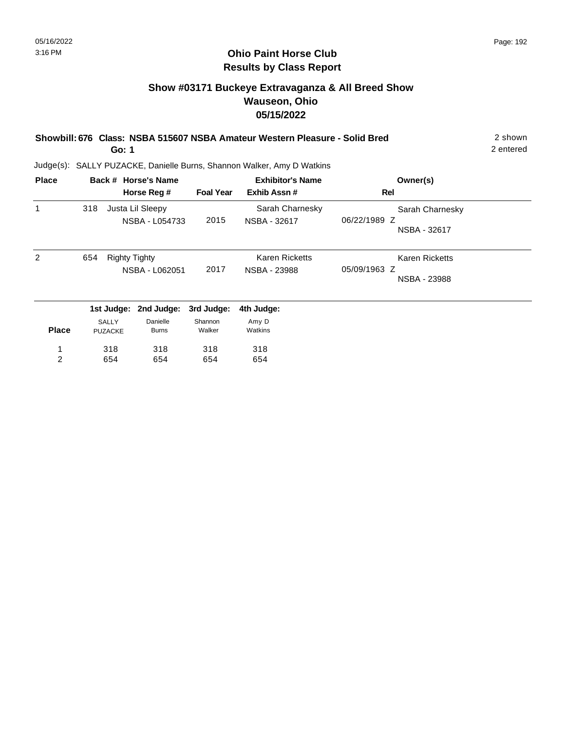#### **Show #03171 Buckeye Extravaganza & All Breed Show Wauseon, Ohio 05/15/2022**

| Showbill: 676 Class: NSBA 515607 NSBA Amateur Western Pleasure - Solid Bred | 2 shown   |
|-----------------------------------------------------------------------------|-----------|
| Go: 1                                                                       | 2 entered |

| <b>Place</b> |     |                      | Back # Horse's Name |                  | <b>Exhibitor's Name</b> | Owner(s)              |  |
|--------------|-----|----------------------|---------------------|------------------|-------------------------|-----------------------|--|
|              |     |                      | Horse Reg #         | <b>Foal Year</b> | Exhib Assn#             | Rel                   |  |
| 1            | 318 |                      | Justa Lil Sleepy    |                  | Sarah Charnesky         | Sarah Charnesky       |  |
|              |     |                      | NSBA - L054733      | 2015             | NSBA - 32617            | 06/22/1989 Z          |  |
|              |     |                      |                     |                  |                         | NSBA - 32617          |  |
| 2            | 654 | <b>Righty Tighty</b> |                     |                  | <b>Karen Ricketts</b>   | <b>Karen Ricketts</b> |  |
|              |     |                      | NSBA - L062051      | 2017             | NSBA - 23988            | 05/09/1963 Z          |  |
|              |     |                      |                     |                  |                         | NSBA - 23988          |  |
|              |     | 1st Judge:           | 2nd Judge:          | 3rd Judge:       | 4th Judge:              |                       |  |
|              |     | <b>SALLY</b>         | Danielle            | Shannon          | Amy D                   |                       |  |
| <b>Place</b> |     | <b>PUZACKE</b>       | <b>Burns</b>        | Walker           | Watkins                 |                       |  |
| 1            |     | 318                  | 318                 | 318              | 318                     |                       |  |
| 2            |     | 654                  | 654                 | 654              | 654                     |                       |  |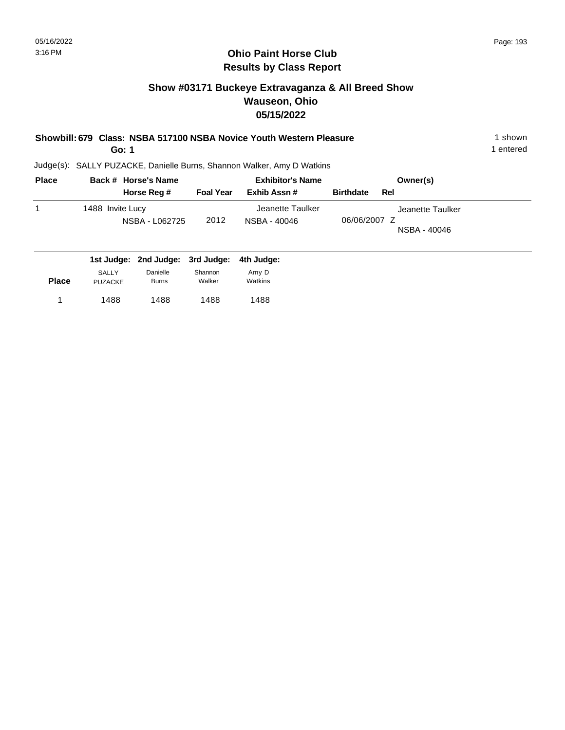#### **Show #03171 Buckeye Extravaganza & All Breed Show Wauseon, Ohio 05/15/2022**

| Showbill: 679 Class: NSBA 517100 NSBA Novice Youth Western Pleasure | 1 shown |
|---------------------------------------------------------------------|---------|
|                                                                     |         |

**Go: 1**

1 entered

| <b>Place</b> | Back # Horse's Name                |                  | <b>Exhibitor's Name</b>          | Owner(s)                                         |
|--------------|------------------------------------|------------------|----------------------------------|--------------------------------------------------|
|              | Horse Reg #                        | <b>Foal Year</b> | Exhib Assn#                      | <b>Birthdate</b><br>Rel                          |
| 1            | 1488 Invite Lucy<br>NSBA - L062725 | 2012             | Jeanette Taulker<br>NSBA - 40046 | Jeanette Taulker<br>06/06/2007 Z<br>NSBA - 40046 |
|              | 1st Judge: 2nd Judge: 3rd Judge:   |                  | 4th Judge:                       |                                                  |

| <b>Place</b> | SALLY   | Danielle     | Shannon | Amy D   |
|--------------|---------|--------------|---------|---------|
|              | PUZACKE | <b>Burns</b> | Walker  | Watkins |
|              | 1488    | 1488         | 1488    | 1488    |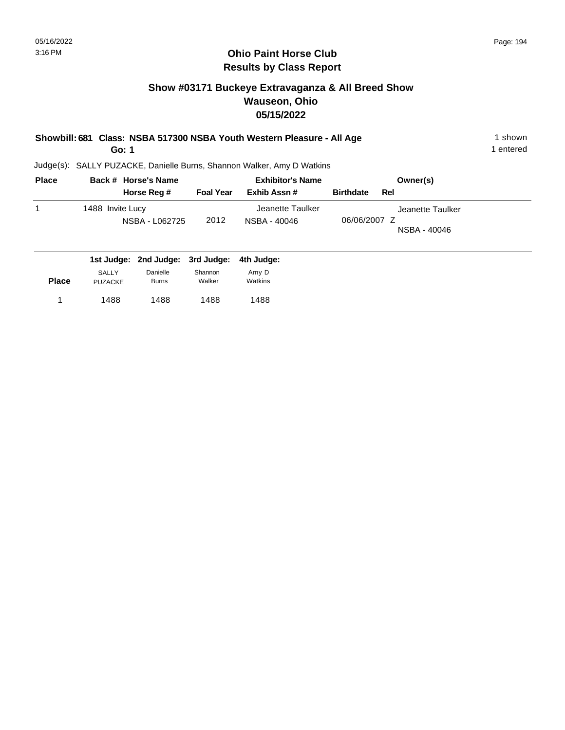1 entered

#### **Ohio Paint Horse Club Results by Class Report**

#### **Show #03171 Buckeye Extravaganza & All Breed Show Wauseon, Ohio 05/15/2022**

|  | Showbill: 681 Class: NSBA 517300 NSBA Youth Western Pleasure - All Age | 1 shown |
|--|------------------------------------------------------------------------|---------|
|--|------------------------------------------------------------------------|---------|

**Go: 1**

PUZACKE

1488 1488 1 1488

Burns

Judge(s): SALLY PUZACKE, Danielle Burns, Shannon Walker, Amy D Watkins

1488

Walker

| <b>Place</b> |                  | Back # Horse's Name              |                  | <b>Exhibitor's Name</b>          | Owner(s)                                         |
|--------------|------------------|----------------------------------|------------------|----------------------------------|--------------------------------------------------|
|              |                  | Horse Reg #                      | <b>Foal Year</b> | Exhib Assn#                      | <b>Birthdate</b><br>Rel                          |
|              | 1488 Invite Lucy | NSBA - L062725                   | 2012             | Jeanette Taulker<br>NSBA - 40046 | Jeanette Taulker<br>06/06/2007 Z<br>NSBA - 40046 |
|              |                  | 1st Judge: 2nd Judge: 3rd Judge: |                  | 4th Judge:                       |                                                  |
|              | SALLY            | Danielle                         | Shannon          | Amy D                            |                                                  |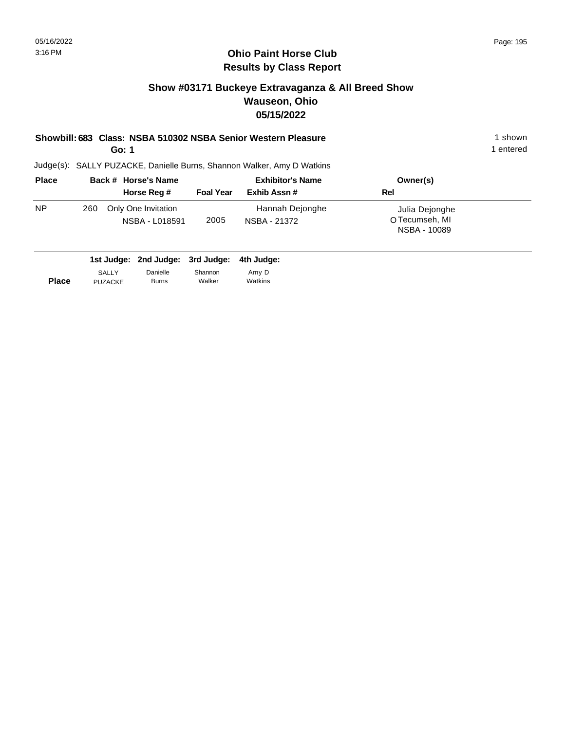#### **Ohio Paint Horse Club Results by Class Report**

#### **Show #03171 Buckeye Extravaganza & All Breed Show Wauseon, Ohio 05/15/2022**

## **Showbill: 683 Class: NSBA 510302 NSBA Senior Western Pleasure** 1 shown

**Go: 1**

| <b>Place</b> |     | Back # Horse's Name                   |                  | <b>Exhibitor's Name</b>         | Owner(s)                                         |
|--------------|-----|---------------------------------------|------------------|---------------------------------|--------------------------------------------------|
|              |     | Horse Reg #                           | <b>Foal Year</b> | Exhib Assn#                     | Rel                                              |
| <b>NP</b>    | 260 | Only One Invitation<br>NSBA - L018591 | 2005             | Hannah Dejonghe<br>NSBA - 21372 | Julia Dejonghe<br>O Tecumseh, MI<br>NSBA - 10089 |

|              |                | 1st Judge: 2nd Judge: 3rd Judge: 4th Judge: |         |         |
|--------------|----------------|---------------------------------------------|---------|---------|
| <b>Place</b> | <b>SALLY</b>   | Danielle                                    | Shannon | Amy D   |
|              | <b>PUZACKE</b> | <b>Burns</b>                                | Walker  | Watkins |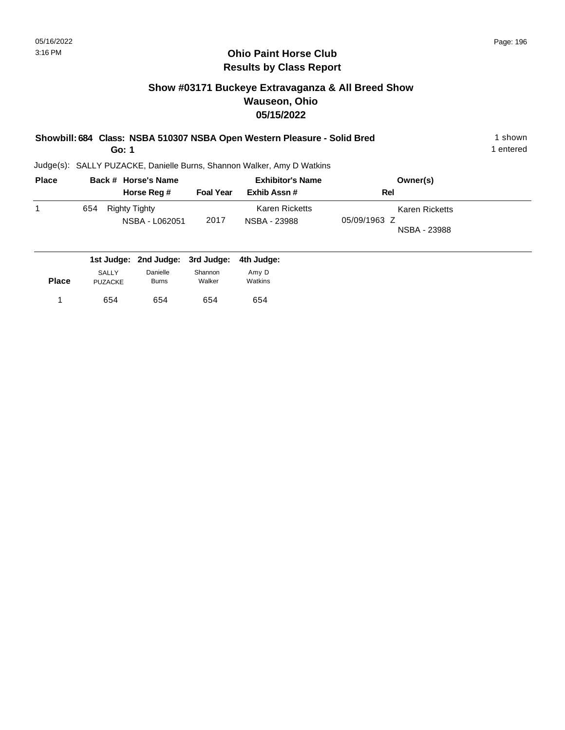#### **Show #03171 Buckeye Extravaganza & All Breed Show Wauseon, Ohio 05/15/2022**

| Showbill: 684 Class: NSBA 510307 NSBA Open Western Pleasure - Solid Bred | shown     |
|--------------------------------------------------------------------------|-----------|
| Go: 1                                                                    | 1 entered |
|                                                                          |           |

| <b>Place</b> | Back # Horse's Name                         |                  | <b>Exhibitor's Name</b>        | Owner(s)                                       |  |
|--------------|---------------------------------------------|------------------|--------------------------------|------------------------------------------------|--|
|              | Horse Reg #                                 | <b>Foal Year</b> | Exhib Assn #                   | Rel                                            |  |
|              | Righty Tighty<br>654<br>NSBA - L062051      | 2017             | Karen Ricketts<br>NSBA - 23988 | Karen Ricketts<br>05/09/1963 Z<br>NSBA - 23988 |  |
|              | 1st Judge: 2nd Judge: 3rd Judge: 4th Judge: |                  |                                |                                                |  |

| <b>Place</b> | SALLY          | Danielle     | Shannon | Amy D   |
|--------------|----------------|--------------|---------|---------|
|              | <b>PUZACKE</b> | <b>Burns</b> | Walker  | Watkins |
|              | 654            | 654          | 654     | 654     |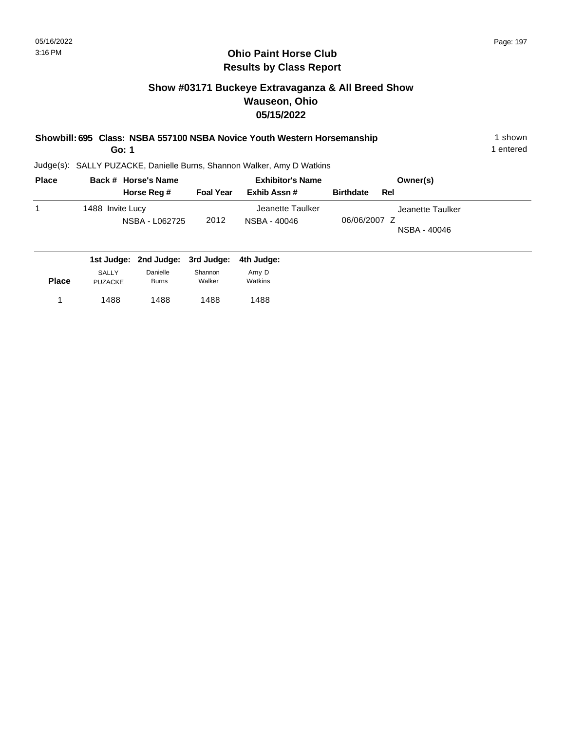#### **Show #03171 Buckeye Extravaganza & All Breed Show Wauseon, Ohio 05/15/2022**

| Showbill: 695 Class: NSBA 557100 NSBA Novice Youth Western Horsemanship | ∣shown    |
|-------------------------------------------------------------------------|-----------|
| Go: 1                                                                   | l entered |
| Judge(s): SALLY PUZACKE, Danielle Burns, Shannon Walker, Amy D Watkins  |           |

| <b>Place</b> | Back # Horse's Name                |                  | <b>Exhibitor's Name</b>          | Owner(s)                                         |
|--------------|------------------------------------|------------------|----------------------------------|--------------------------------------------------|
|              | Horse Reg #                        | <b>Foal Year</b> | Exhib Assn #                     | <b>Birthdate</b><br>Rel                          |
|              | 1488 Invite Lucy<br>NSBA - L062725 | 2012             | Jeanette Taulker<br>NSBA - 40046 | Jeanette Taulker<br>06/06/2007 Z<br>NSBA - 40046 |
|              | 1st Judge: 2nd Judge: 3rd Judge:   |                  | 4th Judge:                       |                                                  |

| <b>Place</b> | <b>SALLY</b> | Danielle     | Shannon | Amy D   |
|--------------|--------------|--------------|---------|---------|
|              | PUZACKE      | <b>Burns</b> | Walker  | Watkins |
| 1            | 1488         | 1488         | 1488    | 1488    |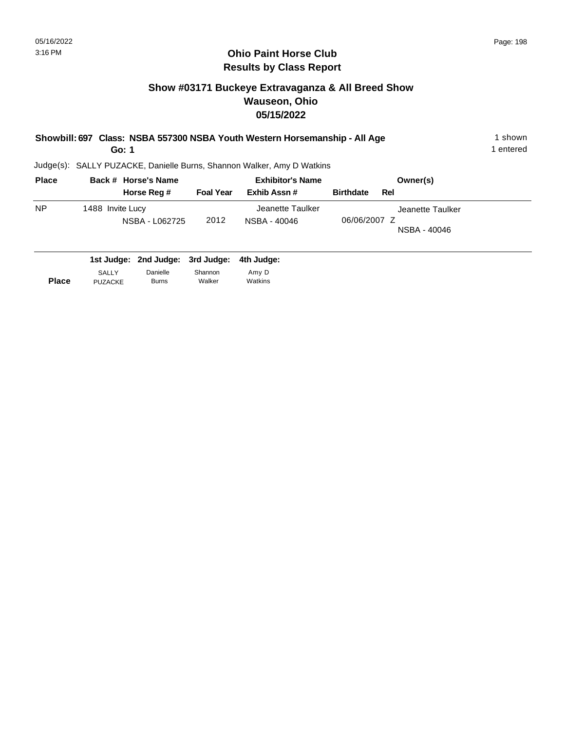#### **Show #03171 Buckeye Extravaganza & All Breed Show Wauseon, Ohio 05/15/2022**

| Showbill: 697 Class: NSBA 557300 NSBA Youth Western Horsemanship - All Age<br>Go: 1 |                  |                     |                  |                                                                        |                  |                                  | shown<br>1 entered |
|-------------------------------------------------------------------------------------|------------------|---------------------|------------------|------------------------------------------------------------------------|------------------|----------------------------------|--------------------|
|                                                                                     |                  |                     |                  | Judge(s): SALLY PUZACKE, Danielle Burns, Shannon Walker, Amy D Watkins |                  |                                  |                    |
| <b>Place</b>                                                                        |                  | Back # Horse's Name |                  | <b>Exhibitor's Name</b>                                                |                  | Owner(s)                         |                    |
|                                                                                     |                  | Horse Reg #         | <b>Foal Year</b> | Exhib Assn#                                                            | <b>Birthdate</b> | Rel                              |                    |
| <b>NP</b>                                                                           | 1488 Invite Lucy | NSBA - L062725      | 2012             | Jeanette Taulker<br>NSBA - 40046                                       | 06/06/2007 Z     | Jeanette Taulker<br>NSBA - 40046 |                    |

|              |                | 1st Judge: 2nd Judge: 3rd Judge: 4th Judge: |         |         |
|--------------|----------------|---------------------------------------------|---------|---------|
| <b>Place</b> | <b>SALLY</b>   | Danielle                                    | Shannon | Amy D   |
|              | <b>PUZACKE</b> | <b>Burns</b>                                | Walker  | Watkins |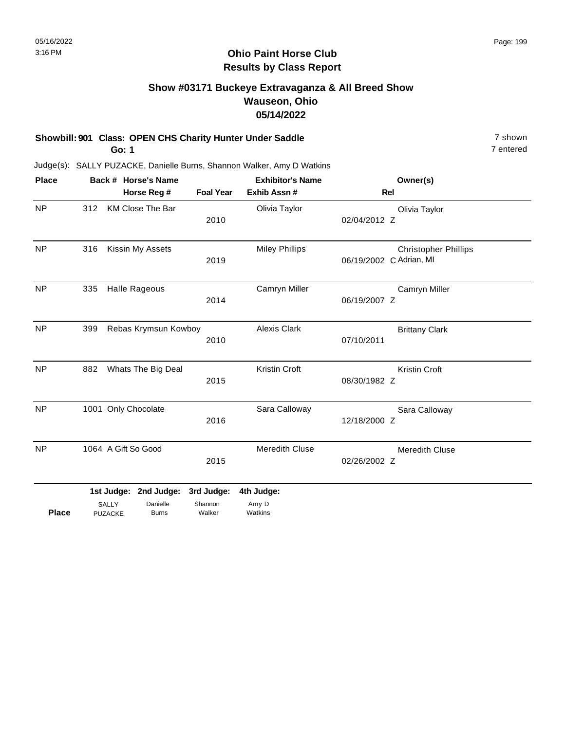#### **Ohio Paint Horse Club Results by Class Report**

#### **Show #03171 Buckeye Extravaganza & All Breed Show Wauseon, Ohio 05/14/2022**

#### **Showbill: 901 Class: OPEN CHS Charity Hunter Under Saddle** 7 shown

**Go: 1**

| <b>Place</b> |     |                                | Back # Horse's Name     |                       | <b>Exhibitor's Name</b> | Owner(s)                                               |
|--------------|-----|--------------------------------|-------------------------|-----------------------|-------------------------|--------------------------------------------------------|
|              |     |                                | Horse Reg #             | <b>Foal Year</b>      | Exhib Assn #            | Rel                                                    |
| <b>NP</b>    | 312 |                                | <b>KM Close The Bar</b> | 2010                  | Olivia Taylor           | Olivia Taylor<br>02/04/2012 Z                          |
| <b>NP</b>    | 316 |                                | Kissin My Assets        | 2019                  | <b>Miley Phillips</b>   | <b>Christopher Phillips</b><br>06/19/2002 C Adrian, MI |
| <b>NP</b>    | 335 |                                | <b>Halle Rageous</b>    | 2014                  | Camryn Miller           | Camryn Miller<br>06/19/2007 Z                          |
| <b>NP</b>    | 399 |                                | Rebas Krymsun Kowboy    | 2010                  | <b>Alexis Clark</b>     | <b>Brittany Clark</b><br>07/10/2011                    |
| <b>NP</b>    | 882 |                                | Whats The Big Deal      | 2015                  | Kristin Croft           | Kristin Croft<br>08/30/1982 Z                          |
| <b>NP</b>    |     |                                | 1001 Only Chocolate     | 2016                  | Sara Calloway           | Sara Calloway<br>12/18/2000 Z                          |
| <b>NP</b>    |     |                                | 1064 A Gift So Good     | 2015                  | <b>Meredith Cluse</b>   | Meredith Cluse<br>02/26/2002 Z                         |
|              |     | 1st Judge:                     | 2nd Judge:<br>Danielle  | 3rd Judge:<br>Shannon | 4th Judge:<br>Amy D     |                                                        |
| <b>Place</b> |     | <b>SALLY</b><br><b>PUZACKE</b> | <b>Burns</b>            | Walker                | Watkins                 |                                                        |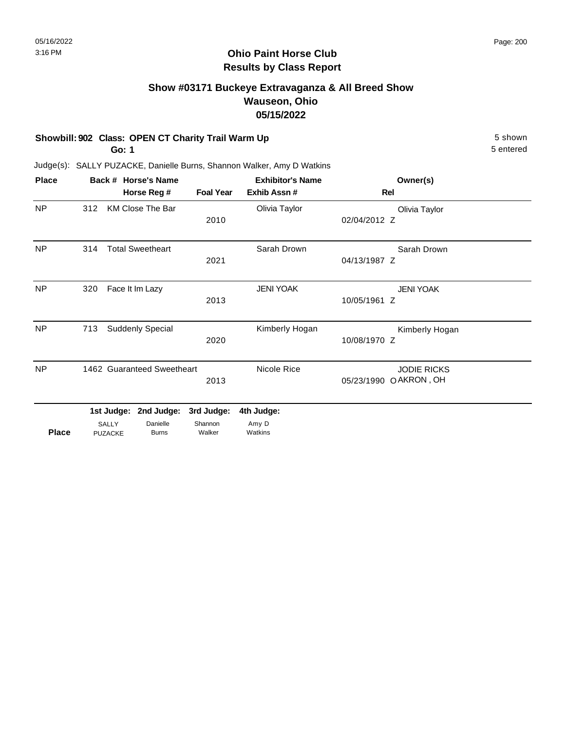#### **Show #03171 Buckeye Extravaganza & All Breed Show Wauseon, Ohio 05/15/2022**

#### **Showbill: 902 Class: OPEN CT Charity Trail Warm Up** 5 Shown

**Go: 1**

5 entered

| <b>Place</b>   |     |                                | Back # Horse's Name        |                   | <b>Exhibitor's Name</b> |              | Owner(s)              |  |
|----------------|-----|--------------------------------|----------------------------|-------------------|-------------------------|--------------|-----------------------|--|
|                |     |                                | Horse Reg #                | <b>Foal Year</b>  | Exhib Assn#             | Rel          |                       |  |
| NP             | 312 |                                | <b>KM Close The Bar</b>    |                   | Olivia Taylor           |              | Olivia Taylor         |  |
|                |     |                                |                            | 2010              |                         | 02/04/2012 Z |                       |  |
| NP             | 314 |                                | <b>Total Sweetheart</b>    |                   | Sarah Drown             |              | Sarah Drown           |  |
|                |     |                                |                            | 2021              |                         | 04/13/1987 Z |                       |  |
| NP.            | 320 |                                | Face It Im Lazy            |                   | <b>JENI YOAK</b>        |              | <b>JENI YOAK</b>      |  |
|                |     |                                |                            | 2013              |                         | 10/05/1961 Z |                       |  |
| NP             | 713 |                                | Suddenly Special           |                   | Kimberly Hogan          |              | Kimberly Hogan        |  |
|                |     |                                |                            | 2020              |                         | 10/08/1970 Z |                       |  |
| N <sub>P</sub> |     |                                | 1462 Guaranteed Sweetheart |                   | Nicole Rice             |              | <b>JODIE RICKS</b>    |  |
|                |     |                                |                            | 2013              |                         |              | 05/23/1990 OAKRON, OH |  |
|                |     | 1st Judge:                     | 2nd Judge:                 | 3rd Judge:        | 4th Judge:              |              |                       |  |
| <b>Place</b>   |     | <b>SALLY</b><br><b>PUZACKE</b> | Danielle<br><b>Burns</b>   | Shannon<br>Walker | Amy D<br>Watkins        |              |                       |  |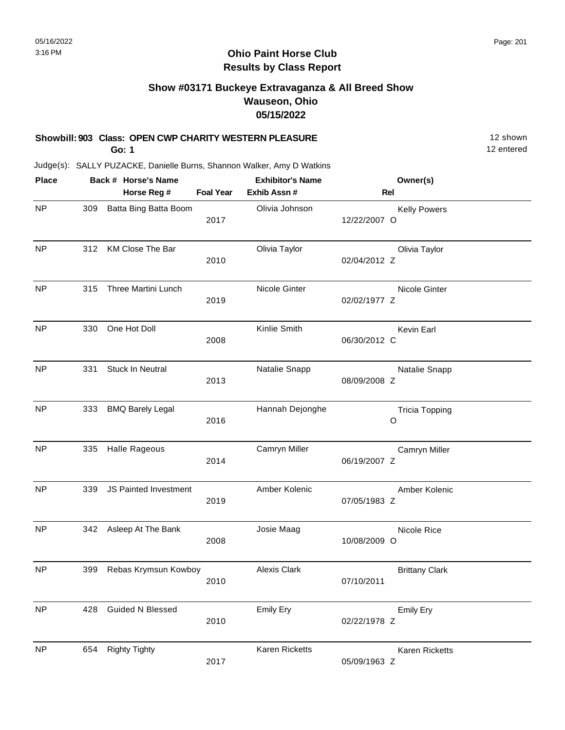#### **Ohio Paint Horse Club Results by Class Report**

#### **Show #03171 Buckeye Extravaganza & All Breed Show Wauseon, Ohio 05/15/2022**

#### **Showbill: 903 Class: OPEN CWP CHARITY WESTERN PLEASURE** 12 Shown

**Go: 1**

| <b>Place</b> |     | Back # Horse's Name     |                  | <b>Exhibitor's Name</b> | Owner(s)                            |
|--------------|-----|-------------------------|------------------|-------------------------|-------------------------------------|
|              |     | Horse Reg #             | <b>Foal Year</b> | Exhib Assn #            | Rel                                 |
| <b>NP</b>    | 309 | Batta Bing Batta Boom   | 2017             | Olivia Johnson          | <b>Kelly Powers</b><br>12/22/2007 O |
| <b>NP</b>    | 312 | KM Close The Bar        | 2010             | Olivia Taylor           | Olivia Taylor<br>02/04/2012 Z       |
| <b>NP</b>    | 315 | Three Martini Lunch     | 2019             | Nicole Ginter           | Nicole Ginter<br>02/02/1977 Z       |
| <b>NP</b>    | 330 | One Hot Doll            | 2008             | Kinlie Smith            | Kevin Earl<br>06/30/2012 C          |
| <b>NP</b>    | 331 | Stuck In Neutral        | 2013             | Natalie Snapp           | Natalie Snapp<br>08/09/2008 Z       |
| <b>NP</b>    | 333 | <b>BMQ Barely Legal</b> | 2016             | Hannah Dejonghe         | <b>Tricia Topping</b><br>O          |
| <b>NP</b>    | 335 | Halle Rageous           | 2014             | Camryn Miller           | Camryn Miller<br>06/19/2007 Z       |
| <b>NP</b>    | 339 | JS Painted Investment   | 2019             | Amber Kolenic           | Amber Kolenic<br>07/05/1983 Z       |
| <b>NP</b>    | 342 | Asleep At The Bank      | 2008             | Josie Maag              | Nicole Rice<br>10/08/2009 O         |
| <b>NP</b>    | 399 | Rebas Krymsun Kowboy    | 2010             | <b>Alexis Clark</b>     | <b>Brittany Clark</b><br>07/10/2011 |
| <b>NP</b>    | 428 | <b>Guided N Blessed</b> | 2010             | Emily Ery               | <b>Emily Ery</b><br>02/22/1978 Z    |
| <b>NP</b>    | 654 | <b>Righty Tighty</b>    | 2017             | Karen Ricketts          | Karen Ricketts<br>05/09/1963 Z      |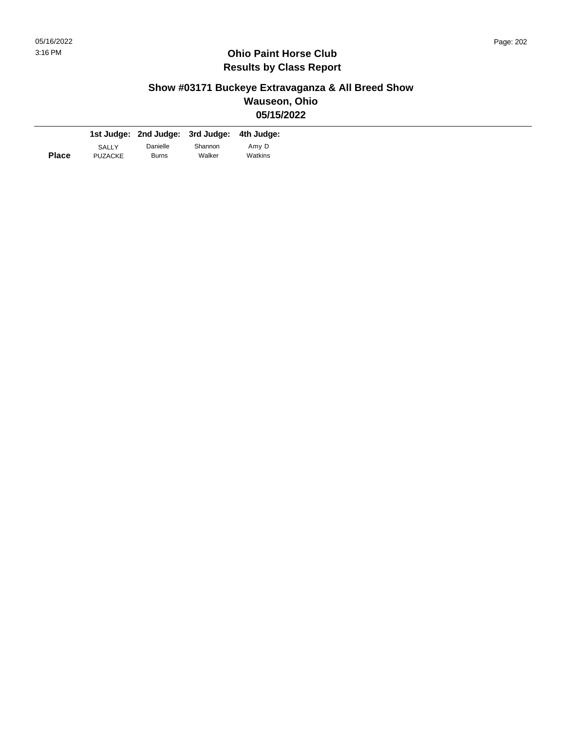#### **Show #03171 Buckeye Extravaganza & All Breed Show Wauseon, Ohio 05/15/2022**

|              |                         | 1st Judge: 2nd Judge: 3rd Judge: 4th Judge: |                   |                  |
|--------------|-------------------------|---------------------------------------------|-------------------|------------------|
| <b>Place</b> | SALLY<br><b>PUZACKE</b> | Danielle<br><b>Burns</b>                    | Shannon<br>Walker | Amy D<br>Watkins |
|              |                         |                                             |                   |                  |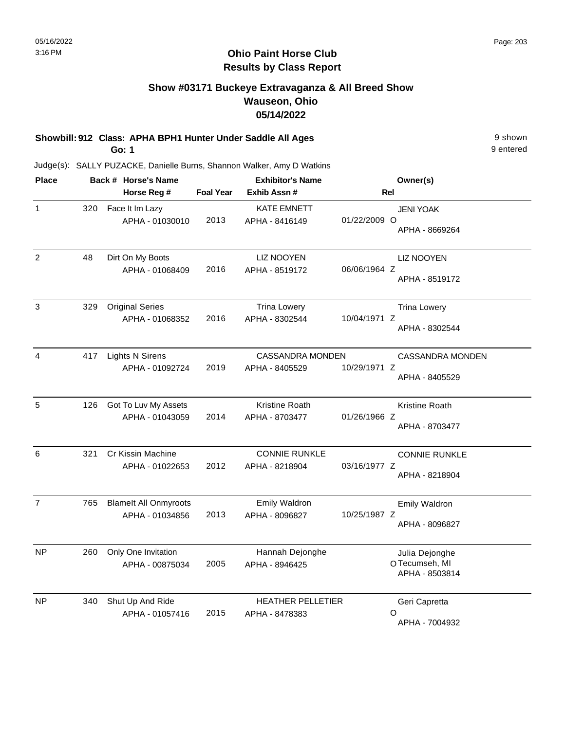#### **Show #03171 Buckeye Extravaganza & All Breed Show Wauseon, Ohio 05/14/2022**

**Showbill: 912 Class: APHA BPH1 Hunter Under Saddle All Ages** 9 shown

**Go: 1**

9 entered

| <b>Place</b>   |     | Back # Horse's Name                             |                  | <b>Exhibitor's Name</b>                    |              | Owner(s)                                          |
|----------------|-----|-------------------------------------------------|------------------|--------------------------------------------|--------------|---------------------------------------------------|
|                |     | Horse Reg #                                     | <b>Foal Year</b> | Exhib Assn #                               | Rel          |                                                   |
| $\mathbf{1}$   | 320 | Face It Im Lazy<br>APHA - 01030010              | 2013             | <b>KATE EMNETT</b><br>APHA - 8416149       | 01/22/2009 O | <b>JENI YOAK</b><br>APHA - 8669264                |
| 2              | 48  | Dirt On My Boots<br>APHA - 01068409             | 2016             | <b>LIZ NOOYEN</b><br>APHA - 8519172        | 06/06/1964 Z | <b>LIZ NOOYEN</b><br>APHA - 8519172               |
| $\mathbf{3}$   | 329 | <b>Original Series</b><br>APHA - 01068352       | 2016             | <b>Trina Lowery</b><br>APHA - 8302544      | 10/04/1971 Z | <b>Trina Lowery</b><br>APHA - 8302544             |
| 4              | 417 | <b>Lights N Sirens</b><br>APHA - 01092724       | 2019             | <b>CASSANDRA MONDEN</b><br>APHA - 8405529  | 10/29/1971 Z | <b>CASSANDRA MONDEN</b><br>APHA - 8405529         |
| 5              | 126 | Got To Luv My Assets<br>APHA - 01043059         | 2014             | Kristine Roath<br>APHA - 8703477           | 01/26/1966 Z | Kristine Roath<br>APHA - 8703477                  |
| 6              | 321 | Cr Kissin Machine<br>APHA - 01022653            | 2012             | <b>CONNIE RUNKLE</b><br>APHA - 8218904     | 03/16/1977 Z | <b>CONNIE RUNKLE</b><br>APHA - 8218904            |
| $\overline{7}$ | 765 | <b>Blamelt All Onmyroots</b><br>APHA - 01034856 | 2013             | Emily Waldron<br>APHA - 8096827            | 10/25/1987 Z | <b>Emily Waldron</b><br>APHA - 8096827            |
| <b>NP</b>      | 260 | Only One Invitation<br>APHA - 00875034          | 2005             | Hannah Dejonghe<br>APHA - 8946425          |              | Julia Dejonghe<br>OTecumseh, MI<br>APHA - 8503814 |
| NP             | 340 | Shut Up And Ride<br>APHA - 01057416             | 2015             | <b>HEATHER PELLETIER</b><br>APHA - 8478383 |              | Geri Capretta<br>O<br>APHA - 7004932              |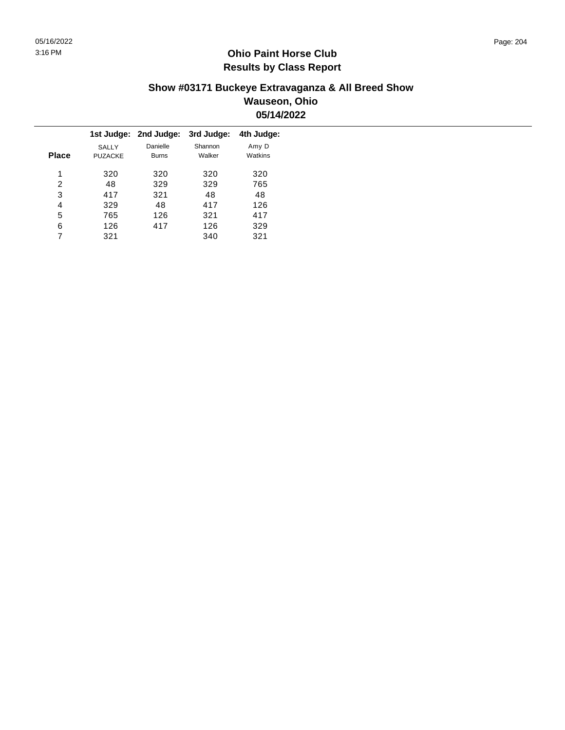#### **Show #03171 Buckeye Extravaganza & All Breed Show Wauseon, Ohio 05/14/2022**

|   |                                |                          | 3rd Judge:            | 4th Judge:       |
|---|--------------------------------|--------------------------|-----------------------|------------------|
|   | <b>SALLY</b><br><b>PUZACKE</b> | Danielle<br><b>Burns</b> | Shannon<br>Walker     | Amy D<br>Watkins |
| 1 | 320                            | 320                      | 320                   | 320              |
| 2 | 48                             | 329                      | 329                   | 765              |
| 3 | 417                            | 321                      | 48                    | 48               |
| 4 | 329                            | 48                       | 417                   | 126              |
| 5 | 765                            | 126                      | 321                   | 417              |
| 6 | 126                            | 417                      | 126                   | 329              |
|   | 321                            |                          | 340                   | 321              |
|   | <b>Place</b>                   |                          | 1st Judge: 2nd Judge: |                  |